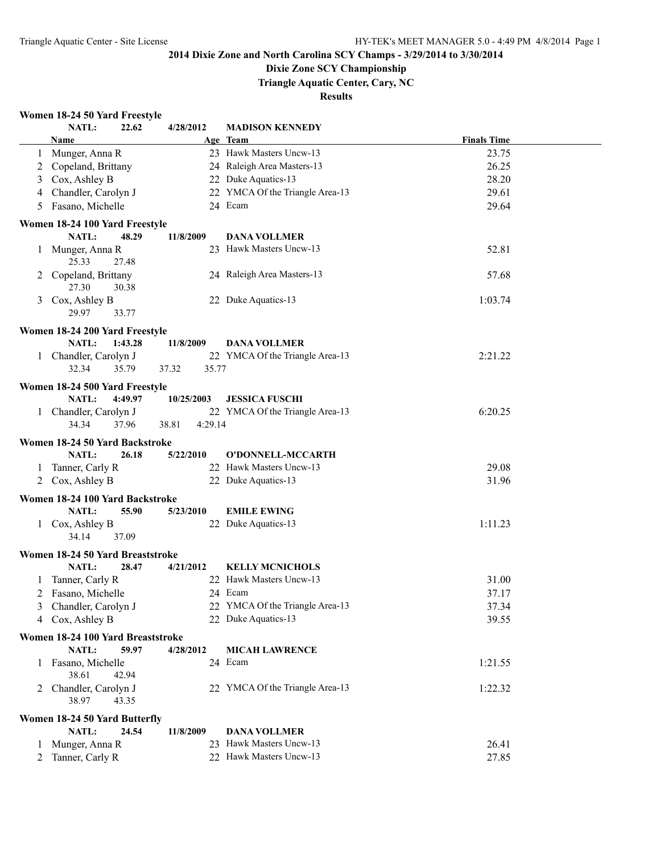### **Dixie Zone SCY Championship**

**Triangle Aquatic Center, Cary, NC**

#### **Results**

### **Women 18-24 50 Yard Freestyle**

|         | NATL:                             | 22.62   | 4/28/2012        | <b>MADISON KENNEDY</b>          |                    |
|---------|-----------------------------------|---------|------------------|---------------------------------|--------------------|
|         | Name                              |         |                  | Age Team                        | <b>Finals Time</b> |
| $\perp$ | Munger, Anna R                    |         |                  | 23 Hawk Masters Uncw-13         | 23.75              |
| 2       | Copeland, Brittany                |         |                  | 24 Raleigh Area Masters-13      | 26.25              |
| 3       | Cox, Ashley B                     |         |                  | 22 Duke Aquatics-13             | 28.20              |
| 4       | Chandler, Carolyn J               |         |                  | 22 YMCA Of the Triangle Area-13 | 29.61              |
| 5       | Fasano, Michelle                  |         |                  | 24 Ecam                         | 29.64              |
|         |                                   |         |                  |                                 |                    |
|         | Women 18-24 100 Yard Freestyle    |         |                  |                                 |                    |
|         | NATL:                             | 48.29   | 11/8/2009        | <b>DANA VOLLMER</b>             |                    |
|         | 1 Munger, Anna R                  |         |                  | 23 Hawk Masters Uncw-13         | 52.81              |
|         | 25.33                             | 27.48   |                  |                                 |                    |
|         | Copeland, Brittany                |         |                  | 24 Raleigh Area Masters-13      | 57.68              |
|         | 27.30                             | 30.38   |                  |                                 |                    |
| 3       | Cox, Ashley B                     |         |                  | 22 Duke Aquatics-13             | 1:03.74            |
|         | 29.97                             | 33.77   |                  |                                 |                    |
|         | Women 18-24 200 Yard Freestyle    |         |                  |                                 |                    |
|         | NATL:                             | 1:43.28 | 11/8/2009        | <b>DANA VOLLMER</b>             |                    |
|         | 1 Chandler, Carolyn J             |         |                  | 22 YMCA Of the Triangle Area-13 | 2:21.22            |
|         | 32.34                             | 35.79   | 37.32<br>35.77   |                                 |                    |
|         |                                   |         |                  |                                 |                    |
|         | Women 18-24 500 Yard Freestyle    |         |                  |                                 |                    |
|         | <b>NATL:</b>                      | 4:49.97 | 10/25/2003       | <b>JESSICA FUSCHI</b>           |                    |
|         | 1 Chandler, Carolyn J             |         |                  | 22 YMCA Of the Triangle Area-13 | 6:20.25            |
|         | 34.34                             | 37.96   | 38.81<br>4:29.14 |                                 |                    |
|         | Women 18-24 50 Yard Backstroke    |         |                  |                                 |                    |
|         | NATL:                             | 26.18   | 5/22/2010        | O'DONNELL-MCCARTH               |                    |
|         | 1 Tanner, Carly R                 |         |                  | 22 Hawk Masters Uncw-13         | 29.08              |
|         | 2 Cox, Ashley B                   |         |                  | 22 Duke Aquatics-13             | 31.96              |
|         |                                   |         |                  |                                 |                    |
|         | Women 18-24 100 Yard Backstroke   |         |                  |                                 |                    |
|         | NATL:                             | 55.90   | 5/23/2010        | <b>EMILE EWING</b>              |                    |
|         | 1 Cox, Ashley B                   |         |                  | 22 Duke Aquatics-13             | 1:11.23            |
|         | 34.14                             | 37.09   |                  |                                 |                    |
|         | Women 18-24 50 Yard Breaststroke  |         |                  |                                 |                    |
|         | NATL:                             | 28.47   | 4/21/2012        | <b>KELLY MCNICHOLS</b>          |                    |
|         | 1 Tanner, Carly R                 |         |                  | 22 Hawk Masters Uncw-13         | 31.00              |
|         | 2 Fasano, Michelle                |         |                  | 24 Ecam                         | 37.17              |
|         | 3 Chandler, Carolyn J             |         |                  | 22 YMCA Of the Triangle Area-13 | 37.34              |
|         | 4 Cox, Ashley B                   |         |                  | 22 Duke Aquatics-13             | 39.55              |
|         |                                   |         |                  |                                 |                    |
|         | Women 18-24 100 Yard Breaststroke |         |                  |                                 |                    |
|         | <b>NATL:</b>                      | 59.97   | 4/28/2012        | <b>MICAH LAWRENCE</b>           |                    |
|         | 1 Fasano, Michelle                |         |                  | 24 Ecam                         | 1:21.55            |
|         | 38.61                             | 42.94   |                  |                                 |                    |
|         | 2 Chandler, Carolyn J             |         |                  | 22 YMCA Of the Triangle Area-13 | 1:22.32            |
|         | 38.97                             | 43.35   |                  |                                 |                    |
|         | Women 18-24 50 Yard Butterfly     |         |                  |                                 |                    |
|         | NATL:                             | 24.54   | 11/8/2009        | <b>DANA VOLLMER</b>             |                    |
|         | 1 Munger, Anna R                  |         |                  | 23 Hawk Masters Uncw-13         | 26.41              |
|         | 2 Tanner, Carly R                 |         |                  | 22 Hawk Masters Uncw-13         | 27.85              |
|         |                                   |         |                  |                                 |                    |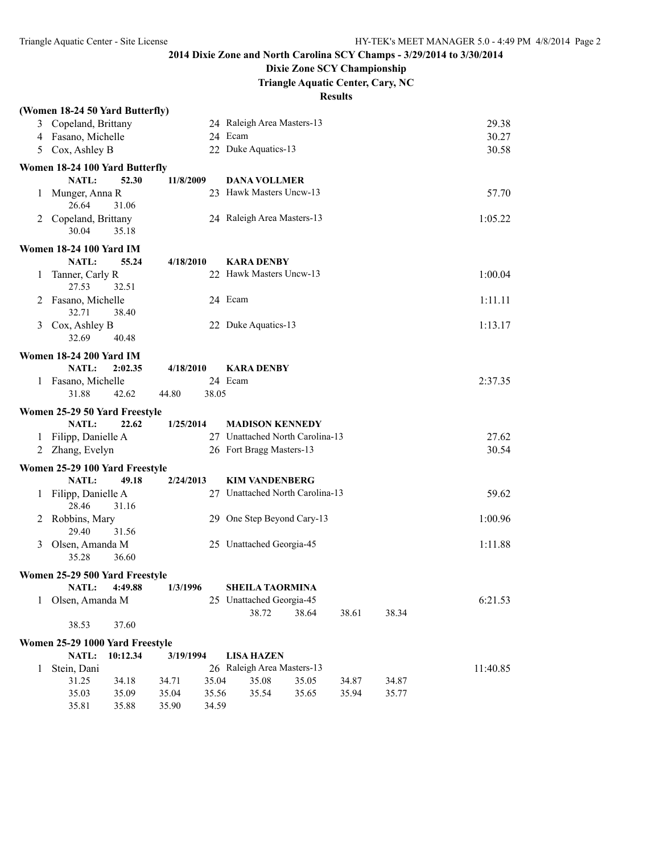## **Dixie Zone SCY Championship**

**Triangle Aquatic Center, Cary, NC**

|   | (Women 18-24 50 Yard Butterfly) |          |           |       |                                 |       |       |       |          |
|---|---------------------------------|----------|-----------|-------|---------------------------------|-------|-------|-------|----------|
|   | 3 Copeland, Brittany            |          |           |       | 24 Raleigh Area Masters-13      |       |       |       | 29.38    |
|   | 4 Fasano, Michelle              |          |           |       | 24 Ecam                         |       |       |       | 30.27    |
| 5 | Cox, Ashley B                   |          |           |       | 22 Duke Aquatics-13             |       |       |       | 30.58    |
|   | Women 18-24 100 Yard Butterfly  |          |           |       |                                 |       |       |       |          |
|   | <b>NATL:</b>                    | 52.30    | 11/8/2009 |       | <b>DANA VOLLMER</b>             |       |       |       |          |
|   | 1 Munger, Anna R                |          |           |       | 23 Hawk Masters Uncw-13         |       |       |       | 57.70    |
|   | 26.64                           | 31.06    |           |       |                                 |       |       |       |          |
|   | 2 Copeland, Brittany            |          |           |       | 24 Raleigh Area Masters-13      |       |       |       | 1:05.22  |
|   | 30.04                           | 35.18    |           |       |                                 |       |       |       |          |
|   | <b>Women 18-24 100 Yard IM</b>  |          |           |       |                                 |       |       |       |          |
|   | NATL:                           | 55.24    | 4/18/2010 |       | <b>KARA DENBY</b>               |       |       |       |          |
| 1 | Tanner, Carly R                 |          |           |       | 22 Hawk Masters Uncw-13         |       |       |       | 1:00.04  |
|   | 27.53                           | 32.51    |           |       |                                 |       |       |       |          |
| 2 | Fasano, Michelle                |          |           |       | 24 Ecam                         |       |       |       | 1:11.11  |
|   | 32.71                           | 38.40    |           |       |                                 |       |       |       |          |
| 3 | Cox, Ashley B                   |          |           |       | 22 Duke Aquatics-13             |       |       |       | 1:13.17  |
|   | 32.69                           | 40.48    |           |       |                                 |       |       |       |          |
|   | <b>Women 18-24 200 Yard IM</b>  |          |           |       |                                 |       |       |       |          |
|   | NATL:                           | 2:02.35  | 4/18/2010 |       | <b>KARA DENBY</b>               |       |       |       |          |
|   | 1 Fasano, Michelle              |          |           |       | 24 Ecam                         |       |       |       | 2:37.35  |
|   | 31.88                           | 42.62    | 44.80     | 38.05 |                                 |       |       |       |          |
|   | Women 25-29 50 Yard Freestyle   |          |           |       |                                 |       |       |       |          |
|   | NATL:                           | 22.62    | 1/25/2014 |       | <b>MADISON KENNEDY</b>          |       |       |       |          |
| 1 | Filipp, Danielle A              |          |           |       | 27 Unattached North Carolina-13 |       |       |       | 27.62    |
| 2 | Zhang, Evelyn                   |          |           |       | 26 Fort Bragg Masters-13        |       |       |       | 30.54    |
|   | Women 25-29 100 Yard Freestyle  |          |           |       |                                 |       |       |       |          |
|   | NATL:                           | 49.18    | 2/24/2013 |       | <b>KIM VANDENBERG</b>           |       |       |       |          |
| 1 | Filipp, Danielle A              |          |           |       | 27 Unattached North Carolina-13 |       |       |       | 59.62    |
|   | 28.46                           | 31.16    |           |       |                                 |       |       |       |          |
|   | Robbins, Mary                   |          |           |       | 29 One Step Beyond Cary-13      |       |       |       | 1:00.96  |
|   | 29.40                           | 31.56    |           |       |                                 |       |       |       |          |
| 3 | Olsen, Amanda M                 |          |           |       | 25 Unattached Georgia-45        |       |       |       | 1:11.88  |
|   | 35.28                           | 36.60    |           |       |                                 |       |       |       |          |
|   | Women 25-29 500 Yard Freestyle  |          |           |       |                                 |       |       |       |          |
|   | NATL:                           | 4:49.88  | 1/3/1996  |       | <b>SHEILA TAORMINA</b>          |       |       |       |          |
|   | 1 Olsen, Amanda M               |          |           |       | 25 Unattached Georgia-45        |       |       |       | 6:21.53  |
|   |                                 |          |           |       | 38.72                           | 38.64 | 38.61 | 38.34 |          |
|   | 38.53                           | 37.60    |           |       |                                 |       |       |       |          |
|   | Women 25-29 1000 Yard Freestyle |          |           |       |                                 |       |       |       |          |
|   | <b>NATL:</b>                    | 10:12.34 | 3/19/1994 |       | <b>LISA HAZEN</b>               |       |       |       |          |
| 1 | Stein, Dani                     |          |           |       | 26 Raleigh Area Masters-13      |       |       |       | 11:40.85 |
|   | 31.25                           | 34.18    | 34.71     | 35.04 | 35.08                           | 35.05 | 34.87 | 34.87 |          |
|   | 35.03                           | 35.09    | 35.04     | 35.56 | 35.54                           | 35.65 | 35.94 | 35.77 |          |
|   | 35.81                           | 35.88    | 35.90     | 34.59 |                                 |       |       |       |          |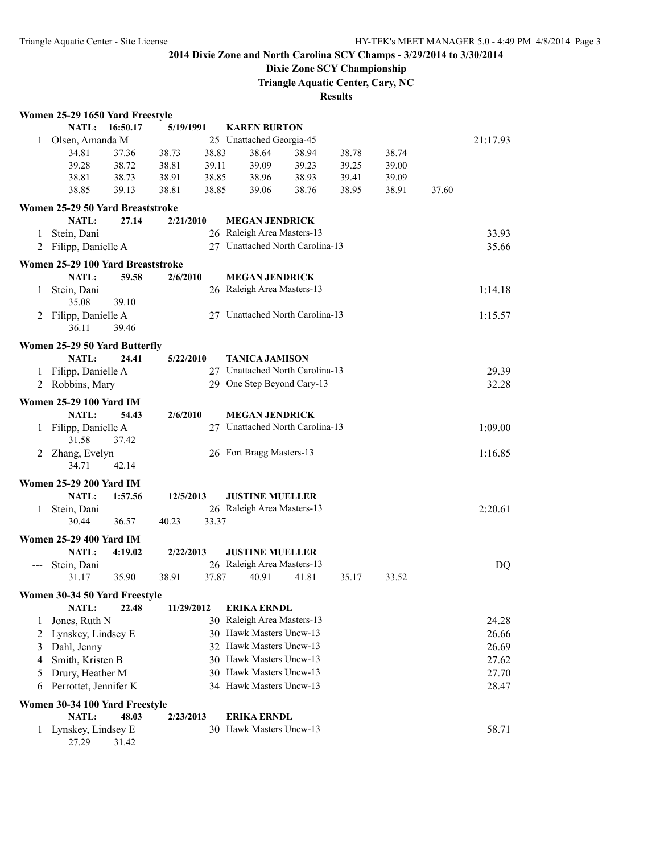## **Dixie Zone SCY Championship**

**Triangle Aquatic Center, Cary, NC**

|   | Women 25-29 1650 Yard Freestyle   |          |            |       |                                 |       |       |       |       |           |
|---|-----------------------------------|----------|------------|-------|---------------------------------|-------|-------|-------|-------|-----------|
|   | NATL:                             | 16:50.17 | 5/19/1991  |       | <b>KAREN BURTON</b>             |       |       |       |       |           |
| 1 | Olsen, Amanda M                   |          |            |       | 25 Unattached Georgia-45        |       |       |       |       | 21:17.93  |
|   | 34.81                             | 37.36    | 38.73      | 38.83 | 38.64                           | 38.94 | 38.78 | 38.74 |       |           |
|   | 39.28                             | 38.72    | 38.81      | 39.11 | 39.09                           | 39.23 | 39.25 | 39.00 |       |           |
|   | 38.81                             | 38.73    | 38.91      | 38.85 | 38.96                           | 38.93 | 39.41 | 39.09 |       |           |
|   | 38.85                             | 39.13    | 38.81      | 38.85 | 39.06                           | 38.76 | 38.95 | 38.91 | 37.60 |           |
|   | Women 25-29 50 Yard Breaststroke  |          |            |       |                                 |       |       |       |       |           |
|   | NATL:                             | 27.14    | 2/21/2010  |       | <b>MEGAN JENDRICK</b>           |       |       |       |       |           |
| 1 | Stein, Dani                       |          |            |       | 26 Raleigh Area Masters-13      |       |       |       |       | 33.93     |
| 2 | Filipp, Danielle A                |          |            |       | 27 Unattached North Carolina-13 |       |       |       |       | 35.66     |
|   |                                   |          |            |       |                                 |       |       |       |       |           |
|   | Women 25-29 100 Yard Breaststroke |          |            |       |                                 |       |       |       |       |           |
|   | NATL:                             | 59.58    | 2/6/2010   |       | <b>MEGAN JENDRICK</b>           |       |       |       |       |           |
| 1 | Stein, Dani                       |          |            |       | 26 Raleigh Area Masters-13      |       |       |       |       | 1:14.18   |
|   | 35.08                             | 39.10    |            |       |                                 |       |       |       |       |           |
| 2 | Filipp, Danielle A                |          |            |       | 27 Unattached North Carolina-13 |       |       |       |       | 1:15.57   |
|   | 36.11                             | 39.46    |            |       |                                 |       |       |       |       |           |
|   | Women 25-29 50 Yard Butterfly     |          |            |       |                                 |       |       |       |       |           |
|   | NATL:                             | 24.41    | 5/22/2010  |       | <b>TANICA JAMISON</b>           |       |       |       |       |           |
|   | 1 Filipp, Danielle A              |          |            |       | 27 Unattached North Carolina-13 |       |       |       |       | 29.39     |
|   | 2 Robbins, Mary                   |          |            |       | 29 One Step Beyond Cary-13      |       |       |       |       | 32.28     |
|   | <b>Women 25-29 100 Yard IM</b>    |          |            |       |                                 |       |       |       |       |           |
|   | NATL:                             | 54.43    | 2/6/2010   |       | <b>MEGAN JENDRICK</b>           |       |       |       |       |           |
| 1 | Filipp, Danielle A                |          |            |       | 27 Unattached North Carolina-13 |       |       |       |       | 1:09.00   |
|   | 31.58                             | 37.42    |            |       |                                 |       |       |       |       |           |
| 2 | Zhang, Evelyn                     |          |            |       | 26 Fort Bragg Masters-13        |       |       |       |       | 1:16.85   |
|   | 34.71                             | 42.14    |            |       |                                 |       |       |       |       |           |
|   | <b>Women 25-29 200 Yard IM</b>    |          |            |       |                                 |       |       |       |       |           |
|   | NATL:                             | 1:57.56  | 12/5/2013  |       | <b>JUSTINE MUELLER</b>          |       |       |       |       |           |
| 1 | Stein, Dani                       |          |            |       | 26 Raleigh Area Masters-13      |       |       |       |       | 2:20.61   |
|   | 30.44                             | 36.57    | 40.23      | 33.37 |                                 |       |       |       |       |           |
|   |                                   |          |            |       |                                 |       |       |       |       |           |
|   | <b>Women 25-29 400 Yard IM</b>    |          |            |       |                                 |       |       |       |       |           |
|   | NATL:                             | 4:19.02  | 2/22/2013  |       | <b>JUSTINE MUELLER</b>          |       |       |       |       |           |
|   | Stein, Dani                       |          |            |       | 26 Raleigh Area Masters-13      |       |       |       |       | <b>DQ</b> |
|   | 31.17                             | 35.90    | 38.91      | 37.87 | 40.91                           | 41.81 | 35.17 | 33.52 |       |           |
|   | Women 30-34 50 Yard Freestyle     |          |            |       |                                 |       |       |       |       |           |
|   | <b>NATL:</b>                      | 22.48    | 11/29/2012 |       | <b>ERIKA ERNDL</b>              |       |       |       |       |           |
| 1 | Jones, Ruth N                     |          |            |       | 30 Raleigh Area Masters-13      |       |       |       |       | 24.28     |
| 2 | Lynskey, Lindsey E                |          |            |       | 30 Hawk Masters Uncw-13         |       |       |       |       | 26.66     |
| 3 | Dahl, Jenny                       |          |            |       | 32 Hawk Masters Uncw-13         |       |       |       |       | 26.69     |
| 4 | Smith, Kristen B                  |          |            |       | 30 Hawk Masters Uncw-13         |       |       |       |       | 27.62     |
| 5 | Drury, Heather M                  |          |            |       | 30 Hawk Masters Uncw-13         |       |       |       |       | 27.70     |
| 6 | Perrottet, Jennifer K             |          |            |       | 34 Hawk Masters Uncw-13         |       |       |       |       | 28.47     |
|   | Women 30-34 100 Yard Freestyle    |          |            |       |                                 |       |       |       |       |           |
|   | NATL:                             | 48.03    | 2/23/2013  |       | <b>ERIKA ERNDL</b>              |       |       |       |       |           |
| 1 | Lynskey, Lindsey E                |          |            |       | 30 Hawk Masters Uncw-13         |       |       |       |       | 58.71     |
|   | 27.29                             | 31.42    |            |       |                                 |       |       |       |       |           |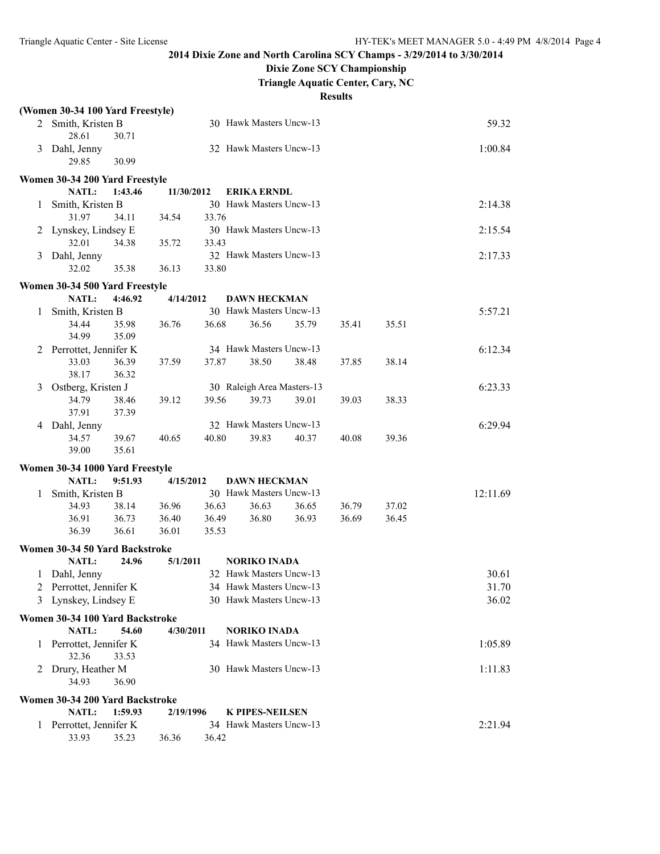## **Dixie Zone SCY Championship**

**Triangle Aquatic Center, Cary, NC**

|   | (Women 30-34 100 Yard Freestyle) |         |            |       |                            |       |       |       |          |
|---|----------------------------------|---------|------------|-------|----------------------------|-------|-------|-------|----------|
|   | 2 Smith, Kristen B               |         |            |       | 30 Hawk Masters Uncw-13    |       |       |       | 59.32    |
|   | 28.61                            | 30.71   |            |       |                            |       |       |       |          |
| 3 | Dahl, Jenny                      |         |            |       | 32 Hawk Masters Uncw-13    |       |       |       | 1:00.84  |
|   | 29.85                            | 30.99   |            |       |                            |       |       |       |          |
|   | Women 30-34 200 Yard Freestyle   |         |            |       |                            |       |       |       |          |
|   | NATL:                            | 1:43.46 | 11/30/2012 |       | <b>ERIKA ERNDL</b>         |       |       |       |          |
| 1 | Smith, Kristen B                 |         |            |       | 30 Hawk Masters Uncw-13    |       |       |       | 2:14.38  |
|   | 31.97                            | 34.11   | 34.54      | 33.76 |                            |       |       |       |          |
|   | 2 Lynskey, Lindsey E             |         |            |       | 30 Hawk Masters Uncw-13    |       |       |       | 2:15.54  |
|   | 32.01                            | 34.38   | 35.72      | 33.43 |                            |       |       |       |          |
|   | 3 Dahl, Jenny                    |         |            |       | 32 Hawk Masters Uncw-13    |       |       |       | 2:17.33  |
|   | 32.02                            | 35.38   | 36.13      | 33.80 |                            |       |       |       |          |
|   |                                  |         |            |       |                            |       |       |       |          |
|   | Women 30-34 500 Yard Freestyle   |         |            |       |                            |       |       |       |          |
|   | NATL:                            | 4:46.92 | 4/14/2012  |       | <b>DAWN HECKMAN</b>        |       |       |       |          |
| 1 | Smith, Kristen B                 |         |            |       | 30 Hawk Masters Uncw-13    |       |       |       | 5:57.21  |
|   | 34.44                            | 35.98   | 36.76      | 36.68 | 36.56                      | 35.79 | 35.41 | 35.51 |          |
|   | 34.99                            | 35.09   |            |       |                            |       |       |       |          |
| 2 | Perrottet, Jennifer K            |         |            |       | 34 Hawk Masters Uncw-13    |       |       |       | 6:12.34  |
|   | 33.03                            | 36.39   | 37.59      | 37.87 | 38.50                      | 38.48 | 37.85 | 38.14 |          |
|   | 38.17                            | 36.32   |            |       |                            |       |       |       |          |
| 3 | Ostberg, Kristen J               |         |            |       | 30 Raleigh Area Masters-13 |       |       |       | 6:23.33  |
|   | 34.79                            | 38.46   | 39.12      | 39.56 | 39.73                      | 39.01 | 39.03 | 38.33 |          |
|   | 37.91                            | 37.39   |            |       | 32 Hawk Masters Uncw-13    |       |       |       |          |
| 4 | Dahl, Jenny<br>34.57             | 39.67   | 40.65      | 40.80 | 39.83                      | 40.37 | 40.08 | 39.36 | 6:29.94  |
|   | 39.00                            | 35.61   |            |       |                            |       |       |       |          |
|   |                                  |         |            |       |                            |       |       |       |          |
|   | Women 30-34 1000 Yard Freestyle  |         |            |       |                            |       |       |       |          |
|   | NATL:                            | 9:51.93 | 4/15/2012  |       | <b>DAWN HECKMAN</b>        |       |       |       |          |
| 1 | Smith, Kristen B                 |         |            |       | 30 Hawk Masters Uncw-13    |       |       |       | 12:11.69 |
|   | 34.93                            | 38.14   | 36.96      | 36.63 | 36.63                      | 36.65 | 36.79 | 37.02 |          |
|   | 36.91                            | 36.73   | 36.40      | 36.49 | 36.80                      | 36.93 | 36.69 | 36.45 |          |
|   | 36.39                            | 36.61   | 36.01      | 35.53 |                            |       |       |       |          |
|   | Women 30-34 50 Yard Backstroke   |         |            |       |                            |       |       |       |          |
|   | NATL:                            | 24.96   | 5/1/2011   |       | <b>NORIKO INADA</b>        |       |       |       |          |
|   | 1 Dahl, Jenny                    |         |            |       | 32 Hawk Masters Uncw-13    |       |       |       | 30.61    |
|   | 2 Perrottet, Jennifer K          |         |            |       | 34 Hawk Masters Uncw-13    |       |       |       | 31.70    |
|   | 3 Lynskey, Lindsey E             |         |            |       | 30 Hawk Masters Uncw-13    |       |       |       | 36.02    |
|   | Women 30-34 100 Yard Backstroke  |         |            |       |                            |       |       |       |          |
|   | NATL:                            | 54.60   | 4/30/2011  |       | <b>NORIKO INADA</b>        |       |       |       |          |
| 1 | Perrottet, Jennifer K            |         |            |       | 34 Hawk Masters Uncw-13    |       |       |       | 1:05.89  |
|   | 32.36                            | 33.53   |            |       |                            |       |       |       |          |
|   | 2 Drury, Heather M               |         |            |       | 30 Hawk Masters Uncw-13    |       |       |       | 1:11.83  |
|   | 34.93                            | 36.90   |            |       |                            |       |       |       |          |
|   |                                  |         |            |       |                            |       |       |       |          |
|   | Women 30-34 200 Yard Backstroke  |         |            |       |                            |       |       |       |          |
|   | NATL:                            | 1:59.93 | 2/19/1996  |       | <b>K PIPES-NEILSEN</b>     |       |       |       |          |
| 1 | Perrottet, Jennifer K            |         |            |       | 34 Hawk Masters Uncw-13    |       |       |       | 2:21.94  |
|   | 33.93                            | 35.23   | 36.36      | 36.42 |                            |       |       |       |          |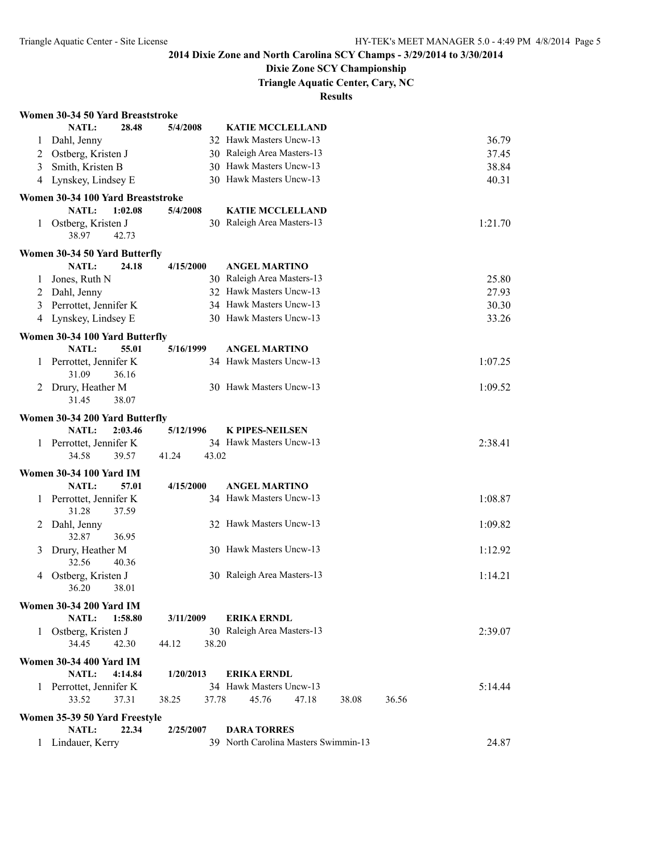### **Dixie Zone SCY Championship**

**Triangle Aquatic Center, Cary, NC**

|   | Women 30-34 50 Yard Breaststroke                   |                |                                      |         |
|---|----------------------------------------------------|----------------|--------------------------------------|---------|
|   | NATL:<br>28.48                                     | 5/4/2008       | <b>KATIE MCCLELLAND</b>              |         |
| 1 | Dahl, Jenny                                        |                | 32 Hawk Masters Uncw-13              | 36.79   |
| 2 | Ostberg, Kristen J                                 |                | 30 Raleigh Area Masters-13           | 37.45   |
| 3 | Smith, Kristen B                                   |                | 30 Hawk Masters Uncw-13              | 38.84   |
|   | 4 Lynskey, Lindsey E                               |                | 30 Hawk Masters Uncw-13              | 40.31   |
|   | Women 30-34 100 Yard Breaststroke                  |                |                                      |         |
|   | <b>NATL:</b><br>1:02.08                            | 5/4/2008       | <b>KATIE MCCLELLAND</b>              |         |
|   | Ostberg, Kristen J<br>1<br>38.97<br>42.73          |                | 30 Raleigh Area Masters-13           | 1:21.70 |
|   | Women 30-34 50 Yard Butterfly                      |                |                                      |         |
|   | NATL:<br>24.18                                     | 4/15/2000      | <b>ANGEL MARTINO</b>                 |         |
| 1 | Jones, Ruth N                                      |                | 30 Raleigh Area Masters-13           | 25.80   |
| 2 | Dahl, Jenny                                        |                | 32 Hawk Masters Uncw-13              | 27.93   |
| 3 | Perrottet, Jennifer K                              |                | 34 Hawk Masters Uncw-13              | 30.30   |
| 4 | Lynskey, Lindsey E                                 |                | 30 Hawk Masters Uncw-13              | 33.26   |
|   | Women 30-34 100 Yard Butterfly                     |                |                                      |         |
|   | 55.01<br><b>NATL:</b>                              | 5/16/1999      | <b>ANGEL MARTINO</b>                 |         |
| 1 | Perrottet, Jennifer K<br>31.09<br>36.16            |                | 34 Hawk Masters Uncw-13              | 1:07.25 |
| 2 | Drury, Heather M<br>31.45<br>38.07                 |                | 30 Hawk Masters Uncw-13              | 1:09.52 |
|   | Women 30-34 200 Yard Butterfly                     |                |                                      |         |
|   | <b>NATL:</b><br>2:03.46                            | 5/12/1996      | <b>K PIPES-NEILSEN</b>               |         |
| 1 | Perrottet, Jennifer K                              |                | 34 Hawk Masters Uncw-13              | 2:38.41 |
|   | 34.58<br>39.57                                     | 41.24<br>43.02 |                                      |         |
|   | <b>Women 30-34 100 Yard IM</b>                     |                |                                      |         |
|   | NATL:<br>57.01                                     | 4/15/2000      | <b>ANGEL MARTINO</b>                 |         |
| 1 | Perrottet, Jennifer K<br>31.28<br>37.59            |                | 34 Hawk Masters Uncw-13              | 1:08.87 |
| 2 | Dahl, Jenny<br>32.87<br>36.95                      |                | 32 Hawk Masters Uncw-13              | 1:09.82 |
| 3 | Drury, Heather M<br>32.56<br>40.36                 |                | 30 Hawk Masters Uncw-13              | 1:12.92 |
| 4 | Ostberg, Kristen J<br>38.01                        |                | 30 Raleigh Area Masters-13           | 1:14.21 |
|   | 36.20                                              |                |                                      |         |
|   | <b>Women 30-34 200 Yard IM</b><br>NATL:<br>1:58.80 | 3/11/2009      | <b>ERIKA ERNDL</b>                   |         |
|   | 1 Ostberg, Kristen J<br>34.45<br>42.30             | 44.12<br>38.20 | 30 Raleigh Area Masters-13           | 2:39.07 |
|   | <b>Women 30-34 400 Yard IM</b>                     |                |                                      |         |
|   | <b>NATL:</b><br>4:14.84                            | 1/20/2013      | <b>ERIKA ERNDL</b>                   |         |
|   | 1 Perrottet, Jennifer K                            |                | 34 Hawk Masters Uncw-13              | 5:14.44 |
|   | 33.52<br>37.31                                     | 37.78<br>38.25 | 45.76<br>47.18<br>36.56<br>38.08     |         |
|   | Women 35-39 50 Yard Freestyle                      |                |                                      |         |
|   | NATL:<br>22.34                                     | 2/25/2007      | <b>DARA TORRES</b>                   |         |
| 1 | Lindauer, Kerry                                    |                | 39 North Carolina Masters Swimmin-13 | 24.87   |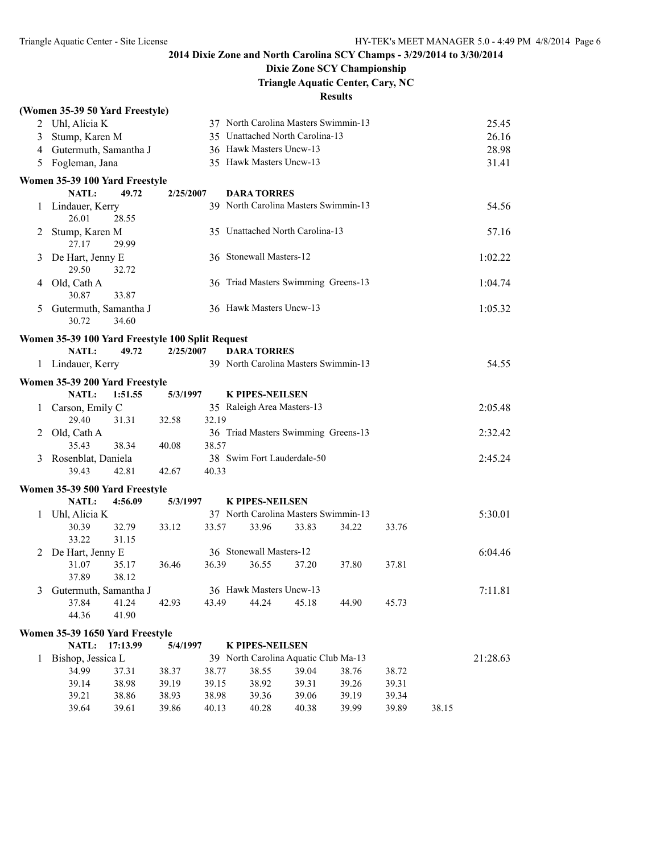# **Dixie Zone SCY Championship**

## **Triangle Aquatic Center, Cary, NC**

|                | (Women 35-39 50 Yard Freestyle)                    |                                  |                                      |                |                |                |       |          |
|----------------|----------------------------------------------------|----------------------------------|--------------------------------------|----------------|----------------|----------------|-------|----------|
|                | 2 Uhl, Alicia K                                    |                                  | 37 North Carolina Masters Swimmin-13 |                |                |                |       | 25.45    |
| $\mathfrak{Z}$ | Stump, Karen M                                     |                                  | 35 Unattached North Carolina-13      |                |                |                |       | 26.16    |
|                | 4 Gutermuth, Samantha J                            |                                  | 36 Hawk Masters Uncw-13              |                |                |                |       | 28.98    |
| 5              | Fogleman, Jana                                     |                                  | 35 Hawk Masters Uncw-13              |                |                |                |       | 31.41    |
|                | Women 35-39 100 Yard Freestyle                     |                                  |                                      |                |                |                |       |          |
|                | NATL:<br>49.72                                     | 2/25/2007                        | <b>DARA TORRES</b>                   |                |                |                |       |          |
| $\mathbf{1}$   | Lindauer, Kerry<br>28.55<br>26.01                  |                                  | 39 North Carolina Masters Swimmin-13 |                |                |                |       | 54.56    |
| 2              | Stump, Karen M<br>27.17<br>29.99                   |                                  | 35 Unattached North Carolina-13      |                |                |                |       | 57.16    |
| 3              | De Hart, Jenny E<br>29.50<br>32.72                 |                                  | 36 Stonewall Masters-12              |                |                |                |       | 1:02.22  |
|                | 4 Old, Cath A<br>30.87<br>33.87                    |                                  | 36 Triad Masters Swimming Greens-13  |                |                |                |       | 1:04.74  |
| 5              | Gutermuth, Samantha J<br>30.72<br>34.60            |                                  | 36 Hawk Masters Uncw-13              |                |                |                |       | 1:05.32  |
|                | Women 35-39 100 Yard Freestyle 100 Split Request   |                                  |                                      |                |                |                |       |          |
|                | <b>NATL:</b><br>49.72                              | 2/25/2007                        | <b>DARA TORRES</b>                   |                |                |                |       |          |
|                | 1 Lindauer, Kerry                                  |                                  | 39 North Carolina Masters Swimmin-13 |                |                |                |       | 54.55    |
|                | Women 35-39 200 Yard Freestyle                     |                                  |                                      |                |                |                |       |          |
|                | NATL:<br>1:51.55                                   | 5/3/1997                         | <b>K PIPES-NEILSEN</b>               |                |                |                |       |          |
| $\mathbf{1}$   | Carson, Emily C                                    |                                  | 35 Raleigh Area Masters-13           |                |                |                |       | 2:05.48  |
|                | 29.40<br>31.31                                     | 32.19<br>32.58                   |                                      |                |                |                |       |          |
| 2              | Old, Cath A<br>35.43<br>38.34                      | 38.57<br>40.08                   | 36 Triad Masters Swimming Greens-13  |                |                |                |       | 2:32.42  |
| 3              | Rosenblat, Daniela                                 |                                  | 38 Swim Fort Lauderdale-50           |                |                |                |       | 2:45.24  |
|                | 39.43<br>42.81                                     | 40.33<br>42.67                   |                                      |                |                |                |       |          |
|                |                                                    |                                  |                                      |                |                |                |       |          |
|                | Women 35-39 500 Yard Freestyle<br>NATL:<br>4:56.09 | 5/3/1997                         | <b>K PIPES-NEILSEN</b>               |                |                |                |       |          |
| 1              | Uhl, Alicia K                                      |                                  | 37 North Carolina Masters Swimmin-13 |                |                |                |       | 5:30.01  |
|                | 30.39<br>32.79                                     | 33.57<br>33.12                   | 33.96                                | 33.83          | 34.22          | 33.76          |       |          |
|                | 33.22<br>31.15                                     |                                  |                                      |                |                |                |       |          |
| 2              | De Hart, Jenny E                                   |                                  | 36 Stonewall Masters-12              |                |                |                |       | 6:04.46  |
|                | 31.07<br>35.17                                     | 36.46<br>36.39                   | 36.55                                | 37.20          | 37.80          | 37.81          |       |          |
|                | 37.89<br>38.12                                     |                                  |                                      |                |                |                |       |          |
| 3              | Gutermuth, Samantha J                              |                                  | 36 Hawk Masters Uncw-13              |                |                |                |       | 7:11.81  |
|                | 37.84<br>41.24<br>44.36<br>41.90                   | 43.49<br>42.93                   | 44.24                                | 45.18          | 44.90          | 45.73          |       |          |
|                | Women 35-39 1650 Yard Freestyle                    |                                  |                                      |                |                |                |       |          |
|                | NATL: 17:13.99                                     | 5/4/1997                         | <b>K PIPES-NEILSEN</b>               |                |                |                |       |          |
| 1              | Bishop, Jessica L                                  |                                  | 39 North Carolina Aquatic Club Ma-13 |                |                |                |       | 21:28.63 |
|                | 34.99<br>37.31                                     | 38.37<br>38.77                   | 38.55                                | 39.04          | 38.76          | 38.72          |       |          |
|                | 39.14<br>38.98                                     | 39.19<br>39.15                   | 38.92                                | 39.31          | 39.26          | 39.31          |       |          |
|                | 39.21<br>38.86<br>39.64<br>39.61                   | 38.93<br>38.98<br>39.86<br>40.13 | 39.36<br>40.28                       | 39.06<br>40.38 | 39.19<br>39.99 | 39.34<br>39.89 | 38.15 |          |
|                |                                                    |                                  |                                      |                |                |                |       |          |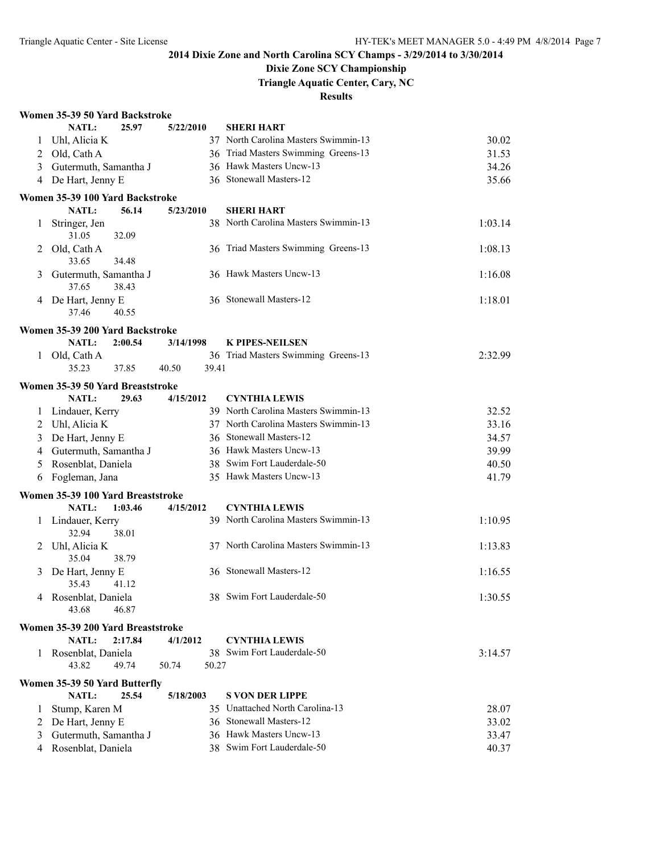### **Dixie Zone SCY Championship**

**Triangle Aquatic Center, Cary, NC**

|              | Women 35-39 50 Yard Backstroke            |         |           |       |                                      |         |
|--------------|-------------------------------------------|---------|-----------|-------|--------------------------------------|---------|
|              | <b>NATL:</b>                              | 25.97   | 5/22/2010 |       | <b>SHERI HART</b>                    |         |
| 1            | Uhl, Alicia K                             |         |           |       | 37 North Carolina Masters Swimmin-13 | 30.02   |
|              | 2 Old, Cath A                             |         |           |       | 36 Triad Masters Swimming Greens-13  | 31.53   |
| 3            | Gutermuth, Samantha J                     |         |           |       | 36 Hawk Masters Uncw-13              | 34.26   |
| 4            | De Hart, Jenny E                          |         |           |       | 36 Stonewall Masters-12              | 35.66   |
|              | Women 35-39 100 Yard Backstroke           |         |           |       |                                      |         |
|              | NATL:                                     | 56.14   | 5/23/2010 |       | <b>SHERI HART</b>                    |         |
| 1            | Stringer, Jen<br>31.05                    | 32.09   |           |       | 38 North Carolina Masters Swimmin-13 | 1:03.14 |
| 2            | Old, Cath A<br>33.65                      | 34.48   |           |       | 36 Triad Masters Swimming Greens-13  | 1:08.13 |
| 3            | Gutermuth, Samantha J<br>37.65            | 38.43   |           |       | 36 Hawk Masters Uncw-13              | 1:16.08 |
| 4            | De Hart, Jenny E<br>37.46                 | 40.55   |           |       | 36 Stonewall Masters-12              | 1:18.01 |
|              | Women 35-39 200 Yard Backstroke           |         |           |       |                                      |         |
|              | NATL:                                     | 2:00.54 | 3/14/1998 |       | <b>K PIPES-NEILSEN</b>               |         |
| $\mathbf{1}$ | Old, Cath A                               |         |           |       | 36 Triad Masters Swimming Greens-13  | 2:32.99 |
|              | 35.23                                     | 37.85   | 40.50     | 39.41 |                                      |         |
|              |                                           |         |           |       |                                      |         |
|              | Women 35-39 50 Yard Breaststroke<br>NATL: | 29.63   | 4/15/2012 |       | <b>CYNTHIA LEWIS</b>                 |         |
| 1            | Lindauer, Kerry                           |         |           |       | 39 North Carolina Masters Swimmin-13 | 32.52   |
|              | 2 Uhl, Alicia K                           |         |           |       | 37 North Carolina Masters Swimmin-13 | 33.16   |
|              |                                           |         |           |       | 36 Stonewall Masters-12              | 34.57   |
|              | 3 De Hart, Jenny E                        |         |           |       | 36 Hawk Masters Uncw-13              |         |
| 4            | Gutermuth, Samantha J                     |         |           |       | 38 Swim Fort Lauderdale-50           | 39.99   |
| 5            | Rosenblat, Daniela                        |         |           |       |                                      | 40.50   |
| 6            | Fogleman, Jana                            |         |           |       | 35 Hawk Masters Uncw-13              | 41.79   |
|              | Women 35-39 100 Yard Breaststroke         |         |           |       |                                      |         |
|              | NATL:                                     | 1:03.46 | 4/15/2012 |       | <b>CYNTHIA LEWIS</b>                 |         |
| 1            | Lindauer, Kerry<br>32.94                  | 38.01   |           |       | 39 North Carolina Masters Swimmin-13 | 1:10.95 |
| 2            | Uhl, Alicia K<br>35.04                    | 38.79   |           |       | 37 North Carolina Masters Swimmin-13 | 1:13.83 |
| 3            | De Hart, Jenny E<br>35.43                 | 41.12   |           |       | 36 Stonewall Masters-12              | 1:16.55 |
| 4            | Rosenblat, Daniela<br>43.68               | 46.87   |           |       | 38 Swim Fort Lauderdale-50           | 1:30.55 |
|              | Women 35-39 200 Yard Breaststroke         |         |           |       |                                      |         |
|              | NATL:                                     | 2:17.84 | 4/1/2012  |       | <b>CYNTHIA LEWIS</b>                 |         |
| 1            | Rosenblat, Daniela                        |         |           |       | 38 Swim Fort Lauderdale-50           | 3:14.57 |
|              | 43.82                                     | 49.74   | 50.74     | 50.27 |                                      |         |
|              | Women 35-39 50 Yard Butterfly             |         |           |       |                                      |         |
|              | <b>NATL:</b>                              | 25.54   | 5/18/2003 |       | <b>S VON DER LIPPE</b>               |         |
| 1            | Stump, Karen M                            |         |           |       | 35 Unattached North Carolina-13      | 28.07   |
| 2            | De Hart, Jenny E                          |         |           |       | 36 Stonewall Masters-12              | 33.02   |
| 3            | Gutermuth, Samantha J                     |         |           |       | 36 Hawk Masters Uncw-13              | 33.47   |
| 4            | Rosenblat, Daniela                        |         |           |       | 38 Swim Fort Lauderdale-50           | 40.37   |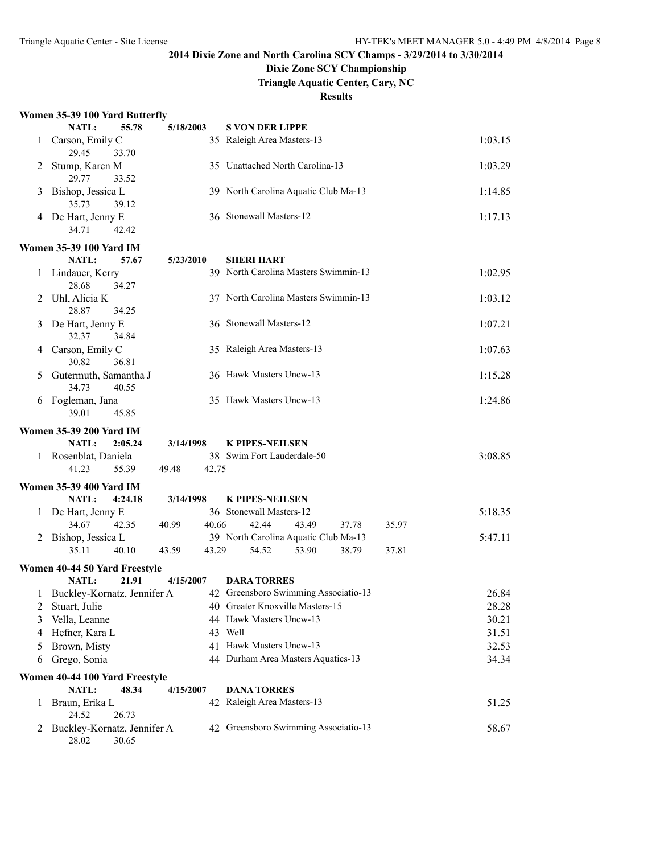## **Dixie Zone SCY Championship**

**Triangle Aquatic Center, Cary, NC**

**Results**

### **Women 35-39 100 Yard Butterfly**

|    | Women 35-39 TUU Yard Butterily          |           |                                      |         |
|----|-----------------------------------------|-----------|--------------------------------------|---------|
|    | NATL:<br>55.78                          | 5/18/2003 | <b>S VON DER LIPPE</b>               |         |
| 1  | Carson, Emily C<br>29.45<br>33.70       |           | 35 Raleigh Area Masters-13           | 1:03.15 |
| 2  | Stump, Karen M<br>29.77<br>33.52        |           | 35 Unattached North Carolina-13      | 1:03.29 |
| 3  | Bishop, Jessica L<br>35.73<br>39.12     |           | 39 North Carolina Aquatic Club Ma-13 | 1:14.85 |
|    | 4 De Hart, Jenny E<br>34.71<br>42.42    |           | 36 Stonewall Masters-12              | 1:17.13 |
|    | Women 35-39 100 Yard IM                 |           |                                      |         |
|    | NATL:<br>57.67                          | 5/23/2010 | <b>SHERI HART</b>                    |         |
| 1  | Lindauer, Kerry<br>28.68<br>34.27       |           | 39 North Carolina Masters Swimmin-13 | 1:02.95 |
| 2  | Uhl, Alicia K<br>28.87<br>34.25         |           | 37 North Carolina Masters Swimmin-13 | 1:03.12 |
| 3  | De Hart, Jenny E<br>32.37<br>34.84      |           | 36 Stonewall Masters-12              | 1:07.21 |
| 4  | Carson, Emily C<br>36.81<br>30.82       |           | 35 Raleigh Area Masters-13           | 1:07.63 |
| 5  | Gutermuth, Samantha J<br>34.73<br>40.55 |           | 36 Hawk Masters Uncw-13              | 1:15.28 |
| 6  | Fogleman, Jana<br>39.01<br>45.85        |           | 35 Hawk Masters Uncw-13              | 1:24.86 |
|    | <b>Women 35-39 200 Yard IM</b>          |           |                                      |         |
|    | NATL:<br>2:05.24                        | 3/14/1998 | <b>K PIPES-NEILSEN</b>               |         |
| 1. | Rosenblat, Daniela                      |           | 38 Swim Fort Lauderdale-50           | 3:08.85 |
|    | 55.39<br>41.23<br>49.48                 | 42.75     |                                      |         |
|    | <b>Women 35-39 400 Yard IM</b>          |           |                                      |         |
|    | NATL:<br>4:24.18                        | 3/14/1998 | <b>K PIPES-NEILSEN</b>               |         |
|    | 1 De Hart, Jenny E                      |           | 36 Stonewall Masters-12              | 5:18.35 |
|    | 34.67<br>42.35<br>40.99                 | 40.66     | 42.44<br>43.49<br>37.78<br>35.97     |         |
|    | 2 Bishop, Jessica L                     |           | 39 North Carolina Aquatic Club Ma-13 | 5:47.11 |
|    | 35.11<br>40.10<br>43.59                 | 43.29     | 54.52<br>53.90<br>38.79<br>37.81     |         |
|    | Women 40-44 50 Yard Freestyle           |           |                                      |         |
|    | NATL:<br>21.91                          | 4/15/2007 | <b>DARA TORRES</b>                   |         |
|    | 1 Buckley-Kornatz, Jennifer A           |           | 42 Greensboro Swimming Associatio-13 | 26.84   |
| 2  | Stuart, Julie                           |           | 40 Greater Knoxville Masters-15      | 28.28   |
| 3  | Vella, Leanne                           |           | 44 Hawk Masters Uncw-13              | 30.21   |
| 4  | Hefner, Kara L                          |           | 43 Well                              | 31.51   |
| 5  | Brown, Misty                            |           | 41 Hawk Masters Uncw-13              | 32.53   |
| 6  | Grego, Sonia                            |           | 44 Durham Area Masters Aquatics-13   | 34.34   |
|    | Women 40-44 100 Yard Freestyle          |           |                                      |         |
|    | <b>NATL:</b><br>48.34                   | 4/15/2007 | <b>DANA TORRES</b>                   |         |
| 1  | Braun, Erika L<br>24.52<br>26.73        |           | 42 Raleigh Area Masters-13           | 51.25   |
| 2  | Buckley-Kornatz, Jennifer A             |           |                                      |         |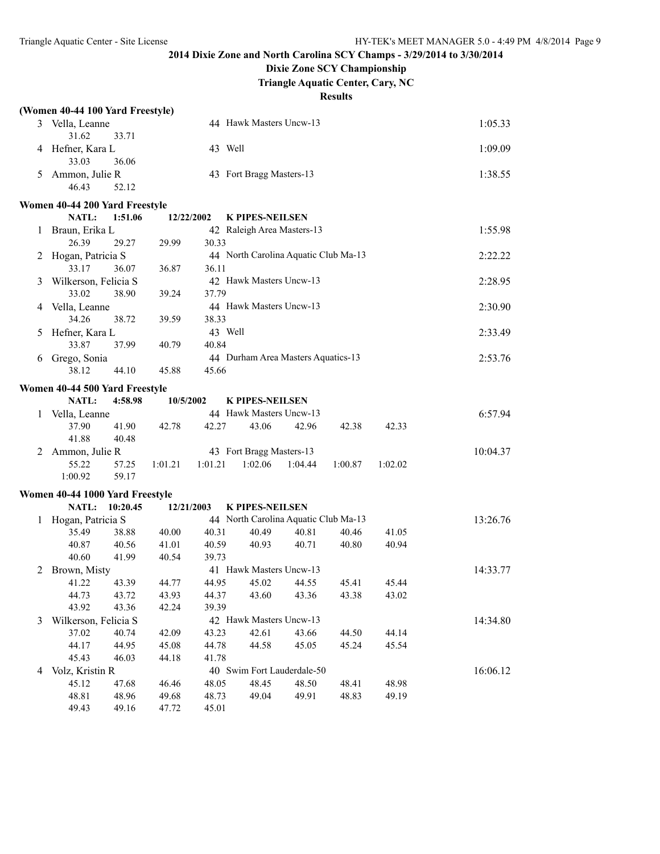**Dixie Zone SCY Championship**

**Triangle Aquatic Center, Cary, NC**

|   | (Women 40-44 100 Yard Freestyle) |          |            |         |                                      |         |         |         |          |
|---|----------------------------------|----------|------------|---------|--------------------------------------|---------|---------|---------|----------|
|   | 3 Vella, Leanne<br>31.62         | 33.71    |            |         | 44 Hawk Masters Uncw-13              |         |         |         | 1:05.33  |
| 4 | Hefner, Kara L<br>33.03          | 36.06    |            | 43 Well |                                      |         |         |         | 1:09.09  |
| 5 | Ammon, Julie R<br>46.43          | 52.12    |            |         | 43 Fort Bragg Masters-13             |         |         |         | 1:38.55  |
|   | Women 40-44 200 Yard Freestyle   |          |            |         |                                      |         |         |         |          |
|   | NATL:                            | 1:51.06  | 12/22/2002 |         | <b>K PIPES-NEILSEN</b>               |         |         |         |          |
| 1 | Braun, Erika L                   |          |            |         | 42 Raleigh Area Masters-13           |         |         |         | 1:55.98  |
|   | 26.39                            | 29.27    | 29.99      | 30.33   |                                      |         |         |         |          |
| 2 | Hogan, Patricia S                |          |            |         | 44 North Carolina Aquatic Club Ma-13 |         |         |         | 2:22.22  |
|   | 33.17                            | 36.07    | 36.87      | 36.11   |                                      |         |         |         |          |
| 3 | Wilkerson, Felicia S             |          |            |         | 42 Hawk Masters Uncw-13              |         |         |         | 2:28.95  |
|   | 33.02                            | 38.90    | 39.24      | 37.79   |                                      |         |         |         |          |
| 4 | Vella, Leanne                    |          |            |         | 44 Hawk Masters Uncw-13              |         |         |         | 2:30.90  |
|   | 34.26                            | 38.72    | 39.59      | 38.33   |                                      |         |         |         |          |
| 5 | Hefner, Kara L                   |          |            | 43 Well |                                      |         |         |         | 2:33.49  |
|   | 33.87                            | 37.99    | 40.79      | 40.84   |                                      |         |         |         |          |
| 6 | Grego, Sonia                     |          |            |         | 44 Durham Area Masters Aquatics-13   |         |         |         | 2:53.76  |
|   | 38.12                            | 44.10    | 45.88      | 45.66   |                                      |         |         |         |          |
|   | Women 40-44 500 Yard Freestyle   |          |            |         |                                      |         |         |         |          |
|   | NATL:                            | 4:58.98  | 10/5/2002  |         | <b>K PIPES-NEILSEN</b>               |         |         |         |          |
|   | Vella, Leanne                    |          |            |         | 44 Hawk Masters Uncw-13              |         |         |         | 6:57.94  |
|   | 37.90                            | 41.90    | 42.78      | 42.27   | 43.06                                | 42.96   | 42.38   | 42.33   |          |
|   | 41.88                            | 40.48    |            |         |                                      |         |         |         |          |
| 2 | Ammon, Julie R                   |          |            |         | 43 Fort Bragg Masters-13             |         |         |         | 10:04.37 |
|   | 55.22                            | 57.25    | 1:01.21    | 1:01.21 | 1:02.06                              | 1:04.44 | 1:00.87 | 1:02.02 |          |
|   | 1:00.92                          | 59.17    |            |         |                                      |         |         |         |          |
|   | Women 40-44 1000 Yard Freestyle  |          |            |         |                                      |         |         |         |          |
|   | NATL:                            | 10:20.45 | 12/21/2003 |         | <b>K PIPES-NEILSEN</b>               |         |         |         |          |
| 1 | Hogan, Patricia S                |          |            |         | 44 North Carolina Aquatic Club Ma-13 |         |         |         | 13:26.76 |
|   | 35.49                            | 38.88    | 40.00      | 40.31   | 40.49                                | 40.81   | 40.46   | 41.05   |          |
|   | 40.87                            | 40.56    | 41.01      | 40.59   | 40.93                                | 40.71   | 40.80   | 40.94   |          |
|   | 40.60                            | 41.99    | 40.54      | 39.73   |                                      |         |         |         |          |
| 2 | Brown, Misty                     |          |            |         | 41 Hawk Masters Uncw-13              |         |         |         | 14:33.77 |
|   | 41.22                            | 43.39    | 44.77      | 44.95   | 45.02                                | 44.55   | 45.41   | 45.44   |          |
|   | 44.73                            | 43.72    | 43.93      | 44.37   | 43.60                                | 43.36   | 43.38   | 43.02   |          |
|   | 43.92                            | 43.36    | 42.24      | 39.39   |                                      |         |         |         |          |
| 3 | Wilkerson, Felicia S             |          |            |         | 42 Hawk Masters Uncw-13              |         |         |         | 14:34.80 |
|   | 37.02                            | 40.74    | 42.09      | 43.23   | 42.61                                | 43.66   | 44.50   | 44.14   |          |
|   | 44.17                            | 44.95    | 45.08      | 44.78   | 44.58                                | 45.05   | 45.24   | 45.54   |          |
|   | 45.43                            | 46.03    | 44.18      | 41.78   |                                      |         |         |         |          |
| 4 | Volz, Kristin R                  |          |            |         | 40 Swim Fort Lauderdale-50           |         |         |         | 16:06.12 |
|   | 45.12                            | 47.68    | 46.46      | 48.05   | 48.45                                | 48.50   | 48.41   | 48.98   |          |
|   | 48.81                            | 48.96    | 49.68      | 48.73   | 49.04                                | 49.91   | 48.83   | 49.19   |          |
|   | 49.43                            | 49.16    | 47.72      | 45.01   |                                      |         |         |         |          |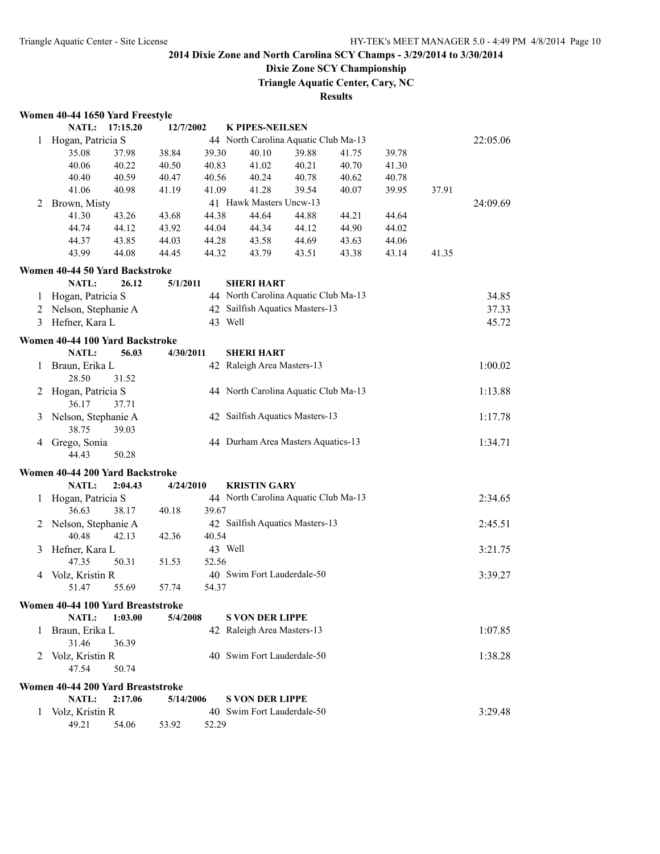## **Dixie Zone SCY Championship**

**Triangle Aquatic Center, Cary, NC**

|              | Women 40-44 1650 Yard Freestyle   |          |           |       |                                      |       |       |       |       |          |
|--------------|-----------------------------------|----------|-----------|-------|--------------------------------------|-------|-------|-------|-------|----------|
|              | NATL:                             | 17:15.20 | 12/7/2002 |       | <b>K PIPES-NEILSEN</b>               |       |       |       |       |          |
| 1            | Hogan, Patricia S                 |          |           |       | 44 North Carolina Aquatic Club Ma-13 |       |       |       |       | 22:05.06 |
|              | 35.08                             | 37.98    | 38.84     | 39.30 | 40.10                                | 39.88 | 41.75 | 39.78 |       |          |
|              | 40.06                             | 40.22    | 40.50     | 40.83 | 41.02                                | 40.21 | 40.70 | 41.30 |       |          |
|              | 40.40                             | 40.59    | 40.47     | 40.56 | 40.24                                | 40.78 | 40.62 | 40.78 |       |          |
|              | 41.06                             | 40.98    | 41.19     | 41.09 | 41.28                                | 39.54 | 40.07 | 39.95 | 37.91 |          |
| 2            | Brown, Misty                      |          |           |       | 41 Hawk Masters Uncw-13              |       |       |       |       | 24:09.69 |
|              | 41.30                             | 43.26    | 43.68     | 44.38 | 44.64                                | 44.88 | 44.21 | 44.64 |       |          |
|              | 44.74                             | 44.12    | 43.92     | 44.04 | 44.34                                | 44.12 | 44.90 | 44.02 |       |          |
|              | 44.37                             | 43.85    | 44.03     | 44.28 | 43.58                                | 44.69 | 43.63 | 44.06 |       |          |
|              | 43.99                             | 44.08    | 44.45     | 44.32 | 43.79                                | 43.51 | 43.38 | 43.14 | 41.35 |          |
|              |                                   |          |           |       |                                      |       |       |       |       |          |
|              | Women 40-44 50 Yard Backstroke    |          |           |       |                                      |       |       |       |       |          |
|              | NATL:                             | 26.12    | 5/1/2011  |       | <b>SHERI HART</b>                    |       |       |       |       |          |
| 1            | Hogan, Patricia S                 |          |           |       | 44 North Carolina Aquatic Club Ma-13 |       |       |       |       | 34.85    |
| 2            | Nelson, Stephanie A               |          |           |       | 42 Sailfish Aquatics Masters-13      |       |       |       |       | 37.33    |
|              | 3 Hefner, Kara L                  |          |           |       | 43 Well                              |       |       |       |       | 45.72    |
|              | Women 40-44 100 Yard Backstroke   |          |           |       |                                      |       |       |       |       |          |
|              | NATL:                             | 56.03    | 4/30/2011 |       | <b>SHERI HART</b>                    |       |       |       |       |          |
|              |                                   |          |           |       |                                      |       |       |       |       | 1:00.02  |
| $\mathbf{1}$ | Braun, Erika L                    |          |           |       | 42 Raleigh Area Masters-13           |       |       |       |       |          |
|              | 28.50                             | 31.52    |           |       |                                      |       |       |       |       |          |
| 2            | Hogan, Patricia S                 |          |           |       | 44 North Carolina Aquatic Club Ma-13 |       |       |       |       | 1:13.88  |
|              | 36.17                             | 37.71    |           |       |                                      |       |       |       |       |          |
| 3            | Nelson, Stephanie A               |          |           |       | 42 Sailfish Aquatics Masters-13      |       |       |       |       | 1:17.78  |
|              | 38.75                             | 39.03    |           |       |                                      |       |       |       |       |          |
| 4            | Grego, Sonia                      |          |           |       | 44 Durham Area Masters Aquatics-13   |       |       |       |       | 1:34.71  |
|              | 44.43                             | 50.28    |           |       |                                      |       |       |       |       |          |
|              | Women 40-44 200 Yard Backstroke   |          |           |       |                                      |       |       |       |       |          |
|              | NATL:                             | 2:04.43  | 4/24/2010 |       | <b>KRISTIN GARY</b>                  |       |       |       |       |          |
| 1            | Hogan, Patricia S                 |          |           |       | 44 North Carolina Aquatic Club Ma-13 |       |       |       |       | 2:34.65  |
|              | 36.63                             | 38.17    | 40.18     | 39.67 |                                      |       |       |       |       |          |
| 2            | Nelson, Stephanie A               |          |           |       | 42 Sailfish Aquatics Masters-13      |       |       |       |       | 2:45.51  |
|              | 40.48                             | 42.13    | 42.36     | 40.54 |                                      |       |       |       |       |          |
| 3            | Hefner, Kara L                    |          |           |       | 43 Well                              |       |       |       |       | 3:21.75  |
|              | 47.35                             | 50.31    | 51.53     | 52.56 |                                      |       |       |       |       |          |
|              |                                   |          |           |       | 40 Swim Fort Lauderdale-50           |       |       |       |       |          |
| 4            | Volz, Kristin R                   |          |           |       |                                      |       |       |       |       | 3:39.27  |
|              | 51.47                             | 55.69    | 57.74     | 54.37 |                                      |       |       |       |       |          |
|              | Women 40-44 100 Yard Breaststroke |          |           |       |                                      |       |       |       |       |          |
|              | <b>NATL:</b>                      | 1:03.00  | 5/4/2008  |       | <b>S VON DER LIPPE</b>               |       |       |       |       |          |
| 1            | Braun, Erika L                    |          |           |       | 42 Raleigh Area Masters-13           |       |       |       |       | 1:07.85  |
|              | 31.46                             | 36.39    |           |       |                                      |       |       |       |       |          |
| 2            | Volz, Kristin R                   |          |           |       | 40 Swim Fort Lauderdale-50           |       |       |       |       | 1:38.28  |
|              | 47.54                             | 50.74    |           |       |                                      |       |       |       |       |          |
|              |                                   |          |           |       |                                      |       |       |       |       |          |
|              | Women 40-44 200 Yard Breaststroke |          |           |       |                                      |       |       |       |       |          |
|              | NATL:                             | 2:17.06  | 5/14/2006 |       | <b>S VON DER LIPPE</b>               |       |       |       |       |          |
| 1            | Volz, Kristin R                   |          |           |       | 40 Swim Fort Lauderdale-50           |       |       |       |       | 3:29.48  |
|              | 49.21                             | 54.06    | 53.92     | 52.29 |                                      |       |       |       |       |          |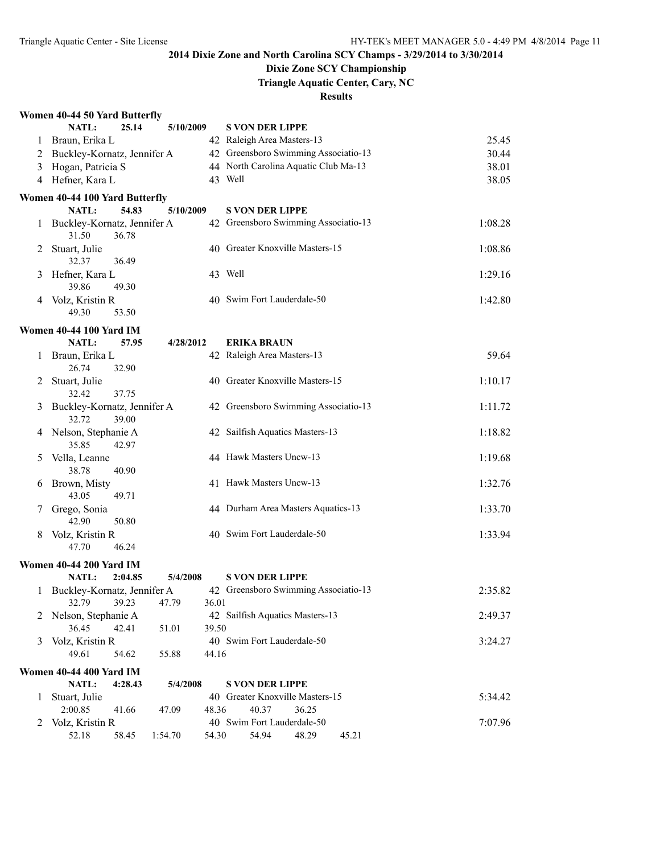## **Dixie Zone SCY Championship**

**Triangle Aquatic Center, Cary, NC**

|   | Women 40-44 50 Yard Butterfly                   |       |                                                           |         |
|---|-------------------------------------------------|-------|-----------------------------------------------------------|---------|
|   | 25.14<br><b>NATL:</b><br>5/10/2009              |       | <b>S VON DER LIPPE</b>                                    |         |
|   | 1 Braun, Erika L                                |       | 42 Raleigh Area Masters-13                                | 25.45   |
|   | 2 Buckley-Kornatz, Jennifer A                   |       | 42 Greensboro Swimming Associatio-13                      | 30.44   |
| 3 | Hogan, Patricia S                               |       | 44 North Carolina Aquatic Club Ma-13                      | 38.01   |
|   | 4 Hefner, Kara L                                |       | 43 Well                                                   | 38.05   |
|   | Women 40-44 100 Yard Butterfly                  |       |                                                           |         |
|   | <b>NATL:</b><br>54.83<br>5/10/2009              |       | <b>S VON DER LIPPE</b>                                    |         |
|   | 1 Buckley-Kornatz, Jennifer A<br>31.50<br>36.78 |       | 42 Greensboro Swimming Associatio-13                      | 1:08.28 |
| 2 | Stuart, Julie<br>32.37<br>36.49                 |       | 40 Greater Knoxville Masters-15                           | 1:08.86 |
| 3 | Hefner, Kara L                                  |       | 43 Well                                                   | 1:29.16 |
|   | 39.86<br>49.30                                  |       |                                                           |         |
| 4 | Volz, Kristin R<br>49.30<br>53.50               |       | 40 Swim Fort Lauderdale-50                                | 1:42.80 |
|   | <b>Women 40-44 100 Yard IM</b>                  |       |                                                           |         |
|   | 57.95<br>NATL:<br>4/28/2012                     |       | <b>ERIKA BRAUN</b>                                        |         |
| 1 | Braun, Erika L<br>26.74<br>32.90                |       | 42 Raleigh Area Masters-13                                | 59.64   |
| 2 | Stuart, Julie<br>32.42<br>37.75                 |       | 40 Greater Knoxville Masters-15                           | 1:10.17 |
| 3 | Buckley-Kornatz, Jennifer A<br>32.72<br>39.00   |       | 42 Greensboro Swimming Associatio-13                      | 1:11.72 |
| 4 | Nelson, Stephanie A                             |       | 42 Sailfish Aquatics Masters-13                           | 1:18.82 |
| 5 | 35.85<br>42.97<br>Vella, Leanne                 |       | 44 Hawk Masters Uncw-13                                   | 1:19.68 |
|   | 38.78<br>40.90                                  |       |                                                           |         |
| 6 | Brown, Misty<br>43.05<br>49.71                  |       | 41 Hawk Masters Uncw-13                                   | 1:32.76 |
| 7 | Grego, Sonia                                    |       | 44 Durham Area Masters Aquatics-13                        | 1:33.70 |
|   | 42.90<br>50.80                                  |       |                                                           |         |
| 8 | Volz, Kristin R<br>46.24<br>47.70               |       | 40 Swim Fort Lauderdale-50                                | 1:33.94 |
|   | <b>Women 40-44 200 Yard IM</b>                  |       |                                                           |         |
|   | NATL:<br>2:04.85<br>5/4/2008                    |       | <b>S VON DER LIPPE</b>                                    |         |
|   | 1 Buckley-Kornatz, Jennifer A                   |       | 42 Greensboro Swimming Associatio-13                      | 2:35.82 |
|   | 32.79<br>39.23<br>47.79                         | 36.01 |                                                           |         |
| 2 | Nelson, Stephanie A                             |       | 42 Sailfish Aquatics Masters-13                           | 2:49.37 |
|   | 36.45<br>42.41<br>51.01                         | 39.50 |                                                           |         |
| 3 | Volz, Kristin R<br>49.61<br>54.62<br>55.88      | 44.16 | 40 Swim Fort Lauderdale-50                                | 3:24.27 |
|   |                                                 |       |                                                           |         |
|   | <b>Women 40-44 400 Yard IM</b>                  |       |                                                           |         |
| 1 | NATL:<br>4:28.43<br>5/4/2008<br>Stuart, Julie   |       | <b>S VON DER LIPPE</b><br>40 Greater Knoxville Masters-15 | 5:34.42 |
|   | 2:00.85<br>41.66<br>47.09                       | 48.36 | 40.37<br>36.25                                            |         |
| 2 | Volz, Kristin R                                 |       | 40 Swim Fort Lauderdale-50                                | 7:07.96 |
|   | 52.18<br>58.45<br>1:54.70                       | 54.30 | 54.94<br>48.29<br>45.21                                   |         |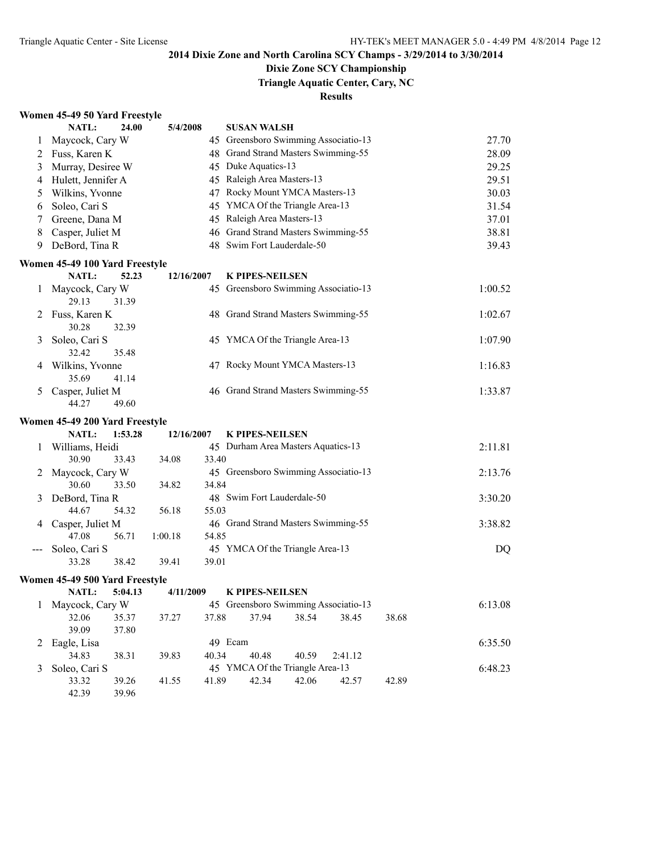## **Dixie Zone SCY Championship**

**Triangle Aquatic Center, Cary, NC**

#### **Results**

#### **Women 45-49 50 Yard Freestyle**

|     | <b>NATL:</b>                   | 24.00   | 5/4/2008   |       | <b>SUSAN WALSH</b>                       |       |         |       |         |
|-----|--------------------------------|---------|------------|-------|------------------------------------------|-------|---------|-------|---------|
| 1   | Maycock, Cary W                |         |            |       | 45 Greensboro Swimming Associatio-13     |       |         |       | 27.70   |
| 2   | Fuss, Karen K                  |         |            |       | 48 Grand Strand Masters Swimming-55      |       |         |       | 28.09   |
| 3   | Murray, Desiree W              |         |            |       | 45 Duke Aquatics-13                      |       |         |       | 29.25   |
| 4   | Hulett, Jennifer A             |         |            |       | 45 Raleigh Area Masters-13               |       |         |       | 29.51   |
| 5   | Wilkins, Yvonne                |         |            |       | 47 Rocky Mount YMCA Masters-13           |       |         |       | 30.03   |
| 6   | Soleo, Cari S                  |         |            |       | 45 YMCA Of the Triangle Area-13          |       |         |       | 31.54   |
| 7   | Greene, Dana M                 |         |            |       | 45 Raleigh Area Masters-13               |       |         |       | 37.01   |
| 8   | Casper, Juliet M               |         |            |       | 46 Grand Strand Masters Swimming-55      |       |         |       | 38.81   |
| 9   | DeBord, Tina R                 |         |            |       | 48 Swim Fort Lauderdale-50               |       |         |       | 39.43   |
|     | Women 45-49 100 Yard Freestyle |         |            |       |                                          |       |         |       |         |
|     | NATL:                          | 52.23   | 12/16/2007 |       | <b>K PIPES-NEILSEN</b>                   |       |         |       |         |
| 1   | Maycock, Cary W                |         |            |       | 45 Greensboro Swimming Associatio-13     |       |         |       | 1:00.52 |
|     | 29.13                          | 31.39   |            |       |                                          |       |         |       |         |
| 2   | Fuss, Karen K                  |         |            |       | 48 Grand Strand Masters Swimming-55      |       |         |       | 1:02.67 |
|     | 30.28                          | 32.39   |            |       |                                          |       |         |       |         |
| 3   | Soleo, Cari S                  |         |            |       | 45 YMCA Of the Triangle Area-13          |       |         |       | 1:07.90 |
|     | 32.42                          | 35.48   |            |       |                                          |       |         |       |         |
| 4   | Wilkins, Yvonne                |         |            |       | 47 Rocky Mount YMCA Masters-13           |       |         |       | 1:16.83 |
|     | 35.69                          | 41.14   |            |       |                                          |       |         |       |         |
| 5   | Casper, Juliet M               |         |            |       | 46 Grand Strand Masters Swimming-55      |       |         |       | 1:33.87 |
|     | 44.27                          | 49.60   |            |       |                                          |       |         |       |         |
|     | Women 45-49 200 Yard Freestyle |         |            |       |                                          |       |         |       |         |
|     | <b>NATL:</b>                   | 1:53.28 | 12/16/2007 |       | <b>K PIPES-NEILSEN</b>                   |       |         |       |         |
| 1   | Williams, Heidi                |         |            |       | 45 Durham Area Masters Aquatics-13       |       |         |       | 2:11.81 |
|     | 30.90                          | 33.43   | 34.08      | 33.40 |                                          |       |         |       |         |
| 2   | Maycock, Cary W                |         |            |       | 45 Greensboro Swimming Associatio-13     |       |         |       | 2:13.76 |
|     | 30.60                          | 33.50   | 34.82      | 34.84 |                                          |       |         |       |         |
| 3   | DeBord, Tina R                 |         |            |       | 48 Swim Fort Lauderdale-50               |       |         |       | 3:30.20 |
|     | 44.67                          | 54.32   | 56.18      | 55.03 |                                          |       |         |       |         |
| 4   | Casper, Juliet M               |         |            |       | 46 Grand Strand Masters Swimming-55      |       |         |       | 3:38.82 |
|     | 47.08                          | 56.71   | 1:00.18    | 54.85 |                                          |       |         |       |         |
| --- | Soleo, Cari S<br>33.28         | 38.42   | 39.41      | 39.01 | 45 YMCA Of the Triangle Area-13          |       |         |       | DQ      |
|     |                                |         |            |       |                                          |       |         |       |         |
|     | Women 45-49 500 Yard Freestyle |         |            |       |                                          |       |         |       |         |
|     | NATL:                          | 5:04.13 | 4/11/2009  |       | <b>K PIPES-NEILSEN</b>                   |       |         |       |         |
|     | 1 Maycock, Cary W              |         |            |       | 45 Greensboro Swimming Associatio-13     |       |         |       | 6:13.08 |
|     | 32.06<br>39.09                 | 35.37   | 37.27      | 37.88 | 37.94                                    | 38.54 | 38.45   | 38.68 |         |
|     |                                | 37.80   |            |       | 49 Ecam                                  |       |         |       | 6:35.50 |
| 2   | Eagle, Lisa                    |         |            |       |                                          |       |         |       |         |
|     |                                |         |            |       |                                          |       |         |       |         |
|     | 34.83                          | 38.31   | 39.83      | 40.34 | 40.48                                    | 40.59 | 2:41.12 |       |         |
| 3   | Soleo, Cari S<br>33.32         | 39.26   | 41.55      | 41.89 | 45 YMCA Of the Triangle Area-13<br>42.34 | 42.06 | 42.57   | 42.89 | 6:48.23 |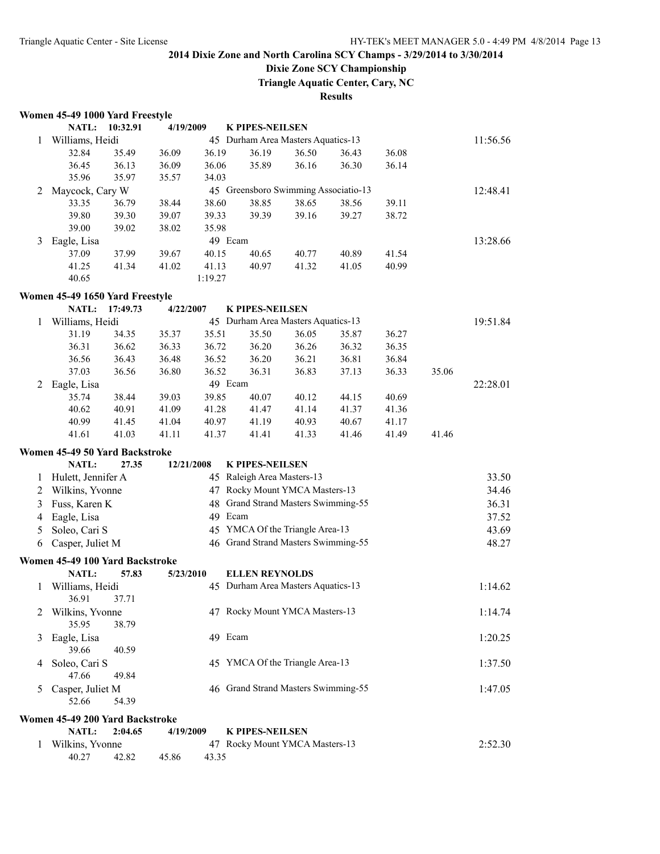## **Dixie Zone SCY Championship**

**Triangle Aquatic Center, Cary, NC**

|              | Women 45-49 1000 Yard Freestyle |          |            |         |                                                      |       |       |       |       |          |
|--------------|---------------------------------|----------|------------|---------|------------------------------------------------------|-------|-------|-------|-------|----------|
|              | <b>NATL:</b>                    | 10:32.91 | 4/19/2009  |         | <b>K PIPES-NEILSEN</b>                               |       |       |       |       |          |
| 1            | Williams, Heidi                 |          |            |         | 45 Durham Area Masters Aquatics-13                   |       |       |       |       | 11:56.56 |
|              | 32.84                           | 35.49    | 36.09      | 36.19   | 36.19                                                | 36.50 | 36.43 | 36.08 |       |          |
|              | 36.45                           | 36.13    | 36.09      | 36.06   | 35.89                                                | 36.16 | 36.30 | 36.14 |       |          |
|              | 35.96                           | 35.97    | 35.57      | 34.03   |                                                      |       |       |       |       |          |
| 2            | Maycock, Cary W                 |          |            |         | 45 Greensboro Swimming Associatio-13                 |       |       |       |       | 12:48.41 |
|              | 33.35                           | 36.79    | 38.44      | 38.60   | 38.85                                                | 38.65 | 38.56 | 39.11 |       |          |
|              | 39.80                           | 39.30    | 39.07      | 39.33   | 39.39                                                | 39.16 | 39.27 | 38.72 |       |          |
|              | 39.00                           | 39.02    | 38.02      | 35.98   |                                                      |       |       |       |       |          |
| 3            | Eagle, Lisa                     |          |            |         | 49 Ecam                                              |       |       |       |       | 13:28.66 |
|              | 37.09                           | 37.99    | 39.67      | 40.15   | 40.65                                                | 40.77 | 40.89 | 41.54 |       |          |
|              | 41.25                           | 41.34    | 41.02      | 41.13   | 40.97                                                | 41.32 | 41.05 | 40.99 |       |          |
|              | 40.65                           |          |            | 1:19.27 |                                                      |       |       |       |       |          |
|              | Women 45-49 1650 Yard Freestyle |          |            |         |                                                      |       |       |       |       |          |
|              | NATL:                           | 17:49.73 | 4/22/2007  |         | <b>K PIPES-NEILSEN</b>                               |       |       |       |       |          |
| 1            | Williams, Heidi                 |          |            |         | 45 Durham Area Masters Aquatics-13                   |       |       |       |       | 19:51.84 |
|              | 31.19                           | 34.35    | 35.37      | 35.51   | 35.50                                                | 36.05 | 35.87 | 36.27 |       |          |
|              | 36.31                           | 36.62    | 36.33      | 36.72   | 36.20                                                | 36.26 | 36.32 | 36.35 |       |          |
|              | 36.56                           | 36.43    | 36.48      | 36.52   | 36.20                                                | 36.21 | 36.81 | 36.84 |       |          |
|              | 37.03                           | 36.56    | 36.80      | 36.52   | 36.31                                                | 36.83 | 37.13 | 36.33 | 35.06 |          |
| 2            | Eagle, Lisa                     |          |            |         | 49 Ecam                                              |       |       |       |       | 22:28.01 |
|              | 35.74                           | 38.44    | 39.03      | 39.85   | 40.07                                                | 40.12 | 44.15 | 40.69 |       |          |
|              | 40.62                           | 40.91    | 41.09      | 41.28   | 41.47                                                | 41.14 | 41.37 | 41.36 |       |          |
|              | 40.99                           | 41.45    | 41.04      | 40.97   | 41.19                                                | 40.93 | 40.67 | 41.17 |       |          |
|              | 41.61                           | 41.03    | 41.11      | 41.37   | 41.41                                                | 41.33 | 41.46 | 41.49 | 41.46 |          |
|              |                                 |          |            |         |                                                      |       |       |       |       |          |
|              | Women 45-49 50 Yard Backstroke  |          |            |         |                                                      |       |       |       |       |          |
|              | <b>NATL:</b>                    | 27.35    | 12/21/2008 |         | <b>K PIPES-NEILSEN</b><br>45 Raleigh Area Masters-13 |       |       |       |       |          |
| 1            | Hulett, Jennifer A              |          |            |         |                                                      |       |       |       |       | 33.50    |
| 2            | Wilkins, Yvonne                 |          |            |         | 47 Rocky Mount YMCA Masters-13                       |       |       |       |       | 34.46    |
| 3            | Fuss, Karen K                   |          |            |         | 48 Grand Strand Masters Swimming-55                  |       |       |       |       | 36.31    |
| 4            | Eagle, Lisa                     |          |            |         | 49 Ecam                                              |       |       |       |       | 37.52    |
| 5            | Soleo, Cari S                   |          |            |         | 45 YMCA Of the Triangle Area-13                      |       |       |       |       | 43.69    |
| 6            | Casper, Juliet M                |          |            |         | 46 Grand Strand Masters Swimming-55                  |       |       |       |       | 48.27    |
|              | Women 45-49 100 Yard Backstroke |          |            |         |                                                      |       |       |       |       |          |
|              | NATL:                           | 57.83    | 5/23/2010  |         | <b>ELLEN REYNOLDS</b>                                |       |       |       |       |          |
| $\mathbf{1}$ | Williams, Heidi                 |          |            |         | 45 Durham Area Masters Aquatics-13                   |       |       |       |       | 1:14.62  |
|              | 36.91                           | 37.71    |            |         |                                                      |       |       |       |       |          |
| 2            | Wilkins, Yvonne                 |          |            |         | 47 Rocky Mount YMCA Masters-13                       |       |       |       |       | 1:14.74  |
|              | 35.95                           | 38.79    |            |         |                                                      |       |       |       |       |          |
| 3            | Eagle, Lisa                     |          |            |         | 49 Ecam                                              |       |       |       |       | 1:20.25  |
|              | 39.66                           | 40.59    |            |         |                                                      |       |       |       |       |          |
| 4            | Soleo, Cari S                   |          |            |         | 45 YMCA Of the Triangle Area-13                      |       |       |       |       | 1:37.50  |
|              | 47.66                           | 49.84    |            |         |                                                      |       |       |       |       |          |
| 5.           | Casper, Juliet M                |          |            |         | 46 Grand Strand Masters Swimming-55                  |       |       |       |       | 1:47.05  |
|              | 52.66                           | 54.39    |            |         |                                                      |       |       |       |       |          |
|              | Women 45-49 200 Yard Backstroke |          |            |         |                                                      |       |       |       |       |          |
|              | NATL:                           | 2:04.65  | 4/19/2009  |         | <b>K PIPES-NEILSEN</b>                               |       |       |       |       |          |
| 1            | Wilkins, Yvonne                 |          |            |         | 47 Rocky Mount YMCA Masters-13                       |       |       |       |       | 2:52.30  |
|              | 40.27                           | 42.82    | 45.86      | 43.35   |                                                      |       |       |       |       |          |
|              |                                 |          |            |         |                                                      |       |       |       |       |          |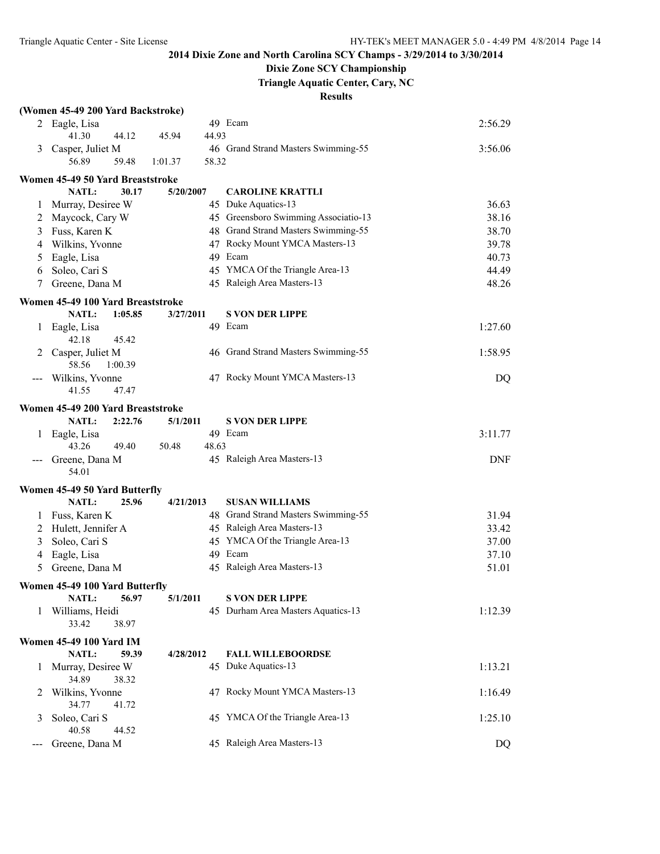## **Dixie Zone SCY Championship**

**Triangle Aquatic Center, Cary, NC**

|     | (Women 45-49 200 Yard Backstroke) |                  |                                      |            |
|-----|-----------------------------------|------------------|--------------------------------------|------------|
|     | 2 Eagle, Lisa                     |                  | 49 Ecam                              | 2:56.29    |
|     | 41.30<br>44.12                    | 44.93<br>45.94   |                                      |            |
| 3   | Casper, Juliet M                  |                  | 46 Grand Strand Masters Swimming-55  | 3:56.06    |
|     | 56.89<br>59.48                    | 58.32<br>1:01.37 |                                      |            |
|     | Women 45-49 50 Yard Breaststroke  |                  |                                      |            |
|     | NATL:<br>30.17                    | 5/20/2007        | <b>CAROLINE KRATTLI</b>              |            |
| 1   | Murray, Desiree W                 |                  | 45 Duke Aquatics-13                  | 36.63      |
| 2   | Maycock, Cary W                   |                  | 45 Greensboro Swimming Associatio-13 | 38.16      |
| 3   | Fuss, Karen K                     |                  | 48 Grand Strand Masters Swimming-55  | 38.70      |
| 4   | Wilkins, Yvonne                   |                  | 47 Rocky Mount YMCA Masters-13       | 39.78      |
| 5   | Eagle, Lisa                       |                  | 49 Ecam                              | 40.73      |
| 6   | Soleo, Cari S                     |                  | 45 YMCA Of the Triangle Area-13      | 44.49      |
| 7   | Greene, Dana M                    |                  | 45 Raleigh Area Masters-13           | 48.26      |
|     |                                   |                  |                                      |            |
|     | Women 45-49 100 Yard Breaststroke |                  |                                      |            |
|     | NATL:<br>1:05.85                  | 3/27/2011        | <b>S VON DER LIPPE</b>               |            |
| 1   | Eagle, Lisa                       |                  | 49 Ecam                              | 1:27.60    |
|     | 42.18<br>45.42                    |                  |                                      |            |
|     | Casper, Juliet M                  |                  | 46 Grand Strand Masters Swimming-55  | 1:58.95    |
|     | 58.56<br>1:00.39                  |                  |                                      |            |
|     | Wilkins, Yvonne                   |                  | 47 Rocky Mount YMCA Masters-13       | DQ         |
|     | 41.55<br>47.47                    |                  |                                      |            |
|     | Women 45-49 200 Yard Breaststroke |                  |                                      |            |
|     | NATL:<br>2:22.76                  | 5/1/2011         | <b>S VON DER LIPPE</b>               |            |
|     | Eagle, Lisa                       |                  | 49 Ecam                              | 3:11.77    |
|     | 43.26<br>49.40                    | 48.63<br>50.48   |                                      |            |
|     | Greene, Dana M                    |                  | 45 Raleigh Area Masters-13           | <b>DNF</b> |
|     | 54.01                             |                  |                                      |            |
|     | Women 45-49 50 Yard Butterfly     |                  |                                      |            |
|     | NATL:<br>25.96                    | 4/21/2013        | <b>SUSAN WILLIAMS</b>                |            |
| 1   | Fuss, Karen K                     |                  | 48 Grand Strand Masters Swimming-55  | 31.94      |
| 2   | Hulett, Jennifer A                |                  | 45 Raleigh Area Masters-13           | 33.42      |
| 3   | Soleo, Cari S                     |                  | 45 YMCA Of the Triangle Area-13      | 37.00      |
| 4   | Eagle, Lisa                       |                  | 49 Ecam                              | 37.10      |
| 5   | Greene, Dana M                    |                  | 45 Raleigh Area Masters-13           | 51.01      |
|     |                                   |                  |                                      |            |
|     | Women 45-49 100 Yard Butterfly    |                  |                                      |            |
|     | NATL:<br>56.97                    | 5/1/2011         | <b>S VON DER LIPPE</b>               |            |
| 1   | Williams, Heidi                   |                  | 45 Durham Area Masters Aquatics-13   | 1:12.39    |
|     | 33.42<br>38.97                    |                  |                                      |            |
|     | <b>Women 45-49 100 Yard IM</b>    |                  |                                      |            |
|     | NATL:<br>59.39                    | 4/28/2012        | <b>FALL WILLEBOORDSE</b>             |            |
| 1   | Murray, Desiree W                 |                  | 45 Duke Aquatics-13                  | 1:13.21    |
|     | 34.89<br>38.32                    |                  |                                      |            |
| 2   | Wilkins, Yvonne                   |                  | 47 Rocky Mount YMCA Masters-13       | 1:16.49    |
|     | 34.77<br>41.72                    |                  |                                      |            |
| 3   | Soleo, Cari S                     |                  | 45 YMCA Of the Triangle Area-13      | 1:25.10    |
|     | 40.58<br>44.52                    |                  |                                      |            |
| --- | Greene, Dana M                    |                  | 45 Raleigh Area Masters-13           | DQ         |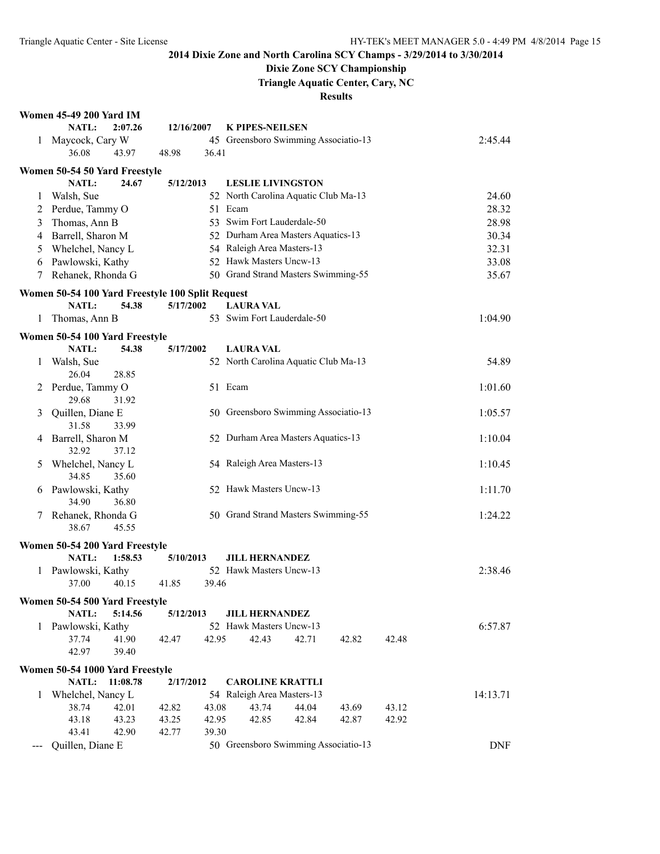## **Dixie Zone SCY Championship**

**Triangle Aquatic Center, Cary, NC**

|   | <b>Women 45-49 200 Yard IM</b>                                   |                |            |                                                  |                            |       |       |                |  |
|---|------------------------------------------------------------------|----------------|------------|--------------------------------------------------|----------------------------|-------|-------|----------------|--|
|   | NATL:                                                            | 2:07.26        | 12/16/2007 | <b>K PIPES-NEILSEN</b>                           |                            |       |       |                |  |
| 1 | Maycock, Cary W                                                  |                |            | 45 Greensboro Swimming Associatio-13             |                            |       |       | 2:45.44        |  |
|   | 36.08<br>43.97                                                   | 48.98          | 36.41      |                                                  |                            |       |       |                |  |
|   | Women 50-54 50 Yard Freestyle                                    |                |            |                                                  |                            |       |       |                |  |
|   | <b>NATL:</b>                                                     | 24.67          | 5/12/2013  | <b>LESLIE LIVINGSTON</b>                         |                            |       |       |                |  |
| 1 | Walsh, Sue                                                       |                |            | 52 North Carolina Aquatic Club Ma-13             |                            |       |       | 24.60          |  |
| 2 | Perdue, Tammy O                                                  |                |            | 51 Ecam                                          |                            |       |       |                |  |
| 3 | Thomas, Ann B                                                    |                |            |                                                  | 53 Swim Fort Lauderdale-50 |       |       |                |  |
| 4 | Barrell, Sharon M                                                |                |            | 52 Durham Area Masters Aquatics-13               |                            |       |       | 28.98<br>30.34 |  |
| 5 | Whelchel, Nancy L                                                |                |            | 54 Raleigh Area Masters-13                       |                            |       |       | 32.31          |  |
| 6 | Pawlowski, Kathy                                                 |                |            | 52 Hawk Masters Uncw-13                          |                            |       |       | 33.08          |  |
| 7 | Rehanek, Rhonda G                                                |                |            | 50 Grand Strand Masters Swimming-55              |                            |       |       | 35.67          |  |
|   |                                                                  |                |            |                                                  |                            |       |       |                |  |
|   | Women 50-54 100 Yard Freestyle 100 Split Request<br><b>NATL:</b> | 54.38          | 5/17/2002  | <b>LAURA VAL</b>                                 |                            |       |       |                |  |
| 1 | Thomas, Ann B                                                    |                |            | 53 Swim Fort Lauderdale-50                       |                            |       |       | 1:04.90        |  |
|   |                                                                  |                |            |                                                  |                            |       |       |                |  |
|   | Women 50-54 100 Yard Freestyle                                   |                |            |                                                  |                            |       |       |                |  |
|   | NATL:                                                            | 54.38          | 5/17/2002  | <b>LAURA VAL</b>                                 |                            |       |       |                |  |
| 1 | Walsh, Sue                                                       |                |            | 52 North Carolina Aquatic Club Ma-13             |                            |       |       | 54.89          |  |
|   | 26.04<br>28.85                                                   |                |            |                                                  |                            |       |       |                |  |
| 2 | Perdue, Tammy O                                                  |                |            | 51 Ecam                                          |                            |       |       | 1:01.60        |  |
|   | 29.68<br>31.92<br>Quillen, Diane E                               |                |            | 50 Greensboro Swimming Associatio-13             |                            |       |       | 1:05.57        |  |
| 3 | 31.58<br>33.99                                                   |                |            |                                                  |                            |       |       |                |  |
| 4 | Barrell, Sharon M                                                |                |            | 52 Durham Area Masters Aquatics-13               |                            |       |       | 1:10.04        |  |
|   | 32.92                                                            | 37.12          |            |                                                  |                            |       |       |                |  |
| 5 | Whelchel, Nancy L                                                |                |            | 54 Raleigh Area Masters-13                       |                            |       |       | 1:10.45        |  |
|   | 34.85                                                            | 35.60          |            |                                                  |                            |       |       |                |  |
| 6 | Pawlowski, Kathy                                                 |                |            | 52 Hawk Masters Uncw-13                          |                            |       |       | 1:11.70        |  |
|   | 34.90<br>36.80                                                   |                |            |                                                  |                            |       |       |                |  |
| 7 | Rehanek, Rhonda G                                                |                |            | 50 Grand Strand Masters Swimming-55              |                            |       |       | 1:24.22        |  |
|   | 38.67<br>45.55                                                   |                |            |                                                  |                            |       |       |                |  |
|   | Women 50-54 200 Yard Freestyle                                   |                |            |                                                  |                            |       |       |                |  |
|   | NATL:                                                            | 1:58.53        | 5/10/2013  | <b>JILL HERNANDEZ</b>                            |                            |       |       |                |  |
| 1 | Pawlowski, Kathy                                                 |                |            | 52 Hawk Masters Uncw-13                          |                            |       |       | 2:38.46        |  |
|   | 37.00<br>40.15                                                   | 41.85          | 39.46      |                                                  |                            |       |       |                |  |
|   |                                                                  |                |            |                                                  |                            |       |       |                |  |
|   | Women 50-54 500 Yard Freestyle                                   |                |            |                                                  |                            |       |       |                |  |
|   | <b>NATL:</b>                                                     | 5:14.56        | 5/12/2013  | <b>JILL HERNANDEZ</b><br>52 Hawk Masters Uncw-13 |                            |       |       |                |  |
| 1 | Pawlowski, Kathy<br>37.74                                        |                |            |                                                  | 42.71                      |       |       | 6:57.87        |  |
|   | 41.90<br>42.97                                                   | 42.47<br>39.40 | 42.95      | 42.43                                            |                            | 42.82 | 42.48 |                |  |
|   |                                                                  |                |            |                                                  |                            |       |       |                |  |
|   | Women 50-54 1000 Yard Freestyle                                  |                |            |                                                  |                            |       |       |                |  |
|   | NATL:                                                            | 11:08.78       | 2/17/2012  | <b>CAROLINE KRATTLI</b>                          |                            |       |       |                |  |
| 1 | Whelchel, Nancy L                                                |                |            | 54 Raleigh Area Masters-13                       |                            |       |       | 14:13.71       |  |
|   | 38.74<br>42.01                                                   | 42.82          | 43.08      | 43.74                                            | 44.04                      | 43.69 | 43.12 |                |  |
|   | 43.23<br>43.18                                                   | 43.25          | 42.95      | 42.85                                            | 42.84                      | 42.87 | 42.92 |                |  |
|   | 42.90<br>43.41                                                   | 42.77          | 39.30      |                                                  |                            |       |       |                |  |
|   | Quillen, Diane E                                                 |                |            | 50 Greensboro Swimming Associatio-13             |                            |       |       | <b>DNF</b>     |  |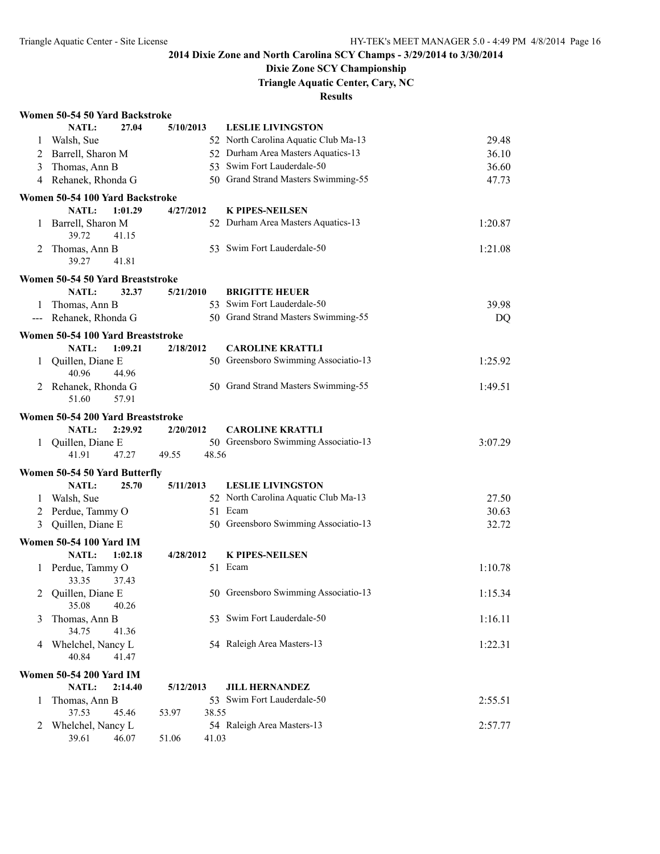## **Dixie Zone SCY Championship**

**Triangle Aquatic Center, Cary, NC**

|   | Women 50-54 50 Yard Backstroke        |                |                                      |         |
|---|---------------------------------------|----------------|--------------------------------------|---------|
|   | <b>NATL:</b><br>27.04                 | 5/10/2013      | <b>LESLIE LIVINGSTON</b>             |         |
| 1 | Walsh, Sue                            |                | 52 North Carolina Aquatic Club Ma-13 | 29.48   |
| 2 | Barrell, Sharon M                     |                | 52 Durham Area Masters Aquatics-13   | 36.10   |
| 3 | Thomas, Ann B                         |                | 53 Swim Fort Lauderdale-50           | 36.60   |
|   | 4 Rehanek, Rhonda G                   |                | 50 Grand Strand Masters Swimming-55  | 47.73   |
|   | Women 50-54 100 Yard Backstroke       |                |                                      |         |
|   | <b>NATL:</b><br>1:01.29               | 4/27/2012      | <b>K PIPES-NEILSEN</b>               |         |
|   | 1 Barrell, Sharon M<br>39.72<br>41.15 |                | 52 Durham Area Masters Aquatics-13   | 1:20.87 |
| 2 | Thomas, Ann B<br>39.27<br>41.81       |                | 53 Swim Fort Lauderdale-50           | 1:21.08 |
|   | Women 50-54 50 Yard Breaststroke      |                |                                      |         |
|   | NATL:<br>32.37                        | 5/21/2010      | <b>BRIGITTE HEUER</b>                |         |
| 1 | Thomas, Ann B                         |                | 53 Swim Fort Lauderdale-50           | 39.98   |
|   | --- Rehanek, Rhonda G                 |                | 50 Grand Strand Masters Swimming-55  | DQ      |
|   | Women 50-54 100 Yard Breaststroke     |                |                                      |         |
|   | <b>NATL:</b><br>1:09.21               | 2/18/2012      | <b>CAROLINE KRATTLI</b>              |         |
| 1 | Quillen, Diane E<br>40.96<br>44.96    |                | 50 Greensboro Swimming Associatio-13 | 1:25.92 |
| 2 | Rehanek, Rhonda G<br>57.91<br>51.60   |                | 50 Grand Strand Masters Swimming-55  | 1:49.51 |
|   | Women 50-54 200 Yard Breaststroke     |                |                                      |         |
|   | NATL:<br>2:29.92                      | 2/20/2012      | <b>CAROLINE KRATTLI</b>              |         |
|   | 1 Quillen, Diane E                    |                | 50 Greensboro Swimming Associatio-13 | 3:07.29 |
|   | 41.91<br>47.27                        | 49.55<br>48.56 |                                      |         |
|   | Women 50-54 50 Yard Butterfly         |                |                                      |         |
|   | NATL:<br>25.70                        | 5/11/2013      | <b>LESLIE LIVINGSTON</b>             |         |
| 1 | Walsh, Sue                            |                | 52 North Carolina Aquatic Club Ma-13 | 27.50   |
| 2 | Perdue, Tammy O                       |                | 51 Ecam                              | 30.63   |
| 3 | Quillen, Diane E                      |                | 50 Greensboro Swimming Associatio-13 | 32.72   |
|   | <b>Women 50-54 100 Yard IM</b>        |                |                                      |         |
|   | NATL:<br>1:02.18                      | 4/28/2012      | <b>K PIPES-NEILSEN</b>               |         |
|   | 1 Perdue, Tammy O<br>33.35<br>37.43   |                | 51 Ecam                              | 1:10.78 |
|   | 2 Quillen, Diane E<br>35.08<br>40.26  |                | 50 Greensboro Swimming Associatio-13 | 1:15.34 |
| 3 | Thomas, Ann B<br>34.75<br>41.36       |                | 53 Swim Fort Lauderdale-50           | 1:16.11 |
| 4 | Whelchel, Nancy L<br>40.84<br>41.47   |                | 54 Raleigh Area Masters-13           | 1:22.31 |
|   | <b>Women 50-54 200 Yard IM</b>        |                |                                      |         |
|   | <b>NATL:</b><br>2:14.40               | 5/12/2013      | <b>JILL HERNANDEZ</b>                |         |
| 1 | Thomas, Ann B                         |                | 53 Swim Fort Lauderdale-50           | 2:55.51 |
|   | 37.53<br>45.46                        | 38.55<br>53.97 |                                      |         |
| 2 | Whelchel, Nancy L                     |                | 54 Raleigh Area Masters-13           | 2:57.77 |
|   |                                       |                |                                      |         |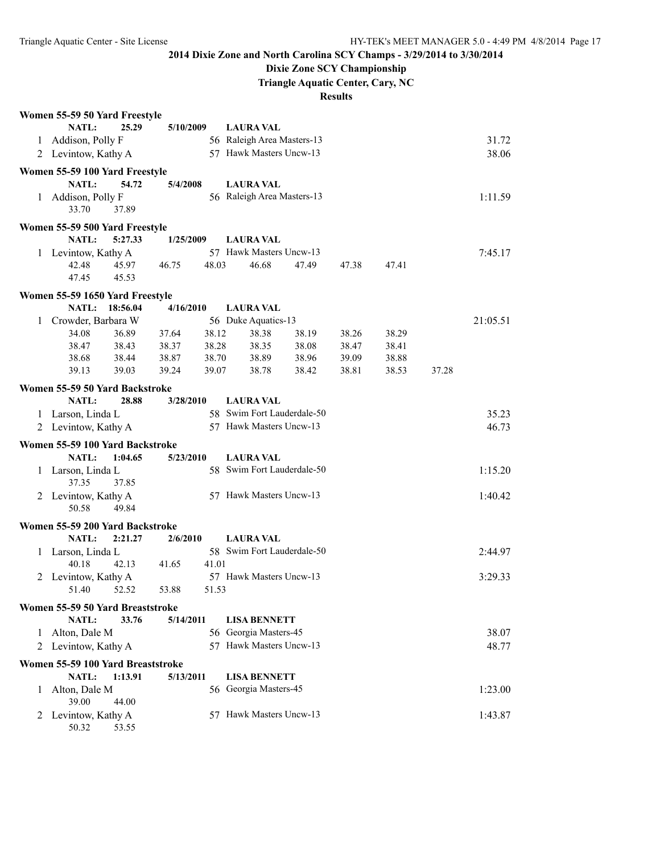## **Dixie Zone SCY Championship**

**Triangle Aquatic Center, Cary, NC**

|              | Women 55-59 50 Yard Freestyle            |          |           |       |                                                  |       |       |       |       |          |
|--------------|------------------------------------------|----------|-----------|-------|--------------------------------------------------|-------|-------|-------|-------|----------|
|              | <b>NATL:</b>                             | 25.29    | 5/10/2009 |       | <b>LAURA VAL</b>                                 |       |       |       |       |          |
|              | 1 Addison, Polly F                       |          |           |       | 56 Raleigh Area Masters-13                       |       |       |       |       | 31.72    |
|              | 2 Levintow, Kathy A                      |          |           |       | 57 Hawk Masters Uncw-13                          |       |       |       |       | 38.06    |
|              | Women 55-59 100 Yard Freestyle           |          |           |       |                                                  |       |       |       |       |          |
|              | <b>NATL:</b>                             | 54.72    | 5/4/2008  |       | <b>LAURA VAL</b>                                 |       |       |       |       |          |
|              | 1 Addison, Polly F                       |          |           |       | 56 Raleigh Area Masters-13                       |       |       |       |       | 1:11.59  |
|              | 33.70                                    | 37.89    |           |       |                                                  |       |       |       |       |          |
|              | Women 55-59 500 Yard Freestyle           |          |           |       |                                                  |       |       |       |       |          |
|              | NATL:                                    | 5:27.33  | 1/25/2009 |       | <b>LAURA VAL</b>                                 |       |       |       |       |          |
|              | 1 Levintow, Kathy A                      |          |           |       | 57 Hawk Masters Uncw-13                          |       |       |       |       | 7:45.17  |
|              | 42.48                                    | 45.97    | 46.75     | 48.03 | 46.68                                            | 47.49 | 47.38 | 47.41 |       |          |
|              | 47.45                                    | 45.53    |           |       |                                                  |       |       |       |       |          |
|              | Women 55-59 1650 Yard Freestyle          |          |           |       |                                                  |       |       |       |       |          |
|              | NATL:                                    | 18:56.04 | 4/16/2010 |       | <b>LAURA VAL</b>                                 |       |       |       |       |          |
| 1            | Crowder, Barbara W                       |          |           |       | 56 Duke Aquatics-13                              |       |       |       |       | 21:05.51 |
|              | 34.08                                    | 36.89    | 37.64     | 38.12 | 38.38                                            | 38.19 | 38.26 | 38.29 |       |          |
|              | 38.47                                    | 38.43    | 38.37     | 38.28 | 38.35                                            | 38.08 | 38.47 | 38.41 |       |          |
|              | 38.68                                    | 38.44    | 38.87     | 38.70 | 38.89                                            | 38.96 | 39.09 | 38.88 |       |          |
|              | 39.13                                    | 39.03    | 39.24     | 39.07 | 38.78                                            | 38.42 | 38.81 | 38.53 | 37.28 |          |
|              | Women 55-59 50 Yard Backstroke           |          |           |       |                                                  |       |       |       |       |          |
|              | <b>NATL:</b>                             | 28.88    | 3/28/2010 |       | <b>LAURA VAL</b>                                 |       |       |       |       |          |
|              | 1 Larson, Linda L                        |          |           |       | 58 Swim Fort Lauderdale-50                       |       |       |       |       | 35.23    |
|              | 2 Levintow, Kathy A                      |          |           |       | 57 Hawk Masters Uncw-13                          |       |       |       |       | 46.73    |
|              |                                          |          |           |       |                                                  |       |       |       |       |          |
|              | Women 55-59 100 Yard Backstroke          |          |           |       |                                                  |       |       |       |       |          |
|              | NATL:                                    | 1:04.65  | 5/23/2010 |       | <b>LAURA VAL</b>                                 |       |       |       |       |          |
|              | 1 Larson, Linda L<br>37.35               | 37.85    |           |       | 58 Swim Fort Lauderdale-50                       |       |       |       |       | 1:15.20  |
|              | 2 Levintow, Kathy A                      |          |           |       | 57 Hawk Masters Uncw-13                          |       |       |       |       | 1:40.42  |
|              | 50.58                                    | 49.84    |           |       |                                                  |       |       |       |       |          |
|              |                                          |          |           |       |                                                  |       |       |       |       |          |
|              | Women 55-59 200 Yard Backstroke<br>NATL: | 2:21.27  | 2/6/2010  |       | <b>LAURA VAL</b>                                 |       |       |       |       |          |
|              | 1 Larson, Linda L                        |          |           |       | 58 Swim Fort Lauderdale-50                       |       |       |       |       | 2:44.97  |
|              | 40.18                                    | 42.13    | 41.65     | 41.01 |                                                  |       |       |       |       |          |
|              | 2 Levintow, Kathy A                      |          |           |       | 57 Hawk Masters Uncw-13                          |       |       |       |       | 3:29.33  |
|              | 51.40                                    | 52.52    | 53.88     | 51.53 |                                                  |       |       |       |       |          |
|              |                                          |          |           |       |                                                  |       |       |       |       |          |
|              | Women 55-59 50 Yard Breaststroke         |          |           |       |                                                  |       |       |       |       |          |
|              | <b>NATL:</b>                             | 33.76    | 5/14/2011 |       | <b>LISA BENNETT</b>                              |       |       |       |       |          |
| $\mathbf{1}$ | Alton, Dale M                            |          |           |       | 56 Georgia Masters-45<br>57 Hawk Masters Uncw-13 |       |       |       |       | 38.07    |
| 2            | Levintow, Kathy A                        |          |           |       |                                                  |       |       |       |       | 48.77    |
|              | Women 55-59 100 Yard Breaststroke        |          |           |       |                                                  |       |       |       |       |          |
|              | NATL:                                    | 1:13.91  | 5/13/2011 |       | <b>LISA BENNETT</b>                              |       |       |       |       |          |
| 1            | Alton, Dale M                            |          |           |       | 56 Georgia Masters-45                            |       |       |       |       | 1:23.00  |
|              | 39.00                                    | 44.00    |           |       |                                                  |       |       |       |       |          |
|              | 2 Levintow, Kathy A                      |          |           |       | 57 Hawk Masters Uncw-13                          |       |       |       |       | 1:43.87  |
|              | 50.32                                    | 53.55    |           |       |                                                  |       |       |       |       |          |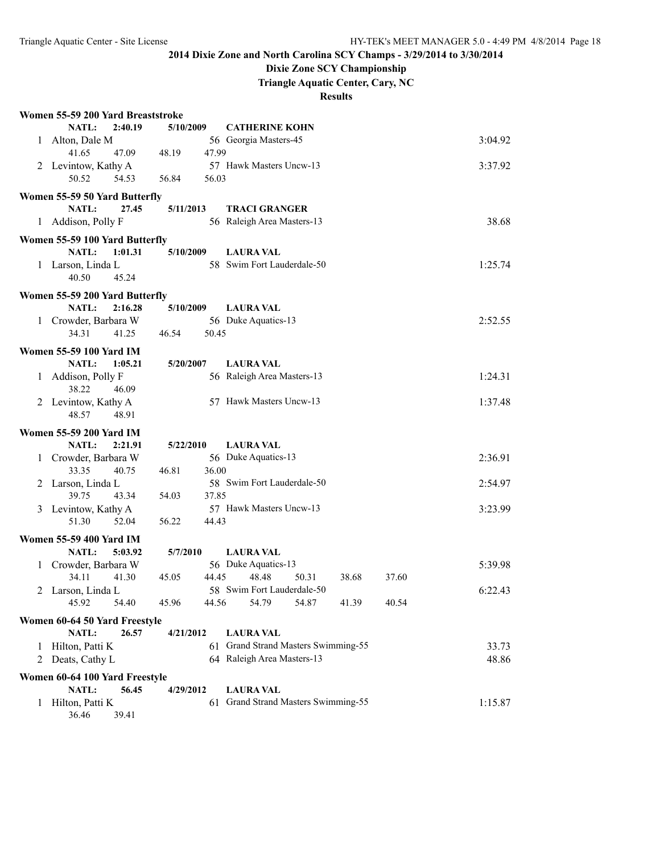## **Dixie Zone SCY Championship**

**Triangle Aquatic Center, Cary, NC**

|   | Women 55-59 200 Yard Breaststroke                  |                |                                         |         |  |  |  |  |  |
|---|----------------------------------------------------|----------------|-----------------------------------------|---------|--|--|--|--|--|
|   | 2:40.19<br><b>NATL:</b>                            | 5/10/2009      | <b>CATHERINE KOHN</b>                   |         |  |  |  |  |  |
| 1 | Alton, Dale M                                      |                | 56 Georgia Masters-45                   | 3:04.92 |  |  |  |  |  |
|   | 41.65<br>47.09                                     | 48.19<br>47.99 |                                         |         |  |  |  |  |  |
| 2 | Levintow, Kathy A                                  |                | 57 Hawk Masters Uncw-13                 | 3:37.92 |  |  |  |  |  |
|   | 50.52<br>54.53                                     | 56.03<br>56.84 |                                         |         |  |  |  |  |  |
|   | Women 55-59 50 Yard Butterfly                      |                |                                         |         |  |  |  |  |  |
|   | 27.45<br><b>NATL:</b>                              | 5/11/2013      | <b>TRACI GRANGER</b>                    |         |  |  |  |  |  |
|   | 1 Addison, Polly F                                 |                | 56 Raleigh Area Masters-13              | 38.68   |  |  |  |  |  |
|   |                                                    |                |                                         |         |  |  |  |  |  |
|   | Women 55-59 100 Yard Butterfly                     |                |                                         |         |  |  |  |  |  |
|   | NATL:<br>1:01.31                                   | 5/10/2009      | <b>LAURA VAL</b>                        |         |  |  |  |  |  |
|   | 1 Larson, Linda L                                  |                | 58 Swim Fort Lauderdale-50              | 1:25.74 |  |  |  |  |  |
|   | 40.50<br>45.24                                     |                |                                         |         |  |  |  |  |  |
|   | Women 55-59 200 Yard Butterfly                     |                |                                         |         |  |  |  |  |  |
|   | NATL:<br>2:16.28                                   | 5/10/2009      | <b>LAURA VAL</b>                        |         |  |  |  |  |  |
|   | 1 Crowder, Barbara W                               |                | 56 Duke Aquatics-13                     | 2:52.55 |  |  |  |  |  |
|   | 34.31<br>41.25                                     | 50.45<br>46.54 |                                         |         |  |  |  |  |  |
|   | <b>Women 55-59 100 Yard IM</b>                     |                |                                         |         |  |  |  |  |  |
|   | NATL:<br>1:05.21                                   | 5/20/2007      | <b>LAURA VAL</b>                        |         |  |  |  |  |  |
|   | 1 Addison, Polly F                                 |                | 56 Raleigh Area Masters-13              | 1:24.31 |  |  |  |  |  |
|   | 38.22<br>46.09                                     |                |                                         |         |  |  |  |  |  |
|   | 2 Levintow, Kathy A                                |                | 57 Hawk Masters Uncw-13                 | 1:37.48 |  |  |  |  |  |
|   | 48.57<br>48.91                                     |                |                                         |         |  |  |  |  |  |
|   |                                                    |                |                                         |         |  |  |  |  |  |
|   | <b>Women 55-59 200 Yard IM</b><br>NATL:<br>2:21.91 |                |                                         |         |  |  |  |  |  |
|   | 1 Crowder, Barbara W                               | 5/22/2010      | <b>LAURA VAL</b><br>56 Duke Aquatics-13 | 2:36.91 |  |  |  |  |  |
|   | 33.35<br>40.75                                     | 46.81<br>36.00 |                                         |         |  |  |  |  |  |
| 2 | Larson, Linda L                                    |                | 58 Swim Fort Lauderdale-50              | 2:54.97 |  |  |  |  |  |
|   | 39.75<br>43.34                                     | 54.03<br>37.85 |                                         |         |  |  |  |  |  |
| 3 | Levintow, Kathy A                                  |                | 57 Hawk Masters Uncw-13                 | 3:23.99 |  |  |  |  |  |
|   | 51.30<br>52.04                                     | 56.22<br>44.43 |                                         |         |  |  |  |  |  |
|   |                                                    |                |                                         |         |  |  |  |  |  |
|   | <b>Women 55-59 400 Yard IM</b>                     |                |                                         |         |  |  |  |  |  |
|   | NATL:<br>5:03.92                                   | 5/7/2010       | <b>LAURA VAL</b>                        |         |  |  |  |  |  |
|   | 1 Crowder, Barbara W                               |                | 56 Duke Aquatics-13                     | 5:39.98 |  |  |  |  |  |
|   | 34.11<br>41.30                                     | 45.05<br>44.45 | 48.48<br>50.31<br>38.68<br>37.60        |         |  |  |  |  |  |
|   | 2 Larson, Linda L                                  |                | 58 Swim Fort Lauderdale-50              | 6:22.43 |  |  |  |  |  |
|   | 45.92<br>54.40                                     | 45.96<br>44.56 | 41.39<br>40.54<br>54.79<br>54.87        |         |  |  |  |  |  |
|   | Women 60-64 50 Yard Freestyle                      |                |                                         |         |  |  |  |  |  |
|   | NATL:<br>26.57                                     | 4/21/2012      | <b>LAURA VAL</b>                        |         |  |  |  |  |  |
| 1 | Hilton, Patti K                                    |                | 61 Grand Strand Masters Swimming-55     | 33.73   |  |  |  |  |  |
| 2 | Deats, Cathy L                                     |                | 64 Raleigh Area Masters-13              | 48.86   |  |  |  |  |  |
|   | Women 60-64 100 Yard Freestyle                     |                |                                         |         |  |  |  |  |  |
|   | <b>NATL:</b><br>56.45                              | 4/29/2012      | <b>LAURA VAL</b>                        |         |  |  |  |  |  |
| 1 | Hilton, Patti K                                    |                | 61 Grand Strand Masters Swimming-55     | 1:15.87 |  |  |  |  |  |
|   | 39.41<br>36.46                                     |                |                                         |         |  |  |  |  |  |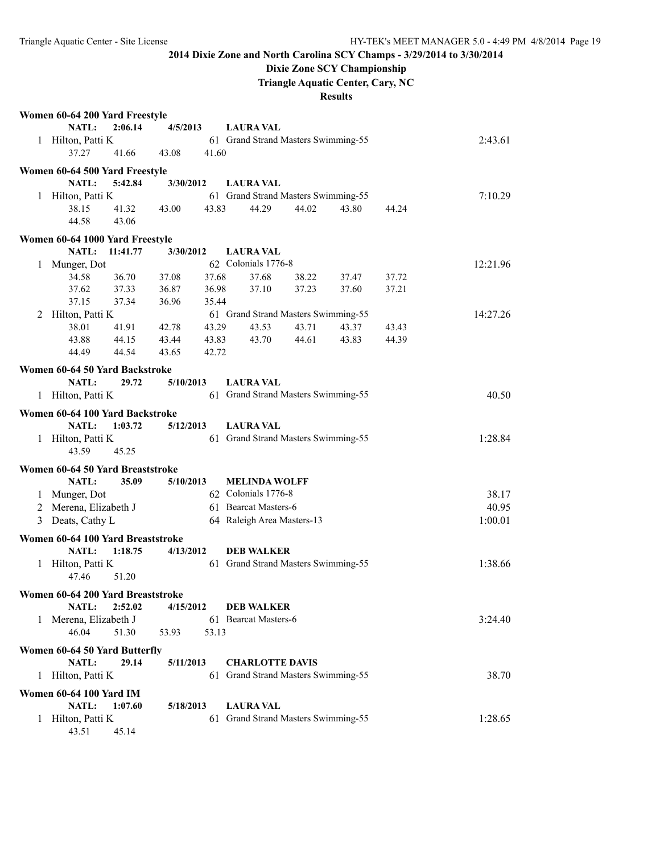## **Dixie Zone SCY Championship**

**Triangle Aquatic Center, Cary, NC**

|   | Women 60-64 200 Yard Freestyle                    |          |           |       |                                                          |       |       |       |          |
|---|---------------------------------------------------|----------|-----------|-------|----------------------------------------------------------|-------|-------|-------|----------|
|   | NATL:                                             | 2:06.14  | 4/5/2013  |       | <b>LAURA VAL</b>                                         |       |       |       |          |
|   | 1 Hilton, Patti K                                 |          |           |       | 61 Grand Strand Masters Swimming-55                      |       |       |       | 2:43.61  |
|   | 37.27                                             | 41.66    | 43.08     | 41.60 |                                                          |       |       |       |          |
|   | Women 60-64 500 Yard Freestyle                    |          |           |       |                                                          |       |       |       |          |
|   | NATL:                                             | 5:42.84  | 3/30/2012 |       | <b>LAURA VAL</b>                                         |       |       |       |          |
|   | 1 Hilton, Patti K                                 |          |           |       | 61 Grand Strand Masters Swimming-55                      |       |       |       | 7:10.29  |
|   | 38.15                                             | 41.32    | 43.00     | 43.83 | 44.29                                                    | 44.02 | 43.80 | 44.24 |          |
|   | 44.58                                             | 43.06    |           |       |                                                          |       |       |       |          |
|   | Women 60-64 1000 Yard Freestyle                   |          |           |       |                                                          |       |       |       |          |
|   | NATL:                                             | 11:41.77 | 3/30/2012 |       | <b>LAURA VAL</b>                                         |       |       |       |          |
|   | 1 Munger, Dot                                     |          |           |       | 62 Colonials 1776-8                                      |       |       |       | 12:21.96 |
|   | 34.58                                             | 36.70    | 37.08     | 37.68 | 37.68                                                    | 38.22 | 37.47 | 37.72 |          |
|   | 37.62                                             | 37.33    | 36.87     | 36.98 | 37.10                                                    | 37.23 | 37.60 | 37.21 |          |
|   | 37.15                                             | 37.34    | 36.96     | 35.44 |                                                          |       |       |       |          |
|   | 2 Hilton, Patti K                                 |          |           |       | 61 Grand Strand Masters Swimming-55                      |       |       |       | 14:27.26 |
|   | 38.01                                             | 41.91    | 42.78     | 43.29 | 43.53                                                    | 43.71 | 43.37 | 43.43 |          |
|   | 43.88                                             | 44.15    | 43.44     | 43.83 | 43.70                                                    | 44.61 | 43.83 | 44.39 |          |
|   | 44.49                                             | 44.54    | 43.65     | 42.72 |                                                          |       |       |       |          |
|   |                                                   |          |           |       |                                                          |       |       |       |          |
|   | Women 60-64 50 Yard Backstroke                    |          |           |       |                                                          |       |       |       |          |
|   | NATL:<br>1 Hilton, Patti K                        | 29.72    | 5/10/2013 |       | <b>LAURA VAL</b><br>61 Grand Strand Masters Swimming-55  |       |       |       | 40.50    |
|   |                                                   |          |           |       |                                                          |       |       |       |          |
|   | Women 60-64 100 Yard Backstroke                   |          |           |       |                                                          |       |       |       |          |
|   | NATL:                                             | 1:03.72  | 5/12/2013 |       | <b>LAURA VAL</b>                                         |       |       |       |          |
|   | 1 Hilton, Patti K                                 |          |           |       | 61 Grand Strand Masters Swimming-55                      |       |       |       | 1:28.84  |
|   | 43.59                                             | 45.25    |           |       |                                                          |       |       |       |          |
|   | Women 60-64 50 Yard Breaststroke                  |          |           |       |                                                          |       |       |       |          |
|   | NATL:                                             | 35.09    | 5/10/2013 |       | <b>MELINDA WOLFF</b>                                     |       |       |       |          |
|   | 1 Munger, Dot                                     |          |           |       | 62 Colonials 1776-8                                      |       |       |       | 38.17    |
|   | 2 Merena, Elizabeth J                             |          |           |       | 61 Bearcat Masters-6                                     |       |       |       | 40.95    |
|   | 3 Deats, Cathy L                                  |          |           |       | 64 Raleigh Area Masters-13                               |       |       |       | 1:00.01  |
|   |                                                   |          |           |       |                                                          |       |       |       |          |
|   | Women 60-64 100 Yard Breaststroke<br><b>NATL:</b> |          |           |       |                                                          |       |       |       |          |
|   |                                                   | 1:18.75  | 4/13/2012 |       | <b>DEB WALKER</b><br>61 Grand Strand Masters Swimming-55 |       |       |       |          |
|   | 1 Hilton, Patti K<br>47.46                        | 51.20    |           |       |                                                          |       |       |       | 1:38.66  |
|   |                                                   |          |           |       |                                                          |       |       |       |          |
|   | Women 60-64 200 Yard Breaststroke                 |          |           |       |                                                          |       |       |       |          |
|   | NATL:                                             | 2:52.02  | 4/15/2012 |       | <b>DEB WALKER</b>                                        |       |       |       |          |
|   | 1 Merena, Elizabeth J                             |          |           |       | 61 Bearcat Masters-6                                     |       |       |       | 3:24.40  |
|   | 46.04                                             | 51.30    | 53.93     | 53.13 |                                                          |       |       |       |          |
|   | Women 60-64 50 Yard Butterfly                     |          |           |       |                                                          |       |       |       |          |
|   | NATL:                                             | 29.14    | 5/11/2013 |       | <b>CHARLOTTE DAVIS</b>                                   |       |       |       |          |
|   | 1 Hilton, Patti K                                 |          |           |       | 61 Grand Strand Masters Swimming-55                      |       |       |       | 38.70    |
|   |                                                   |          |           |       |                                                          |       |       |       |          |
|   | Women 60-64 100 Yard IM<br>NATL:                  | 1:07.60  | 5/18/2013 |       | <b>LAURA VAL</b>                                         |       |       |       |          |
| 1 | Hilton, Patti K                                   |          |           |       | 61 Grand Strand Masters Swimming-55                      |       |       |       | 1:28.65  |
|   | 43.51 45.14                                       |          |           |       |                                                          |       |       |       |          |
|   |                                                   |          |           |       |                                                          |       |       |       |          |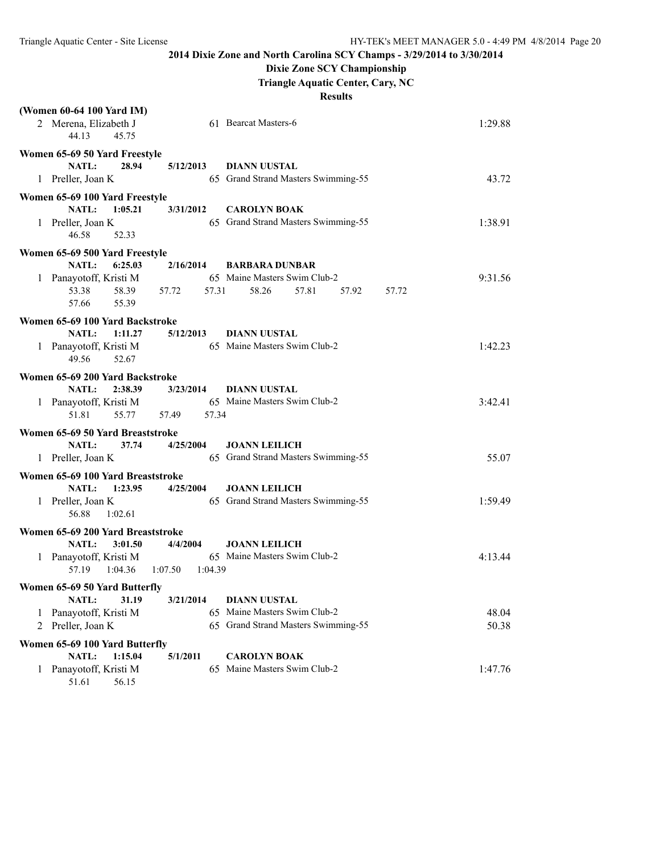### **Dixie Zone SCY Championship**

**Triangle Aquatic Center, Cary, NC**

|   | (Women 60-64 100 Yard IM)<br>2 Merena, Elizabeth J<br>44.13<br>45.75        |                    | 61 Bearcat Masters-6                                        | 1:29.88          |
|---|-----------------------------------------------------------------------------|--------------------|-------------------------------------------------------------|------------------|
|   | Women 65-69 50 Yard Freestyle<br>28.94<br><b>NATL:</b><br>1 Preller, Joan K | 5/12/2013          | <b>DIANN UUSTAL</b><br>65 Grand Strand Masters Swimming-55  | 43.72            |
|   | Women 65-69 100 Yard Freestyle                                              |                    |                                                             |                  |
|   | <b>NATL:</b><br>1:05.21<br>1 Preller, Joan K<br>46.58<br>52.33              | 3/31/2012          | <b>CAROLYN BOAK</b><br>65 Grand Strand Masters Swimming-55  | 1:38.91          |
|   | Women 65-69 500 Yard Freestyle                                              |                    |                                                             |                  |
|   | <b>NATL:</b><br>6:25.03                                                     | 2/16/2014          | <b>BARBARA DUNBAR</b>                                       |                  |
|   | 1 Panayotoff, Kristi M<br>53.38<br>58.39<br>55.39<br>57.66                  | 57.31<br>57.72     | 65 Maine Masters Swim Club-2<br>58.26<br>57.81<br>57.92     | 9:31.56<br>57.72 |
|   | Women 65-69 100 Yard Backstroke                                             |                    |                                                             |                  |
|   | <b>NATL:</b><br>1:11.27                                                     | 5/12/2013          | <b>DIANN UUSTAL</b>                                         |                  |
|   | 1 Panayotoff, Kristi M<br>49.56<br>52.67                                    |                    | 65 Maine Masters Swim Club-2                                | 1:42.23          |
|   | Women 65-69 200 Yard Backstroke                                             |                    |                                                             |                  |
|   | <b>NATL:</b><br>2:38.39                                                     | 3/23/2014          | <b>DIANN UUSTAL</b>                                         |                  |
|   | 1 Panayotoff, Kristi M<br>51.81<br>55.77                                    | 57.49<br>57.34     | 65 Maine Masters Swim Club-2                                | 3:42.41          |
|   | Women 65-69 50 Yard Breaststroke                                            |                    |                                                             |                  |
|   | <b>NATL:</b><br>37.74<br>1 Preller, Joan K                                  | 4/25/2004          | <b>JOANN LEILICH</b><br>65 Grand Strand Masters Swimming-55 | 55.07            |
|   | Women 65-69 100 Yard Breaststroke                                           |                    |                                                             |                  |
|   | NATL:<br>1:23.95                                                            | 4/25/2004          | <b>JOANN LEILICH</b>                                        |                  |
|   | 1 Preller, Joan K<br>56.88<br>1:02.61                                       |                    | 65 Grand Strand Masters Swimming-55                         | 1:59.49          |
|   | Women 65-69 200 Yard Breaststroke                                           |                    |                                                             |                  |
|   | <b>NATL:</b><br>3:01.50                                                     | 4/4/2004           | <b>JOANN LEILICH</b>                                        |                  |
|   | 1 Panayotoff, Kristi M<br>1:04.36<br>57.19                                  | 1:07.50<br>1:04.39 | 65 Maine Masters Swim Club-2                                | 4:13.44          |
|   | Women 65-69 50 Yard Butterfly                                               |                    |                                                             |                  |
|   | NATL:<br>31.19                                                              | 3/21/2014          | <b>DIANN UUSTAL</b>                                         |                  |
| 1 | Panayotoff, Kristi M                                                        |                    | 65 Maine Masters Swim Club-2                                | 48.04            |
| 2 | Preller, Joan K                                                             |                    | 65 Grand Strand Masters Swimming-55                         | 50.38            |
|   | Women 65-69 100 Yard Butterfly                                              |                    |                                                             |                  |
|   | NATL:<br>1:15.04                                                            | 5/1/2011           | <b>CAROLYN BOAK</b>                                         |                  |
|   | 1 Panayotoff, Kristi M<br>51.61<br>56.15                                    |                    | 65 Maine Masters Swim Club-2                                | 1:47.76          |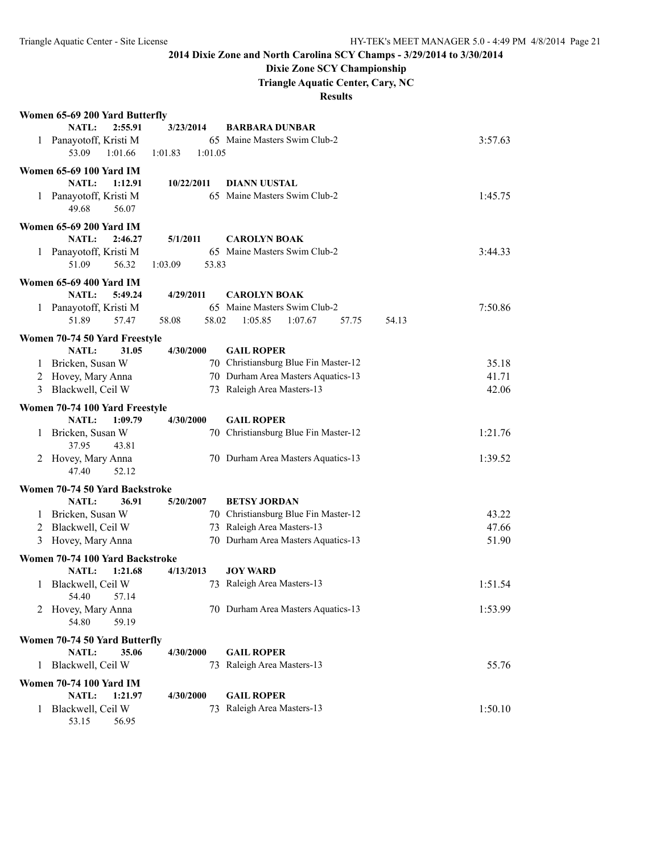53.15 56.95

### **2014 Dixie Zone and North Carolina SCY Champs - 3/29/2014 to 3/30/2014**

### **Dixie Zone SCY Championship**

**Triangle Aquatic Center, Cary, NC**

|              | Women 65-69 200 Yard Butterfly                   |                    |                                      |         |
|--------------|--------------------------------------------------|--------------------|--------------------------------------|---------|
|              | NATL:<br>2:55.91                                 | 3/23/2014          | <b>BARBARA DUNBAR</b>                |         |
| $\mathbf{1}$ | Panayotoff, Kristi M                             |                    | 65 Maine Masters Swim Club-2         | 3:57.63 |
|              | 53.09<br>1:01.66                                 | 1:01.05<br>1:01.83 |                                      |         |
|              | <b>Women 65-69 100 Yard IM</b>                   |                    |                                      |         |
|              | NATL:<br>1:12.91                                 | 10/22/2011         | <b>DIANN UUSTAL</b>                  |         |
|              | 1 Panayotoff, Kristi M                           |                    | 65 Maine Masters Swim Club-2         | 1:45.75 |
|              | 49.68<br>56.07                                   |                    |                                      |         |
|              | <b>Women 65-69 200 Yard IM</b>                   |                    |                                      |         |
|              | NATL:<br>2:46.27                                 | 5/1/2011           | <b>CAROLYN BOAK</b>                  |         |
|              | 1 Panayotoff, Kristi M                           |                    | 65 Maine Masters Swim Club-2         | 3:44.33 |
|              | 51.09<br>56.32                                   | 1:03.09<br>53.83   |                                      |         |
|              |                                                  |                    |                                      |         |
|              | <b>Women 65-69 400 Yard IM</b>                   |                    |                                      |         |
|              | <b>NATL:</b><br>5:49.24                          | 4/29/2011          | <b>CAROLYN BOAK</b>                  |         |
|              | 1 Panayotoff, Kristi M                           |                    | 65 Maine Masters Swim Club-2         | 7:50.86 |
|              | 51.89<br>57.47                                   | 58.02<br>58.08     | 1:05.85<br>1:07.67<br>57.75<br>54.13 |         |
|              | Women 70-74 50 Yard Freestyle                    |                    |                                      |         |
|              | NATL:<br>31.05                                   | 4/30/2000          | <b>GAIL ROPER</b>                    |         |
| 1            | Bricken, Susan W                                 |                    | 70 Christiansburg Blue Fin Master-12 | 35.18   |
| 2            | Hovey, Mary Anna                                 |                    | 70 Durham Area Masters Aquatics-13   | 41.71   |
| 3            | Blackwell, Ceil W                                |                    | 73 Raleigh Area Masters-13           | 42.06   |
|              | Women 70-74 100 Yard Freestyle                   |                    |                                      |         |
|              | NATL:<br>1:09.79                                 | 4/30/2000          | <b>GAIL ROPER</b>                    |         |
| 1            | Bricken, Susan W                                 |                    | 70 Christiansburg Blue Fin Master-12 | 1:21.76 |
|              | 37.95<br>43.81                                   |                    |                                      |         |
| 2            | Hovey, Mary Anna                                 |                    | 70 Durham Area Masters Aquatics-13   | 1:39.52 |
|              | 52.12<br>47.40                                   |                    |                                      |         |
|              |                                                  |                    |                                      |         |
|              | Women 70-74 50 Yard Backstroke<br>NATL:<br>36.91 | 5/20/2007          | <b>BETSY JORDAN</b>                  |         |
|              | 1 Bricken, Susan W                               |                    | 70 Christiansburg Blue Fin Master-12 | 43.22   |
|              |                                                  |                    | 73 Raleigh Area Masters-13           | 47.66   |
|              | 2 Blackwell, Ceil W                              |                    | 70 Durham Area Masters Aquatics-13   |         |
| 3            | Hovey, Mary Anna                                 |                    |                                      | 51.90   |
|              | Women 70-74 100 Yard Backstroke                  |                    |                                      |         |
|              | NATL:<br>1:21.68                                 | 4/13/2013          | <b>JOY WARD</b>                      |         |
| 1            | Blackwell, Ceil W                                |                    | 73 Raleigh Area Masters-13           | 1:51.54 |
|              | 54.40<br>57.14                                   |                    |                                      |         |
| 2            | Hovey, Mary Anna                                 |                    | 70 Durham Area Masters Aquatics-13   | 1:53.99 |
|              | 59.19<br>54.80                                   |                    |                                      |         |
|              | Women 70-74 50 Yard Butterfly                    |                    |                                      |         |
|              | NATL:<br>35.06                                   | 4/30/2000          | <b>GAIL ROPER</b>                    |         |
| 1            | Blackwell, Ceil W                                |                    | 73 Raleigh Area Masters-13           | 55.76   |
|              | <b>Women 70-74 100 Yard IM</b>                   |                    |                                      |         |
|              | NATL:<br>1:21.97                                 | 4/30/2000          | <b>GAIL ROPER</b>                    |         |
| $\mathbf{1}$ | Blackwell, Ceil W                                | 73                 | Raleigh Area Masters-13              | 1:50.10 |
|              |                                                  |                    |                                      |         |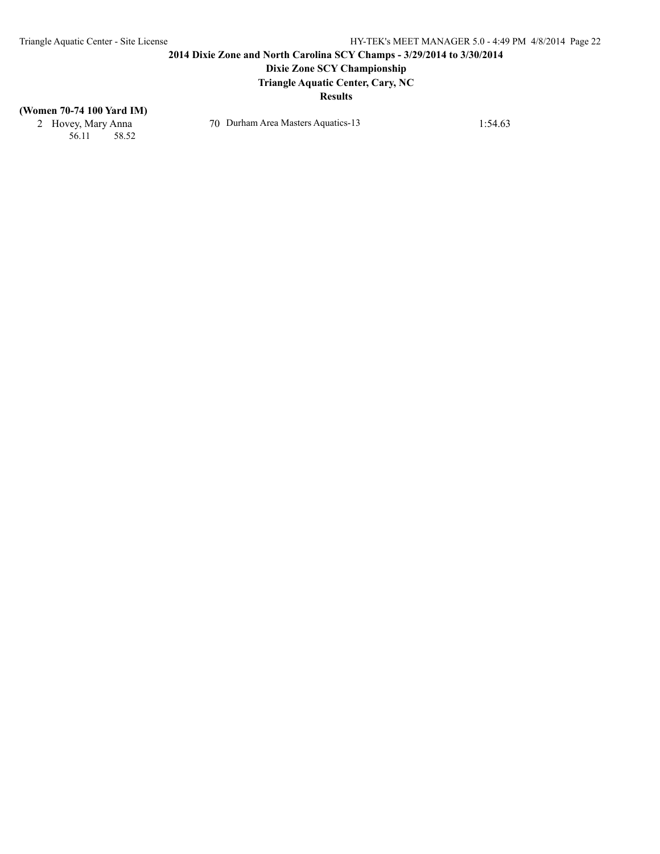# **Dixie Zone SCY Championship**

**Triangle Aquatic Center, Cary, NC**

#### **Results**

#### **(Women 70-74 100 Yard IM)**

56.11 58.52

2 Hovey, Mary Anna 70 Durham Area Masters Aquatics-13 1:54.63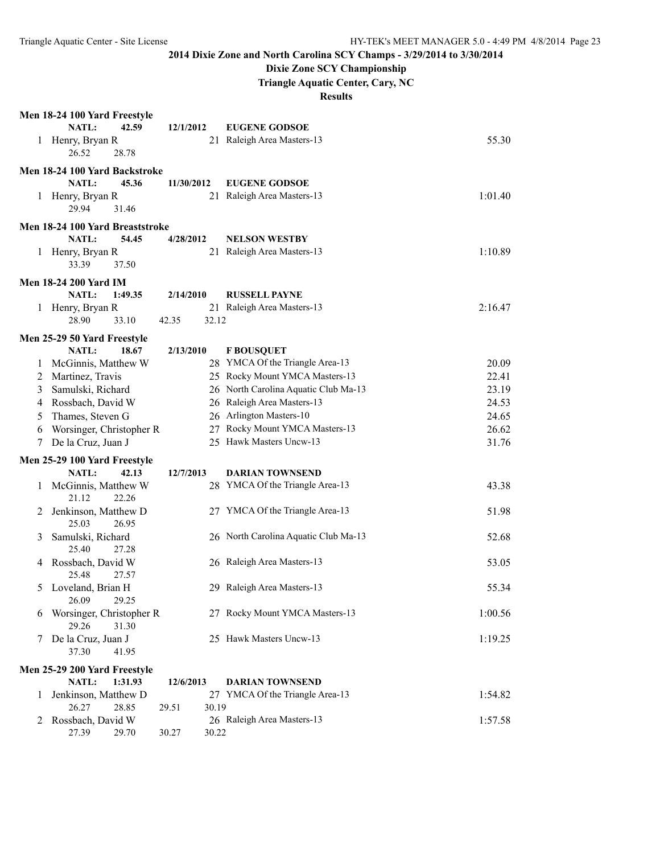# **Dixie Zone SCY Championship**

**Triangle Aquatic Center, Cary, NC**

|   | Men 18-24 100 Yard Freestyle                           |                |                                      |         |
|---|--------------------------------------------------------|----------------|--------------------------------------|---------|
|   | NATL:<br>42.59                                         | 12/1/2012      | <b>EUGENE GODSOE</b>                 |         |
| 1 | Henry, Bryan R<br>26.52<br>28.78                       |                | 21 Raleigh Area Masters-13           | 55.30   |
|   |                                                        |                |                                      |         |
|   | Men 18-24 100 Yard Backstroke<br><b>NATL:</b><br>45.36 | 11/30/2012     | <b>EUGENE GODSOE</b>                 |         |
| 1 | Henry, Bryan R                                         |                | 21 Raleigh Area Masters-13           | 1:01.40 |
|   | 29.94<br>31.46                                         |                |                                      |         |
|   | Men 18-24 100 Yard Breaststroke                        |                |                                      |         |
|   | NATL:<br>54.45                                         | 4/28/2012      | <b>NELSON WESTBY</b>                 |         |
|   | 1 Henry, Bryan R<br>33.39<br>37.50                     |                | 21 Raleigh Area Masters-13           | 1:10.89 |
|   | <b>Men 18-24 200 Yard IM</b>                           |                |                                      |         |
|   | NATL:<br>1:49.35                                       | 2/14/2010      | <b>RUSSELL PAYNE</b>                 |         |
| 1 | Henry, Bryan R                                         |                | 21 Raleigh Area Masters-13           | 2:16.47 |
|   | 28.90<br>33.10                                         | 42.35<br>32.12 |                                      |         |
|   | Men 25-29 50 Yard Freestyle                            |                |                                      |         |
|   | <b>NATL:</b><br>18.67                                  | 2/13/2010      | <b>F BOUSQUET</b>                    |         |
| 1 | McGinnis, Matthew W                                    |                | 28 YMCA Of the Triangle Area-13      | 20.09   |
| 2 | Martinez, Travis                                       |                | 25 Rocky Mount YMCA Masters-13       | 22.41   |
| 3 | Samulski, Richard                                      |                | 26 North Carolina Aquatic Club Ma-13 | 23.19   |
| 4 | Rossbach, David W                                      |                | 26 Raleigh Area Masters-13           | 24.53   |
| 5 | Thames, Steven G                                       |                | 26 Arlington Masters-10              | 24.65   |
| 6 | Worsinger, Christopher R                               |                | 27 Rocky Mount YMCA Masters-13       | 26.62   |
| 7 | De la Cruz, Juan J                                     |                | 25 Hawk Masters Uncw-13              | 31.76   |
|   | Men 25-29 100 Yard Freestyle                           |                |                                      |         |
|   | NATL:<br>42.13                                         | 12/7/2013      | <b>DARIAN TOWNSEND</b>               |         |
| 1 | McGinnis, Matthew W<br>21.12<br>22.26                  |                | 28 YMCA Of the Triangle Area-13      | 43.38   |
| 2 | Jenkinson, Matthew D<br>25.03<br>26.95                 |                | 27 YMCA Of the Triangle Area-13      | 51.98   |
| 3 | Samulski, Richard                                      |                | 26 North Carolina Aquatic Club Ma-13 | 52.68   |
|   | 25.40<br>27.28                                         |                |                                      |         |
| 4 | Rossbach, David W<br>25.48<br>27.57                    |                | 26 Raleigh Area Masters-13           | 53.05   |
| 5 | Loveland, Brian H                                      |                | 29 Raleigh Area Masters-13           | 55.34   |
|   | 26.09<br>29.25                                         |                |                                      |         |
| 6 | Worsinger, Christopher R<br>29.26<br>31.30             |                | 27 Rocky Mount YMCA Masters-13       | 1:00.56 |
|   | De la Cruz, Juan J                                     |                | 25 Hawk Masters Uncw-13              | 1:19.25 |
|   | 37.30<br>41.95                                         |                |                                      |         |
|   | Men 25-29 200 Yard Freestyle                           |                |                                      |         |
|   | NATL:<br>1:31.93                                       | 12/6/2013      | <b>DARIAN TOWNSEND</b>               |         |
| 1 | Jenkinson, Matthew D<br>26.27<br>28.85                 | 30.19<br>29.51 | 27 YMCA Of the Triangle Area-13      | 1:54.82 |
| 2 | Rossbach, David W                                      |                | 26 Raleigh Area Masters-13           | 1:57.58 |
|   | 27.39<br>29.70                                         | 30.27<br>30.22 |                                      |         |
|   |                                                        |                |                                      |         |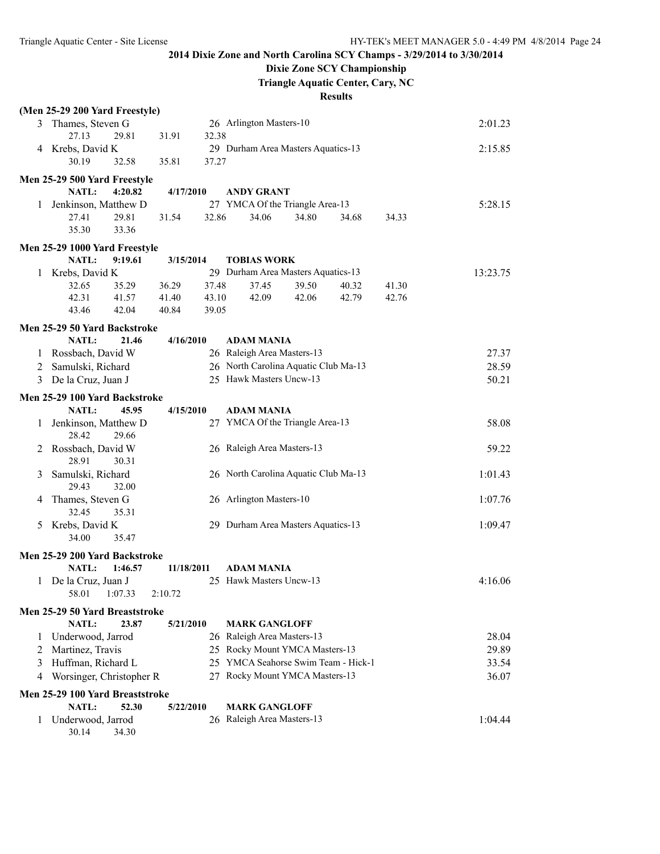## **Dixie Zone SCY Championship**

**Triangle Aquatic Center, Cary, NC**

|              | (Men 25-29 200 Yard Freestyle)                           |            |       |                                      |       |       |       |          |
|--------------|----------------------------------------------------------|------------|-------|--------------------------------------|-------|-------|-------|----------|
|              | 3 Thames, Steven G                                       |            |       | 26 Arlington Masters-10              |       |       |       | 2:01.23  |
|              | 27.13<br>29.81                                           | 31.91      | 32.38 |                                      |       |       |       |          |
|              | 4 Krebs, David K                                         |            |       | 29 Durham Area Masters Aquatics-13   |       |       |       | 2:15.85  |
|              | 30.19<br>32.58                                           | 35.81      | 37.27 |                                      |       |       |       |          |
|              | Men 25-29 500 Yard Freestyle                             |            |       |                                      |       |       |       |          |
|              | NATL:<br>4:20.82                                         | 4/17/2010  |       | <b>ANDY GRANT</b>                    |       |       |       |          |
| $\mathbf{1}$ | Jenkinson, Matthew D                                     |            |       | 27 YMCA Of the Triangle Area-13      |       |       |       | 5:28.15  |
|              | 29.81<br>27.41                                           | 31.54      | 32.86 | 34.06                                | 34.80 | 34.68 | 34.33 |          |
|              | 33.36<br>35.30                                           |            |       |                                      |       |       |       |          |
|              |                                                          |            |       |                                      |       |       |       |          |
|              | Men 25-29 1000 Yard Freestyle<br><b>NATL:</b><br>9:19.61 | 3/15/2014  |       | <b>TOBIAS WORK</b>                   |       |       |       |          |
|              | Krebs, David K                                           |            |       | 29 Durham Area Masters Aquatics-13   |       |       |       | 13:23.75 |
| 1.           | 32.65<br>35.29                                           | 36.29      | 37.48 | 37.45                                | 39.50 | 40.32 | 41.30 |          |
|              | 42.31<br>41.57                                           | 41.40      | 43.10 | 42.09                                | 42.06 | 42.79 | 42.76 |          |
|              | 43.46<br>42.04                                           | 40.84      | 39.05 |                                      |       |       |       |          |
|              |                                                          |            |       |                                      |       |       |       |          |
|              | Men 25-29 50 Yard Backstroke                             |            |       |                                      |       |       |       |          |
|              | <b>NATL:</b><br>21.46                                    | 4/16/2010  |       | <b>ADAM MANIA</b>                    |       |       |       |          |
| 1            | Rossbach, David W                                        |            |       | 26 Raleigh Area Masters-13           |       |       |       | 27.37    |
|              | 2 Samulski, Richard                                      |            |       | 26 North Carolina Aquatic Club Ma-13 |       |       |       | 28.59    |
|              | 3 De la Cruz, Juan J                                     |            |       | 25 Hawk Masters Uncw-13              |       |       |       | 50.21    |
|              | Men 25-29 100 Yard Backstroke                            |            |       |                                      |       |       |       |          |
|              | <b>NATL:</b><br>45.95                                    | 4/15/2010  |       | ADAM MANIA                           |       |       |       |          |
| 1            | Jenkinson, Matthew D                                     |            |       | 27 YMCA Of the Triangle Area-13      |       |       |       | 58.08    |
|              | 28.42<br>29.66                                           |            |       |                                      |       |       |       |          |
| 2            | Rossbach, David W                                        |            |       | 26 Raleigh Area Masters-13           |       |       |       | 59.22    |
|              | 28.91<br>30.31                                           |            |       |                                      |       |       |       |          |
| 3            | Samulski, Richard                                        |            |       | 26 North Carolina Aquatic Club Ma-13 |       |       |       | 1:01.43  |
|              | 29.43<br>32.00                                           |            |       |                                      |       |       |       |          |
| 4            | Thames, Steven G                                         |            |       | 26 Arlington Masters-10              |       |       |       | 1:07.76  |
|              | 32.45<br>35.31                                           |            |       |                                      |       |       |       |          |
| 5            | Krebs, David K                                           |            |       | 29 Durham Area Masters Aquatics-13   |       |       |       | 1:09.47  |
|              | 34.00<br>35.47                                           |            |       |                                      |       |       |       |          |
|              | Men 25-29 200 Yard Backstroke                            |            |       |                                      |       |       |       |          |
|              | 1:46.57<br><b>NATL:</b>                                  | 11/18/2011 |       | <b>ADAM MANIA</b>                    |       |       |       |          |
|              | 1 De la Cruz, Juan J                                     |            |       | 25 Hawk Masters Uncw-13              |       |       |       | 4:16.06  |
|              | 58.01<br>1:07.33                                         | 2:10.72    |       |                                      |       |       |       |          |
|              |                                                          |            |       |                                      |       |       |       |          |
|              | Men 25-29 50 Yard Breaststroke                           |            |       |                                      |       |       |       |          |
|              | NATL:<br>23.87                                           | 5/21/2010  |       | <b>MARK GANGLOFF</b>                 |       |       |       |          |
| $\mathbf{I}$ | Underwood, Jarrod                                        |            |       | 26 Raleigh Area Masters-13           |       |       |       | 28.04    |
| 2            | Martinez, Travis                                         |            |       | 25 Rocky Mount YMCA Masters-13       |       |       |       | 29.89    |
| 3            | Huffman, Richard L                                       |            |       | 25 YMCA Seahorse Swim Team - Hick-1  |       |       |       | 33.54    |
| 4            | Worsinger, Christopher R                                 |            |       | 27 Rocky Mount YMCA Masters-13       |       |       |       | 36.07    |
|              | Men 25-29 100 Yard Breaststroke                          |            |       |                                      |       |       |       |          |
|              | NATL:<br>52.30                                           | 5/22/2010  |       | <b>MARK GANGLOFF</b>                 |       |       |       |          |
| 1            | Underwood, Jarrod                                        |            |       | 26 Raleigh Area Masters-13           |       |       |       | 1:04.44  |
|              | 30.14<br>34.30                                           |            |       |                                      |       |       |       |          |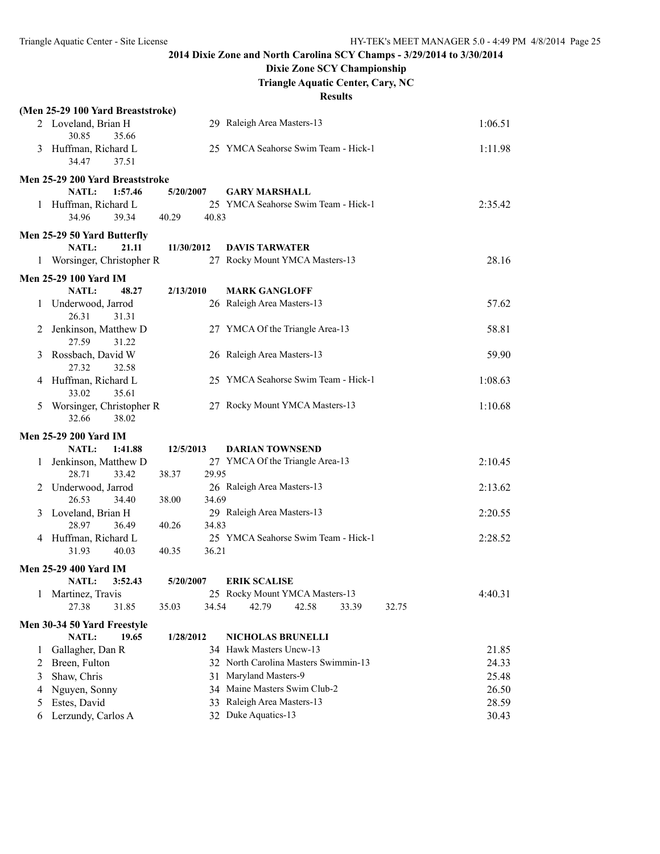## **Dixie Zone SCY Championship**

**Triangle Aquatic Center, Cary, NC**

|        | (Men 25-29 100 Yard Breaststroke)      |                |                                                                 |                |
|--------|----------------------------------------|----------------|-----------------------------------------------------------------|----------------|
|        | 2 Loveland, Brian H<br>30.85<br>35.66  |                | 29 Raleigh Area Masters-13                                      | 1:06.51        |
|        | 3 Huffman, Richard L<br>34.47<br>37.51 |                | 25 YMCA Seahorse Swim Team - Hick-1                             | 1:11.98        |
|        | Men 25-29 200 Yard Breaststroke        |                |                                                                 |                |
|        | 1:57.46<br><b>NATL:</b>                | 5/20/2007      | <b>GARY MARSHALL</b>                                            |                |
|        | 1 Huffman, Richard L                   |                | 25 YMCA Seahorse Swim Team - Hick-1                             | 2:35.42        |
|        | 34.96<br>39.34                         | 40.29<br>40.83 |                                                                 |                |
|        | Men 25-29 50 Yard Butterfly            |                |                                                                 |                |
|        | <b>NATL:</b><br>21.11                  | 11/30/2012     | <b>DAVIS TARWATER</b>                                           |                |
|        | 1 Worsinger, Christopher R             |                | 27 Rocky Mount YMCA Masters-13                                  | 28.16          |
|        | Men 25-29 100 Yard IM                  |                |                                                                 |                |
|        | <b>NATL:</b><br>48.27                  | 2/13/2010      | <b>MARK GANGLOFF</b>                                            |                |
| 1      | Underwood, Jarrod                      |                | 26 Raleigh Area Masters-13                                      | 57.62          |
|        | 26.31<br>31.31                         |                |                                                                 |                |
| 2      | Jenkinson, Matthew D                   |                | 27 YMCA Of the Triangle Area-13                                 | 58.81          |
|        | 27.59<br>31.22                         |                |                                                                 |                |
| 3      | Rossbach, David W                      |                | 26 Raleigh Area Masters-13                                      | 59.90          |
|        | 27.32<br>32.58                         |                | 25 YMCA Seahorse Swim Team - Hick-1                             |                |
|        | 4 Huffman, Richard L<br>35.61<br>33.02 |                |                                                                 | 1:08.63        |
| 5      | Worsinger, Christopher R               |                | 27 Rocky Mount YMCA Masters-13                                  | 1:10.68        |
|        | 38.02<br>32.66                         |                |                                                                 |                |
|        | <b>Men 25-29 200 Yard IM</b>           |                |                                                                 |                |
|        | <b>NATL:</b><br>1:41.88                | 12/5/2013      | <b>DARIAN TOWNSEND</b>                                          |                |
| 1      | Jenkinson, Matthew D                   |                | 27 YMCA Of the Triangle Area-13                                 | 2:10.45        |
|        | 28.71<br>33.42                         | 29.95<br>38.37 |                                                                 |                |
| 2      | Underwood, Jarrod                      |                | 26 Raleigh Area Masters-13                                      | 2:13.62        |
|        | 26.53<br>34.40                         | 34.69<br>38.00 |                                                                 |                |
| 3      | Loveland, Brian H                      |                | 29 Raleigh Area Masters-13                                      | 2:20.55        |
|        | 28.97<br>36.49                         | 34.83<br>40.26 |                                                                 |                |
|        | 4 Huffman, Richard L                   |                | 25 YMCA Seahorse Swim Team - Hick-1                             | 2:28.52        |
|        | 31.93<br>40.03                         | 36.21<br>40.35 |                                                                 |                |
|        | <b>Men 25-29 400 Yard IM</b>           |                |                                                                 |                |
|        | <b>NATL:</b><br>3:52.43                | 5/20/2007      | <b>ERIK SCALISE</b>                                             |                |
| 1      | Martinez, Travis<br>27.38              | 34.54          | 25 Rocky Mount YMCA Masters-13<br>42.79<br>42.58                | 4:40.31        |
|        | 31.85                                  | 35.03          | 33.39                                                           | 32.75          |
|        | Men 30-34 50 Yard Freestyle            |                |                                                                 |                |
|        | <b>NATL:</b><br>19.65                  | 1/28/2012      | NICHOLAS BRUNELLI                                               |                |
| 1      | Gallagher, Dan R                       |                | 34 Hawk Masters Uncw-13<br>32 North Carolina Masters Swimmin-13 | 21.85<br>24.33 |
| 2<br>3 | Breen, Fulton<br>Shaw, Chris           |                | 31 Maryland Masters-9                                           | 25.48          |
| 4      | Nguyen, Sonny                          |                | 34 Maine Masters Swim Club-2                                    | 26.50          |
| 5      | Estes, David                           | 33             | Raleigh Area Masters-13                                         | 28.59          |
| 6      | Lerzundy, Carlos A                     |                | 32 Duke Aquatics-13                                             | 30.43          |
|        |                                        |                |                                                                 |                |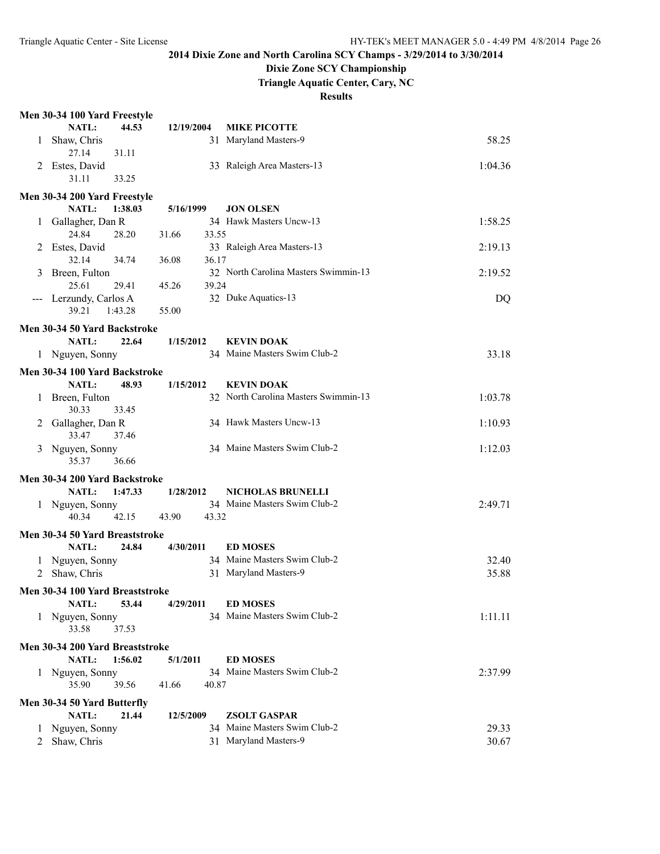## **Dixie Zone SCY Championship**

**Triangle Aquatic Center, Cary, NC**

|         | Men 30-34 100 Yard Freestyle             |         |            |       |                                      |         |
|---------|------------------------------------------|---------|------------|-------|--------------------------------------|---------|
|         | NATL:                                    | 44.53   | 12/19/2004 |       | <b>MIKE PICOTTE</b>                  |         |
| 1       | Shaw, Chris                              |         |            |       | 31 Maryland Masters-9                | 58.25   |
|         | 27.14                                    | 31.11   |            |       |                                      |         |
| 2       | Estes, David                             |         |            |       | 33 Raleigh Area Masters-13           | 1:04.36 |
|         | 31.11                                    | 33.25   |            |       |                                      |         |
|         | Men 30-34 200 Yard Freestyle             |         |            |       |                                      |         |
|         | NATL:                                    | 1:38.03 | 5/16/1999  |       | <b>JON OLSEN</b>                     |         |
|         | 1 Gallagher, Dan R                       |         |            |       | 34 Hawk Masters Uncw-13              | 1:58.25 |
|         | 24.84                                    | 28.20   | 31.66      | 33.55 |                                      |         |
| 2       | Estes, David                             |         |            |       | 33 Raleigh Area Masters-13           | 2:19.13 |
|         | 32.14                                    | 34.74   | 36.08      | 36.17 |                                      |         |
| 3       | Breen, Fulton                            |         |            |       | 32 North Carolina Masters Swimmin-13 | 2:19.52 |
|         | 25.61                                    | 29.41   | 45.26      | 39.24 |                                      |         |
|         | Lerzundy, Carlos A<br>39.21              | 1:43.28 | 55.00      |       | 32 Duke Aquatics-13                  | DQ      |
|         |                                          |         |            |       |                                      |         |
|         | Men 30-34 50 Yard Backstroke             |         |            |       |                                      |         |
|         | NATL:                                    | 22.64   | 1/15/2012  |       | <b>KEVIN DOAK</b>                    |         |
|         | 1 Nguyen, Sonny                          |         |            |       | 34 Maine Masters Swim Club-2         | 33.18   |
|         | Men 30-34 100 Yard Backstroke            |         |            |       |                                      |         |
|         | <b>NATL:</b>                             | 48.93   | 1/15/2012  |       | <b>KEVIN DOAK</b>                    |         |
| 1       | Breen, Fulton                            |         |            |       | 32 North Carolina Masters Swimmin-13 | 1:03.78 |
|         | 30.33                                    | 33.45   |            |       |                                      |         |
| 2       | Gallagher, Dan R                         |         |            |       | 34 Hawk Masters Uncw-13              | 1:10.93 |
|         | 33.47                                    | 37.46   |            |       |                                      |         |
| 3       | Nguyen, Sonny                            |         |            |       | 34 Maine Masters Swim Club-2         | 1:12.03 |
|         | 35.37                                    | 36.66   |            |       |                                      |         |
|         | Men 30-34 200 Yard Backstroke            |         |            |       |                                      |         |
|         | NATL:                                    | 1:47.33 | 1/28/2012  |       | <b>NICHOLAS BRUNELLI</b>             |         |
|         | 1 Nguyen, Sonny                          |         |            |       | 34 Maine Masters Swim Club-2         | 2:49.71 |
|         | 40.34                                    | 42.15   | 43.90      | 43.32 |                                      |         |
|         | Men 30-34 50 Yard Breaststroke           |         |            |       |                                      |         |
|         | <b>NATL:</b>                             | 24.84   | 4/30/2011  |       | <b>ED MOSES</b>                      |         |
|         | 1 Nguyen, Sonny                          |         |            |       | 34 Maine Masters Swim Club-2         | 32.40   |
| 2       | Shaw, Chris                              |         |            |       | 31 Maryland Masters-9                | 35.88   |
|         | Men 30-34 100 Yard Breaststroke          |         |            |       |                                      |         |
|         | NATL:                                    | 53.44   | 4/29/2011  |       | <b>ED MOSES</b>                      |         |
| 1       | Nguyen, Sonny                            |         |            |       | 34 Maine Masters Swim Club-2         | 1:11.11 |
|         | 33.58                                    | 37.53   |            |       |                                      |         |
|         |                                          |         |            |       |                                      |         |
|         | Men 30-34 200 Yard Breaststroke<br>NATL: | 1:56.02 | 5/1/2011   |       | <b>ED MOSES</b>                      |         |
|         |                                          |         |            |       | 34 Maine Masters Swim Club-2         |         |
|         | 1 Nguyen, Sonny<br>35.90                 | 39.56   | 41.66      | 40.87 |                                      | 2:37.99 |
|         |                                          |         |            |       |                                      |         |
|         | Men 30-34 50 Yard Butterfly              |         |            |       |                                      |         |
|         | NATL:                                    | 21.44   | 12/5/2009  |       | <b>ZSOLT GASPAR</b>                  |         |
| $\perp$ | Nguyen, Sonny                            |         |            |       | 34 Maine Masters Swim Club-2         | 29.33   |
| 2       | Shaw, Chris                              |         |            |       | 31 Maryland Masters-9                | 30.67   |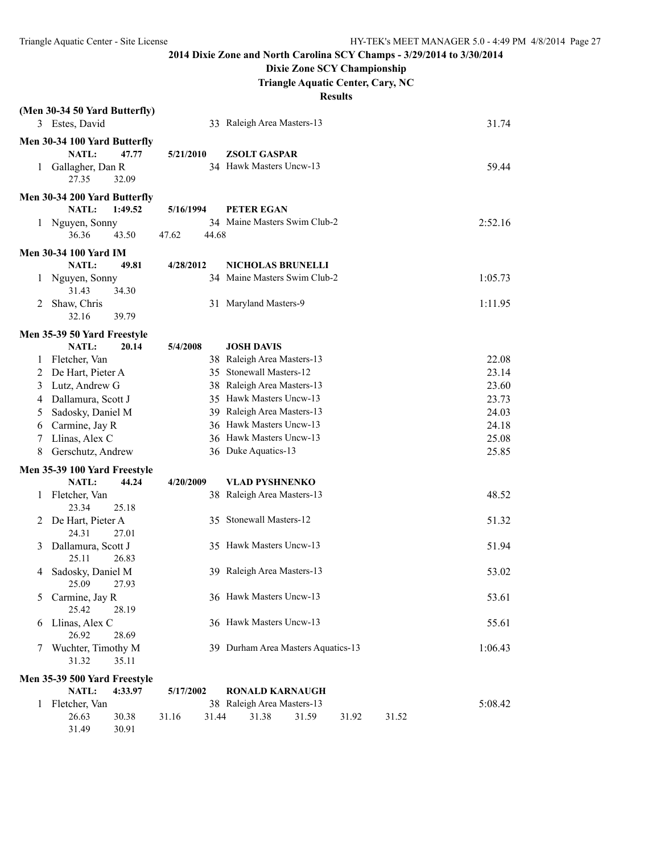31.49 30.91

**2014 Dixie Zone and North Carolina SCY Champs - 3/29/2014 to 3/30/2014**

**Dixie Zone SCY Championship**

**Triangle Aquatic Center, Cary, NC**

|              | (Men 30-34 50 Yard Butterfly) |         |           |       |                                    |       |       |       |         |
|--------------|-------------------------------|---------|-----------|-------|------------------------------------|-------|-------|-------|---------|
|              | 3 Estes, David                |         |           |       | 33 Raleigh Area Masters-13         |       |       |       | 31.74   |
|              | Men 30-34 100 Yard Butterfly  |         |           |       |                                    |       |       |       |         |
|              | NATL:                         | 47.77   | 5/21/2010 |       | <b>ZSOLT GASPAR</b>                |       |       |       |         |
|              | 1 Gallagher, Dan R            |         |           |       | 34 Hawk Masters Uncw-13            |       |       |       | 59.44   |
|              | 27.35                         | 32.09   |           |       |                                    |       |       |       |         |
|              | Men 30-34 200 Yard Butterfly  |         |           |       |                                    |       |       |       |         |
|              | <b>NATL:</b>                  | 1:49.52 | 5/16/1994 |       | <b>PETER EGAN</b>                  |       |       |       |         |
|              | 1 Nguyen, Sonny               |         |           |       | 34 Maine Masters Swim Club-2       |       |       |       | 2:52.16 |
|              | 36.36                         | 43.50   | 47.62     | 44.68 |                                    |       |       |       |         |
|              | <b>Men 30-34 100 Yard IM</b>  |         |           |       |                                    |       |       |       |         |
|              | <b>NATL:</b>                  | 49.81   | 4/28/2012 |       | <b>NICHOLAS BRUNELLI</b>           |       |       |       |         |
| 1            | Nguyen, Sonny                 |         |           |       | 34 Maine Masters Swim Club-2       |       |       |       | 1:05.73 |
|              | 31.43                         | 34.30   |           |       |                                    |       |       |       |         |
| 2            | Shaw, Chris                   |         |           |       | 31 Maryland Masters-9              |       |       |       | 1:11.95 |
|              | 32.16                         | 39.79   |           |       |                                    |       |       |       |         |
|              | Men 35-39 50 Yard Freestyle   |         |           |       |                                    |       |       |       |         |
|              | NATL:                         | 20.14   | 5/4/2008  |       | <b>JOSH DAVIS</b>                  |       |       |       |         |
| 1            | Fletcher, Van                 |         |           |       | 38 Raleigh Area Masters-13         |       |       |       | 22.08   |
| 2            | De Hart, Pieter A             |         |           |       | 35 Stonewall Masters-12            |       |       |       | 23.14   |
| 3            | Lutz, Andrew G                |         |           |       | 38 Raleigh Area Masters-13         |       |       |       | 23.60   |
| 4            | Dallamura, Scott J            |         |           |       | 35 Hawk Masters Uncw-13            |       |       |       | 23.73   |
| 5            | Sadosky, Daniel M             |         |           |       | 39 Raleigh Area Masters-13         |       |       |       | 24.03   |
| 6            | Carmine, Jay R                |         |           |       | 36 Hawk Masters Uncw-13            |       |       |       | 24.18   |
| 7            | Llinas, Alex C                |         |           |       | 36 Hawk Masters Uncw-13            |       |       |       | 25.08   |
| 8            | Gerschutz, Andrew             |         |           |       | 36 Duke Aquatics-13                |       |       |       | 25.85   |
|              | Men 35-39 100 Yard Freestyle  |         |           |       |                                    |       |       |       |         |
|              | <b>NATL:</b>                  | 44.24   | 4/20/2009 |       | <b>VLAD PYSHNENKO</b>              |       |       |       |         |
| $\mathbf{1}$ | Fletcher, Van                 |         |           |       | 38 Raleigh Area Masters-13         |       |       |       | 48.52   |
|              | 23.34                         | 25.18   |           |       |                                    |       |       |       |         |
| 2            | De Hart, Pieter A             |         |           |       | 35 Stonewall Masters-12            |       |       |       | 51.32   |
|              | 24.31<br>Dallamura, Scott J   | 27.01   |           |       | 35 Hawk Masters Uncw-13            |       |       |       | 51.94   |
| 3            | 25.11                         | 26.83   |           |       |                                    |       |       |       |         |
| 4            | Sadosky, Daniel M             |         |           |       | 39 Raleigh Area Masters-13         |       |       |       | 53.02   |
|              | 25.09                         | 27.93   |           |       |                                    |       |       |       |         |
| 5            | Carmine, Jay R                |         |           |       | 36 Hawk Masters Uncw-13            |       |       |       | 53.61   |
|              | 25.42                         | 28.19   |           |       |                                    |       |       |       |         |
| 6            | Llinas, Alex C                |         |           |       | 36 Hawk Masters Uncw-13            |       |       |       | 55.61   |
|              | 26.92                         | 28.69   |           |       |                                    |       |       |       |         |
| 7            | Wuchter, Timothy M            |         |           |       | 39 Durham Area Masters Aquatics-13 |       |       |       | 1:06.43 |
|              | 31.32                         | 35.11   |           |       |                                    |       |       |       |         |
|              | Men 35-39 500 Yard Freestyle  |         |           |       |                                    |       |       |       |         |
|              | NATL:                         | 4:33.97 | 5/17/2002 |       | <b>RONALD KARNAUGH</b>             |       |       |       |         |
|              | 1 Fletcher, Van               |         |           |       | 38 Raleigh Area Masters-13         |       |       |       | 5:08.42 |
|              | 26.63                         | 30.38   | 31.16     | 31.44 | 31.38                              | 31.59 | 31.92 | 31.52 |         |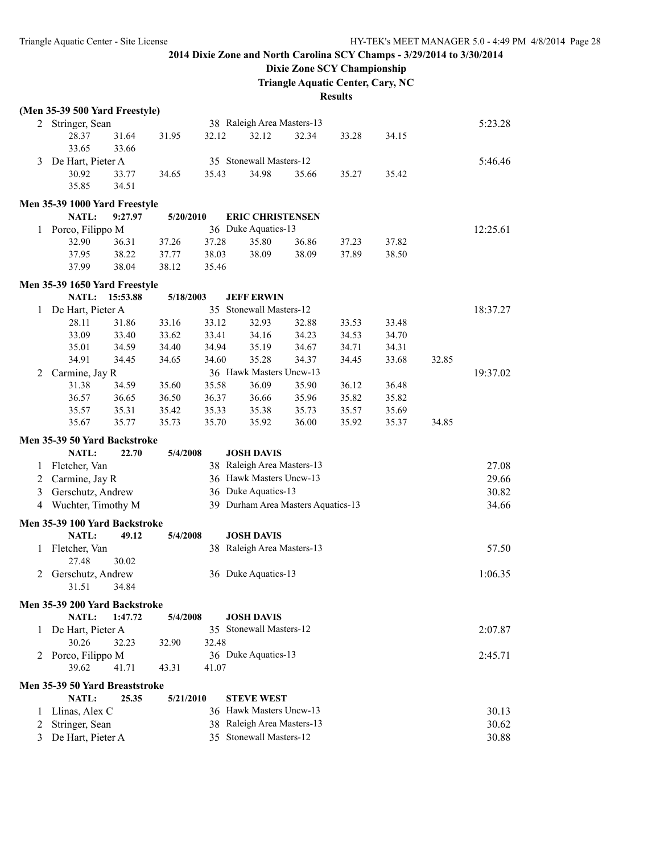## **Dixie Zone SCY Championship**

**Triangle Aquatic Center, Cary, NC**

|              | (Men 35-39 500 Yard Freestyle) |          |           |       |                                    |       |       |       |       |          |
|--------------|--------------------------------|----------|-----------|-------|------------------------------------|-------|-------|-------|-------|----------|
| 2            | Stringer, Sean                 |          |           |       | 38 Raleigh Area Masters-13         |       |       |       |       | 5:23.28  |
|              | 28.37                          | 31.64    | 31.95     | 32.12 | 32.12                              | 32.34 | 33.28 | 34.15 |       |          |
|              | 33.65                          | 33.66    |           |       |                                    |       |       |       |       |          |
| 3            | De Hart, Pieter A              |          |           |       | 35 Stonewall Masters-12            |       |       |       |       | 5:46.46  |
|              | 30.92                          | 33.77    | 34.65     | 35.43 | 34.98                              | 35.66 | 35.27 | 35.42 |       |          |
|              | 35.85                          | 34.51    |           |       |                                    |       |       |       |       |          |
|              | Men 35-39 1000 Yard Freestyle  |          |           |       |                                    |       |       |       |       |          |
|              | <b>NATL:</b>                   | 9:27.97  | 5/20/2010 |       | <b>ERIC CHRISTENSEN</b>            |       |       |       |       |          |
| 1            | Porco, Filippo M               |          |           |       | 36 Duke Aquatics-13                |       |       |       |       | 12:25.61 |
|              | 32.90                          | 36.31    | 37.26     | 37.28 | 35.80                              | 36.86 | 37.23 | 37.82 |       |          |
|              | 37.95                          | 38.22    | 37.77     | 38.03 | 38.09                              | 38.09 | 37.89 | 38.50 |       |          |
|              | 37.99                          | 38.04    | 38.12     | 35.46 |                                    |       |       |       |       |          |
|              | Men 35-39 1650 Yard Freestyle  |          |           |       |                                    |       |       |       |       |          |
|              | <b>NATL:</b>                   | 15:53.88 | 5/18/2003 |       | <b>JEFF ERWIN</b>                  |       |       |       |       |          |
| 1            | De Hart, Pieter A              |          |           |       | 35 Stonewall Masters-12            |       |       |       |       | 18:37.27 |
|              | 28.11                          | 31.86    | 33.16     | 33.12 | 32.93                              | 32.88 | 33.53 | 33.48 |       |          |
|              | 33.09                          | 33.40    | 33.62     | 33.41 | 34.16                              | 34.23 | 34.53 | 34.70 |       |          |
|              | 35.01                          | 34.59    | 34.40     | 34.94 | 35.19                              | 34.67 | 34.71 | 34.31 |       |          |
|              | 34.91                          | 34.45    | 34.65     | 34.60 | 35.28                              | 34.37 | 34.45 | 33.68 | 32.85 |          |
| 2            | Carmine, Jay R                 |          |           |       | 36 Hawk Masters Uncw-13            |       |       |       |       | 19:37.02 |
|              | 31.38                          | 34.59    | 35.60     | 35.58 | 36.09                              | 35.90 | 36.12 | 36.48 |       |          |
|              | 36.57                          | 36.65    | 36.50     | 36.37 | 36.66                              | 35.96 | 35.82 | 35.82 |       |          |
|              | 35.57                          | 35.31    | 35.42     | 35.33 | 35.38                              | 35.73 | 35.57 | 35.69 |       |          |
|              | 35.67                          | 35.77    | 35.73     | 35.70 | 35.92                              | 36.00 | 35.92 | 35.37 | 34.85 |          |
|              | Men 35-39 50 Yard Backstroke   |          |           |       |                                    |       |       |       |       |          |
|              | NATL:                          | 22.70    | 5/4/2008  |       | <b>JOSH DAVIS</b>                  |       |       |       |       |          |
| 1            | Fletcher, Van                  |          |           |       | 38 Raleigh Area Masters-13         |       |       |       |       | 27.08    |
| 2            | Carmine, Jay R                 |          |           |       | 36 Hawk Masters Uncw-13            |       |       |       |       | 29.66    |
| 3            | Gerschutz, Andrew              |          |           |       | 36 Duke Aquatics-13                |       |       |       |       | 30.82    |
| 4            | Wuchter, Timothy M             |          |           |       | 39 Durham Area Masters Aquatics-13 |       |       |       |       | 34.66    |
|              | Men 35-39 100 Yard Backstroke  |          |           |       |                                    |       |       |       |       |          |
|              | <b>NATL:</b>                   | 49.12    | 5/4/2008  |       | <b>JOSH DAVIS</b>                  |       |       |       |       |          |
| 1            | Fletcher, Van                  |          |           |       | 38 Raleigh Area Masters-13         |       |       |       |       | 57.50    |
|              | 27.48                          | 30.02    |           |       |                                    |       |       |       |       |          |
| 2            | Gerschutz, Andrew              |          |           |       | 36 Duke Aquatics-13                |       |       |       |       | 1:06.35  |
|              | 31.51                          | 34.84    |           |       |                                    |       |       |       |       |          |
|              | Men 35-39 200 Yard Backstroke  |          |           |       |                                    |       |       |       |       |          |
|              | NATL:                          | 1:47.72  | 5/4/2008  |       | <b>JOSH DAVIS</b>                  |       |       |       |       |          |
| $\mathbf{1}$ | De Hart, Pieter A              |          |           |       | 35 Stonewall Masters-12            |       |       |       |       | 2:07.87  |
|              | 30.26                          | 32.23    | 32.90     | 32.48 |                                    |       |       |       |       |          |
|              |                                |          |           |       | 36 Duke Aquatics-13                |       |       |       |       |          |
|              | 2 Porco, Filippo M<br>39.62    | 41.71    | 43.31     | 41.07 |                                    |       |       |       |       | 2:45.71  |
|              |                                |          |           |       |                                    |       |       |       |       |          |
|              | Men 35-39 50 Yard Breaststroke |          |           |       |                                    |       |       |       |       |          |
|              | NATL:                          | 25.35    | 5/21/2010 |       | <b>STEVE WEST</b>                  |       |       |       |       |          |
| 1            | Llinas, Alex C                 |          |           |       | 36 Hawk Masters Uncw-13            |       |       |       |       | 30.13    |
| 2            | Stringer, Sean                 |          |           |       | 38 Raleigh Area Masters-13         |       |       |       |       | 30.62    |
| 3            | De Hart, Pieter A              |          |           |       | 35 Stonewall Masters-12            |       |       |       |       | 30.88    |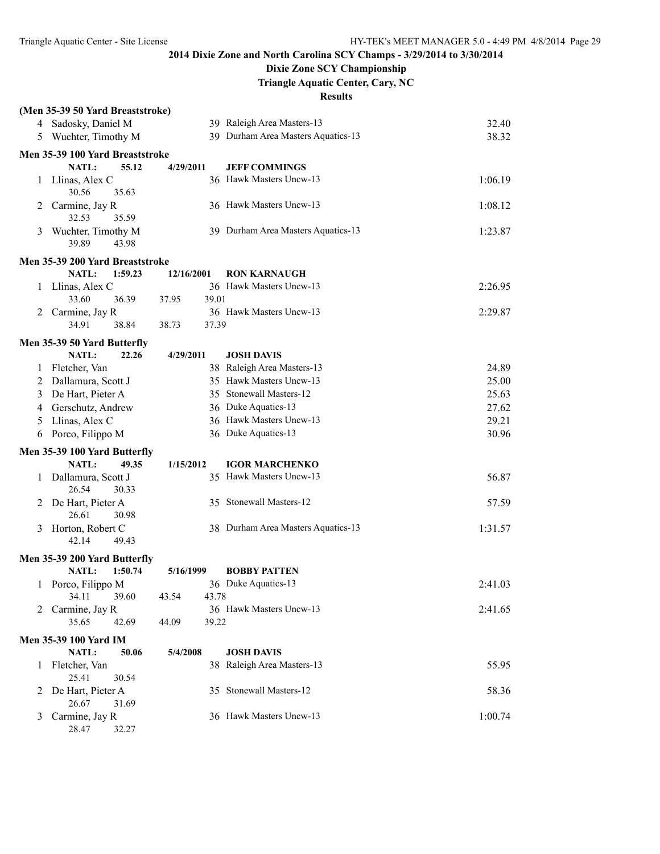## **Dixie Zone SCY Championship**

**Triangle Aquatic Center, Cary, NC**

|   | (Men 35-39 50 Yard Breaststroke)     |                |                                    |         |
|---|--------------------------------------|----------------|------------------------------------|---------|
|   | 4 Sadosky, Daniel M                  |                | 39 Raleigh Area Masters-13         | 32.40   |
| 5 | Wuchter, Timothy M                   |                | 39 Durham Area Masters Aquatics-13 | 38.32   |
|   | Men 35-39 100 Yard Breaststroke      |                |                                    |         |
|   | <b>NATL:</b><br>55.12                | 4/29/2011      | <b>JEFF COMMINGS</b>               |         |
|   | 1 Llinas, Alex C<br>30.56<br>35.63   |                | 36 Hawk Masters Uncw-13            | 1:06.19 |
| 2 | Carmine, Jay R<br>32.53<br>35.59     |                | 36 Hawk Masters Uncw-13            | 1:08.12 |
| 3 | Wuchter, Timothy M<br>39.89<br>43.98 |                | 39 Durham Area Masters Aquatics-13 | 1:23.87 |
|   | Men 35-39 200 Yard Breaststroke      |                |                                    |         |
|   | NATL:<br>1:59.23                     | 12/16/2001     | <b>RON KARNAUGH</b>                |         |
| 1 | Llinas, Alex C                       |                | 36 Hawk Masters Uncw-13            | 2:26.95 |
|   | 33.60<br>36.39                       | 37.95<br>39.01 |                                    |         |
| 2 | Carmine, Jay R                       |                | 36 Hawk Masters Uncw-13            | 2:29.87 |
|   | 38.84<br>34.91                       | 38.73<br>37.39 |                                    |         |
|   | Men 35-39 50 Yard Butterfly          |                |                                    |         |
|   | <b>NATL:</b><br>22.26                | 4/29/2011      | <b>JOSH DAVIS</b>                  |         |
| 1 | Fletcher, Van                        |                | 38 Raleigh Area Masters-13         | 24.89   |
| 2 | Dallamura, Scott J                   |                | 35 Hawk Masters Uncw-13            | 25.00   |
| 3 | De Hart, Pieter A                    |                | 35 Stonewall Masters-12            | 25.63   |
| 4 | Gerschutz, Andrew                    |                | 36 Duke Aquatics-13                | 27.62   |
| 5 | Llinas, Alex C                       |                | 36 Hawk Masters Uncw-13            | 29.21   |
| 6 | Porco, Filippo M                     |                | 36 Duke Aquatics-13                | 30.96   |
|   | Men 35-39 100 Yard Butterfly         |                |                                    |         |
|   | NATL:<br>49.35                       | 1/15/2012      | <b>IGOR MARCHENKO</b>              |         |
|   | 1 Dallamura, Scott J                 |                | 35 Hawk Masters Uncw-13            | 56.87   |
|   | 26.54<br>30.33                       |                |                                    |         |
| 2 | De Hart, Pieter A                    |                | 35 Stonewall Masters-12            | 57.59   |
|   | 26.61<br>30.98                       |                |                                    |         |
| 3 | Horton, Robert C                     |                | 38 Durham Area Masters Aquatics-13 | 1:31.57 |
|   | 42.14<br>49.43                       |                |                                    |         |
|   | Men 35-39 200 Yard Butterfly         |                |                                    |         |
|   | 1:50.74<br>NATL:                     | 5/16/1999      | <b>BOBBY PATTEN</b>                |         |
|   | 1 Porco, Filippo M                   |                | 36 Duke Aquatics-13                | 2:41.03 |
|   | 34.11<br>39.60                       | 43.78<br>43.54 |                                    |         |
| 2 | Carmine, Jay R                       |                | 36 Hawk Masters Uncw-13            | 2:41.65 |
|   | 35.65<br>42.69                       | 44.09<br>39.22 |                                    |         |
|   | <b>Men 35-39 100 Yard IM</b>         |                |                                    |         |
|   | NATL:<br>50.06                       | 5/4/2008       | <b>JOSH DAVIS</b>                  |         |
|   | 1 Fletcher, Van<br>25.41<br>30.54    |                | 38 Raleigh Area Masters-13         | 55.95   |
| 2 | De Hart, Pieter A<br>26.67<br>31.69  |                | 35 Stonewall Masters-12            | 58.36   |
| 3 | Carmine, Jay R<br>28.47<br>32.27     |                | 36 Hawk Masters Uncw-13            | 1:00.74 |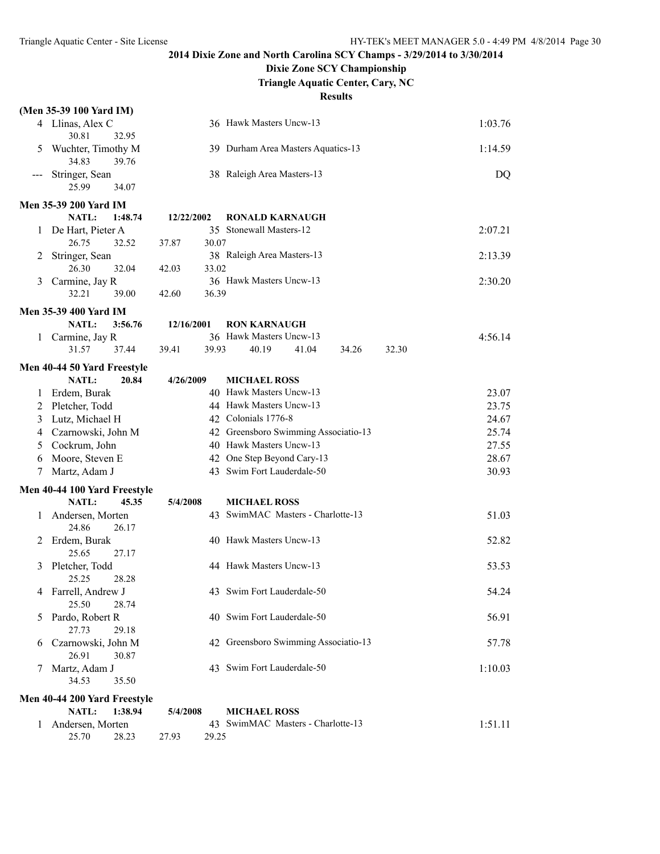## **Dixie Zone SCY Championship**

**Triangle Aquatic Center, Cary, NC**

|       | (Men 35-39 100 Yard IM)                          |                |                                      |         |
|-------|--------------------------------------------------|----------------|--------------------------------------|---------|
|       | 4 Llinas, Alex C                                 |                | 36 Hawk Masters Uncw-13              | 1:03.76 |
|       | 30.81<br>32.95                                   |                |                                      |         |
| 5     | Wuchter, Timothy M<br>34.83<br>39.76             |                | 39 Durham Area Masters Aquatics-13   | 1:14.59 |
| $---$ | Stringer, Sean                                   |                | 38 Raleigh Area Masters-13           | DQ      |
|       | 25.99<br>34.07                                   |                |                                      |         |
|       | <b>Men 35-39 200 Yard IM</b>                     |                |                                      |         |
|       | NATL:<br>1:48.74                                 | 12/22/2002     | <b>RONALD KARNAUGH</b>               |         |
| 1     | De Hart, Pieter A                                |                | 35 Stonewall Masters-12              | 2:07.21 |
|       | 26.75<br>32.52                                   | 37.87<br>30.07 |                                      |         |
| 2     | Stringer, Sean                                   |                | 38 Raleigh Area Masters-13           | 2:13.39 |
|       | 26.30<br>32.04                                   | 42.03<br>33.02 |                                      |         |
| 3     | Carmine, Jay R                                   |                | 36 Hawk Masters Uncw-13              | 2:30.20 |
|       | 32.21<br>39.00                                   | 42.60<br>36.39 |                                      |         |
|       |                                                  |                |                                      |         |
|       | <b>Men 35-39 400 Yard IM</b>                     |                |                                      |         |
|       | NATL:<br>3:56.76                                 | 12/16/2001     | <b>RON KARNAUGH</b>                  |         |
| 1     | Carmine, Jay R                                   |                | 36 Hawk Masters Uncw-13              | 4:56.14 |
|       | 31.57<br>37.44                                   | 39.41<br>39.93 | 40.19<br>41.04<br>34.26<br>32.30     |         |
|       | Men 40-44 50 Yard Freestyle                      |                |                                      |         |
|       | NATL:<br>20.84                                   | 4/26/2009      | <b>MICHAEL ROSS</b>                  |         |
| 1     | Erdem, Burak                                     |                | 40 Hawk Masters Uncw-13              | 23.07   |
| 2     | Pletcher, Todd                                   |                | 44 Hawk Masters Uncw-13              | 23.75   |
| 3     | Lutz, Michael H                                  |                | 42 Colonials 1776-8                  | 24.67   |
| 4     | Czarnowski, John M                               |                | 42 Greensboro Swimming Associatio-13 | 25.74   |
|       | Cockrum, John                                    |                | 40 Hawk Masters Uncw-13              |         |
| 5     |                                                  |                |                                      | 27.55   |
| 6     | Moore, Steven E                                  |                | 42 One Step Beyond Cary-13           | 28.67   |
| 7     | Martz, Adam J                                    |                | 43 Swim Fort Lauderdale-50           | 30.93   |
|       | Men 40-44 100 Yard Freestyle                     |                |                                      |         |
|       | <b>NATL:</b><br>45.35                            | 5/4/2008       | <b>MICHAEL ROSS</b>                  |         |
| 1     | Andersen, Morten                                 |                | 43 SwimMAC Masters - Charlotte-13    | 51.03   |
|       | 24.86<br>26.17                                   |                |                                      |         |
| 2     | Erdem, Burak                                     |                | 40 Hawk Masters Uncw-13              | 52.82   |
|       | 25.65<br>27.17                                   |                |                                      |         |
| 3     | Pletcher, Todd                                   |                | 44 Hawk Masters Uncw-13              | 53.53   |
|       | 25.25<br>28.28                                   |                |                                      |         |
| 4     | Farrell, Andrew J                                |                | 43 Swim Fort Lauderdale-50           | 54.24   |
|       | 25.50<br>28.74                                   |                |                                      |         |
| 5     | Pardo, Robert R                                  |                | 40 Swim Fort Lauderdale-50           | 56.91   |
|       | 27.73<br>29.18                                   |                |                                      |         |
| 6     | Czarnowski, John M                               |                | 42 Greensboro Swimming Associatio-13 | 57.78   |
|       | 26.91<br>30.87                                   |                |                                      |         |
| 7     | Martz, Adam J                                    |                | 43 Swim Fort Lauderdale-50           | 1:10.03 |
|       | 34.53<br>35.50                                   |                |                                      |         |
|       |                                                  |                |                                      |         |
|       | Men 40-44 200 Yard Freestyle<br>NATL:<br>1:38.94 | 5/4/2008       | <b>MICHAEL ROSS</b>                  |         |
|       |                                                  |                | 43 SwimMAC Masters - Charlotte-13    |         |
| 1     | Andersen, Morten<br>25.70                        |                |                                      | 1:51.11 |
|       | 28.23                                            | 27.93<br>29.25 |                                      |         |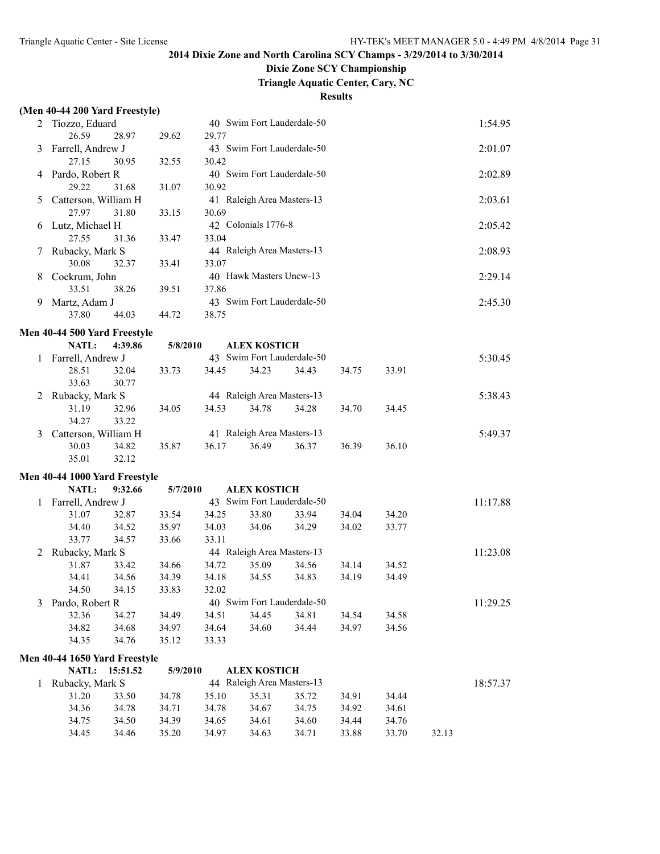# **Dixie Zone SCY Championship**

**Triangle Aquatic Center, Cary, NC**

|              | (Men 40-44 200 Yard Freestyle) |          |          |       |                            |       |       |       |       |          |
|--------------|--------------------------------|----------|----------|-------|----------------------------|-------|-------|-------|-------|----------|
|              | 2 Tiozzo, Eduard               |          |          |       | 40 Swim Fort Lauderdale-50 |       |       |       |       | 1:54.95  |
|              | 26.59                          | 28.97    | 29.62    | 29.77 |                            |       |       |       |       |          |
| 3            | Farrell, Andrew J              |          |          |       | 43 Swim Fort Lauderdale-50 |       |       |       |       | 2:01.07  |
|              | 27.15                          | 30.95    | 32.55    | 30.42 |                            |       |       |       |       |          |
|              | 4 Pardo, Robert R              |          |          |       | 40 Swim Fort Lauderdale-50 |       |       |       |       | 2:02.89  |
|              | 29.22                          | 31.68    | 31.07    | 30.92 |                            |       |       |       |       |          |
| 5            | Catterson, William H           |          |          |       | 41 Raleigh Area Masters-13 |       |       |       |       | 2:03.61  |
|              | 27.97                          | 31.80    | 33.15    | 30.69 |                            |       |       |       |       |          |
| 6            | Lutz, Michael H                |          |          |       | 42 Colonials 1776-8        |       |       |       |       | 2:05.42  |
|              | 27.55                          | 31.36    | 33.47    | 33.04 |                            |       |       |       |       |          |
| 7            | Rubacky, Mark S                |          |          |       | 44 Raleigh Area Masters-13 |       |       |       |       | 2:08.93  |
|              | 30.08                          | 32.37    | 33.41    | 33.07 |                            |       |       |       |       |          |
| 8            | Cockrum, John                  |          |          |       | 40 Hawk Masters Uncw-13    |       |       |       |       | 2:29.14  |
|              | 33.51                          | 38.26    | 39.51    | 37.86 |                            |       |       |       |       |          |
| 9            | Martz, Adam J                  |          |          |       | 43 Swim Fort Lauderdale-50 |       |       |       |       | 2:45.30  |
|              | 37.80                          | 44.03    | 44.72    | 38.75 |                            |       |       |       |       |          |
|              | Men 40-44 500 Yard Freestyle   |          |          |       |                            |       |       |       |       |          |
|              | NATL:                          | 4:39.86  | 5/8/2010 |       | <b>ALEX KOSTICH</b>        |       |       |       |       |          |
| $\mathbf{1}$ | Farrell, Andrew J              |          |          |       | 43 Swim Fort Lauderdale-50 |       |       |       |       | 5:30.45  |
|              | 28.51                          | 32.04    | 33.73    | 34.45 | 34.23                      | 34.43 | 34.75 | 33.91 |       |          |
|              | 33.63                          | 30.77    |          |       |                            |       |       |       |       |          |
| 2            | Rubacky, Mark S                |          |          |       | 44 Raleigh Area Masters-13 |       |       |       |       | 5:38.43  |
|              | 31.19                          | 32.96    | 34.05    | 34.53 | 34.78                      | 34.28 | 34.70 | 34.45 |       |          |
|              | 34.27                          | 33.22    |          |       |                            |       |       |       |       |          |
| 3            | Catterson, William H           |          |          |       | 41 Raleigh Area Masters-13 |       |       |       |       | 5:49.37  |
|              | 30.03                          | 34.82    | 35.87    | 36.17 | 36.49                      | 36.37 | 36.39 | 36.10 |       |          |
|              | 35.01                          | 32.12    |          |       |                            |       |       |       |       |          |
|              | Men 40-44 1000 Yard Freestyle  |          |          |       |                            |       |       |       |       |          |
|              | <b>NATL:</b>                   | 9:32.66  | 5/7/2010 |       | <b>ALEX KOSTICH</b>        |       |       |       |       |          |
| 1            | Farrell, Andrew J              |          |          |       | 43 Swim Fort Lauderdale-50 |       |       |       |       | 11:17.88 |
|              | 31.07                          | 32.87    | 33.54    | 34.25 | 33.80                      | 33.94 | 34.04 | 34.20 |       |          |
|              | 34.40                          | 34.52    | 35.97    | 34.03 | 34.06                      | 34.29 | 34.02 | 33.77 |       |          |
|              | 33.77                          | 34.57    | 33.66    | 33.11 |                            |       |       |       |       |          |
| 2            | Rubacky, Mark S                |          |          |       | 44 Raleigh Area Masters-13 |       |       |       |       | 11:23.08 |
|              | 31.87                          | 33.42    | 34.66    | 34.72 | 35.09                      | 34.56 | 34.14 | 34.52 |       |          |
|              | 34.41                          | 34.56    | 34.39    | 34.18 | 34.55                      | 34.83 | 34.19 | 34.49 |       |          |
|              | 34.50                          | 34.15    | 33.83    | 32.02 |                            |       |       |       |       |          |
| 3            | Pardo, Robert R                |          |          |       | 40 Swim Fort Lauderdale-50 |       |       |       |       | 11:29.25 |
|              | 32.36                          | 34.27    | 34.49    | 34.51 | 34.45                      | 34.81 | 34.54 | 34.58 |       |          |
|              | 34.82                          | 34.68    | 34.97    | 34.64 | 34.60                      | 34.44 | 34.97 | 34.56 |       |          |
|              | 34.35                          | 34.76    | 35.12    | 33.33 |                            |       |       |       |       |          |
|              | Men 40-44 1650 Yard Freestyle  |          |          |       |                            |       |       |       |       |          |
|              | NATL:                          | 15:51.52 | 5/9/2010 |       | <b>ALEX KOSTICH</b>        |       |       |       |       |          |
| 1            | Rubacky, Mark S                |          |          |       | 44 Raleigh Area Masters-13 |       |       |       |       | 18:57.37 |
|              | 31.20                          | 33.50    | 34.78    | 35.10 | 35.31                      | 35.72 | 34.91 | 34.44 |       |          |
|              | 34.36                          | 34.78    | 34.71    | 34.78 | 34.67                      | 34.75 | 34.92 | 34.61 |       |          |
|              | 34.75                          | 34.50    | 34.39    | 34.65 | 34.61                      | 34.60 | 34.44 | 34.76 |       |          |
|              | 34.45                          | 34.46    | 35.20    | 34.97 | 34.63                      | 34.71 | 33.88 | 33.70 | 32.13 |          |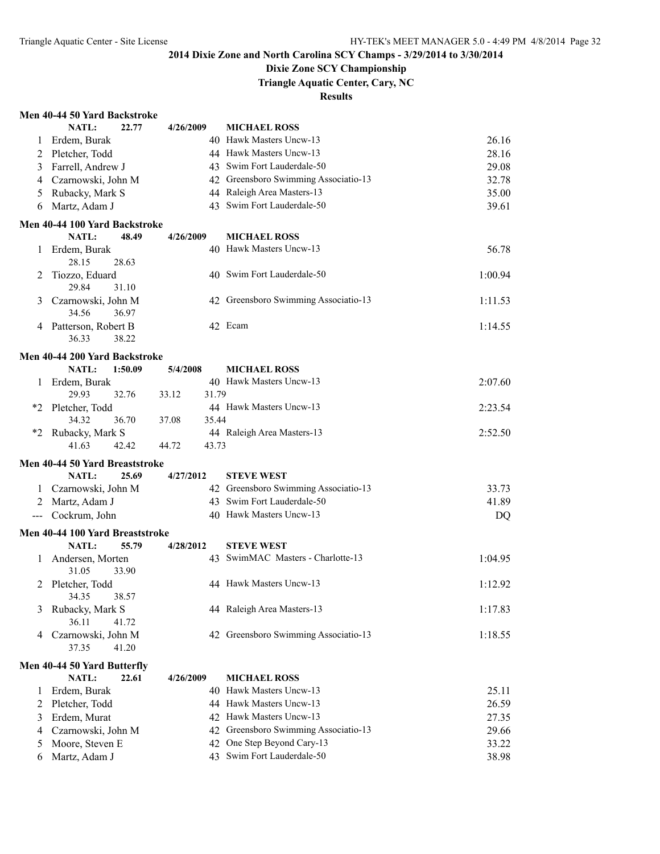### **Dixie Zone SCY Championship**

**Triangle Aquatic Center, Cary, NC**

#### **Results**

#### **Men 40-44 50 Yard Backstroke**

|                     | NATL:<br>22.77                                       | 4/26/2009      | <b>MICHAEL ROSS</b>                  |         |
|---------------------|------------------------------------------------------|----------------|--------------------------------------|---------|
| 1                   | Erdem, Burak                                         |                | 40 Hawk Masters Uncw-13              | 26.16   |
| 2                   | Pletcher, Todd                                       |                | 44 Hawk Masters Uncw-13              | 28.16   |
| 3                   | Farrell, Andrew J                                    |                | 43 Swim Fort Lauderdale-50           | 29.08   |
| 4                   | Czarnowski, John M                                   |                | 42 Greensboro Swimming Associatio-13 | 32.78   |
| 5                   | Rubacky, Mark S                                      |                | 44 Raleigh Area Masters-13           | 35.00   |
| 6                   | Martz, Adam J                                        |                | 43 Swim Fort Lauderdale-50           | 39.61   |
|                     |                                                      |                |                                      |         |
|                     | Men 40-44 100 Yard Backstroke                        |                | <b>MICHAEL ROSS</b>                  |         |
|                     | <b>NATL:</b><br>48.49                                | 4/26/2009      | 40 Hawk Masters Uncw-13              |         |
| 1                   | Erdem, Burak<br>28.15<br>28.63                       |                |                                      | 56.78   |
|                     |                                                      |                | 40 Swim Fort Lauderdale-50           |         |
| 2                   | Tiozzo, Eduard<br>29.84<br>31.10                     |                |                                      | 1:00.94 |
|                     |                                                      |                | 42 Greensboro Swimming Associatio-13 |         |
| 3                   | Czarnowski, John M                                   |                |                                      | 1:11.53 |
|                     | 34.56<br>36.97                                       |                | 42 Ecam                              |         |
| 4                   | Patterson, Robert B<br>36.33<br>38.22                |                |                                      | 1:14.55 |
|                     |                                                      |                |                                      |         |
|                     | Men 40-44 200 Yard Backstroke                        |                |                                      |         |
|                     | <b>NATL:</b><br>1:50.09                              | 5/4/2008       | <b>MICHAEL ROSS</b>                  |         |
| 1                   | Erdem, Burak                                         |                | 40 Hawk Masters Uncw-13              | 2:07.60 |
|                     | 29.93<br>32.76                                       | 33.12<br>31.79 |                                      |         |
| *2                  | Pletcher, Todd                                       |                | 44 Hawk Masters Uncw-13              | 2:23.54 |
|                     | 34.32<br>36.70                                       | 37.08<br>35.44 |                                      |         |
| $*_{2}$             | Rubacky, Mark S                                      |                | 44 Raleigh Area Masters-13           | 2:52.50 |
|                     | 41.63<br>42.42                                       | 43.73<br>44.72 |                                      |         |
|                     | Men 40-44 50 Yard Breaststroke                       |                |                                      |         |
|                     | <b>NATL:</b><br>25.69                                | 4/27/2012      | <b>STEVE WEST</b>                    |         |
| 1.                  | Czarnowski, John M                                   |                | 42 Greensboro Swimming Associatio-13 | 33.73   |
| 2                   | Martz, Adam J                                        |                | 43 Swim Fort Lauderdale-50           | 41.89   |
| $\qquad \qquad - -$ | Cockrum, John                                        |                | 40 Hawk Masters Uncw-13              | DQ      |
|                     | Men 40-44 100 Yard Breaststroke                      |                |                                      |         |
|                     | NATL:<br>55.79                                       | 4/28/2012      | <b>STEVE WEST</b>                    |         |
| 1                   | Andersen, Morten                                     |                | 43 SwimMAC Masters - Charlotte-13    | 1:04.95 |
|                     | 31.05<br>33.90                                       |                |                                      |         |
| 2                   | Pletcher, Todd                                       |                | 44 Hawk Masters Uncw-13              | 1:12.92 |
|                     | 34.35<br>38.57                                       |                |                                      |         |
| 3                   | Rubacky, Mark S                                      |                | 44 Raleigh Area Masters-13           | 1:17.83 |
|                     | 36.11<br>41.72                                       |                |                                      |         |
| 4                   | Czarnowski, John M                                   | 42             | Greensboro Swimming Associatio-13    | 1:18.55 |
|                     | 37.35<br>41.20                                       |                |                                      |         |
|                     |                                                      |                |                                      |         |
|                     | Men 40-44 50 Yard Butterfly<br><b>NATL:</b><br>22.61 | 4/26/2009      | <b>MICHAEL ROSS</b>                  |         |
| $\perp$             | Erdem, Burak                                         | 40             | Hawk Masters Uncw-13                 | 25.11   |
| 2                   | Pletcher, Todd                                       |                | 44 Hawk Masters Uncw-13              | 26.59   |
| 3                   | Erdem, Murat                                         |                | 42 Hawk Masters Uncw-13              | 27.35   |
|                     | Czarnowski, John M                                   | 42             | Greensboro Swimming Associatio-13    | 29.66   |
| 4                   | Moore, Steven E                                      | 42             | One Step Beyond Cary-13              | 33.22   |
| 5                   | Martz, Adam J                                        |                | 43 Swim Fort Lauderdale-50           | 38.98   |
| 6                   |                                                      |                |                                      |         |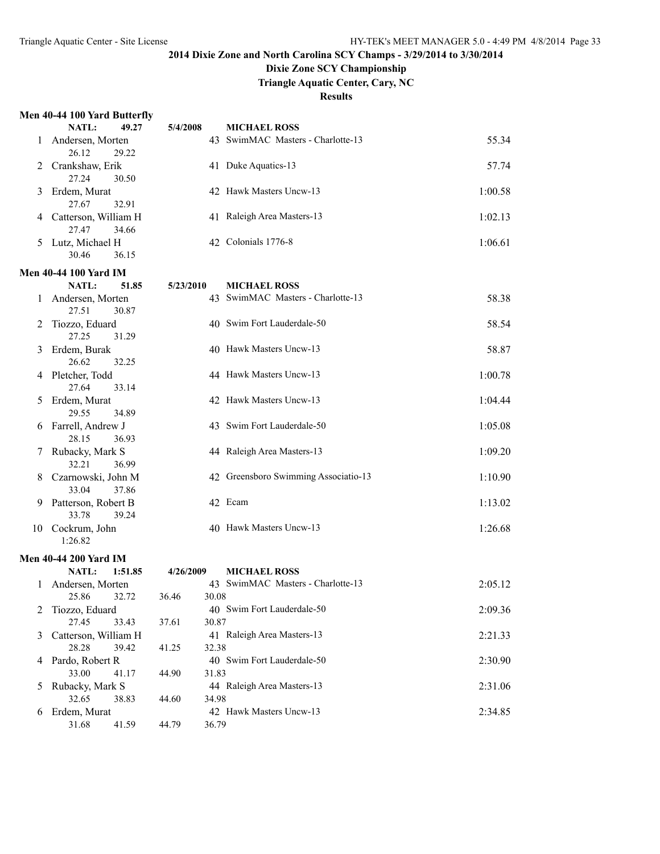### **Dixie Zone SCY Championship**

**Triangle Aquatic Center, Cary, NC**

#### **Results**

#### **Men 40-44 100 Yard Butterfly**

|              | NATL:<br>49.27                     | 5/4/2008       | <b>MICHAEL ROSS</b>                                      |         |
|--------------|------------------------------------|----------------|----------------------------------------------------------|---------|
| $\mathbf{I}$ | Andersen, Morten                   |                | 43 SwimMAC Masters - Charlotte-13                        | 55.34   |
|              | 26.12<br>29.22                     |                |                                                          |         |
|              | Crankshaw, Erik                    |                | 41 Duke Aquatics-13                                      | 57.74   |
|              | 27.24<br>30.50                     |                |                                                          |         |
| 3            | Erdem, Murat                       |                | 42 Hawk Masters Uncw-13                                  | 1:00.58 |
|              | 27.67<br>32.91                     |                |                                                          |         |
|              | Catterson, William H               |                | 41 Raleigh Area Masters-13                               | 1:02.13 |
|              | 27.47<br>34.66<br>Lutz, Michael H  |                | 42 Colonials 1776-8                                      | 1:06.61 |
| 5            | 30.46<br>36.15                     |                |                                                          |         |
|              |                                    |                |                                                          |         |
|              | <b>Men 40-44 100 Yard IM</b>       |                |                                                          |         |
|              | 51.85<br><b>NATL:</b>              | 5/23/2010      | <b>MICHAEL ROSS</b>                                      |         |
| 1            | Andersen, Morten<br>27.51<br>30.87 |                | 43 SwimMAC Masters - Charlotte-13                        | 58.38   |
| 2            | Tiozzo, Eduard                     |                | 40 Swim Fort Lauderdale-50                               | 58.54   |
|              | 27.25<br>31.29                     |                |                                                          |         |
| 3            | Erdem, Burak                       |                | 40 Hawk Masters Uncw-13                                  | 58.87   |
|              | 26.62<br>32.25                     |                |                                                          |         |
| 4            | Pletcher, Todd                     |                | 44 Hawk Masters Uncw-13                                  | 1:00.78 |
|              | 27.64<br>33.14                     |                |                                                          |         |
| 5            | Erdem, Murat                       |                | 42 Hawk Masters Uncw-13                                  | 1:04.44 |
|              | 29.55<br>34.89                     |                |                                                          |         |
| 6            | Farrell, Andrew J                  |                | 43 Swim Fort Lauderdale-50                               | 1:05.08 |
|              | 28.15<br>36.93                     |                |                                                          |         |
| 7            | Rubacky, Mark S                    |                | 44 Raleigh Area Masters-13                               | 1:09.20 |
|              | 32.21<br>36.99                     |                |                                                          |         |
| 8            | Czarnowski, John M                 |                | 42 Greensboro Swimming Associatio-13                     | 1:10.90 |
|              | 33.04<br>37.86                     |                |                                                          |         |
| 9            | Patterson, Robert B                |                | 42 Ecam                                                  | 1:13.02 |
|              | 33.78<br>39.24                     |                | 40 Hawk Masters Uncw-13                                  |         |
| 10           | Cockrum, John<br>1:26.82           |                |                                                          | 1:26.68 |
|              |                                    |                |                                                          |         |
|              | <b>Men 40-44 200 Yard IM</b>       |                |                                                          |         |
|              | NATL:<br>1:51.85                   | 4/26/2009      | <b>MICHAEL ROSS</b><br>43 SwimMAC Masters - Charlotte-13 |         |
| 1            | Andersen, Morten<br>25.86<br>32.72 | 36.46<br>30.08 |                                                          | 2:05.12 |
|              | Tiozzo, Eduard                     |                | 40 Swim Fort Lauderdale-50                               | 2:09.36 |
|              | 27.45<br>33.43                     | 30.87<br>37.61 |                                                          |         |
| 3            | Catterson, William H               |                | 41 Raleigh Area Masters-13                               | 2:21.33 |
|              | 28.28<br>39.42                     | 32.38<br>41.25 |                                                          |         |
| 4            | Pardo, Robert R                    |                | 40 Swim Fort Lauderdale-50                               | 2:30.90 |
|              | 33.00<br>41.17                     | 44.90<br>31.83 |                                                          |         |
| 5            | Rubacky, Mark S                    |                | 44 Raleigh Area Masters-13                               | 2:31.06 |
|              | 32.65<br>38.83                     | 34.98<br>44.60 |                                                          |         |
| 6            | Erdem, Murat                       |                | 42 Hawk Masters Uncw-13                                  | 2:34.85 |
|              | 31.68<br>41.59                     | 36.79<br>44.79 |                                                          |         |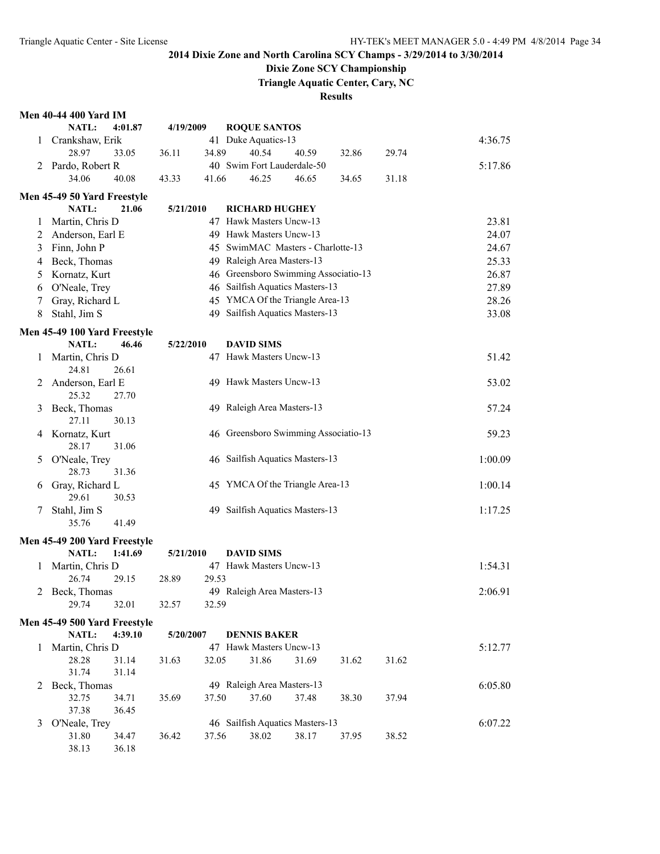### **Dixie Zone SCY Championship**

**Triangle Aquatic Center, Cary, NC**

| <b>Men 40-44 400 Yard IM</b> |       |               |
|------------------------------|-------|---------------|
|                              | NATL: | $4:0^{\circ}$ |

|              | <b>NATL:</b>                 | 4:01.87        | 4/19/2009 |       | <b>ROQUE SANTOS</b>                  |       |       |       |         |
|--------------|------------------------------|----------------|-----------|-------|--------------------------------------|-------|-------|-------|---------|
| 1            | Crankshaw, Erik              |                |           |       | 41 Duke Aquatics-13                  |       |       |       | 4:36.75 |
|              | 28.97                        | 33.05          | 36.11     | 34.89 | 40.54                                | 40.59 | 32.86 | 29.74 |         |
|              | 2 Pardo, Robert R            |                |           |       | 40 Swim Fort Lauderdale-50           |       |       |       | 5:17.86 |
|              | 34.06                        | 40.08          | 43.33     | 41.66 | 46.25                                | 46.65 | 34.65 | 31.18 |         |
|              | Men 45-49 50 Yard Freestyle  |                |           |       |                                      |       |       |       |         |
|              | NATL:                        | 21.06          | 5/21/2010 |       | <b>RICHARD HUGHEY</b>                |       |       |       |         |
| 1            | Martin, Chris D              |                |           |       | 47 Hawk Masters Uncw-13              |       |       |       | 23.81   |
| 2            | Anderson, Earl E             |                |           |       | 49 Hawk Masters Uncw-13              |       |       |       | 24.07   |
| 3            | Finn, John P                 |                |           |       | 45 SwimMAC Masters - Charlotte-13    |       |       |       | 24.67   |
| 4            | Beck, Thomas                 |                |           |       | 49 Raleigh Area Masters-13           |       |       |       | 25.33   |
| 5            | Kornatz, Kurt                |                |           |       | 46 Greensboro Swimming Associatio-13 |       |       |       | 26.87   |
| 6            | O'Neale, Trey                |                |           |       | 46 Sailfish Aquatics Masters-13      |       |       |       | 27.89   |
| 7            | Gray, Richard L              |                |           |       | 45 YMCA Of the Triangle Area-13      |       |       |       | 28.26   |
| 8            | Stahl, Jim S                 |                |           |       | 49 Sailfish Aquatics Masters-13      |       |       |       | 33.08   |
|              | Men 45-49 100 Yard Freestyle |                |           |       |                                      |       |       |       |         |
|              | NATL:                        | 46.46          | 5/22/2010 |       | <b>DAVID SIMS</b>                    |       |       |       |         |
| 1            | Martin, Chris D              |                |           |       | 47 Hawk Masters Uncw-13              |       |       |       | 51.42   |
|              | 24.81                        | 26.61          |           |       |                                      |       |       |       |         |
| 2            | Anderson, Earl E             |                |           |       | 49 Hawk Masters Uncw-13              |       |       |       | 53.02   |
|              | 25.32                        | 27.70          |           |       |                                      |       |       |       |         |
| 3            | Beck, Thomas                 |                |           |       | 49 Raleigh Area Masters-13           |       |       |       | 57.24   |
|              | 27.11                        | 30.13          |           |       | 46 Greensboro Swimming Associatio-13 |       |       |       |         |
| 4            | Kornatz, Kurt<br>28.17       | 31.06          |           |       |                                      |       |       |       | 59.23   |
| 5            | O'Neale, Trey                |                |           |       | 46 Sailfish Aquatics Masters-13      |       |       |       | 1:00.09 |
|              | 28.73                        | 31.36          |           |       |                                      |       |       |       |         |
| 6            | Gray, Richard L              |                |           |       | 45 YMCA Of the Triangle Area-13      |       |       |       | 1:00.14 |
|              | 29.61                        | 30.53          |           |       |                                      |       |       |       |         |
| 7            | Stahl, Jim S                 |                |           |       | 49 Sailfish Aquatics Masters-13      |       |       |       | 1:17.25 |
|              | 35.76                        | 41.49          |           |       |                                      |       |       |       |         |
|              | Men 45-49 200 Yard Freestyle |                |           |       |                                      |       |       |       |         |
|              | <b>NATL:</b>                 | 1:41.69        | 5/21/2010 |       | <b>DAVID SIMS</b>                    |       |       |       |         |
| 1            | Martin, Chris D              |                |           |       | 47 Hawk Masters Uncw-13              |       |       |       | 1:54.31 |
|              | 26.74                        | 29.15          | 28.89     | 29.53 |                                      |       |       |       |         |
| 2            | Beck, Thomas                 |                |           |       | 49 Raleigh Area Masters-13           |       |       |       | 2:06.91 |
|              | 29.74                        | 32.01          | 32.57     | 32.59 |                                      |       |       |       |         |
|              | Men 45-49 500 Yard Freestyle |                |           |       |                                      |       |       |       |         |
|              | NATL:                        | 4:39.10        | 5/20/2007 |       | <b>DENNIS BAKER</b>                  |       |       |       |         |
| $\mathbf{1}$ | Martin, Chris D              |                |           |       | 47 Hawk Masters Uncw-13              |       |       |       | 5:12.77 |
|              | 28.28                        | 31.14          | 31.63     | 32.05 | 31.86                                | 31.69 | 31.62 | 31.62 |         |
|              | 31.74                        | 31.14          |           |       |                                      |       |       |       |         |
| 2            | Beck, Thomas                 |                |           |       | 49 Raleigh Area Masters-13           |       |       |       | 6:05.80 |
|              | 32.75                        | 34.71          | 35.69     | 37.50 | 37.60                                | 37.48 | 38.30 | 37.94 |         |
|              | 37.38                        | 36.45          |           |       |                                      |       |       |       |         |
| 3            | O'Neale, Trey                |                |           |       | 46 Sailfish Aquatics Masters-13      |       |       |       | 6:07.22 |
|              | 31.80<br>38.13               | 34.47<br>36.18 | 36.42     | 37.56 | 38.02                                | 38.17 | 37.95 | 38.52 |         |
|              |                              |                |           |       |                                      |       |       |       |         |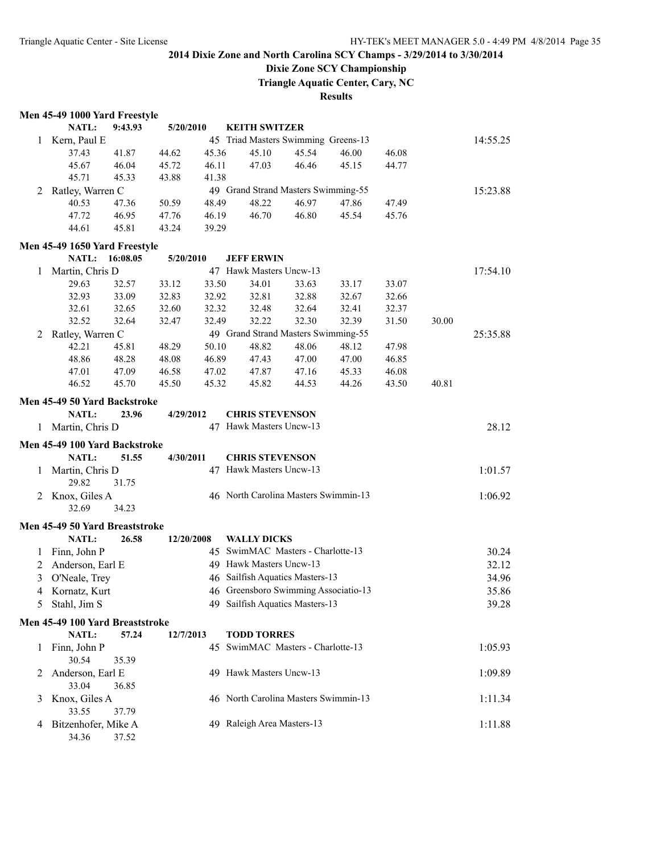## **Dixie Zone SCY Championship**

**Triangle Aquatic Center, Cary, NC**

|   | Men 45-49 1000 Yard Freestyle   |                |            |       |                                      |       |       |       |       |          |
|---|---------------------------------|----------------|------------|-------|--------------------------------------|-------|-------|-------|-------|----------|
|   | NATL:                           | 9:43.93        | 5/20/2010  |       | <b>KEITH SWITZER</b>                 |       |       |       |       |          |
| 1 | Kern, Paul E                    |                |            |       | 45 Triad Masters Swimming Greens-13  |       |       |       |       | 14:55.25 |
|   | 37.43                           | 41.87          | 44.62      | 45.36 | 45.10                                | 45.54 | 46.00 | 46.08 |       |          |
|   | 45.67                           | 46.04          | 45.72      | 46.11 | 47.03                                | 46.46 | 45.15 | 44.77 |       |          |
|   | 45.71                           | 45.33          | 43.88      | 41.38 |                                      |       |       |       |       |          |
| 2 | Ratley, Warren C                |                |            |       | 49 Grand Strand Masters Swimming-55  |       |       |       |       | 15:23.88 |
|   | 40.53                           | 47.36          | 50.59      | 48.49 | 48.22                                | 46.97 | 47.86 | 47.49 |       |          |
|   | 47.72                           | 46.95          | 47.76      | 46.19 | 46.70                                | 46.80 | 45.54 | 45.76 |       |          |
|   | 44.61                           | 45.81          | 43.24      | 39.29 |                                      |       |       |       |       |          |
|   |                                 |                |            |       |                                      |       |       |       |       |          |
|   | Men 45-49 1650 Yard Freestyle   | NATL: 16:08.05 |            |       |                                      |       |       |       |       |          |
|   |                                 |                | 5/20/2010  |       | <b>JEFF ERWIN</b>                    |       |       |       |       |          |
| 1 | Martin, Chris D                 |                |            |       | 47 Hawk Masters Uncw-13              |       |       |       |       | 17:54.10 |
|   | 29.63                           | 32.57          | 33.12      | 33.50 | 34.01                                | 33.63 | 33.17 | 33.07 |       |          |
|   | 32.93                           | 33.09          | 32.83      | 32.92 | 32.81                                | 32.88 | 32.67 | 32.66 |       |          |
|   | 32.61                           | 32.65          | 32.60      | 32.32 | 32.48                                | 32.64 | 32.41 | 32.37 |       |          |
|   | 32.52                           | 32.64          | 32.47      | 32.49 | 32.22                                | 32.30 | 32.39 | 31.50 | 30.00 |          |
| 2 | Ratley, Warren C                |                |            |       | 49 Grand Strand Masters Swimming-55  |       |       |       |       | 25:35.88 |
|   | 42.21                           | 45.81          | 48.29      | 50.10 | 48.82                                | 48.06 | 48.12 | 47.98 |       |          |
|   | 48.86                           | 48.28          | 48.08      | 46.89 | 47.43                                | 47.00 | 47.00 | 46.85 |       |          |
|   | 47.01                           | 47.09          | 46.58      | 47.02 | 47.87                                | 47.16 | 45.33 | 46.08 |       |          |
|   | 46.52                           | 45.70          | 45.50      | 45.32 | 45.82                                | 44.53 | 44.26 | 43.50 | 40.81 |          |
|   | Men 45-49 50 Yard Backstroke    |                |            |       |                                      |       |       |       |       |          |
|   | <b>NATL:</b>                    | 23.96          | 4/29/2012  |       | <b>CHRIS STEVENSON</b>               |       |       |       |       |          |
| 1 | Martin, Chris D                 |                |            |       | 47 Hawk Masters Uncw-13              |       |       |       |       | 28.12    |
|   |                                 |                |            |       |                                      |       |       |       |       |          |
|   | Men 45-49 100 Yard Backstroke   |                |            |       |                                      |       |       |       |       |          |
|   | NATL:                           | 51.55          | 4/30/2011  |       | <b>CHRIS STEVENSON</b>               |       |       |       |       |          |
| 1 | Martin, Chris D                 |                |            |       | 47 Hawk Masters Uncw-13              |       |       |       |       | 1:01.57  |
|   | 29.82                           | 31.75          |            |       |                                      |       |       |       |       |          |
| 2 | Knox, Giles A                   |                |            |       | 46 North Carolina Masters Swimmin-13 |       |       |       |       | 1:06.92  |
|   | 32.69                           | 34.23          |            |       |                                      |       |       |       |       |          |
|   | Men 45-49 50 Yard Breaststroke  |                |            |       |                                      |       |       |       |       |          |
|   | NATL:                           | 26.58          | 12/20/2008 |       | <b>WALLY DICKS</b>                   |       |       |       |       |          |
| 1 | Finn, John P                    |                |            |       | 45 SwimMAC Masters - Charlotte-13    |       |       |       |       | 30.24    |
| 2 | Anderson, Earl E                |                |            |       | 49 Hawk Masters Uncw-13              |       |       |       |       | 32.12    |
| 3 | O'Neale, Trey                   |                |            |       | 46 Sailfish Aquatics Masters-13      |       |       |       |       | 34.96    |
|   | 4 Kornatz, Kurt                 |                |            |       | 46 Greensboro Swimming Associatio-13 |       |       |       |       | 35.86    |
|   | Stahl, Jim S                    |                |            |       | 49 Sailfish Aquatics Masters-13      |       |       |       |       | 39.28    |
| 5 |                                 |                |            |       |                                      |       |       |       |       |          |
|   | Men 45-49 100 Yard Breaststroke |                |            |       |                                      |       |       |       |       |          |
|   | NATL:                           | 57.24          | 12/7/2013  |       | <b>TODD TORRES</b>                   |       |       |       |       |          |
| 1 | Finn, John P                    |                |            |       | 45 SwimMAC Masters - Charlotte-13    |       |       |       |       | 1:05.93  |
|   | 30.54                           | 35.39          |            |       |                                      |       |       |       |       |          |
| 2 | Anderson, Earl E                |                |            |       | 49 Hawk Masters Uncw-13              |       |       |       |       | 1:09.89  |
|   | 33.04                           | 36.85          |            |       |                                      |       |       |       |       |          |
| 3 | Knox, Giles A                   |                |            |       | 46 North Carolina Masters Swimmin-13 |       |       |       |       | 1:11.34  |
|   | 33.55                           | 37.79          |            |       |                                      |       |       |       |       |          |
| 4 | Bitzenhofer, Mike A             |                |            |       | 49 Raleigh Area Masters-13           |       |       |       |       | 1:11.88  |
|   | 34.36                           | 37.52          |            |       |                                      |       |       |       |       |          |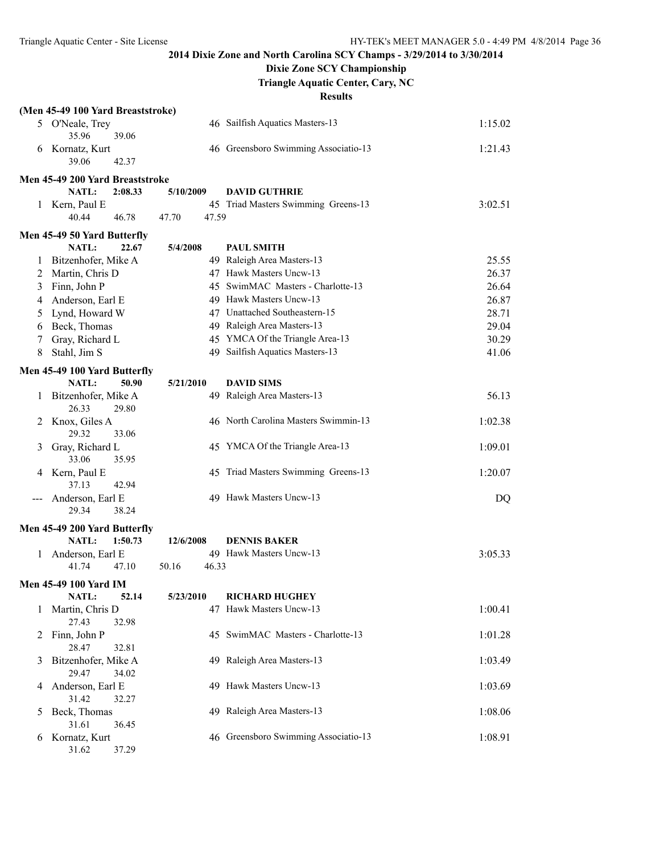## **Dixie Zone SCY Championship**

**Triangle Aquatic Center, Cary, NC**

|              | (Men 45-49 100 Yard Breaststroke)  |                |                                      |         |
|--------------|------------------------------------|----------------|--------------------------------------|---------|
|              | 5 O'Neale, Trey                    |                | 46 Sailfish Aquatics Masters-13      | 1:15.02 |
|              | 35.96<br>39.06                     |                |                                      |         |
| 6            | Kornatz, Kurt                      |                | 46 Greensboro Swimming Associatio-13 | 1:21.43 |
|              | 39.06<br>42.37                     |                |                                      |         |
|              | Men 45-49 200 Yard Breaststroke    |                |                                      |         |
|              | NATL:<br>2:08.33                   | 5/10/2009      | <b>DAVID GUTHRIE</b>                 |         |
|              | 1 Kern, Paul E                     |                | 45 Triad Masters Swimming Greens-13  | 3:02.51 |
|              | 40.44<br>46.78                     | 47.70<br>47.59 |                                      |         |
|              | Men 45-49 50 Yard Butterfly        |                |                                      |         |
|              | <b>NATL:</b><br>22.67              | 5/4/2008       | <b>PAUL SMITH</b>                    |         |
|              | Bitzenhofer, Mike A                |                | 49 Raleigh Area Masters-13           | 25.55   |
| 2            | Martin, Chris D                    |                | 47 Hawk Masters Uncw-13              | 26.37   |
| 3            | Finn, John P                       |                | 45 SwimMAC Masters - Charlotte-13    | 26.64   |
| 4            | Anderson, Earl E                   |                | 49 Hawk Masters Uncw-13              | 26.87   |
| 5            | Lynd, Howard W                     |                | 47 Unattached Southeastern-15        | 28.71   |
| 6            | Beck, Thomas                       |                | 49 Raleigh Area Masters-13           | 29.04   |
| 7            | Gray, Richard L                    |                | 45 YMCA Of the Triangle Area-13      | 30.29   |
| 8            | Stahl, Jim S                       |                | 49 Sailfish Aquatics Masters-13      | 41.06   |
|              | Men 45-49 100 Yard Butterfly       |                |                                      |         |
|              | NATL:<br>50.90                     | 5/21/2010      | <b>DAVID SIMS</b>                    |         |
| 1            | Bitzenhofer, Mike A                |                | 49 Raleigh Area Masters-13           | 56.13   |
|              | 26.33<br>29.80                     |                |                                      |         |
| 2            | Knox, Giles A                      |                | 46 North Carolina Masters Swimmin-13 | 1:02.38 |
|              | 29.32<br>33.06                     |                |                                      |         |
| 3            | Gray, Richard L                    |                | 45 YMCA Of the Triangle Area-13      | 1:09.01 |
|              | 33.06<br>35.95                     |                |                                      |         |
| 4            | Kern, Paul E                       |                | 45 Triad Masters Swimming Greens-13  | 1:20.07 |
|              | 37.13<br>42.94                     |                | 49 Hawk Masters Uncw-13              |         |
|              | Anderson, Earl E<br>29.34<br>38.24 |                |                                      | DQ      |
|              |                                    |                |                                      |         |
|              | Men 45-49 200 Yard Butterfly       |                |                                      |         |
|              | <b>NATL:</b><br>1:50.73            | 12/6/2008      | <b>DENNIS BAKER</b>                  |         |
| 1            | Anderson, Earl E<br>47.10<br>41.74 | 46.33<br>50.16 | 49 Hawk Masters Uncw-13              | 3:05.33 |
|              |                                    |                |                                      |         |
|              | <b>Men 45-49 100 Yard IM</b>       |                |                                      |         |
|              | <b>NATL:</b><br>52.14              | 5/23/2010      | <b>RICHARD HUGHEY</b>                |         |
| $\mathbf{I}$ | Martin, Chris D                    |                | 47 Hawk Masters Uncw-13              | 1:00.41 |
|              | 27.43<br>32.98                     |                | 45 SwimMAC Masters - Charlotte-13    | 1:01.28 |
| 2            | Finn, John P<br>28.47<br>32.81     |                |                                      |         |
| 3            | Bitzenhofer, Mike A                |                | 49 Raleigh Area Masters-13           | 1:03.49 |
|              | 29.47<br>34.02                     |                |                                      |         |
| 4            | Anderson, Earl E                   |                | 49 Hawk Masters Uncw-13              | 1:03.69 |
|              | 31.42<br>32.27                     |                |                                      |         |
| 5            | Beck, Thomas                       |                | 49 Raleigh Area Masters-13           | 1:08.06 |
|              | 31.61<br>36.45                     |                |                                      |         |
| 6            | Kornatz, Kurt                      |                | 46 Greensboro Swimming Associatio-13 | 1:08.91 |
|              | 31.62<br>37.29                     |                |                                      |         |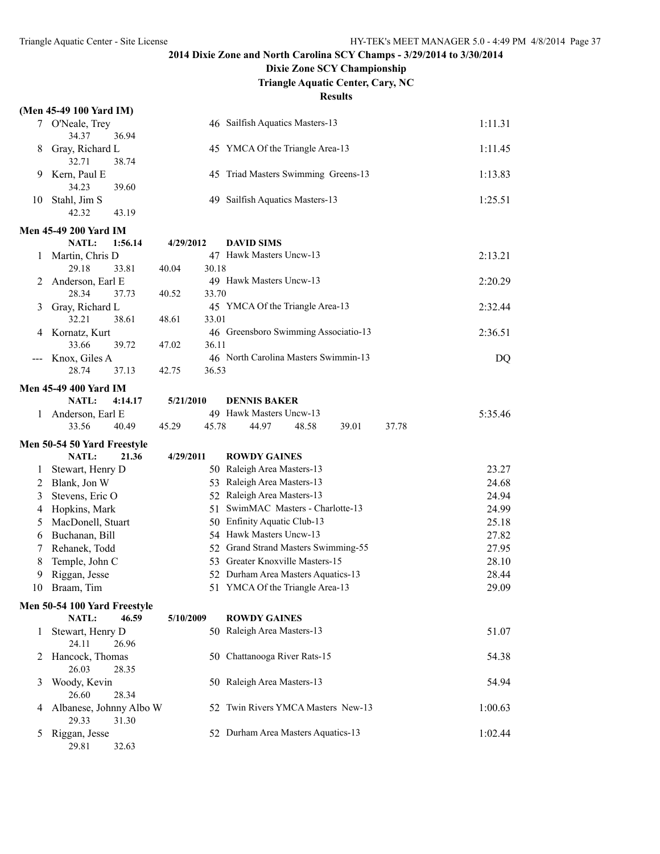### **Dixie Zone SCY Championship**

**Triangle Aquatic Center, Cary, NC**

| (Men 45-49 100 Yard IM) |  |  |
|-------------------------|--|--|

|       | (Men 45-49 100 Yard IM)            |                |                                      |         |
|-------|------------------------------------|----------------|--------------------------------------|---------|
|       | 7 O'Neale, Trey                    |                | 46 Sailfish Aquatics Masters-13      | 1:11.31 |
|       | 34.37<br>36.94                     |                |                                      |         |
| 8     | Gray, Richard L                    |                | 45 YMCA Of the Triangle Area-13      | 1:11.45 |
|       | 38.74<br>32.71                     |                |                                      |         |
| 9     | Kern, Paul E                       |                | 45 Triad Masters Swimming Greens-13  | 1:13.83 |
|       | 34.23<br>39.60                     |                |                                      |         |
| 10    | Stahl, Jim S                       |                | 49 Sailfish Aquatics Masters-13      | 1:25.51 |
|       | 42.32<br>43.19                     |                |                                      |         |
|       | <b>Men 45-49 200 Yard IM</b>       |                |                                      |         |
|       | NATL:<br>1:56.14                   | 4/29/2012      | <b>DAVID SIMS</b>                    |         |
| 1     | Martin, Chris D                    |                | 47 Hawk Masters Uncw-13              | 2:13.21 |
|       | 29.18<br>33.81                     | 30.18<br>40.04 |                                      |         |
| 2     | Anderson, Earl E                   |                | 49 Hawk Masters Uncw-13              | 2:20.29 |
|       | 28.34<br>37.73                     | 40.52<br>33.70 |                                      |         |
| 3     | Gray, Richard L                    |                | 45 YMCA Of the Triangle Area-13      | 2:32.44 |
|       | 32.21<br>38.61                     | 33.01<br>48.61 |                                      |         |
| 4     | Kornatz, Kurt                      |                | 46 Greensboro Swimming Associatio-13 | 2:36.51 |
|       | 33.66<br>39.72                     | 36.11<br>47.02 |                                      |         |
| $---$ | Knox, Giles A                      |                | 46 North Carolina Masters Swimmin-13 | DQ      |
|       | 28.74<br>37.13                     | 36.53<br>42.75 |                                      |         |
|       | <b>Men 45-49 400 Yard IM</b>       |                |                                      |         |
|       | <b>NATL:</b><br>4:14.17            | 5/21/2010      | <b>DENNIS BAKER</b>                  |         |
| 1     | Anderson, Earl E                   |                | 49 Hawk Masters Uncw-13              | 5:35.46 |
|       | 33.56<br>40.49                     | 45.29<br>45.78 | 44.97<br>48.58<br>39.01              | 37.78   |
|       | Men 50-54 50 Yard Freestyle        |                |                                      |         |
|       |                                    |                |                                      |         |
|       |                                    |                |                                      |         |
|       | <b>NATL:</b><br>21.36              | 4/29/2011      | <b>ROWDY GAINES</b>                  |         |
| 1     | Stewart, Henry D                   |                | 50 Raleigh Area Masters-13           | 23.27   |
| 2     | Blank, Jon W                       |                | 53 Raleigh Area Masters-13           | 24.68   |
| 3     | Stevens, Eric O                    |                | 52 Raleigh Area Masters-13           | 24.94   |
| 4     | Hopkins, Mark                      |                | 51 SwimMAC Masters - Charlotte-13    | 24.99   |
| 5     | MacDonell, Stuart                  |                | 50 Enfinity Aquatic Club-13          | 25.18   |
| 6     | Buchanan, Bill                     |                | 54 Hawk Masters Uncw-13              | 27.82   |
| 7     | Rehanek, Todd                      |                | 52 Grand Strand Masters Swimming-55  | 27.95   |
| 8     | Temple, John C                     |                | 53 Greater Knoxville Masters-15      | 28.10   |
| 9     | Riggan, Jesse                      |                | 52 Durham Area Masters Aquatics-13   | 28.44   |
| 10    | Braam, Tim                         |                | 51 YMCA Of the Triangle Area-13      | 29.09   |
|       | Men 50-54 100 Yard Freestyle       |                |                                      |         |
|       | <b>NATL:</b><br>46.59              | 5/10/2009      | <b>ROWDY GAINES</b>                  |         |
| 1     | Stewart, Henry D<br>26.96<br>24.11 |                | 50 Raleigh Area Masters-13           | 51.07   |
| 2     | Hancock, Thomas                    |                | 50 Chattanooga River Rats-15         | 54.38   |
|       | 26.03<br>28.35                     |                |                                      |         |
| 3     | Woody, Kevin                       |                | 50 Raleigh Area Masters-13           | 54.94   |
|       | 28.34<br>26.60                     |                |                                      |         |
| 4     | Albanese, Johnny Albo W            | 52             | Twin Rivers YMCA Masters New-13      | 1:00.63 |
|       | 29.33<br>31.30                     |                |                                      |         |
| 5     | Riggan, Jesse<br>29.81<br>32.63    |                | 52 Durham Area Masters Aquatics-13   | 1:02.44 |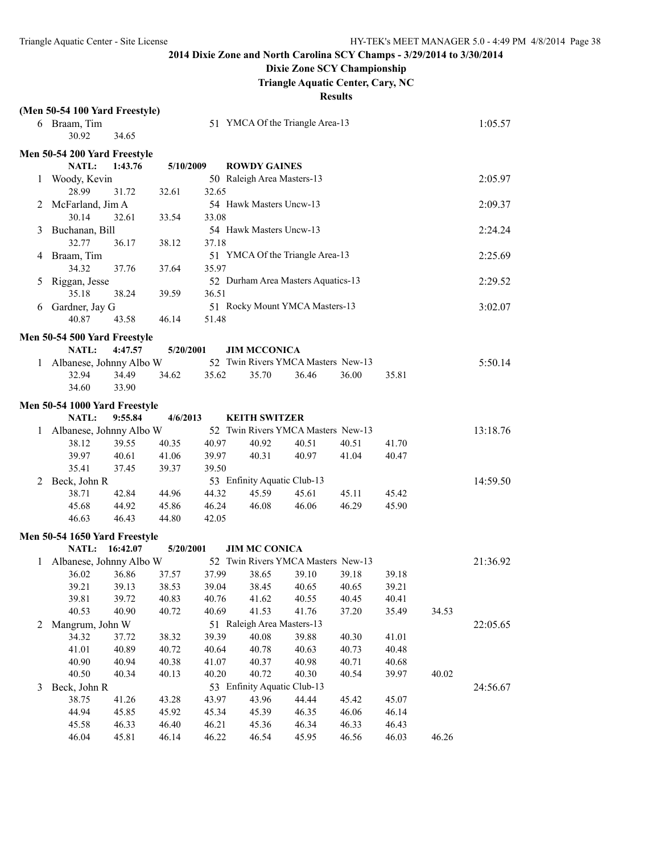## **Dixie Zone SCY Championship**

**Triangle Aquatic Center, Cary, NC**

|   | (Men 50-54 100 Yard Freestyle) |         |           |       |                                    |       |       |       |       |          |
|---|--------------------------------|---------|-----------|-------|------------------------------------|-------|-------|-------|-------|----------|
|   | 6 Braam, Tim<br>30.92          | 34.65   |           |       | 51 YMCA Of the Triangle Area-13    |       |       |       |       | 1:05.57  |
|   | Men 50-54 200 Yard Freestyle   |         |           |       |                                    |       |       |       |       |          |
|   | <b>NATL:</b>                   | 1:43.76 | 5/10/2009 |       | <b>ROWDY GAINES</b>                |       |       |       |       |          |
| 1 | Woody, Kevin                   |         |           |       | 50 Raleigh Area Masters-13         |       |       |       |       | 2:05.97  |
|   | 28.99                          | 31.72   | 32.61     | 32.65 |                                    |       |       |       |       |          |
| 2 | McFarland, Jim A               |         |           |       | 54 Hawk Masters Uncw-13            |       |       |       |       | 2:09.37  |
|   | 30.14                          | 32.61   | 33.54     | 33.08 |                                    |       |       |       |       |          |
| 3 | Buchanan, Bill                 |         |           |       | 54 Hawk Masters Uncw-13            |       |       |       |       | 2:24.24  |
|   | 32.77                          | 36.17   | 38.12     | 37.18 |                                    |       |       |       |       |          |
| 4 | Braam, Tim                     |         |           |       | 51 YMCA Of the Triangle Area-13    |       |       |       |       | 2:25.69  |
|   | 34.32                          | 37.76   | 37.64     | 35.97 |                                    |       |       |       |       |          |
| 5 | Riggan, Jesse                  |         |           |       | 52 Durham Area Masters Aquatics-13 |       |       |       |       | 2:29.52  |
|   | 35.18                          | 38.24   | 39.59     | 36.51 |                                    |       |       |       |       |          |
| 6 | Gardner, Jay G                 |         |           |       | 51 Rocky Mount YMCA Masters-13     |       |       |       |       | 3:02.07  |
|   | 40.87                          | 43.58   | 46.14     | 51.48 |                                    |       |       |       |       |          |
|   |                                |         |           |       |                                    |       |       |       |       |          |
|   | Men 50-54 500 Yard Freestyle   |         |           |       |                                    |       |       |       |       |          |
|   | <b>NATL:</b>                   | 4:47.57 | 5/20/2001 |       | <b>JIM MCCONICA</b>                |       |       |       |       |          |
|   | Albanese, Johnny Albo W        |         |           |       | 52 Twin Rivers YMCA Masters New-13 |       |       |       |       | 5:50.14  |
|   | 32.94                          | 34.49   | 34.62     | 35.62 | 35.70                              | 36.46 | 36.00 | 35.81 |       |          |
|   | 34.60                          | 33.90   |           |       |                                    |       |       |       |       |          |
|   | Men 50-54 1000 Yard Freestyle  |         |           |       |                                    |       |       |       |       |          |
|   | NATL:                          | 9:55.84 | 4/6/2013  |       | <b>KEITH SWITZER</b>               |       |       |       |       |          |
| 1 | Albanese, Johnny Albo W        |         |           |       | 52 Twin Rivers YMCA Masters New-13 |       |       |       |       | 13:18.76 |
|   | 38.12                          | 39.55   | 40.35     | 40.97 | 40.92                              | 40.51 | 40.51 | 41.70 |       |          |
|   | 39.97                          | 40.61   | 41.06     | 39.97 | 40.31                              | 40.97 | 41.04 | 40.47 |       |          |
|   | 35.41                          | 37.45   | 39.37     | 39.50 |                                    |       |       |       |       |          |
| 2 | Beck, John R                   |         |           |       | 53 Enfinity Aquatic Club-13        |       |       |       |       | 14:59.50 |
|   | 38.71                          | 42.84   | 44.96     | 44.32 | 45.59                              | 45.61 | 45.11 | 45.42 |       |          |
|   | 45.68                          | 44.92   | 45.86     | 46.24 | 46.08                              | 46.06 | 46.29 | 45.90 |       |          |
|   | 46.63                          | 46.43   | 44.80     | 42.05 |                                    |       |       |       |       |          |
|   | Men 50-54 1650 Yard Freestyle  |         |           |       |                                    |       |       |       |       |          |
|   | NATL: 16:42.07                 |         | 5/20/2001 |       | <b>JIM MC CONICA</b>               |       |       |       |       |          |
| 1 | Albanese, Johnny Albo W        |         |           |       | 52 Twin Rivers YMCA Masters New-13 |       |       |       |       | 21:36.92 |
|   | 36.02                          | 36.86   | 37.57     | 37.99 | 38.65                              | 39.10 | 39.18 | 39.18 |       |          |
|   | 39.21                          | 39.13   | 38.53     | 39.04 | 38.45                              | 40.65 | 40.65 | 39.21 |       |          |
|   | 39.81                          | 39.72   | 40.83     | 40.76 | 41.62                              | 40.55 | 40.45 | 40.41 |       |          |
|   | 40.53                          | 40.90   | 40.72     | 40.69 | 41.53                              | 41.76 | 37.20 | 35.49 | 34.53 |          |
| 2 | Mangrum, John W                |         |           |       | 51 Raleigh Area Masters-13         |       |       |       |       | 22:05.65 |
|   | 34.32                          | 37.72   | 38.32     | 39.39 | 40.08                              | 39.88 | 40.30 | 41.01 |       |          |
|   | 41.01                          | 40.89   | 40.72     | 40.64 | 40.78                              | 40.63 | 40.73 | 40.48 |       |          |
|   | 40.90                          | 40.94   | 40.38     | 41.07 | 40.37                              | 40.98 | 40.71 | 40.68 |       |          |
|   | 40.50                          | 40.34   | 40.13     | 40.20 | 40.72                              | 40.30 | 40.54 | 39.97 | 40.02 |          |
| 3 | Beck, John R                   |         |           |       | 53 Enfinity Aquatic Club-13        |       |       |       |       | 24:56.67 |
|   | 38.75                          | 41.26   | 43.28     | 43.97 | 43.96                              | 44.44 | 45.42 | 45.07 |       |          |
|   | 44.94                          | 45.85   | 45.92     | 45.34 | 45.39                              | 46.35 | 46.06 | 46.14 |       |          |
|   | 45.58                          | 46.33   | 46.40     | 46.21 | 45.36                              | 46.34 | 46.33 | 46.43 |       |          |
|   | 46.04                          | 45.81   | 46.14     | 46.22 | 46.54                              | 45.95 | 46.56 | 46.03 | 46.26 |          |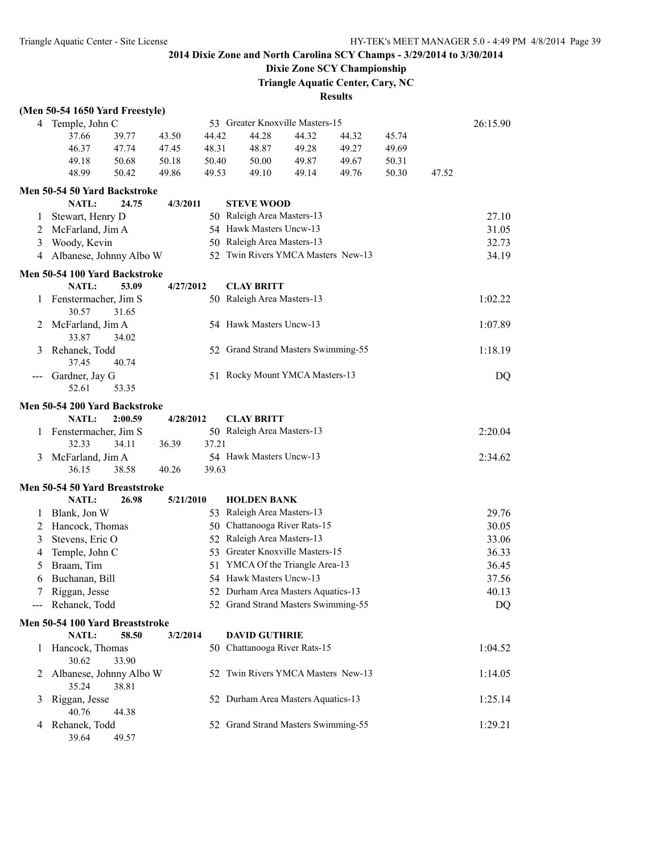## **Dixie Zone SCY Championship**

**Triangle Aquatic Center, Cary, NC**

|              | (Men 50-54 1650 Yard Freestyle)                 |         |           |       |                                     |       |       |       |       |          |
|--------------|-------------------------------------------------|---------|-----------|-------|-------------------------------------|-------|-------|-------|-------|----------|
|              | 4 Temple, John C                                |         |           |       | 53 Greater Knoxville Masters-15     |       |       |       |       | 26:15.90 |
|              | 37.66                                           | 39.77   | 43.50     | 44.42 | 44.28                               | 44.32 | 44.32 | 45.74 |       |          |
|              | 46.37                                           | 47.74   | 47.45     | 48.31 | 48.87                               | 49.28 | 49.27 | 49.69 |       |          |
|              | 49.18                                           | 50.68   | 50.18     | 50.40 | 50.00                               | 49.87 | 49.67 | 50.31 |       |          |
|              | 48.99                                           | 50.42   | 49.86     | 49.53 | 49.10                               | 49.14 | 49.76 | 50.30 | 47.52 |          |
|              | Men 50-54 50 Yard Backstroke                    |         |           |       |                                     |       |       |       |       |          |
|              | NATL:                                           | 24.75   | 4/3/2011  |       | <b>STEVE WOOD</b>                   |       |       |       |       |          |
| $\perp$      | Stewart, Henry D                                |         |           |       | 50 Raleigh Area Masters-13          |       |       |       |       | 27.10    |
| 2            | McFarland, Jim A                                |         |           |       | 54 Hawk Masters Uncw-13             |       |       |       |       | 31.05    |
| 3            | Woody, Kevin                                    |         |           |       | 50 Raleigh Area Masters-13          |       |       |       |       | 32.73    |
| 4            | Albanese, Johnny Albo W                         |         |           |       | 52 Twin Rivers YMCA Masters New-13  |       |       |       |       | 34.19    |
|              | Men 50-54 100 Yard Backstroke                   |         |           |       |                                     |       |       |       |       |          |
|              | NATL:                                           | 53.09   | 4/27/2012 |       | <b>CLAY BRITT</b>                   |       |       |       |       |          |
| 1            | Fenstermacher, Jim S                            |         |           |       | 50 Raleigh Area Masters-13          |       |       |       |       | 1:02.22  |
|              | 30.57                                           | 31.65   |           |       |                                     |       |       |       |       |          |
| 2            | McFarland, Jim A                                |         |           |       | 54 Hawk Masters Uncw-13             |       |       |       |       | 1:07.89  |
|              | 33.87                                           | 34.02   |           |       |                                     |       |       |       |       |          |
| 3            | Rehanek, Todd                                   |         |           |       | 52 Grand Strand Masters Swimming-55 |       |       |       |       | 1:18.19  |
|              | 37.45                                           | 40.74   |           |       |                                     |       |       |       |       |          |
|              | Gardner, Jay G                                  |         |           |       | 51 Rocky Mount YMCA Masters-13      |       |       |       |       | DQ       |
|              | 52.61                                           | 53.35   |           |       |                                     |       |       |       |       |          |
|              | Men 50-54 200 Yard Backstroke                   |         |           |       |                                     |       |       |       |       |          |
|              | NATL:                                           | 2:00.59 | 4/28/2012 |       | <b>CLAY BRITT</b>                   |       |       |       |       |          |
| 1            | Fenstermacher, Jim S                            |         |           |       | 50 Raleigh Area Masters-13          |       |       |       |       | 2:20.04  |
|              | 32.33                                           | 34.11   | 36.39     | 37.21 |                                     |       |       |       |       |          |
| 3            | McFarland, Jim A                                |         |           |       | 54 Hawk Masters Uncw-13             |       |       |       |       | 2:34.62  |
|              | 36.15                                           | 38.58   | 40.26     | 39.63 |                                     |       |       |       |       |          |
|              | Men 50-54 50 Yard Breaststroke                  |         |           |       |                                     |       |       |       |       |          |
|              | NATL:                                           | 26.98   | 5/21/2010 |       | <b>HOLDEN BANK</b>                  |       |       |       |       |          |
| 1            | Blank, Jon W                                    |         |           |       | 53 Raleigh Area Masters-13          |       |       |       |       | 29.76    |
| 2            | Hancock, Thomas                                 |         |           |       | 50 Chattanooga River Rats-15        |       |       |       |       | 30.05    |
| 3            | Stevens, Eric O                                 |         |           |       | 52 Raleigh Area Masters-13          |       |       |       |       | 33.06    |
| 4            | Temple, John C                                  |         |           |       | 53 Greater Knoxville Masters-15     |       |       |       |       | 36.33    |
| 5            | Braam, Tim                                      |         |           |       | 51 YMCA Of the Triangle Area-13     |       |       |       |       | 36.45    |
| 6            | Buchanan, Bill                                  |         |           |       | 54 Hawk Masters Uncw-13             |       |       |       |       | 37.56    |
|              | Riggan, Jesse                                   |         |           |       | 52 Durham Area Masters Aquatics-13  |       |       |       |       | 40.13    |
|              | Rehanek, Todd                                   |         |           |       | 52 Grand Strand Masters Swimming-55 |       |       |       |       | DQ       |
|              |                                                 |         |           |       |                                     |       |       |       |       |          |
|              | Men 50-54 100 Yard Breaststroke<br><b>NATL:</b> | 58.50   | 3/2/2014  |       | <b>DAVID GUTHRIE</b>                |       |       |       |       |          |
| $\mathbf{I}$ | Hancock, Thomas                                 |         |           |       | 50 Chattanooga River Rats-15        |       |       |       |       | 1:04.52  |
|              | 30.62                                           | 33.90   |           |       |                                     |       |       |       |       |          |
| 2            | Albanese, Johnny Albo W                         |         |           |       | 52 Twin Rivers YMCA Masters New-13  |       |       |       |       | 1:14.05  |
|              | 35.24                                           | 38.81   |           |       |                                     |       |       |       |       |          |
| 3            | Riggan, Jesse                                   |         |           |       | 52 Durham Area Masters Aquatics-13  |       |       |       |       | 1:25.14  |
|              | 40.76                                           | 44.38   |           |       |                                     |       |       |       |       |          |
| 4            | Rehanek, Todd                                   |         |           |       | 52 Grand Strand Masters Swimming-55 |       |       |       |       | 1:29.21  |
|              | 39.64                                           | 49.57   |           |       |                                     |       |       |       |       |          |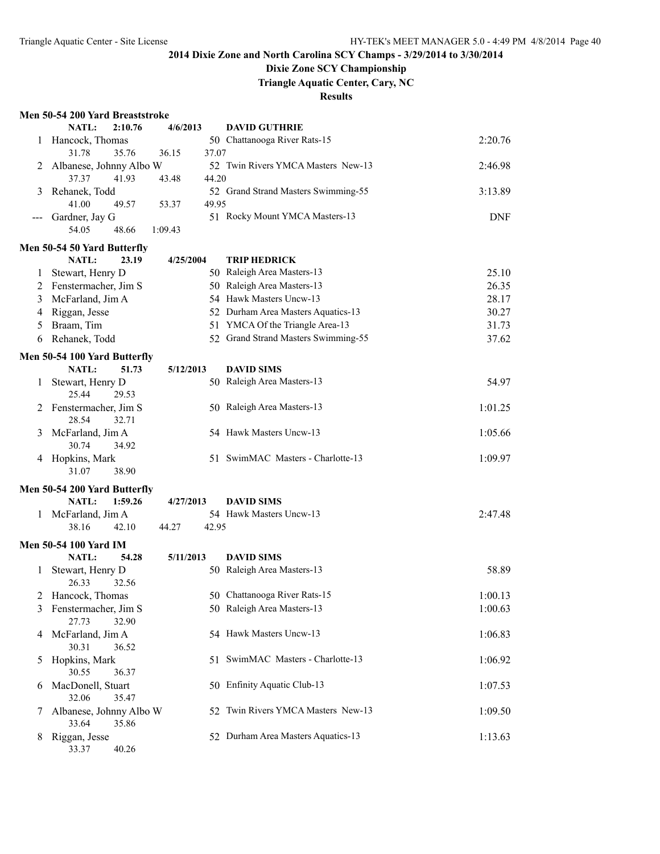## **Dixie Zone SCY Championship**

**Triangle Aquatic Center, Cary, NC**

|  |  | Men 50-54 200 Yard Breaststroke |  |
|--|--|---------------------------------|--|
|  |  |                                 |  |

|   | Men 50-54 200 Yard Breaststroke                   |                |                                                 |            |
|---|---------------------------------------------------|----------------|-------------------------------------------------|------------|
|   | <b>NATL:</b><br>2:10.76                           | 4/6/2013       | <b>DAVID GUTHRIE</b>                            |            |
| 1 | Hancock, Thomas                                   |                | 50 Chattanooga River Rats-15                    | 2:20.76    |
|   | 31.78<br>35.76                                    | 37.07<br>36.15 |                                                 |            |
| 2 | Albanese, Johnny Albo W                           |                | 52 Twin Rivers YMCA Masters New-13              | 2:46.98    |
|   | 37.37<br>41.93                                    | 44.20<br>43.48 |                                                 |            |
| 3 | Rehanek, Todd                                     |                | 52 Grand Strand Masters Swimming-55             | 3:13.89    |
|   | 41.00<br>49.57                                    | 49.95<br>53.37 |                                                 |            |
|   | Gardner, Jay G                                    |                | 51 Rocky Mount YMCA Masters-13                  | <b>DNF</b> |
|   | 48.66<br>54.05                                    | 1:09.43        |                                                 |            |
|   | Men 50-54 50 Yard Butterfly                       |                |                                                 |            |
|   | NATL:<br>23.19                                    | 4/25/2004      | <b>TRIP HEDRICK</b>                             |            |
| 1 | Stewart, Henry D                                  |                | 50 Raleigh Area Masters-13                      | 25.10      |
| 2 | Fenstermacher, Jim S                              |                | 50 Raleigh Area Masters-13                      | 26.35      |
| 3 | McFarland, Jim A                                  |                | 54 Hawk Masters Uncw-13                         | 28.17      |
| 4 | Riggan, Jesse                                     |                | 52 Durham Area Masters Aquatics-13              | 30.27      |
| 5 | Braam, Tim                                        |                | 51 YMCA Of the Triangle Area-13                 | 31.73      |
| 6 | Rehanek, Todd                                     |                | 52 Grand Strand Masters Swimming-55             | 37.62      |
|   |                                                   |                |                                                 |            |
|   | Men 50-54 100 Yard Butterfly                      |                |                                                 |            |
|   | NATL:<br>51.73                                    | 5/12/2013      | <b>DAVID SIMS</b>                               |            |
| 1 | Stewart, Henry D<br>25.44<br>29.53                |                | 50 Raleigh Area Masters-13                      | 54.97      |
| 2 | Fenstermacher, Jim S<br>28.54<br>32.71            |                | 50 Raleigh Area Masters-13                      | 1:01.25    |
| 3 | McFarland, Jim A<br>30.74<br>34.92                |                | 54 Hawk Masters Uncw-13                         | 1:05.66    |
| 4 | Hopkins, Mark<br>31.07<br>38.90                   |                | 51 SwimMAC Masters - Charlotte-13               | 1:09.97    |
|   | Men 50-54 200 Yard Butterfly                      |                |                                                 |            |
|   | NATL:<br>1:59.26                                  | 4/27/2013      | <b>DAVID SIMS</b>                               |            |
|   | 1 McFarland, Jim A                                |                | 54 Hawk Masters Uncw-13                         | 2:47.48    |
|   | 42.10<br>38.16                                    | 42.95<br>44.27 |                                                 |            |
|   |                                                   |                |                                                 |            |
|   | Men 50-54 100 Yard IM<br><b>NATL:</b><br>54.28    |                |                                                 |            |
|   |                                                   | 5/11/2013      | <b>DAVID SIMS</b><br>50 Raleigh Area Masters-13 | 58.89      |
| 1 | Stewart, Henry D<br>26.33<br>32.56                |                |                                                 |            |
|   | 2 Hancock, Thomas                                 |                | 50 Chattanooga River Rats-15                    | 1:00.13    |
| 3 | Fenstermacher, Jim S<br>27.73<br>32.90            |                | 50 Raleigh Area Masters-13                      | 1:00.63    |
| 4 | McFarland, Jim A<br>30.31<br>36.52                |                | 54 Hawk Masters Uncw-13                         | 1:06.83    |
| 5 | Hopkins, Mark<br>30.55<br>36.37                   |                | 51 SwimMAC Masters - Charlotte-13               | 1:06.92    |
| 6 | MacDonell, Stuart<br>32.06<br>35.47               |                | 50 Enfinity Aquatic Club-13                     | 1:07.53    |
| 7 | Albanese, Johnny Albo W                           |                | 52 Twin Rivers YMCA Masters New-13              | 1:09.50    |
| 8 | 35.86<br>33.64<br>Riggan, Jesse<br>33.37<br>40.26 |                | 52 Durham Area Masters Aquatics-13              | 1:13.63    |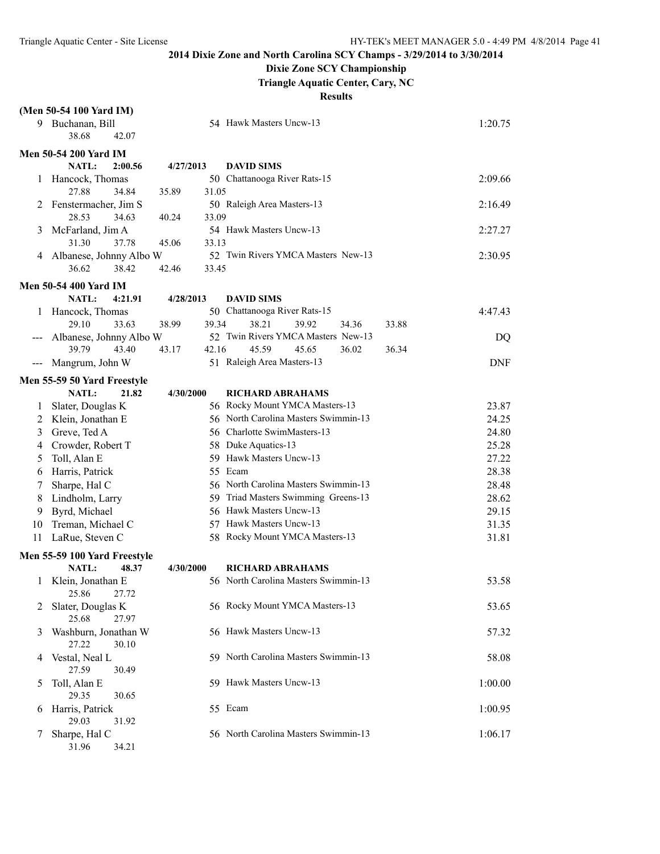## **Dixie Zone SCY Championship**

**Triangle Aquatic Center, Cary, NC**

|    | (Men 50-54 100 Yard IM)             |           |       |                                                                 |            |
|----|-------------------------------------|-----------|-------|-----------------------------------------------------------------|------------|
|    | 9 Buchanan, Bill                    |           |       | 54 Hawk Masters Uncw-13                                         | 1:20.75    |
|    | 38.68<br>42.07                      |           |       |                                                                 |            |
|    | <b>Men 50-54 200 Yard IM</b>        |           |       |                                                                 |            |
|    | NATL:<br>2:00.56                    | 4/27/2013 |       | <b>DAVID SIMS</b>                                               |            |
| 1  | Hancock, Thomas                     |           |       | 50 Chattanooga River Rats-15                                    | 2:09.66    |
|    | 27.88<br>34.84                      | 35.89     | 31.05 |                                                                 |            |
| 2  | Fenstermacher, Jim S                |           |       | 50 Raleigh Area Masters-13                                      | 2:16.49    |
|    | 28.53<br>34.63                      | 40.24     | 33.09 |                                                                 |            |
| 3  | McFarland, Jim A                    |           |       | 54 Hawk Masters Uncw-13                                         | 2:27.27    |
|    | 31.30<br>37.78                      | 45.06     | 33.13 |                                                                 |            |
| 4  | Albanese, Johnny Albo W             |           |       | 52 Twin Rivers YMCA Masters New-13                              | 2:30.95    |
|    | 36.62<br>38.42                      | 42.46     | 33.45 |                                                                 |            |
|    | <b>Men 50-54 400 Yard IM</b>        |           |       |                                                                 |            |
|    | NATL:<br>4:21.91                    | 4/28/2013 |       | <b>DAVID SIMS</b>                                               |            |
|    | 1 Hancock, Thomas                   |           |       | 50 Chattanooga River Rats-15                                    | 4:47.43    |
|    | 29.10<br>33.63                      | 38.99     | 39.34 | 38.21<br>39.92<br>34.36<br>33.88                                |            |
|    | Albanese, Johnny Albo W             |           |       | 52 Twin Rivers YMCA Masters New-13                              | DQ         |
|    | 39.79<br>43.40                      | 43.17     | 42.16 | 45.59<br>45.65<br>36.02<br>36.34                                |            |
|    | Mangrum, John W                     |           |       | 51 Raleigh Area Masters-13                                      | <b>DNF</b> |
|    | Men 55-59 50 Yard Freestyle         |           |       |                                                                 |            |
|    | <b>NATL:</b><br>21.82               | 4/30/2000 |       | <b>RICHARD ABRAHAMS</b>                                         |            |
| 1  | Slater, Douglas K                   |           |       | 56 Rocky Mount YMCA Masters-13                                  | 23.87      |
| 2  | Klein, Jonathan E                   |           |       | 56 North Carolina Masters Swimmin-13                            | 24.25      |
| 3  | Greve, Ted A                        |           |       | 56 Charlotte SwimMasters-13                                     | 24.80      |
| 4  | Crowder, Robert T                   |           |       | 58 Duke Aquatics-13                                             | 25.28      |
| 5  | Toll, Alan E                        |           |       | 59 Hawk Masters Uncw-13                                         | 27.22      |
| 6  | Harris, Patrick                     |           |       | 55 Ecam                                                         | 28.38      |
| 7  | Sharpe, Hal C                       |           |       | 56 North Carolina Masters Swimmin-13                            | 28.48      |
| 8  | Lindholm, Larry                     |           |       | 59 Triad Masters Swimming Greens-13                             | 28.62      |
| 9  | Byrd, Michael                       |           |       | 56 Hawk Masters Uncw-13                                         | 29.15      |
| 10 | Treman, Michael C                   |           |       | 57 Hawk Masters Uncw-13                                         | 31.35      |
| 11 | LaRue, Steven C                     |           |       | 58 Rocky Mount YMCA Masters-13                                  | 31.81      |
|    |                                     |           |       |                                                                 |            |
|    | Men 55-59 100 Yard Freestyle        |           |       |                                                                 |            |
|    | <b>NATL:</b><br>48.37               | 4/30/2000 |       | <b>RICHARD ABRAHAMS</b><br>56 North Carolina Masters Swimmin-13 | 53.58      |
| 1  | Klein, Jonathan E<br>25.86<br>27.72 |           |       |                                                                 |            |
| 2  | Slater, Douglas K                   |           |       | 56 Rocky Mount YMCA Masters-13                                  | 53.65      |
|    | 25.68<br>27.97                      |           |       |                                                                 |            |
| 3  | Washburn, Jonathan W                |           |       | 56 Hawk Masters Uncw-13                                         | 57.32      |
|    | 27.22<br>30.10                      |           |       |                                                                 |            |
| 4  | Vestal, Neal L                      |           |       | 59 North Carolina Masters Swimmin-13                            | 58.08      |
|    | 27.59<br>30.49                      |           |       |                                                                 |            |
| 5  | Toll, Alan E                        |           |       | 59 Hawk Masters Uncw-13                                         | 1:00.00    |
|    | 29.35<br>30.65                      |           |       |                                                                 |            |
| 6  | Harris, Patrick                     |           |       | 55 Ecam                                                         | 1:00.95    |
|    | 29.03<br>31.92                      |           |       |                                                                 |            |
| 7  | Sharpe, Hal C                       |           |       | 56 North Carolina Masters Swimmin-13                            | 1:06.17    |
|    | 31.96<br>34.21                      |           |       |                                                                 |            |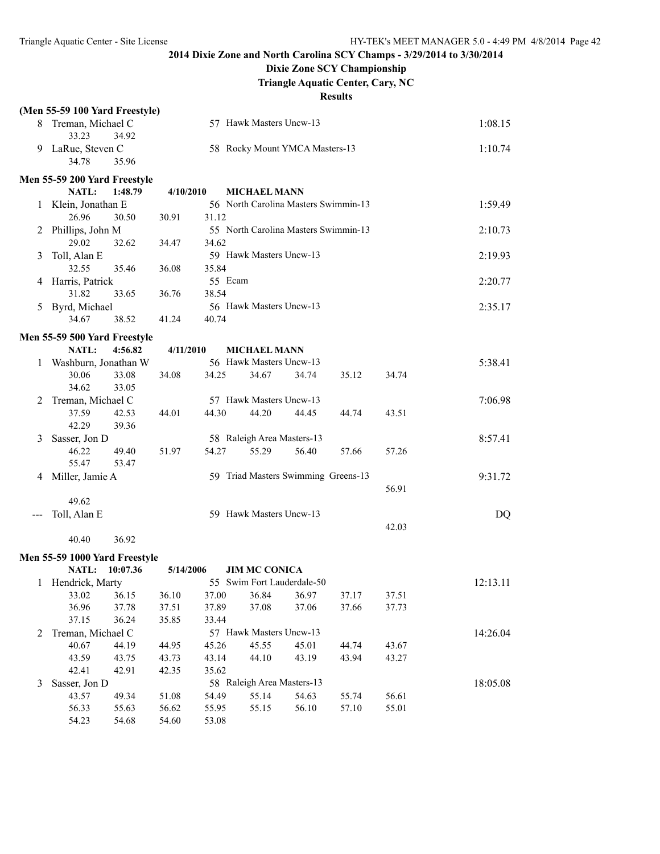## **Dixie Zone SCY Championship**

**Triangle Aquatic Center, Cary, NC**

|         | (Men 55-59 100 Yard Freestyle)                  |           |         |                            |                                      |       |       |          |
|---------|-------------------------------------------------|-----------|---------|----------------------------|--------------------------------------|-------|-------|----------|
|         | 8 Treman, Michael C<br>33.23<br>34.92           |           |         | 57 Hawk Masters Uncw-13    |                                      |       |       | 1:08.15  |
|         | 9 LaRue, Steven C<br>34.78<br>35.96             |           |         |                            | 58 Rocky Mount YMCA Masters-13       |       |       | 1:10.74  |
|         | Men 55-59 200 Yard Freestyle                    |           |         |                            |                                      |       |       |          |
|         | NATL:<br>1:48.79                                | 4/10/2010 |         | <b>MICHAEL MANN</b>        |                                      |       |       |          |
| $\perp$ | Klein, Jonathan E                               |           |         |                            | 56 North Carolina Masters Swimmin-13 |       |       | 1:59.49  |
|         | 26.96<br>30.50                                  | 30.91     | 31.12   |                            |                                      |       |       |          |
| 2       | Phillips, John M                                |           |         |                            | 55 North Carolina Masters Swimmin-13 |       |       | 2:10.73  |
|         | 29.02<br>32.62                                  | 34.47     | 34.62   |                            |                                      |       |       |          |
| 3       | Toll, Alan E                                    |           |         | 59 Hawk Masters Uncw-13    |                                      |       |       | 2:19.93  |
|         | 32.55<br>35.46                                  | 36.08     | 35.84   |                            |                                      |       |       |          |
| 4       | Harris, Patrick                                 |           | 55 Ecam |                            |                                      |       |       | 2:20.77  |
|         | 31.82<br>33.65                                  | 36.76     | 38.54   |                            |                                      |       |       |          |
| 5       | Byrd, Michael                                   |           |         | 56 Hawk Masters Uncw-13    |                                      |       |       | 2:35.17  |
|         | 34.67<br>38.52                                  | 41.24     | 40.74   |                            |                                      |       |       |          |
|         | Men 55-59 500 Yard Freestyle                    |           |         |                            |                                      |       |       |          |
|         | <b>NATL:</b><br>4:56.82                         | 4/11/2010 |         | <b>MICHAEL MANN</b>        |                                      |       |       |          |
|         | Washburn, Jonathan W                            |           |         | 56 Hawk Masters Uncw-13    |                                      |       |       | 5:38.41  |
|         | 30.06<br>33.08                                  | 34.08     | 34.25   | 34.67                      | 34.74                                | 35.12 | 34.74 |          |
|         | 34.62<br>33.05                                  |           |         |                            |                                      |       |       |          |
| 2       | Treman, Michael C                               |           |         | 57 Hawk Masters Uncw-13    |                                      |       |       | 7:06.98  |
|         | 37.59<br>42.53                                  | 44.01     | 44.30   | 44.20                      | 44.45                                | 44.74 | 43.51 |          |
|         | 42.29<br>39.36                                  |           |         |                            |                                      |       |       |          |
| 3       | Sasser, Jon D                                   |           |         | 58 Raleigh Area Masters-13 |                                      |       |       | 8:57.41  |
|         | 46.22<br>49.40                                  | 51.97     | 54.27   | 55.29                      | 56.40                                | 57.66 | 57.26 |          |
|         | 55.47<br>53.47                                  |           |         |                            |                                      |       |       |          |
| 4       | Miller, Jamie A                                 |           |         |                            | 59 Triad Masters Swimming Greens-13  |       |       | 9:31.72  |
|         |                                                 |           |         |                            |                                      |       | 56.91 |          |
|         | 49.62                                           |           |         |                            |                                      |       |       |          |
|         | Toll, Alan E                                    |           |         | 59 Hawk Masters Uncw-13    |                                      |       |       | DQ       |
|         |                                                 |           |         |                            |                                      |       | 42.03 |          |
|         | 36.92<br>40.40                                  |           |         |                            |                                      |       |       |          |
|         |                                                 |           |         |                            |                                      |       |       |          |
|         | Men 55-59 1000 Yard Freestyle<br>NATL: 10:07.36 | 5/14/2006 |         | <b>JIM MC CONICA</b>       |                                      |       |       |          |
|         |                                                 |           |         |                            | 55 Swim Fort Lauderdale-50           |       |       | 12:13.11 |
|         | 1 Hendrick, Marty<br>36.15<br>33.02             | 36.10     | 37.00   | 36.84                      | 36.97                                | 37.17 | 37.51 |          |
|         | 36.96<br>37.78                                  | 37.51     | 37.89   | 37.08                      | 37.06                                | 37.66 | 37.73 |          |
|         | 37.15<br>36.24                                  | 35.85     | 33.44   |                            |                                      |       |       |          |
| 2       | Treman, Michael C                               |           |         | 57 Hawk Masters Uncw-13    |                                      |       |       | 14:26.04 |
|         | 40.67<br>44.19                                  | 44.95     | 45.26   | 45.55                      | 45.01                                | 44.74 | 43.67 |          |
|         | 43.59<br>43.75                                  | 43.73     | 43.14   | 44.10                      | 43.19                                | 43.94 | 43.27 |          |
|         | 42.41<br>42.91                                  | 42.35     | 35.62   |                            |                                      |       |       |          |
| 3       | Sasser, Jon D                                   |           |         | 58 Raleigh Area Masters-13 |                                      |       |       | 18:05.08 |
|         | 43.57<br>49.34                                  | 51.08     | 54.49   | 55.14                      | 54.63                                | 55.74 | 56.61 |          |
|         | 56.33<br>55.63                                  | 56.62     | 55.95   | 55.15                      | 56.10                                | 57.10 | 55.01 |          |
|         | 54.23<br>54.68                                  | 54.60     | 53.08   |                            |                                      |       |       |          |
|         |                                                 |           |         |                            |                                      |       |       |          |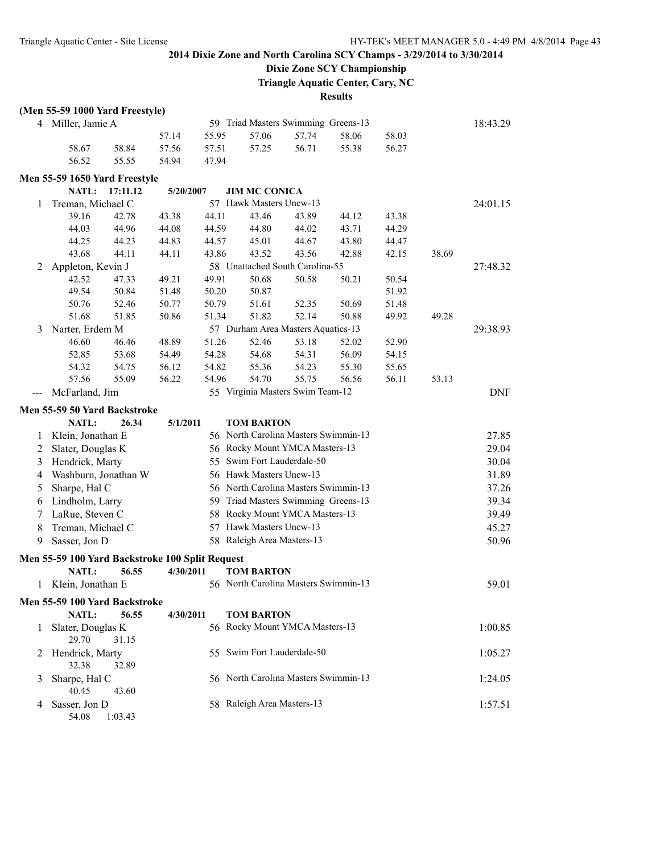# **Dixie Zone SCY Championship**

**Triangle Aquatic Center, Cary, NC**

|   | (Men 55-59 1000 Yard Freestyle)                 |           |       |                                      |       |       |       |       |            |
|---|-------------------------------------------------|-----------|-------|--------------------------------------|-------|-------|-------|-------|------------|
|   | 4 Miller, Jamie A                               |           |       | 59 Triad Masters Swimming Greens-13  |       |       |       |       | 18:43.29   |
|   |                                                 | 57.14     | 55.95 | 57.06                                | 57.74 | 58.06 | 58.03 |       |            |
|   | 58.67<br>58.84                                  | 57.56     | 57.51 | 57.25                                | 56.71 | 55.38 | 56.27 |       |            |
|   | 56.52<br>55.55                                  | 54.94     | 47.94 |                                      |       |       |       |       |            |
|   | Men 55-59 1650 Yard Freestyle                   |           |       |                                      |       |       |       |       |            |
|   | NATL:<br>17:11.12                               | 5/20/2007 |       | <b>JIM MC CONICA</b>                 |       |       |       |       |            |
| 1 | Treman, Michael C                               |           |       | 57 Hawk Masters Uncw-13              |       |       |       |       | 24:01.15   |
|   | 39.16<br>42.78                                  | 43.38     | 44.11 | 43.46                                | 43.89 | 44.12 | 43.38 |       |            |
|   | 44.03<br>44.96                                  | 44.08     | 44.59 | 44.80                                | 44.02 | 43.71 | 44.29 |       |            |
|   | 44.25<br>44.23                                  | 44.83     | 44.57 | 45.01                                | 44.67 | 43.80 | 44.47 |       |            |
|   | 43.68<br>44.11                                  | 44.11     | 43.86 | 43.52                                | 43.56 | 42.88 | 42.15 | 38.69 |            |
|   |                                                 |           |       | 58 Unattached South Carolina-55      |       |       |       |       | 27:48.32   |
| 2 | Appleton, Kevin J<br>42.52<br>47.33             | 49.21     | 49.91 | 50.68                                |       |       |       |       |            |
|   | 49.54                                           |           |       | 50.87                                | 50.58 | 50.21 | 50.54 |       |            |
|   | 50.84                                           | 51.48     | 50.20 |                                      |       |       | 51.92 |       |            |
|   | 50.76<br>52.46                                  | 50.77     | 50.79 | 51.61                                | 52.35 | 50.69 | 51.48 |       |            |
|   | 51.68<br>51.85                                  | 50.86     | 51.34 | 51.82                                | 52.14 | 50.88 | 49.92 | 49.28 |            |
| 3 | Narter, Erdem M                                 |           |       | 57 Durham Area Masters Aquatics-13   |       |       |       |       | 29:38.93   |
|   | 46.60<br>46.46                                  | 48.89     | 51.26 | 52.46                                | 53.18 | 52.02 | 52.90 |       |            |
|   | 52.85<br>53.68                                  | 54.49     | 54.28 | 54.68                                | 54.31 | 56.09 | 54.15 |       |            |
|   | 54.32<br>54.75                                  | 56.12     | 54.82 | 55.36                                | 54.23 | 55.30 | 55.65 |       |            |
|   | 57.56<br>55.09                                  | 56.22     | 54.96 | 54.70                                | 55.75 | 56.56 | 56.11 | 53.13 |            |
|   | McFarland, Jim                                  |           |       | 55 Virginia Masters Swim Team-12     |       |       |       |       | <b>DNF</b> |
|   | Men 55-59 50 Yard Backstroke                    |           |       |                                      |       |       |       |       |            |
|   | <b>NATL:</b><br>26.34                           | 5/1/2011  |       | <b>TOM BARTON</b>                    |       |       |       |       |            |
| 1 | Klein, Jonathan E                               |           |       | 56 North Carolina Masters Swimmin-13 |       |       |       |       | 27.85      |
| 2 | Slater, Douglas K                               |           |       | 56 Rocky Mount YMCA Masters-13       |       |       |       |       | 29.04      |
| 3 | Hendrick, Marty                                 |           |       | 55 Swim Fort Lauderdale-50           |       |       |       |       | 30.04      |
| 4 | Washburn, Jonathan W                            |           |       | 56 Hawk Masters Uncw-13              |       |       |       |       | 31.89      |
| 5 | Sharpe, Hal C                                   |           |       | 56 North Carolina Masters Swimmin-13 |       |       |       |       | 37.26      |
| 6 | Lindholm, Larry                                 |           |       | 59 Triad Masters Swimming Greens-13  |       |       |       |       | 39.34      |
| 7 | LaRue, Steven C                                 |           |       | 58 Rocky Mount YMCA Masters-13       |       |       |       |       | 39.49      |
| 8 | Treman, Michael C                               |           |       | 57 Hawk Masters Uncw-13              |       |       |       |       | 45.27      |
| 9 | Sasser, Jon D                                   |           |       | 58 Raleigh Area Masters-13           |       |       |       |       | 50.96      |
|   |                                                 |           |       |                                      |       |       |       |       |            |
|   | Men 55-59 100 Yard Backstroke 100 Split Request |           |       |                                      |       |       |       |       |            |
|   | <b>NATL:</b><br>56.55                           | 4/30/2011 |       | <b>TOM BARTON</b>                    |       |       |       |       |            |
| 1 | Klein, Jonathan E                               |           |       | 56 North Carolina Masters Swimmin-13 |       |       |       |       | 59.01      |
|   | Men 55-59 100 Yard Backstroke                   |           |       |                                      |       |       |       |       |            |
|   | NATL:<br>56.55                                  | 4/30/2011 |       | <b>TOM BARTON</b>                    |       |       |       |       |            |
| 1 | Slater, Douglas K                               |           |       | 56 Rocky Mount YMCA Masters-13       |       |       |       |       | 1:00.85    |
|   | 29.70<br>31.15                                  |           |       |                                      |       |       |       |       |            |
| 2 | Hendrick, Marty                                 |           |       | 55 Swim Fort Lauderdale-50           |       |       |       |       | 1:05.27    |
|   | 32.38<br>32.89                                  |           |       |                                      |       |       |       |       |            |
| 3 | Sharpe, Hal C                                   |           |       | 56 North Carolina Masters Swimmin-13 |       |       |       |       | 1:24.05    |
|   | 40.45<br>43.60                                  |           |       |                                      |       |       |       |       |            |
| 4 | Sasser, Jon D                                   |           |       | 58 Raleigh Area Masters-13           |       |       |       |       | 1:57.51    |
|   | 54.08<br>1:03.43                                |           |       |                                      |       |       |       |       |            |
|   |                                                 |           |       |                                      |       |       |       |       |            |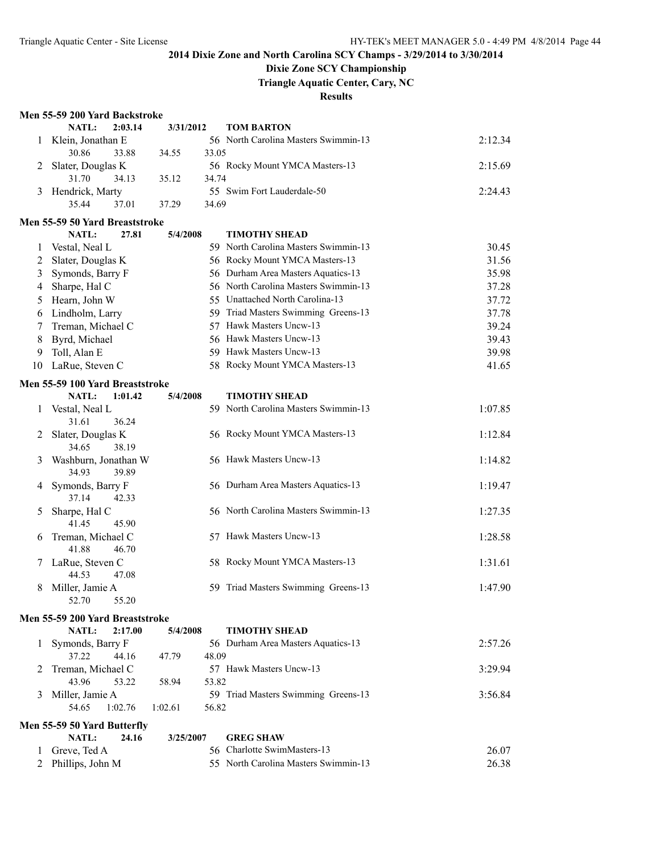### **Dixie Zone SCY Championship**

**Triangle Aquatic Center, Cary, NC**

**Results**

#### **Men 55-59 200 Yard Backstroke**

|              | NATL:<br>2:03.14                       | 3/31/2012        | <b>TOM BARTON</b>                    |         |
|--------------|----------------------------------------|------------------|--------------------------------------|---------|
| 1            | Klein, Jonathan E                      |                  | 56 North Carolina Masters Swimmin-13 | 2:12.34 |
|              | 30.86<br>33.88                         | 33.05<br>34.55   |                                      |         |
| 2            | Slater, Douglas K                      |                  | 56 Rocky Mount YMCA Masters-13       | 2:15.69 |
|              | 31.70<br>34.13                         | 35.12<br>34.74   |                                      |         |
| 3            | Hendrick, Marty                        |                  | 55 Swim Fort Lauderdale-50           | 2:24.43 |
|              | 35.44<br>37.01                         | 34.69<br>37.29   |                                      |         |
|              | Men 55-59 50 Yard Breaststroke         |                  |                                      |         |
|              | NATL:<br>27.81                         | 5/4/2008         | <b>TIMOTHY SHEAD</b>                 |         |
| 1            | Vestal, Neal L                         |                  | 59 North Carolina Masters Swimmin-13 | 30.45   |
| 2            | Slater, Douglas K                      |                  | 56 Rocky Mount YMCA Masters-13       | 31.56   |
| 3            | Symonds, Barry F                       |                  | 56 Durham Area Masters Aquatics-13   | 35.98   |
| 4            | Sharpe, Hal C                          |                  | 56 North Carolina Masters Swimmin-13 | 37.28   |
| 5            | Hearn, John W                          |                  | 55 Unattached North Carolina-13      | 37.72   |
| 6            | Lindholm, Larry                        |                  | 59 Triad Masters Swimming Greens-13  | 37.78   |
| 7            | Treman, Michael C                      |                  | 57 Hawk Masters Uncw-13              | 39.24   |
| 8            | Byrd, Michael                          |                  | 56 Hawk Masters Uncw-13              | 39.43   |
| 9            | Toll, Alan E                           |                  | 59 Hawk Masters Uncw-13              | 39.98   |
| 10           | LaRue, Steven C                        |                  | 58 Rocky Mount YMCA Masters-13       | 41.65   |
|              | Men 55-59 100 Yard Breaststroke        |                  |                                      |         |
|              | NATL:<br>1:01.42                       | 5/4/2008         | <b>TIMOTHY SHEAD</b>                 |         |
| 1            | Vestal, Neal L                         |                  | 59 North Carolina Masters Swimmin-13 | 1:07.85 |
|              | 36.24<br>31.61                         |                  |                                      |         |
| 2            | Slater, Douglas K                      |                  | 56 Rocky Mount YMCA Masters-13       | 1:12.84 |
|              | 34.65<br>38.19                         |                  |                                      |         |
| 3            | Washburn, Jonathan W<br>34.93<br>39.89 |                  | 56 Hawk Masters Uncw-13              | 1:14.82 |
| 4            | Symonds, Barry F                       |                  | 56 Durham Area Masters Aquatics-13   | 1:19.47 |
|              | 37.14<br>42.33                         |                  |                                      |         |
| 5            | Sharpe, Hal C                          |                  | 56 North Carolina Masters Swimmin-13 | 1:27.35 |
|              | 41.45<br>45.90                         |                  |                                      |         |
| 6            | Treman, Michael C                      |                  | 57 Hawk Masters Uncw-13              | 1:28.58 |
|              | 41.88<br>46.70                         |                  |                                      |         |
| 7            | LaRue, Steven C                        |                  | 58 Rocky Mount YMCA Masters-13       | 1:31.61 |
|              | 44.53<br>47.08                         |                  |                                      |         |
| 8            | Miller, Jamie A                        |                  | 59 Triad Masters Swimming Greens-13  | 1:47.90 |
|              | 52.70<br>55.20                         |                  |                                      |         |
|              | Men 55-59 200 Yard Breaststroke        |                  |                                      |         |
|              | NATL:<br>2:17.00                       | 5/4/2008         | <b>TIMOTHY SHEAD</b>                 |         |
| $\perp$      | Symonds, Barry F                       |                  | 56 Durham Area Masters Aquatics-13   | 2:57.26 |
|              | 37.22<br>44.16                         | 47.79<br>48.09   |                                      |         |
| 2            | Treman, Michael C                      |                  | 57 Hawk Masters Uncw-13              | 3:29.94 |
|              | 43.96<br>53.22                         | 53.82<br>58.94   |                                      |         |
| 3            | Miller, Jamie A                        |                  | 59 Triad Masters Swimming Greens-13  | 3:56.84 |
|              | 54.65<br>1:02.76                       | 1:02.61<br>56.82 |                                      |         |
|              | Men 55-59 50 Yard Butterfly            |                  |                                      |         |
|              | <b>NATL:</b><br>24.16                  | 3/25/2007        | <b>GREG SHAW</b>                     |         |
| $\mathbf{L}$ | Greve, Ted A                           |                  | 56 Charlotte SwimMasters-13          | 26.07   |
| 2            | Phillips, John M                       |                  | 55 North Carolina Masters Swimmin-13 | 26.38   |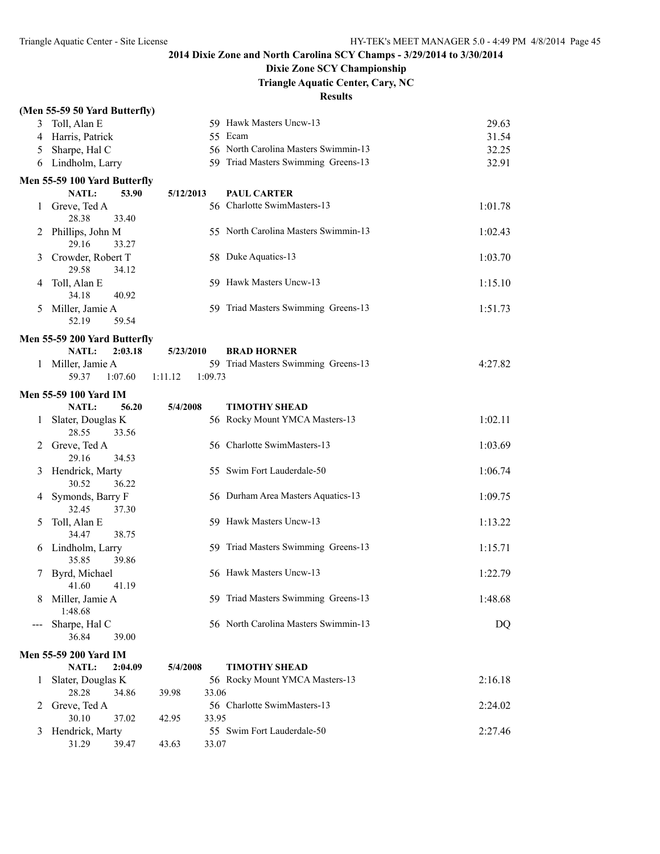## **Dixie Zone SCY Championship**

**Triangle Aquatic Center, Cary, NC**

|   | (Men 55-59 50 Yard Butterfly)       |                    |                                      |         |
|---|-------------------------------------|--------------------|--------------------------------------|---------|
| 3 | Toll, Alan E                        |                    | 59 Hawk Masters Uncw-13              | 29.63   |
| 4 | Harris, Patrick                     |                    | 55 Ecam                              | 31.54   |
| 5 | Sharpe, Hal C                       |                    | 56 North Carolina Masters Swimmin-13 | 32.25   |
|   | 6 Lindholm, Larry                   |                    | 59 Triad Masters Swimming Greens-13  | 32.91   |
|   | Men 55-59 100 Yard Butterfly        |                    |                                      |         |
|   | NATL:<br>53.90                      | 5/12/2013          | <b>PAUL CARTER</b>                   |         |
| 1 | Greve, Ted A<br>28.38<br>33.40      |                    | 56 Charlotte SwimMasters-13          | 1:01.78 |
| 2 | Phillips, John M<br>29.16<br>33.27  |                    | 55 North Carolina Masters Swimmin-13 | 1:02.43 |
| 3 | Crowder, Robert T<br>29.58<br>34.12 |                    | 58 Duke Aquatics-13                  | 1:03.70 |
| 4 | Toll, Alan E<br>34.18<br>40.92      |                    | 59 Hawk Masters Uncw-13              | 1:15.10 |
| 5 | Miller, Jamie A<br>52.19<br>59.54   |                    | 59 Triad Masters Swimming Greens-13  | 1:51.73 |
|   | Men 55-59 200 Yard Butterfly        |                    |                                      |         |
|   | <b>NATL:</b><br>2:03.18             | 5/23/2010          | <b>BRAD HORNER</b>                   |         |
| 1 | Miller, Jamie A                     |                    | 59 Triad Masters Swimming Greens-13  | 4:27.82 |
|   | 59.37<br>1:07.60                    | 1:09.73<br>1:11.12 |                                      |         |
|   | <b>Men 55-59 100 Yard IM</b>        |                    |                                      |         |
|   | NATL:<br>56.20                      | 5/4/2008           | <b>TIMOTHY SHEAD</b>                 |         |
| 1 | Slater, Douglas K                   |                    | 56 Rocky Mount YMCA Masters-13       | 1:02.11 |
|   | 28.55<br>33.56                      |                    |                                      |         |
| 2 | Greve, Ted A                        |                    | 56 Charlotte SwimMasters-13          | 1:03.69 |
| 3 | 29.16<br>34.53<br>Hendrick, Marty   |                    | 55 Swim Fort Lauderdale-50           | 1:06.74 |
|   | 30.52<br>36.22                      |                    |                                      |         |
| 4 | Symonds, Barry F<br>32.45<br>37.30  |                    | 56 Durham Area Masters Aquatics-13   | 1:09.75 |
| 5 | Toll, Alan E<br>34.47<br>38.75      |                    | 59 Hawk Masters Uncw-13              | 1:13.22 |
| 6 | Lindholm, Larry<br>39.86<br>35.85   |                    | 59 Triad Masters Swimming Greens-13  | 1:15.71 |
| 7 | Byrd, Michael<br>41.60<br>41.19     |                    | 56 Hawk Masters Uncw-13              | 1:22.79 |
| 8 | Miller, Jamie A<br>1:48.68          |                    | 59 Triad Masters Swimming Greens-13  | 1:48.68 |
|   | Sharpe, Hal C<br>36.84<br>39.00     |                    | 56 North Carolina Masters Swimmin-13 | DQ      |
|   | <b>Men 55-59 200 Yard IM</b>        |                    |                                      |         |
|   | <b>NATL:</b><br>2:04.09             | 5/4/2008           | <b>TIMOTHY SHEAD</b>                 |         |
| 1 | Slater, Douglas K                   |                    | 56 Rocky Mount YMCA Masters-13       | 2:16.18 |
|   | 28.28<br>34.86                      | 33.06<br>39.98     |                                      |         |
| 2 | Greve, Ted A                        |                    | 56 Charlotte SwimMasters-13          | 2:24.02 |
|   | 30.10<br>37.02                      | 33.95<br>42.95     |                                      |         |
| 3 | Hendrick, Marty<br>31.29<br>39.47   | 33.07<br>43.63     | 55 Swim Fort Lauderdale-50           | 2:27.46 |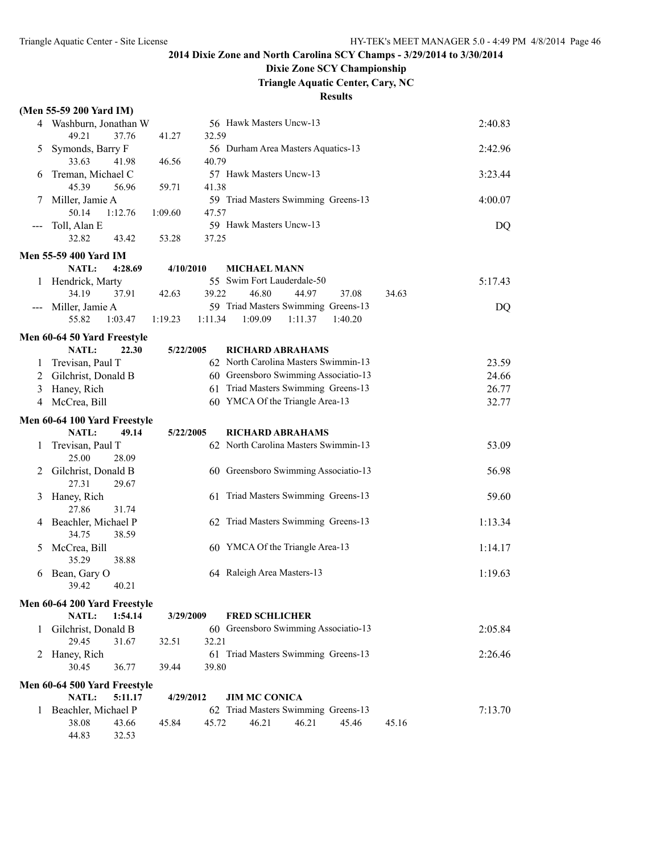## **Dixie Zone SCY Championship**

**Triangle Aquatic Center, Cary, NC**

|                     | (Men 55-59 200 Yard IM)             |           |         |                                                                              |         |         |       |         |
|---------------------|-------------------------------------|-----------|---------|------------------------------------------------------------------------------|---------|---------|-------|---------|
|                     | 4 Washburn, Jonathan W              |           |         | 56 Hawk Masters Uncw-13                                                      |         |         |       | 2:40.83 |
|                     | 49.21<br>37.76                      | 41.27     | 32.59   |                                                                              |         |         |       |         |
| 5                   | Symonds, Barry F                    |           |         | 56 Durham Area Masters Aquatics-13                                           |         |         |       | 2:42.96 |
|                     | 33.63<br>41.98                      | 46.56     | 40.79   |                                                                              |         |         |       |         |
| 6                   | Treman, Michael C                   |           |         | 57 Hawk Masters Uncw-13                                                      |         |         |       | 3:23.44 |
|                     | 45.39<br>56.96                      | 59.71     | 41.38   |                                                                              |         |         |       |         |
|                     | Miller, Jamie A                     |           |         | 59 Triad Masters Swimming Greens-13                                          |         |         |       | 4:00.07 |
|                     | 50.14<br>1:12.76                    | 1:09.60   | 47.57   | 59 Hawk Masters Uncw-13                                                      |         |         |       |         |
| $---$               | Toll, Alan E<br>32.82<br>43.42      | 53.28     | 37.25   |                                                                              |         |         |       | DQ      |
|                     |                                     |           |         |                                                                              |         |         |       |         |
|                     | <b>Men 55-59 400 Yard IM</b>        |           |         |                                                                              |         |         |       |         |
|                     | <b>NATL:</b><br>4:28.69             | 4/10/2010 |         | <b>MICHAEL MANN</b>                                                          |         |         |       |         |
| 1                   | Hendrick, Marty<br>34.19            |           |         | 55 Swim Fort Lauderdale-50<br>46.80                                          |         |         |       | 5:17.43 |
|                     | 37.91                               | 42.63     | 39.22   | 59 Triad Masters Swimming Greens-13                                          | 44.97   | 37.08   | 34.63 |         |
| $\qquad \qquad - -$ | Miller, Jamie A<br>55.82<br>1:03.47 | 1:19.23   | 1:11.34 | 1:09.09                                                                      | 1:11.37 | 1:40.20 |       | DQ      |
|                     |                                     |           |         |                                                                              |         |         |       |         |
|                     | Men 60-64 50 Yard Freestyle         |           |         |                                                                              |         |         |       |         |
|                     | NATL:<br>22.30                      | 5/22/2005 |         | <b>RICHARD ABRAHAMS</b>                                                      |         |         |       |         |
| 1                   | Trevisan, Paul T                    |           |         | 62 North Carolina Masters Swimmin-13<br>60 Greensboro Swimming Associatio-13 |         |         |       | 23.59   |
| 2                   | Gilchrist, Donald B                 |           |         | 61 Triad Masters Swimming Greens-13                                          |         |         |       | 24.66   |
| 3                   | Haney, Rich<br>McCrea, Bill         |           |         | 60 YMCA Of the Triangle Area-13                                              |         |         |       | 26.77   |
| 4                   |                                     |           |         |                                                                              |         |         |       | 32.77   |
|                     | Men 60-64 100 Yard Freestyle        |           |         |                                                                              |         |         |       |         |
|                     | <b>NATL:</b><br>49.14               | 5/22/2005 |         | <b>RICHARD ABRAHAMS</b>                                                      |         |         |       |         |
| 1                   | Trevisan, Paul T                    |           |         | 62 North Carolina Masters Swimmin-13                                         |         |         |       | 53.09   |
|                     | 25.00<br>28.09                      |           |         |                                                                              |         |         |       |         |
| 2                   | Gilchrist, Donald B                 |           |         | 60 Greensboro Swimming Associatio-13                                         |         |         |       | 56.98   |
|                     | 27.31<br>29.67                      |           |         | 61 Triad Masters Swimming Greens-13                                          |         |         |       |         |
| 3                   | Haney, Rich<br>27.86<br>31.74       |           |         |                                                                              |         |         |       | 59.60   |
| 4                   | Beachler, Michael P                 |           |         | 62 Triad Masters Swimming Greens-13                                          |         |         |       | 1:13.34 |
|                     | 34.75<br>38.59                      |           |         |                                                                              |         |         |       |         |
| 5                   | McCrea, Bill                        |           |         | 60 YMCA Of the Triangle Area-13                                              |         |         |       | 1:14.17 |
|                     | 35.29<br>38.88                      |           |         |                                                                              |         |         |       |         |
| 6                   | Bean, Gary O                        |           |         | 64 Raleigh Area Masters-13                                                   |         |         |       | 1:19.63 |
|                     | 39.42<br>40.21                      |           |         |                                                                              |         |         |       |         |
|                     | Men 60-64 200 Yard Freestyle        |           |         |                                                                              |         |         |       |         |
|                     | NATL:<br>1:54.14                    | 3/29/2009 |         | <b>FRED SCHLICHER</b>                                                        |         |         |       |         |
|                     | 1 Gilchrist, Donald B               |           |         | 60 Greensboro Swimming Associatio-13                                         |         |         |       | 2:05.84 |
|                     | 29.45<br>31.67                      | 32.51     | 32.21   |                                                                              |         |         |       |         |
|                     | 2 Haney, Rich                       |           |         | 61 Triad Masters Swimming Greens-13                                          |         |         |       | 2:26.46 |
|                     | 30.45<br>36.77                      | 39.44     | 39.80   |                                                                              |         |         |       |         |
|                     | Men 60-64 500 Yard Freestyle        |           |         |                                                                              |         |         |       |         |
|                     | NATL:<br>5:11.17                    | 4/29/2012 |         | <b>JIM MC CONICA</b>                                                         |         |         |       |         |
|                     | 1 Beachler, Michael P               |           |         | 62 Triad Masters Swimming Greens-13                                          |         |         |       | 7:13.70 |
|                     | 38.08<br>43.66                      | 45.84     | 45.72   | 46.21                                                                        | 46.21   | 45.46   | 45.16 |         |
|                     | 44.83<br>32.53                      |           |         |                                                                              |         |         |       |         |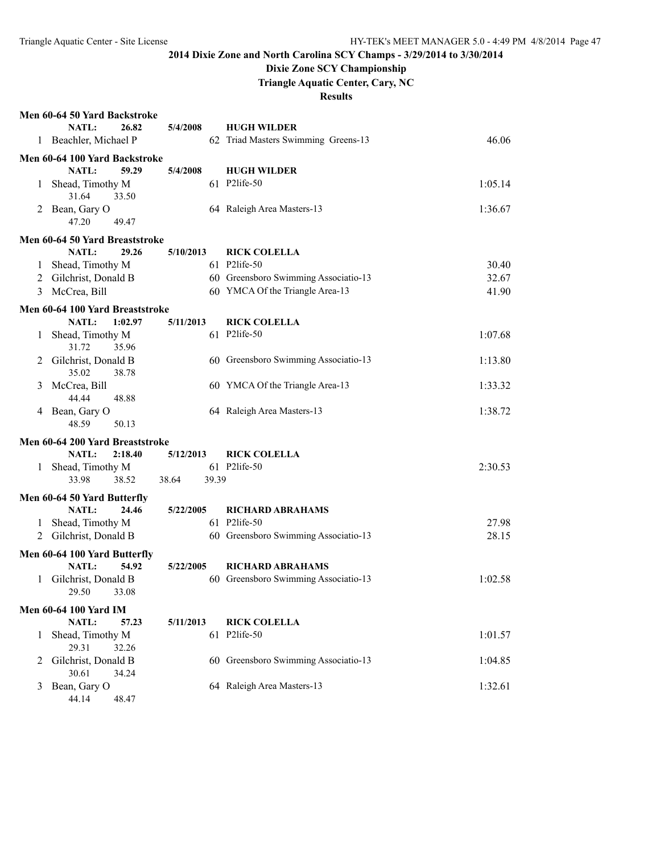## **Dixie Zone SCY Championship**

**Triangle Aquatic Center, Cary, NC**

|              | Men 60-64 50 Yard Backstroke                  |                |                                      |         |
|--------------|-----------------------------------------------|----------------|--------------------------------------|---------|
|              | NATL:<br>26.82                                | 5/4/2008       | <b>HUGH WILDER</b>                   |         |
|              | 1 Beachler, Michael P                         |                | 62 Triad Masters Swimming Greens-13  | 46.06   |
|              | Men 60-64 100 Yard Backstroke                 |                |                                      |         |
|              | NATL:<br>59.29                                | 5/4/2008       | <b>HUGH WILDER</b>                   |         |
| 1            | Shead, Timothy M                              |                | 61 P2life-50                         | 1:05.14 |
|              | 31.64<br>33.50                                |                |                                      |         |
| 2            | Bean, Gary O                                  |                | 64 Raleigh Area Masters-13           | 1:36.67 |
|              | 47.20<br>49.47                                |                |                                      |         |
|              |                                               |                |                                      |         |
|              | Men 60-64 50 Yard Breaststroke                |                |                                      |         |
|              | NATL:<br>29.26                                | 5/10/2013      | <b>RICK COLELLA</b>                  |         |
| 1            | Shead, Timothy M                              |                | 61 P2life-50                         | 30.40   |
| 2            | Gilchrist, Donald B                           |                | 60 Greensboro Swimming Associatio-13 | 32.67   |
| 3            | McCrea, Bill                                  |                | 60 YMCA Of the Triangle Area-13      | 41.90   |
|              | Men 60-64 100 Yard Breaststroke               |                |                                      |         |
|              | NATL:<br>1:02.97                              | 5/11/2013      | <b>RICK COLELLA</b>                  |         |
| 1            | Shead, Timothy M                              |                | 61 P2life-50                         | 1:07.68 |
|              | 31.72<br>35.96                                |                |                                      |         |
|              | Gilchrist, Donald B                           |                | 60 Greensboro Swimming Associatio-13 | 1:13.80 |
|              | 35.02<br>38.78                                |                |                                      |         |
| 3            | McCrea, Bill                                  |                | 60 YMCA Of the Triangle Area-13      | 1:33.32 |
|              | 44.44<br>48.88                                |                |                                      |         |
| 4            | Bean, Gary O                                  |                | 64 Raleigh Area Masters-13           | 1:38.72 |
|              | 48.59<br>50.13                                |                |                                      |         |
|              | Men 60-64 200 Yard Breaststroke               |                |                                      |         |
|              | NATL:<br>2:18.40                              | 5/12/2013      | <b>RICK COLELLA</b>                  |         |
| $\mathbf{1}$ | Shead, Timothy M                              |                | 61 P2life-50                         | 2:30.53 |
|              | 33.98<br>38.52                                | 38.64<br>39.39 |                                      |         |
|              |                                               |                |                                      |         |
|              | Men 60-64 50 Yard Butterfly<br>24.46<br>NATL: | 5/22/2005      | <b>RICHARD ABRAHAMS</b>              |         |
|              | Shead, Timothy M                              |                | 61 P2life-50                         | 27.98   |
|              | Gilchrist, Donald B                           |                | 60 Greensboro Swimming Associatio-13 | 28.15   |
| 2            |                                               |                |                                      |         |
|              | Men 60-64 100 Yard Butterfly                  |                |                                      |         |
|              | NATL:<br>54.92                                | 5/22/2005      | <b>RICHARD ABRAHAMS</b>              |         |
| 1.           | Gilchrist, Donald B                           |                | 60 Greensboro Swimming Associatio-13 | 1:02.58 |
|              | 29.50 33.08                                   |                |                                      |         |
|              | <b>Men 60-64 100 Yard IM</b>                  |                |                                      |         |
|              | NATL:<br>57.23                                | 5/11/2013      | <b>RICK COLELLA</b>                  |         |
| 1            | Shead, Timothy M                              |                | 61 P2life-50                         | 1:01.57 |
|              | 29.31<br>32.26                                |                |                                      |         |
| 2            | Gilchrist, Donald B                           |                | 60 Greensboro Swimming Associatio-13 | 1:04.85 |
|              | 30.61<br>34.24                                |                |                                      |         |
| 3            | Bean, Gary O                                  |                | 64 Raleigh Area Masters-13           | 1:32.61 |
|              | 44.14<br>48.47                                |                |                                      |         |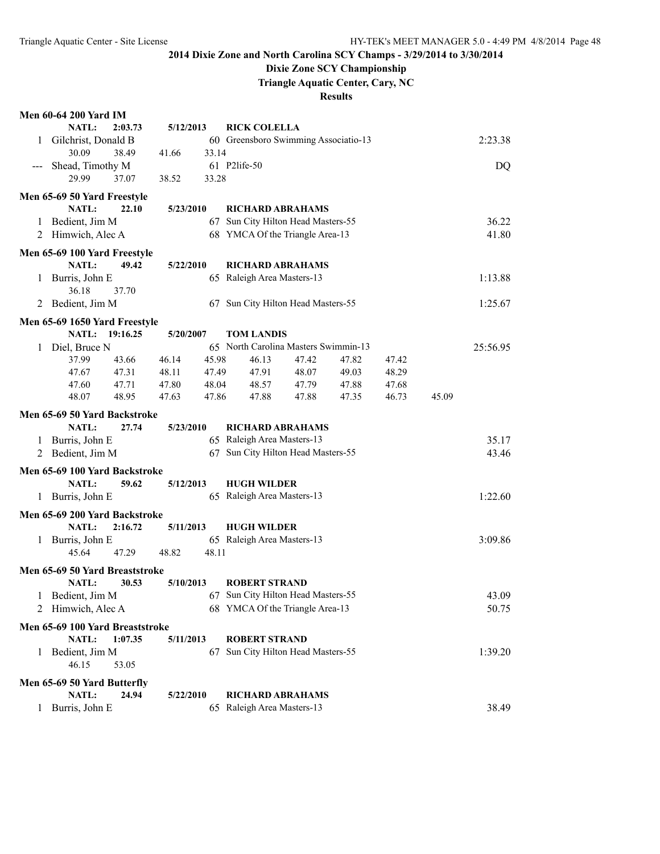## **Dixie Zone SCY Championship**

**Triangle Aquatic Center, Cary, NC**

| <b>Men 60-64 200 Yard IM</b> |  |  |
|------------------------------|--|--|
|                              |  |  |

|         | NATL:                                  | 2:03.73 | 5/12/2013 |       | <b>RICK COLELLA</b>                  |       |       |       |       |          |
|---------|----------------------------------------|---------|-----------|-------|--------------------------------------|-------|-------|-------|-------|----------|
| 1       | Gilchrist, Donald B                    |         |           |       | 60 Greensboro Swimming Associatio-13 |       |       |       |       | 2:23.38  |
|         | 30.09                                  | 38.49   | 41.66     | 33.14 |                                      |       |       |       |       |          |
|         | Shead, Timothy M                       |         |           |       | 61 P2life-50                         |       |       |       |       | DQ       |
|         | 29.99                                  | 37.07   | 38.52     | 33.28 |                                      |       |       |       |       |          |
|         | Men 65-69 50 Yard Freestyle            |         |           |       |                                      |       |       |       |       |          |
|         | NATL:                                  | 22.10   | 5/23/2010 |       | <b>RICHARD ABRAHAMS</b>              |       |       |       |       |          |
|         | 1 Bedient, Jim M                       |         |           |       | 67 Sun City Hilton Head Masters-55   |       |       |       |       | 36.22    |
| 2       | Himwich, Alec A                        |         |           |       | 68 YMCA Of the Triangle Area-13      |       |       |       |       | 41.80    |
|         | Men 65-69 100 Yard Freestyle           |         |           |       |                                      |       |       |       |       |          |
|         | NATL:                                  | 49.42   | 5/22/2010 |       | <b>RICHARD ABRAHAMS</b>              |       |       |       |       |          |
| 1       | Burris, John E                         |         |           |       | 65 Raleigh Area Masters-13           |       |       |       |       | 1:13.88  |
|         | 36.18                                  | 37.70   |           |       |                                      |       |       |       |       |          |
|         | 2 Bedient, Jim M                       |         |           |       | 67 Sun City Hilton Head Masters-55   |       |       |       |       | 1:25.67  |
|         | Men 65-69 1650 Yard Freestyle          |         |           |       |                                      |       |       |       |       |          |
|         | NATL: 19:16.25                         |         | 5/20/2007 |       | <b>TOM LANDIS</b>                    |       |       |       |       |          |
| 1       | Diel, Bruce N                          |         |           |       | 65 North Carolina Masters Swimmin-13 |       |       |       |       | 25:56.95 |
|         | 37.99                                  | 43.66   | 46.14     | 45.98 | 46.13                                | 47.42 | 47.82 | 47.42 |       |          |
|         | 47.67                                  | 47.31   | 48.11     | 47.49 | 47.91                                | 48.07 | 49.03 | 48.29 |       |          |
|         | 47.60                                  | 47.71   | 47.80     | 48.04 | 48.57                                | 47.79 | 47.88 | 47.68 |       |          |
|         | 48.07                                  | 48.95   | 47.63     | 47.86 | 47.88                                | 47.88 | 47.35 | 46.73 | 45.09 |          |
|         | Men 65-69 50 Yard Backstroke           |         |           |       |                                      |       |       |       |       |          |
|         | NATL:                                  | 27.74   | 5/23/2010 |       | <b>RICHARD ABRAHAMS</b>              |       |       |       |       |          |
| 1       | Burris, John E                         |         |           |       | 65 Raleigh Area Masters-13           |       |       |       |       | 35.17    |
| 2       | Bedient, Jim M                         |         |           |       | 67 Sun City Hilton Head Masters-55   |       |       |       |       | 43.46    |
|         | Men 65-69 100 Yard Backstroke          |         |           |       |                                      |       |       |       |       |          |
|         | NATL:                                  | 59.62   | 5/12/2013 |       | <b>HUGH WILDER</b>                   |       |       |       |       |          |
| 1       | Burris, John E                         |         |           |       | 65 Raleigh Area Masters-13           |       |       |       |       | 1:22.60  |
|         |                                        |         |           |       |                                      |       |       |       |       |          |
|         | Men 65-69 200 Yard Backstroke<br>NATL: | 2:16.72 | 5/11/2013 |       | <b>HUGH WILDER</b>                   |       |       |       |       |          |
|         | Burris, John E                         |         |           |       | 65 Raleigh Area Masters-13           |       |       |       |       | 3:09.86  |
| 1       | 45.64                                  | 47.29   | 48.82     | 48.11 |                                      |       |       |       |       |          |
|         |                                        |         |           |       |                                      |       |       |       |       |          |
|         | Men 65-69 50 Yard Breaststroke         |         |           |       |                                      |       |       |       |       |          |
|         | <b>NATL:</b>                           | 30.53   | 5/10/2013 |       | <b>ROBERT STRAND</b>                 |       |       |       |       |          |
|         | 1 Bedient, Jim M                       |         |           |       | 67 Sun City Hilton Head Masters-55   |       |       |       |       | 43.09    |
|         | Himwich, Alec A                        |         |           |       | 68 YMCA Of the Triangle Area-13      |       |       |       |       | 50.75    |
|         | Men 65-69 100 Yard Breaststroke        |         |           |       |                                      |       |       |       |       |          |
|         | NATL:                                  | 1:07.35 | 5/11/2013 |       | <b>ROBERT STRAND</b>                 |       |       |       |       |          |
| 1       | Bedient, Jim M                         |         |           |       | 67 Sun City Hilton Head Masters-55   |       |       |       |       | 1:39.20  |
|         | 46.15                                  | 53.05   |           |       |                                      |       |       |       |       |          |
|         | Men 65-69 50 Yard Butterfly            |         |           |       |                                      |       |       |       |       |          |
|         | NATL:                                  | 24.94   | 5/22/2010 |       | <b>RICHARD ABRAHAMS</b>              |       |       |       |       |          |
| $\perp$ | Burris, John E                         |         |           |       | 65 Raleigh Area Masters-13           |       |       |       |       | 38.49    |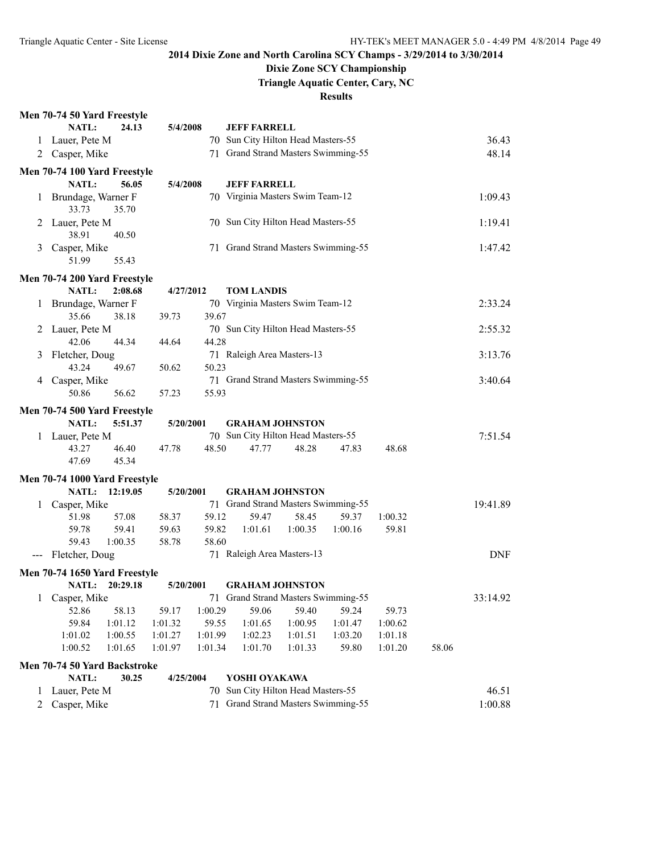### **Dixie Zone SCY Championship**

**Triangle Aquatic Center, Cary, NC**

|                                          | Men 70-74 50 Yard Freestyle                         |          |           |                                     |                                     |                            |         |         |         |            |  |
|------------------------------------------|-----------------------------------------------------|----------|-----------|-------------------------------------|-------------------------------------|----------------------------|---------|---------|---------|------------|--|
|                                          | NATL:                                               | 24.13    | 5/4/2008  |                                     | <b>JEFF FARRELL</b>                 |                            |         |         |         |            |  |
|                                          | 1 Lauer, Pete M                                     |          |           |                                     | 70 Sun City Hilton Head Masters-55  |                            |         |         |         | 36.43      |  |
|                                          | 2 Casper, Mike                                      |          |           |                                     | 71 Grand Strand Masters Swimming-55 |                            |         |         |         | 48.14      |  |
|                                          | Men 70-74 100 Yard Freestyle                        |          |           |                                     |                                     |                            |         |         |         |            |  |
|                                          | NATL:                                               | 56.05    | 5/4/2008  |                                     | <b>JEFF FARRELL</b>                 |                            |         |         |         |            |  |
| $\mathbf{1}$                             | Brundage, Warner F<br>33.73                         | 35.70    |           |                                     | 70 Virginia Masters Swim Team-12    |                            |         |         |         | 1:09.43    |  |
| 2                                        | Lauer, Pete M<br>38.91                              | 40.50    |           |                                     | 70 Sun City Hilton Head Masters-55  |                            |         |         |         | 1:19.41    |  |
| 3                                        | Casper, Mike<br>51.99                               | 55.43    |           | 71 Grand Strand Masters Swimming-55 |                                     |                            |         |         |         | 1:47.42    |  |
|                                          | Men 70-74 200 Yard Freestyle                        |          |           |                                     |                                     |                            |         |         |         |            |  |
|                                          | <b>NATL:</b>                                        | 2:08.68  | 4/27/2012 |                                     | <b>TOM LANDIS</b>                   |                            |         |         |         |            |  |
| 1                                        | Brundage, Warner F                                  |          |           |                                     | 70 Virginia Masters Swim Team-12    |                            |         |         |         | 2:33.24    |  |
|                                          | 35.66                                               | 38.18    | 39.73     | 39.67                               |                                     |                            |         |         |         |            |  |
| 2                                        | Lauer, Pete M                                       |          |           |                                     | 70 Sun City Hilton Head Masters-55  |                            |         |         |         | 2:55.32    |  |
|                                          | 42.06                                               | 44.34    | 44.64     | 44.28                               |                                     |                            |         |         |         |            |  |
| 3                                        | Fletcher, Doug                                      |          |           |                                     |                                     | 71 Raleigh Area Masters-13 |         |         |         |            |  |
|                                          | 43.24                                               | 49.67    | 50.62     | 50.23                               |                                     |                            |         |         |         | 3:13.76    |  |
| 4                                        | Casper, Mike                                        |          |           |                                     | 71 Grand Strand Masters Swimming-55 |                            |         |         |         | 3:40.64    |  |
|                                          | 50.86                                               | 56.62    | 57.23     | 55.93                               |                                     |                            |         |         |         |            |  |
| Men 70-74 500 Yard Freestyle             |                                                     |          |           |                                     |                                     |                            |         |         |         |            |  |
|                                          | <b>NATL:</b>                                        | 5:51.37  | 5/20/2001 |                                     | <b>GRAHAM JOHNSTON</b>              |                            |         |         |         |            |  |
|                                          | 1 Lauer, Pete M                                     |          |           |                                     | 70 Sun City Hilton Head Masters-55  |                            |         |         |         | 7:51.54    |  |
|                                          | 43.27                                               | 46.40    | 47.78     | 48.50                               | 47.77                               | 48.28                      | 47.83   | 48.68   |         |            |  |
|                                          | 47.69                                               | 45.34    |           |                                     |                                     |                            |         |         |         |            |  |
|                                          | Men 70-74 1000 Yard Freestyle                       |          |           |                                     |                                     |                            |         |         |         |            |  |
|                                          | NATL:                                               | 12:19.05 | 5/20/2001 |                                     | <b>GRAHAM JOHNSTON</b>              |                            |         |         |         |            |  |
| 1                                        | Casper, Mike                                        |          |           |                                     | 71 Grand Strand Masters Swimming-55 |                            |         |         |         | 19:41.89   |  |
|                                          | 51.98                                               | 57.08    | 58.37     | 59.12                               | 59.47                               | 58.45                      | 59.37   | 1:00.32 |         |            |  |
|                                          | 59.78                                               | 59.41    | 59.63     | 59.82                               | 1:01.61                             | 1:00.35                    | 1:00.16 | 59.81   |         |            |  |
|                                          | 59.43                                               | 1:00.35  | 58.78     | 58.60                               |                                     |                            |         |         |         |            |  |
| $\hspace{0.05cm} \ldots \hspace{0.05cm}$ | Fletcher, Doug                                      |          |           |                                     | 71 Raleigh Area Masters-13          |                            |         |         |         | <b>DNF</b> |  |
|                                          | Men 70-74 1650 Yard Freestyle                       |          |           |                                     |                                     |                            |         |         |         |            |  |
|                                          | NATL: 20:29.18                                      |          | 5/20/2001 |                                     | <b>GRAHAM JOHNSTON</b>              |                            |         |         |         |            |  |
| 1                                        | Casper, Mike                                        |          |           |                                     | 71 Grand Strand Masters Swimming-55 |                            |         |         |         | 33:14.92   |  |
|                                          | 52.86                                               | 58.13    | 59.17     | 1:00.29                             | 59.06                               | 59.40                      | 59.24   | 59.73   |         |            |  |
|                                          | 59.84                                               | 1:01.12  | 1:01.32   | 59.55                               | 1:01.65                             | 1:00.95                    | 1:01.47 | 1:00.62 |         |            |  |
|                                          | 1:01.02                                             | 1:00.55  | 1:01.27   | 1:01.99                             | 1:02.23                             | 1:01.51                    | 1:03.20 | 1:01.18 |         |            |  |
|                                          | 1:00.52                                             | 1:01.65  | 1:01.97   | 1:01.34                             | 1:01.70                             | 1:01.33                    | 59.80   | 1:01.20 | 58.06   |            |  |
|                                          | Men 70-74 50 Yard Backstroke                        |          |           |                                     |                                     |                            |         |         |         |            |  |
|                                          | NATL:                                               | 30.25    | 4/25/2004 |                                     | YOSHI OYAKAWA                       |                            |         |         |         |            |  |
| 1                                        | Lauer, Pete M                                       |          |           | 70                                  | Sun City Hilton Head Masters-55     |                            |         |         |         | 46.51      |  |
| 2                                        | 71 Grand Strand Masters Swimming-55<br>Casper, Mike |          |           |                                     |                                     |                            |         |         | 1:00.88 |            |  |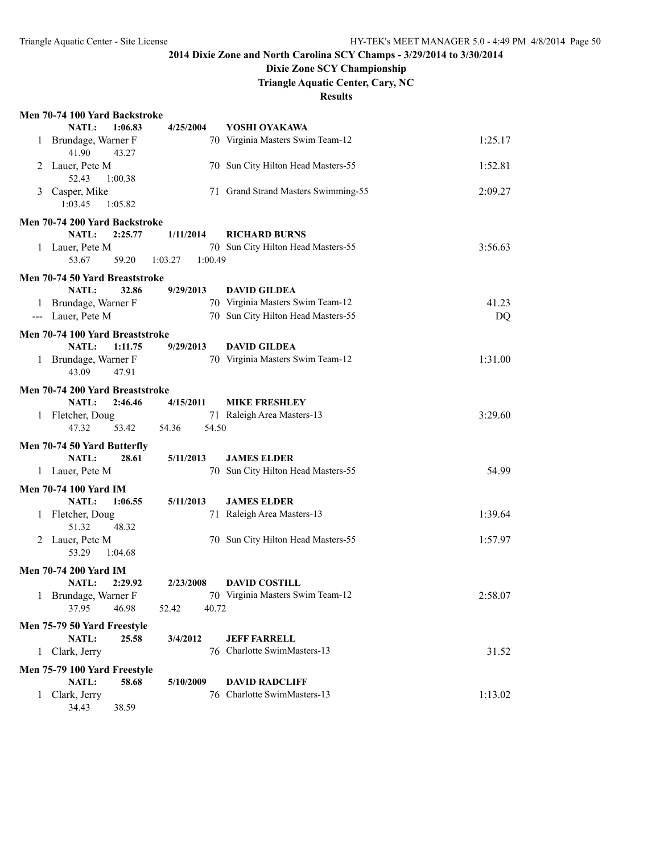## **Dixie Zone SCY Championship**

**Triangle Aquatic Center, Cary, NC**

|              | Men 70-74 100 Yard Backstroke                  |                    |                                     |         |
|--------------|------------------------------------------------|--------------------|-------------------------------------|---------|
|              | NATL:<br>1:06.83                               | 4/25/2004          | YOSHI OYAKAWA                       |         |
|              | 1 Brundage, Warner F<br>41.90<br>43.27         |                    | 70 Virginia Masters Swim Team-12    | 1:25.17 |
|              | 2 Lauer, Pete M<br>52.43<br>1:00.38            |                    | 70 Sun City Hilton Head Masters-55  | 1:52.81 |
| 3            | Casper, Mike<br>1:03.45<br>1:05.82             |                    | 71 Grand Strand Masters Swimming-55 | 2:09.27 |
|              | Men 70-74 200 Yard Backstroke                  |                    |                                     |         |
|              | NATL:<br>2:25.77                               | 1/11/2014          | <b>RICHARD BURNS</b>                |         |
|              | 1 Lauer, Pete M                                |                    | 70 Sun City Hilton Head Masters-55  | 3:56.63 |
|              | 53.67<br>59.20                                 | 1:00.49<br>1:03.27 |                                     |         |
|              | Men 70-74 50 Yard Breaststroke                 |                    |                                     |         |
|              | NATL:<br>32.86                                 | 9/29/2013          | <b>DAVID GILDEA</b>                 |         |
|              | 1 Brundage, Warner F                           |                    | 70 Virginia Masters Swim Team-12    | 41.23   |
|              | --- Lauer, Pete M                              |                    | 70 Sun City Hilton Head Masters-55  | DQ      |
|              | Men 70-74 100 Yard Breaststroke                |                    |                                     |         |
|              | NATL:<br>1:11.75                               | 9/29/2013          | <b>DAVID GILDEA</b>                 |         |
|              | 1 Brundage, Warner F                           |                    | 70 Virginia Masters Swim Team-12    | 1:31.00 |
|              | 43.09<br>47.91                                 |                    |                                     |         |
|              | Men 70-74 200 Yard Breaststroke                |                    |                                     |         |
|              | NATL:<br>2:46.46                               | 4/15/2011          | <b>MIKE FRESHLEY</b>                |         |
|              | 1 Fletcher, Doug                               |                    | 71 Raleigh Area Masters-13          | 3:29.60 |
|              | 47.32<br>53.42                                 | 54.50<br>54.36     |                                     |         |
|              | Men 70-74 50 Yard Butterfly                    |                    |                                     |         |
|              | NATL:<br>28.61                                 | 5/11/2013          | <b>JAMES ELDER</b>                  |         |
|              | 1 Lauer, Pete M                                |                    | 70 Sun City Hilton Head Masters-55  | 54.99   |
|              | <b>Men 70-74 100 Yard IM</b>                   |                    |                                     |         |
|              | NATL:<br>1:06.55                               | 5/11/2013          | <b>JAMES ELDER</b>                  |         |
|              | 1 Fletcher, Doug                               |                    | 71 Raleigh Area Masters-13          | 1:39.64 |
|              | 51.32<br>48.32                                 |                    |                                     |         |
|              | 2 Lauer, Pete M                                |                    | 70 Sun City Hilton Head Masters-55  | 1:57.97 |
|              | 53.29<br>1:04.68                               |                    |                                     |         |
|              | <b>Men 70-74 200 Yard IM</b>                   |                    |                                     |         |
|              | NATL:<br>2:29.92                               | 2/23/2008          | <b>DAVID COSTILL</b>                |         |
|              | 1 Brundage, Warner F                           |                    | 70 Virginia Masters Swim Team-12    | 2:58.07 |
|              | 37.95<br>46.98                                 | 52.42<br>40.72     |                                     |         |
|              | Men 75-79 50 Yard Freestyle                    |                    |                                     |         |
|              | NATL:<br>25.58                                 | 3/4/2012           | <b>JEFF FARRELL</b>                 |         |
| 1            | Clark, Jerry                                   |                    | 76 Charlotte SwimMasters-13         | 31.52   |
|              |                                                |                    |                                     |         |
|              | Men 75-79 100 Yard Freestyle<br>NATL:<br>58.68 | 5/10/2009          | <b>DAVID RADCLIFF</b>               |         |
| $\mathbf{1}$ | Clark, Jerry                                   |                    | 76 Charlotte SwimMasters-13         | 1:13.02 |
|              | 34.43<br>38.59                                 |                    |                                     |         |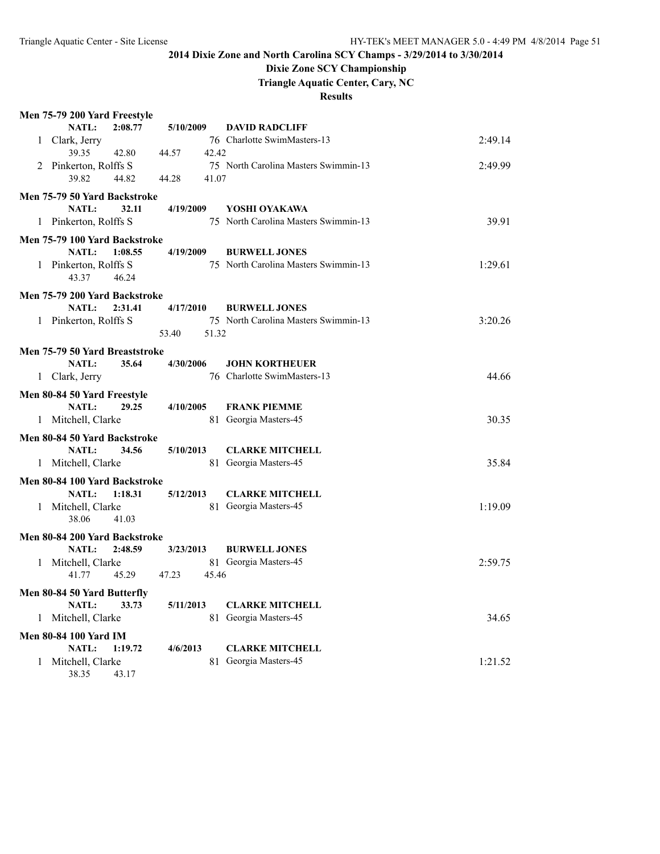# **Dixie Zone SCY Championship**

**Triangle Aquatic Center, Cary, NC**

| Men 75-79 200 Yard Freestyle                      |                |                                                              |         |
|---------------------------------------------------|----------------|--------------------------------------------------------------|---------|
| <b>NATL:</b><br>2:08.77                           | 5/10/2009      | <b>DAVID RADCLIFF</b>                                        |         |
| Clark, Jerry<br>1                                 |                | 76 Charlotte SwimMasters-13                                  | 2:49.14 |
| 39.35<br>42.80                                    | 44.57<br>42.42 |                                                              |         |
| Pinkerton, Rolffs S<br>2                          |                | 75 North Carolina Masters Swimmin-13                         | 2:49.99 |
| 39.82<br>44.82                                    | 41.07<br>44.28 |                                                              |         |
| Men 75-79 50 Yard Backstroke                      |                |                                                              |         |
| <b>NATL:</b><br>32.11                             | 4/19/2009      | YOSHI OYAKAWA                                                |         |
| 1 Pinkerton, Rolffs S                             |                | 75 North Carolina Masters Swimmin-13                         | 39.91   |
| Men 75-79 100 Yard Backstroke                     |                |                                                              |         |
| NATL:<br>1:08.55                                  | 4/19/2009      | <b>BURWELL JONES</b>                                         |         |
| 1 Pinkerton, Rolffs S                             |                | 75 North Carolina Masters Swimmin-13                         | 1:29.61 |
| 43.37<br>46.24                                    |                |                                                              |         |
|                                                   |                |                                                              |         |
| Men 75-79 200 Yard Backstroke                     |                |                                                              |         |
| NATL:<br>2:31.41<br>1 Pinkerton, Rolffs S         | 4/17/2010      | <b>BURWELL JONES</b><br>75 North Carolina Masters Swimmin-13 | 3:20.26 |
|                                                   | 53.40<br>51.32 |                                                              |         |
|                                                   |                |                                                              |         |
| Men 75-79 50 Yard Breaststroke                    |                |                                                              |         |
| <b>NATL:</b><br>35.64                             | 4/30/2006      | <b>JOHN KORTHEUER</b>                                        |         |
| 1 Clark, Jerry                                    |                | 76 Charlotte SwimMasters-13                                  | 44.66   |
| Men 80-84 50 Yard Freestyle                       |                |                                                              |         |
| NATL:<br>29.25                                    | 4/10/2005      | <b>FRANK PIEMME</b>                                          |         |
| 1 Mitchell, Clarke                                |                | 81 Georgia Masters-45                                        | 30.35   |
| Men 80-84 50 Yard Backstroke                      |                |                                                              |         |
| <b>NATL:</b><br>34.56                             | 5/10/2013      | <b>CLARKE MITCHELL</b>                                       |         |
| 1 Mitchell, Clarke                                |                | 81 Georgia Masters-45                                        | 35.84   |
|                                                   |                |                                                              |         |
| Men 80-84 100 Yard Backstroke<br>NATL:<br>1:18.31 | 5/12/2013      | <b>CLARKE MITCHELL</b>                                       |         |
|                                                   |                | 81 Georgia Masters-45                                        | 1:19.09 |
| 1 Mitchell, Clarke<br>38.06<br>41.03              |                |                                                              |         |
|                                                   |                |                                                              |         |
| Men 80-84 200 Yard Backstroke                     |                |                                                              |         |
| NATL:<br>2:48.59                                  | 3/23/2013      | <b>BURWELL JONES</b>                                         |         |
| 1 Mitchell, Clarke                                |                | 81 Georgia Masters-45                                        | 2:59.75 |
| 41.77<br>45.29                                    | 45.46<br>47.23 |                                                              |         |
| Men 80-84 50 Yard Butterfly                       |                |                                                              |         |
| NATL:<br>33.73                                    | 5/11/2013      | <b>CLARKE MITCHELL</b>                                       |         |
| Mitchell, Clarke<br>1                             |                | 81 Georgia Masters-45                                        | 34.65   |
| <b>Men 80-84 100 Yard IM</b>                      |                |                                                              |         |
| NATL:<br>1:19.72                                  | 4/6/2013       | <b>CLARKE MITCHELL</b>                                       |         |
| 1 Mitchell, Clarke                                |                | 81 Georgia Masters-45                                        | 1:21.52 |
| 38.35<br>43.17                                    |                |                                                              |         |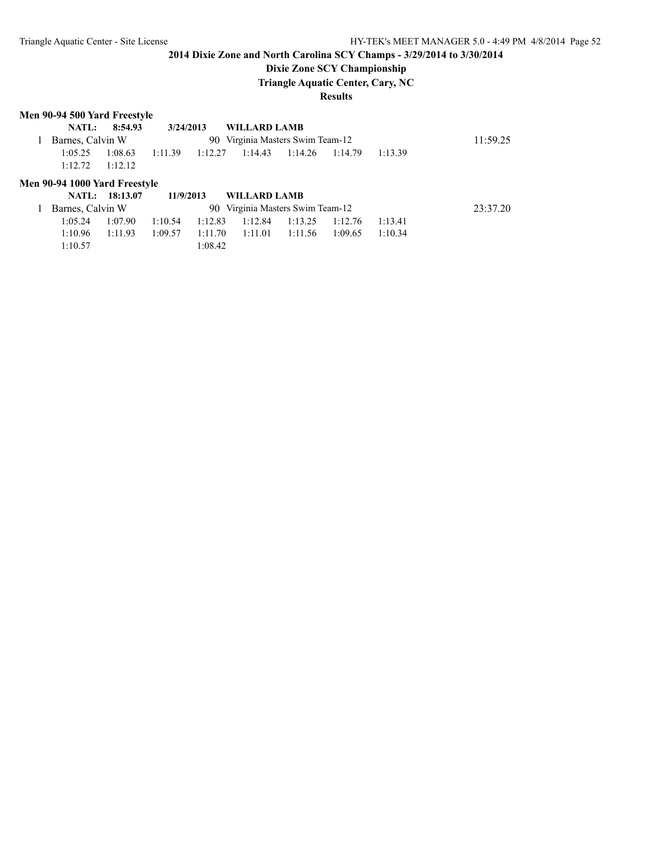### **Dixie Zone SCY Championship**

**Triangle Aquatic Center, Cary, NC**

#### **Results**

### **Men 90-94 500 Yard Freestyle**

1:10.57 1:08.42

| NATL:                         | 8:54.93        | 3/24/2013 |         | <b>WILLARD LAMB</b>              |         |          |         |         |
|-------------------------------|----------------|-----------|---------|----------------------------------|---------|----------|---------|---------|
| Barnes, Calvin W              |                |           |         | 90 Virginia Masters Swim Team-12 |         | 11:59.25 |         |         |
| 1:05.25                       | 1:08.63        | 1:11.39   | 1:12.27 | 1:14.43                          | 1:14.26 | 1:14.79  | 1:13.39 |         |
| 1:12.72                       | 1:12.12        |           |         |                                  |         |          |         |         |
| Men 90-94 1000 Yard Freestyle |                |           |         |                                  |         |          |         |         |
|                               | NATL: 18:13.07 | 11/9/2013 |         | <b>WILLARD LAMB</b>              |         |          |         |         |
| Barnes, Calvin W              |                |           |         | 90 Virginia Masters Swim Team-12 |         |          |         | 23.3720 |
| 1:05.24                       | 1:07.90        | 1:10.54   | 1:12.83 | 1:12.84                          | 1:13.25 | 1:12.76  | 1:13.41 |         |

1:10.96 1:11.93 1:09.57 1:11.70 1:11.01 1:11.56 1:09.65 1:10.34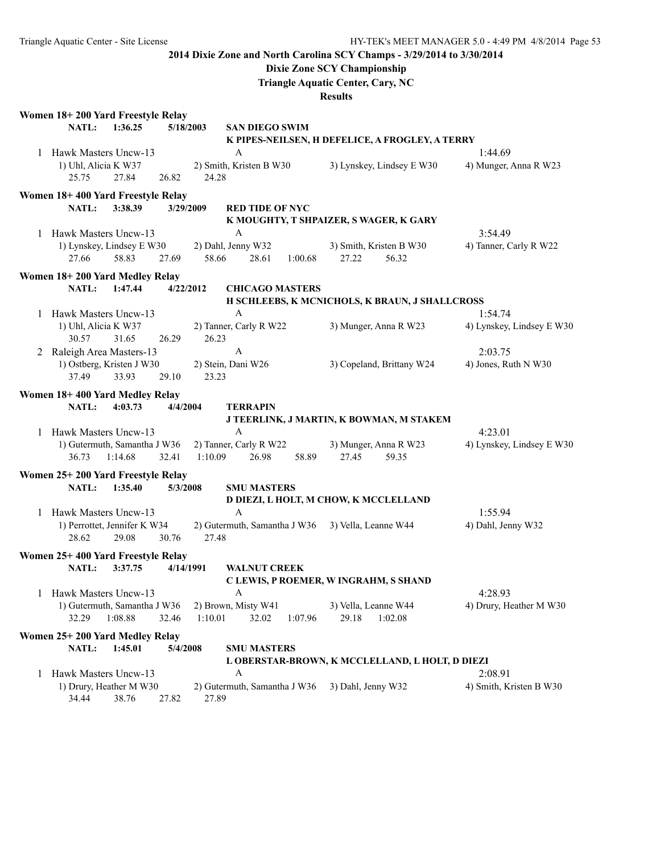## **Dixie Zone SCY Championship**

**Triangle Aquatic Center, Cary, NC**

|              | Women 18+200 Yard Freestyle Relay  |         |          |           |                              |         |                      |                                                 |                           |
|--------------|------------------------------------|---------|----------|-----------|------------------------------|---------|----------------------|-------------------------------------------------|---------------------------|
|              | NATL:                              | 1:36.25 |          | 5/18/2003 | <b>SAN DIEGO SWIM</b>        |         |                      |                                                 |                           |
|              |                                    |         |          |           |                              |         |                      | K PIPES-NEILSEN, H DEFELICE, A FROGLEY, A TERRY |                           |
|              | 1 Hawk Masters Uncw-13             |         |          |           | A                            |         |                      |                                                 | 1:44.69                   |
|              | 1) Uhl, Alicia K W37               |         |          |           | 2) Smith, Kristen B W30      |         |                      | 3) Lynskey, Lindsey E W30                       | 4) Munger, Anna R W23     |
|              | 25.75                              | 27.84   | 26.82    | 24.28     |                              |         |                      |                                                 |                           |
|              | Women 18+400 Yard Freestyle Relay  |         |          |           |                              |         |                      |                                                 |                           |
|              | NATL:                              | 3:38.39 |          | 3/29/2009 | <b>RED TIDE OF NYC</b>       |         |                      |                                                 |                           |
|              |                                    |         |          |           |                              |         |                      | K MOUGHTY, T SHPAIZER, S WAGER, K GARY          |                           |
|              | 1 Hawk Masters Uncw-13             |         |          |           | A                            |         |                      |                                                 | 3:54.49                   |
|              | 1) Lynskey, Lindsey E W30          |         |          |           | 2) Dahl, Jenny W32           |         |                      | 3) Smith, Kristen B W30                         | 4) Tanner, Carly R W22    |
|              | 27.66                              | 58.83   | 27.69    | 58.66     | 28.61                        | 1:00.68 | 27.22                | 56.32                                           |                           |
|              | Women 18+200 Yard Medley Relay     |         |          |           |                              |         |                      |                                                 |                           |
|              | <b>NATL:</b>                       | 1:47.44 |          | 4/22/2012 | <b>CHICAGO MASTERS</b>       |         |                      |                                                 |                           |
|              |                                    |         |          |           |                              |         |                      | H SCHLEEBS, K MCNICHOLS, K BRAUN, J SHALLCROSS  |                           |
|              | 1 Hawk Masters Uncw-13             |         |          |           | A                            |         |                      |                                                 | 1:54.74                   |
|              |                                    |         |          |           | 2) Tanner, Carly R W22       |         |                      |                                                 | 4) Lynskey, Lindsey E W30 |
|              | 1) Uhl, Alicia K W37<br>30.57      | 31.65   | 26.29    | 26.23     |                              |         |                      | 3) Munger, Anna R W23                           |                           |
|              |                                    |         |          |           | $\mathbf{A}$                 |         |                      |                                                 |                           |
|              | 2 Raleigh Area Masters-13          |         |          |           |                              |         |                      |                                                 | 2:03.75                   |
|              | 1) Ostberg, Kristen J W30<br>37.49 | 33.93   | 29.10    | 23.23     | 2) Stein, Dani W26           |         |                      | 3) Copeland, Brittany W24                       | 4) Jones, Ruth N W30      |
|              |                                    |         |          |           |                              |         |                      |                                                 |                           |
|              | Women 18+400 Yard Medley Relay     |         |          |           |                              |         |                      |                                                 |                           |
|              | NATL:                              | 4:03.73 | 4/4/2004 |           | <b>TERRAPIN</b>              |         |                      |                                                 |                           |
|              |                                    |         |          |           |                              |         |                      | J TEERLINK, J MARTIN, K BOWMAN, M STAKEM        |                           |
| $\mathbf{1}$ | Hawk Masters Uncw-13               |         |          |           | A                            |         |                      |                                                 | 4:23.01                   |
|              | 1) Gutermuth, Samantha J W36       |         |          |           | 2) Tanner, Carly R W22       |         |                      | 3) Munger, Anna R W23                           | 4) Lynskey, Lindsey E W30 |
|              | 36.73                              | 1:14.68 | 32.41    | 1:10.09   | 26.98                        | 58.89   | 27.45                | 59.35                                           |                           |
|              | Women 25+200 Yard Freestyle Relay  |         |          |           |                              |         |                      |                                                 |                           |
|              | NATL:                              | 1:35.40 | 5/3/2008 |           | <b>SMU MASTERS</b>           |         |                      |                                                 |                           |
|              |                                    |         |          |           |                              |         |                      | D DIEZI, L HOLT, M CHOW, K MCCLELLAND           |                           |
|              | 1 Hawk Masters Uncw-13             |         |          |           | A                            |         |                      |                                                 | 1:55.94                   |
|              | 1) Perrottet, Jennifer K W34       |         |          |           | 2) Gutermuth, Samantha J W36 |         | 3) Vella, Leanne W44 |                                                 | 4) Dahl, Jenny W32        |
|              | 28.62                              | 29.08   | 30.76    | 27.48     |                              |         |                      |                                                 |                           |
|              | Women 25+400 Yard Freestyle Relay  |         |          |           |                              |         |                      |                                                 |                           |
|              | <b>NATL:</b>                       | 3:37.75 |          | 4/14/1991 | <b>WALNUT CREEK</b>          |         |                      |                                                 |                           |
|              |                                    |         |          |           |                              |         |                      | C LEWIS, P ROEMER, W INGRAHM, S SHAND           |                           |
|              | 1 Hawk Masters Uncw-13             |         |          |           | A                            |         |                      |                                                 | 4:28.93                   |
|              | 1) Gutermuth, Samantha J W36       |         |          |           | 2) Brown, Misty W41          |         | 3) Vella, Leanne W44 |                                                 | 4) Drury, Heather M W30   |
|              | 32.29                              | 1:08.88 | 32.46    | 1:10.01   | 32.02                        | 1:07.96 | 29.18                | 1:02.08                                         |                           |
|              |                                    |         |          |           |                              |         |                      |                                                 |                           |
|              | Women 25+200 Yard Medley Relay     |         |          |           |                              |         |                      |                                                 |                           |
|              | NATL:                              | 1:45.01 | 5/4/2008 |           | <b>SMU MASTERS</b>           |         |                      |                                                 |                           |
|              |                                    |         |          |           |                              |         |                      | L OBERSTAR-BROWN, K MCCLELLAND, L HOLT, D DIEZI |                           |
| 1            | Hawk Masters Uncw-13               |         |          |           | A                            |         |                      |                                                 | 2:08.91                   |
|              | 1) Drury, Heather M W30            |         |          |           | 2) Gutermuth, Samantha J W36 |         | 3) Dahl, Jenny W32   |                                                 | 4) Smith, Kristen B W30   |
|              | 34.44                              | 38.76   | 27.82    | 27.89     |                              |         |                      |                                                 |                           |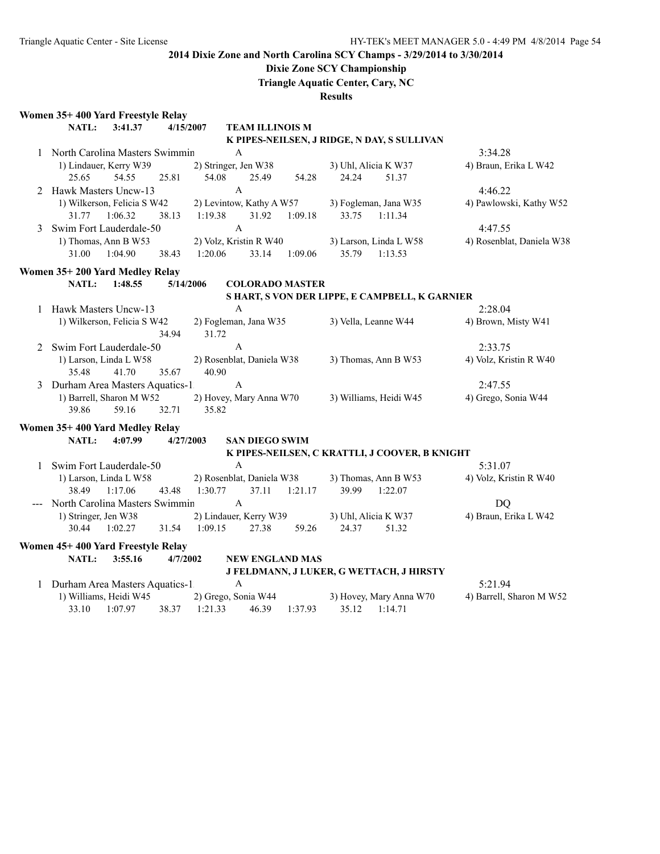## **Dixie Zone SCY Championship**

**Triangle Aquatic Center, Cary, NC**

| Women 35+400 Yard Freestyle Relay  |                           |                           |                        |         |                      |                                                |                           |
|------------------------------------|---------------------------|---------------------------|------------------------|---------|----------------------|------------------------------------------------|---------------------------|
| NATL:<br>3:41.37                   |                           | 4/15/2007                 | <b>TEAM ILLINOIS M</b> |         |                      |                                                |                           |
|                                    |                           |                           |                        |         |                      | K PIPES-NEILSEN, J RIDGE, N DAY, S SULLIVAN    |                           |
| 1 North Carolina Masters Swimmin   |                           |                           | A                      |         |                      |                                                | 3:34.28                   |
| 1) Lindauer, Kerry W39             |                           | 2) Stringer, Jen W38      |                        |         |                      | 3) Uhl, Alicia K W37                           | 4) Braun, Erika L W42     |
| 25.65<br>54.55                     | 25.81                     | 54.08                     | 25.49                  | 54.28   | 24.24                | 51.37                                          |                           |
| 2 Hawk Masters Uncw-13             |                           |                           | $\mathbf{A}$           |         |                      |                                                | 4:46.22                   |
| 1) Wilkerson, Felicia S W42        |                           | 2) Levintow, Kathy A W57  |                        |         |                      | 3) Fogleman, Jana W35                          | 4) Pawlowski, Kathy W52   |
| 31.77<br>1:06.32                   | 38.13                     | 1:19.38                   | 31.92                  | 1:09.18 | 33.75                | 1:11.34                                        |                           |
| 3 Swim Fort Lauderdale-50          |                           |                           | $\mathbf{A}$           |         |                      |                                                | 4:47.55                   |
| 1) Thomas, Ann B W53               |                           | 2) Volz, Kristin R W40    |                        |         |                      | 3) Larson, Linda L W58                         | 4) Rosenblat, Daniela W38 |
| 31.00<br>1:04.90                   | 38.43                     | 1:20.06                   | 33.14                  | 1:09.06 | 35.79                | 1:13.53                                        |                           |
| Women 35+200 Yard Medley Relay     |                           |                           |                        |         |                      |                                                |                           |
| NATL:<br>1:48.55                   |                           | 5/14/2006                 | <b>COLORADO MASTER</b> |         |                      |                                                |                           |
|                                    |                           |                           |                        |         |                      | S HART, S VON DER LIPPE, E CAMPBELL, K GARNIER |                           |
| 1 Hawk Masters Uncw-13             |                           |                           | $\mathbf{A}$           |         |                      |                                                | 2:28.04                   |
| 1) Wilkerson, Felicia S W42        |                           | 2) Fogleman, Jana W35     |                        |         |                      | 3) Vella, Leanne W44                           | 4) Brown, Misty W41       |
|                                    | 34.94                     | 31.72                     |                        |         |                      |                                                |                           |
| 2 Swim Fort Lauderdale-50          |                           |                           | A                      |         |                      |                                                | 2:33.75                   |
| 1) Larson, Linda L W58             | 2) Rosenblat, Daniela W38 |                           |                        |         | 3) Thomas, Ann B W53 | 4) Volz, Kristin R W40                         |                           |
| 35.48<br>41.70                     | 35.67                     | 40.90                     |                        |         |                      |                                                |                           |
| 3 Durham Area Masters Aquatics-1   |                           |                           | A                      |         |                      |                                                | 2:47.55                   |
| 1) Barrell, Sharon M W52           |                           | 2) Hovey, Mary Anna W70   |                        |         |                      | 3) Williams, Heidi W45                         | 4) Grego, Sonia W44       |
| 39.86<br>59.16                     | 32.71                     | 35.82                     |                        |         |                      |                                                |                           |
| Women 35+400 Yard Medley Relay     |                           |                           |                        |         |                      |                                                |                           |
| 4:07.99<br>NATL:                   |                           | 4/27/2003                 | <b>SAN DIEGO SWIM</b>  |         |                      |                                                |                           |
|                                    |                           |                           |                        |         |                      | K PIPES-NEILSEN, C KRATTLI, J COOVER, B KNIGHT |                           |
| 1 Swim Fort Lauderdale-50          |                           |                           | $\mathbf{A}$           |         |                      |                                                | 5:31.07                   |
| 1) Larson, Linda L W58             |                           | 2) Rosenblat, Daniela W38 |                        |         |                      | 3) Thomas, Ann B W53                           | 4) Volz, Kristin R W40    |
| 38.49 1:17.06                      | 43.48                     | 1:30.77                   | 37.11                  | 1:21.17 | 39.99                | 1:22.07                                        |                           |
| --- North Carolina Masters Swimmin |                           |                           | $\mathbf{A}$           |         |                      |                                                | <b>DQ</b>                 |
| 1) Stringer, Jen W38               |                           | 2) Lindauer, Kerry W39    |                        |         |                      | 3) Uhl, Alicia K W37                           | 4) Braun, Erika L W42     |
| 30.44<br>1:02.27                   | 31.54                     | 1:09.15                   | 27.38                  | 59.26   | 24.37                | 51.32                                          |                           |
| Women 45+400 Yard Freestyle Relay  |                           |                           |                        |         |                      |                                                |                           |
| NATL:<br>3:55.16                   | 4/7/2002                  |                           | <b>NEW ENGLAND MAS</b> |         |                      |                                                |                           |
|                                    |                           |                           |                        |         |                      | J FELDMANN, J LUKER, G WETTACH, J HIRSTY       |                           |
| 1 Durham Area Masters Aquatics-1   |                           |                           | $\mathbf{A}$           |         |                      |                                                | 5:21.94                   |
| 1) Williams, Heidi W45             |                           | 2) Grego, Sonia W44       |                        |         |                      | 3) Hovey, Mary Anna W70                        | 4) Barrell, Sharon M W52  |
| 33.10<br>1:07.97                   | 38.37                     | 1:21.33                   | 46.39                  | 1:37.93 | 35.12                | 1:14.71                                        |                           |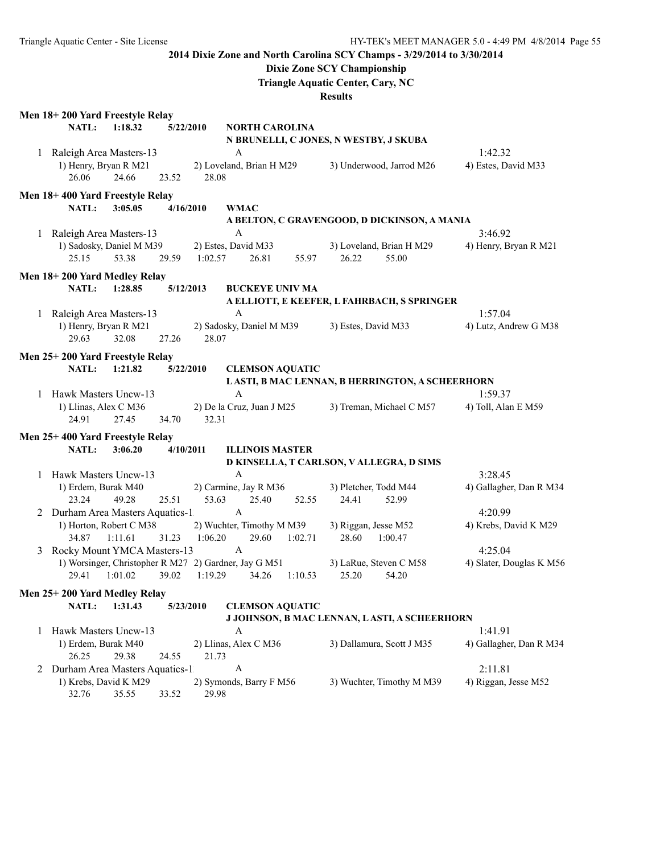## **Dixie Zone SCY Championship**

**Triangle Aquatic Center, Cary, NC**

|   | Men 18+200 Yard Freestyle Relay          |         |           |           |                                                       |                           |                           |                          |
|---|------------------------------------------|---------|-----------|-----------|-------------------------------------------------------|---------------------------|---------------------------|--------------------------|
|   | <b>NATL:</b>                             | 1:18.32 |           | 5/22/2010 | <b>NORTH CAROLINA</b>                                 |                           |                           |                          |
|   |                                          |         |           |           | N BRUNELLI, C JONES, N WESTBY, J SKUBA                |                           |                           |                          |
|   | 1 Raleigh Area Masters-13                |         |           |           | A                                                     |                           |                           | 1:42.32                  |
|   | 1) Henry, Bryan R M21                    |         |           |           | 2) Loveland, Brian H M29                              | 3) Underwood, Jarrod M26  |                           | 4) Estes, David M33      |
|   | 26.06                                    | 24.66   | 23.52     | 28.08     |                                                       |                           |                           |                          |
|   | Men 18+400 Yard Freestyle Relay          |         |           |           |                                                       |                           |                           |                          |
|   | NATL:                                    | 3:05.05 |           | 4/16/2010 | <b>WMAC</b>                                           |                           |                           |                          |
|   |                                          |         |           |           | A BELTON, C GRAVENGOOD, D DICKINSON, A MANIA          |                           |                           |                          |
|   | 1 Raleigh Area Masters-13                |         |           |           | $\mathbf{A}$                                          |                           |                           | 3:46.92                  |
|   | 1) Sadosky, Daniel M M39                 |         |           |           | 2) Estes, David M33                                   | 3) Loveland, Brian H M29  |                           | 4) Henry, Bryan R M21    |
|   | 25.15                                    | 53.38   | 29.59     | 1:02.57   | 26.81                                                 | 26.22<br>55.97            | 55.00                     |                          |
|   | Men 18+200 Yard Medley Relay             |         |           |           |                                                       |                           |                           |                          |
|   | <b>NATL:</b>                             | 1:28.85 |           | 5/12/2013 | <b>BUCKEYE UNIV MA</b>                                |                           |                           |                          |
|   |                                          |         |           |           | A ELLIOTT, E KEEFER, L FAHRBACH, S SPRINGER           |                           |                           |                          |
|   | 1 Raleigh Area Masters-13                |         |           |           | A                                                     |                           |                           | 1:57.04                  |
|   | 1) Henry, Bryan R M21                    |         |           |           | 2) Sadosky, Daniel M M39                              | 3) Estes, David M33       |                           | 4) Lutz, Andrew G M38    |
|   | 29.63                                    | 32.08   | 27.26     | 28.07     |                                                       |                           |                           |                          |
|   | Men 25+200 Yard Freestyle Relay          |         |           |           |                                                       |                           |                           |                          |
|   | NATL:                                    | 1:21.82 |           | 5/22/2010 | <b>CLEMSON AQUATIC</b>                                |                           |                           |                          |
|   |                                          |         |           |           | LASTI, B MAC LENNAN, B HERRINGTON, A SCHEERHORN       |                           |                           |                          |
| 1 | Hawk Masters Uncw-13                     |         |           |           | A                                                     |                           |                           | 1:59.37                  |
|   | 1) Llinas, Alex C M36                    |         |           |           | 2) De la Cruz, Juan J M25                             | 3) Treman, Michael C M57  |                           | 4) Toll, Alan E M59      |
|   | 24.91                                    | 27.45   | 34.70     | 32.31     |                                                       |                           |                           |                          |
|   |                                          |         |           |           |                                                       |                           |                           |                          |
|   | Men 25+400 Yard Freestyle Relay<br>NATL: | 3:06.20 | 4/10/2011 |           | <b>ILLINOIS MASTER</b>                                |                           |                           |                          |
|   |                                          |         |           |           | D KINSELLA, T CARLSON, V ALLEGRA, D SIMS              |                           |                           |                          |
|   | 1 Hawk Masters Uncw-13                   |         |           |           | A                                                     |                           |                           | 3:28.45                  |
|   | 1) Erdem, Burak M40                      |         |           |           | 2) Carmine, Jay R M36                                 | 3) Pletcher, Todd M44     |                           | 4) Gallagher, Dan R M34  |
|   | 23.24                                    | 49.28   | 25.51     | 53.63     | 25.40                                                 | 24.41<br>52.55            | 52.99                     |                          |
|   | 2 Durham Area Masters Aquatics-1         |         |           |           | $\mathbf{A}$                                          |                           |                           | 4:20.99                  |
|   | 1) Horton, Robert C M38                  |         |           |           | 2) Wuchter, Timothy M M39                             | 3) Riggan, Jesse M52      |                           | 4) Krebs, David K M29    |
|   | 34.87                                    | 1:11.61 | 31.23     | 1:06.20   | 29.60<br>1:02.71                                      | 28.60                     | 1:00.47                   |                          |
|   | 3 Rocky Mount YMCA Masters-13            |         |           |           | $\mathbf{A}$                                          |                           |                           | 4:25.04                  |
|   |                                          |         |           |           | 1) Worsinger, Christopher R M27 2) Gardner, Jay G M51 | 3) LaRue, Steven C M58    |                           | 4) Slater, Douglas K M56 |
|   | 29.41                                    | 1:01.02 | 39.02     | 1:19.29   | 34.26<br>1:10.53                                      | 25.20                     | 54.20                     |                          |
|   | Men 25+200 Yard Medley Relay             |         |           |           |                                                       |                           |                           |                          |
|   | NATL:                                    | 1:31.43 |           | 5/23/2010 | <b>CLEMSON AQUATIC</b>                                |                           |                           |                          |
|   |                                          |         |           |           | J JOHNSON, B MAC LENNAN, LASTI, A SCHEERHORN          |                           |                           |                          |
| 1 | Hawk Masters Uncw-13                     |         |           |           | A                                                     |                           |                           | 1:41.91                  |
|   | 1) Erdem, Burak M40                      |         |           |           | 2) Llinas, Alex C M36                                 | 3) Dallamura, Scott J M35 |                           | 4) Gallagher, Dan R M34  |
|   | 26.25                                    | 29.38   | 24.55     | 21.73     |                                                       |                           |                           |                          |
| 2 | Durham Area Masters Aquatics-1           |         |           |           | A                                                     |                           |                           | 2:11.81                  |
|   | 1) Krebs, David K M29                    |         |           |           | 2) Symonds, Barry F M56                               |                           | 3) Wuchter, Timothy M M39 | 4) Riggan, Jesse M52     |
|   | 32.76                                    | 35.55   | 33.52     | 29.98     |                                                       |                           |                           |                          |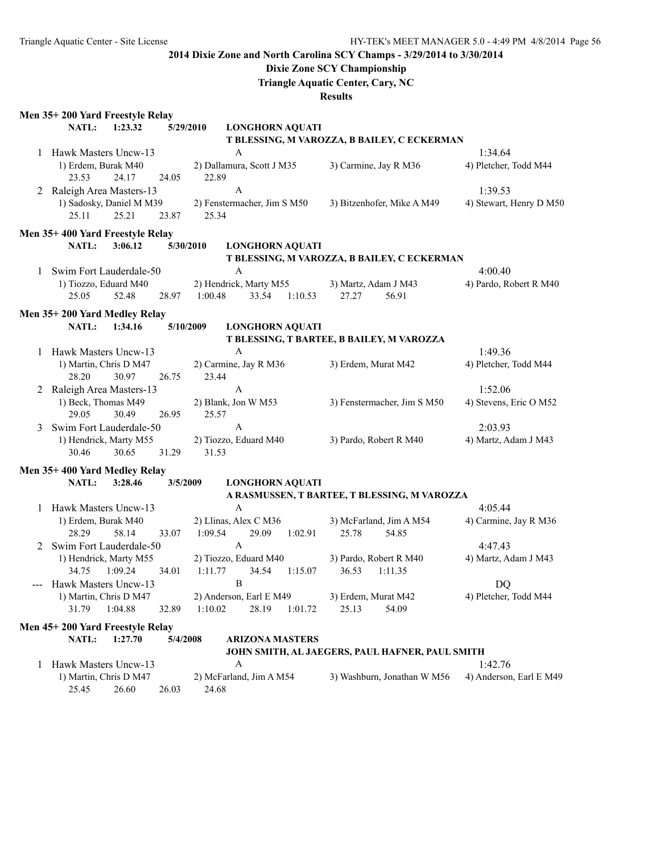## **Dixie Zone SCY Championship**

**Triangle Aquatic Center, Cary, NC**

|              | Men 35+200 Yard Freestyle Relay          |         |          |                              |                             |         |                      |                                                 |                         |
|--------------|------------------------------------------|---------|----------|------------------------------|-----------------------------|---------|----------------------|-------------------------------------------------|-------------------------|
|              | <b>NATL:</b>                             | 1:23.32 |          | 5/29/2010                    | <b>LONGHORN AQUATI</b>      |         |                      |                                                 |                         |
|              |                                          |         |          |                              |                             |         |                      | T BLESSING, M VAROZZA, B BAILEY, C ECKERMAN     |                         |
|              | 1 Hawk Masters Uncw-13                   |         |          |                              | A                           |         |                      |                                                 | 1:34.64                 |
|              | 1) Erdem, Burak M40                      |         |          |                              | 2) Dallamura, Scott J M35   |         |                      | 3) Carmine, Jay R M36                           | 4) Pletcher, Todd M44   |
|              | 23.53                                    | 24.17   | 24.05    | 22.89                        |                             |         |                      |                                                 |                         |
|              | 2 Raleigh Area Masters-13                |         |          |                              | A                           |         |                      |                                                 | 1:39.53                 |
|              | 1) Sadosky, Daniel M M39                 |         |          |                              | 2) Fenstermacher, Jim S M50 |         |                      | 3) Bitzenhofer, Mike A M49                      | 4) Stewart, Henry D M50 |
|              | 25.11                                    | 25.21   | 23.87    | 25.34                        |                             |         |                      |                                                 |                         |
|              | Men 35+400 Yard Freestyle Relay          |         |          |                              |                             |         |                      |                                                 |                         |
|              | NATL:                                    | 3:06.12 |          | 5/30/2010                    | <b>LONGHORN AQUATI</b>      |         |                      |                                                 |                         |
|              |                                          |         |          |                              |                             |         |                      | T BLESSING, M VAROZZA, B BAILEY, C ECKERMAN     |                         |
|              | 1 Swim Fort Lauderdale-50                |         |          |                              | A                           |         |                      |                                                 | 4:00.40                 |
|              | 1) Tiozzo, Eduard M40                    |         |          |                              | 2) Hendrick, Marty M55      |         | 3) Martz, Adam J M43 |                                                 | 4) Pardo, Robert R M40  |
|              | 25.05                                    | 52.48   | 28.97    | 1:00.48                      | 33.54                       | 1:10.53 | 27.27                | 56.91                                           |                         |
|              |                                          |         |          |                              |                             |         |                      |                                                 |                         |
|              | Men 35+200 Yard Medley Relay             |         |          |                              |                             |         |                      |                                                 |                         |
|              | <b>NATL:</b>                             | 1:34.16 |          | 5/10/2009                    | <b>LONGHORN AQUATI</b>      |         |                      | T BLESSING, T BARTEE, B BAILEY, M VAROZZA       |                         |
| $\mathbf{1}$ | Hawk Masters Uncw-13                     |         |          |                              | A                           |         |                      |                                                 | 1:49.36                 |
|              | 1) Martin, Chris D M47                   |         |          |                              | 2) Carmine, Jay R M36       |         | 3) Erdem, Murat M42  |                                                 | 4) Pletcher, Todd M44   |
|              | 28.20                                    | 30.97   | 26.75    | 23.44                        |                             |         |                      |                                                 |                         |
|              | 2 Raleigh Area Masters-13                |         |          |                              | A                           |         |                      |                                                 | 1:52.06                 |
|              | 1) Beck, Thomas M49                      |         |          |                              | 2) Blank, Jon W M53         |         |                      | 3) Fenstermacher, Jim S M50                     | 4) Stevens, Eric O M52  |
|              | 29.05                                    | 30.49   | 26.95    | 25.57                        |                             |         |                      |                                                 |                         |
| 3            | Swim Fort Lauderdale-50                  |         |          |                              | $\mathbf{A}$                |         |                      |                                                 | 2:03.93                 |
|              | 1) Hendrick, Marty M55                   |         |          |                              | 2) Tiozzo, Eduard M40       |         |                      | 3) Pardo, Robert R M40                          | 4) Martz, Adam J M43    |
|              | 30.46                                    | 30.65   | 31.29    | 31.53                        |                             |         |                      |                                                 |                         |
|              |                                          |         |          |                              |                             |         |                      |                                                 |                         |
|              | Men 35+400 Yard Medley Relay<br>NATL:    | 3:28.46 |          |                              |                             |         |                      |                                                 |                         |
|              |                                          |         | 3/5/2009 |                              | <b>LONGHORN AQUATI</b>      |         |                      | A RASMUSSEN, T BARTEE, T BLESSING, M VAROZZA    |                         |
| $\mathbf{1}$ | Hawk Masters Uncw-13                     |         |          |                              | $\mathbf{A}$                |         |                      |                                                 | 4:05.44                 |
|              | 1) Erdem, Burak M40                      |         |          |                              | 2) Llinas, Alex C M36       |         |                      | 3) McFarland, Jim A M54                         | 4) Carmine, Jay R M36   |
|              | 28.29                                    | 58.14   | 33.07    | 1:09.54                      | 29.09                       | 1:02.91 | 25.78                | 54.85                                           |                         |
| 2            | Swim Fort Lauderdale-50                  |         |          |                              | A                           |         |                      |                                                 | 4:47.43                 |
|              | 1) Hendrick, Marty M55                   |         |          |                              | 2) Tiozzo, Eduard M40       |         |                      | 3) Pardo, Robert R M40                          | 4) Martz, Adam J M43    |
|              | 34.75                                    | 1:09.24 | 34.01    | 1:11.77                      | 34.54                       | 1:15.07 | 36.53                | 1:11.35                                         |                         |
|              | Hawk Masters Uncw-13                     |         |          |                              | B                           |         |                      |                                                 | DQ                      |
|              | 1) Martin, Chris D M47                   |         |          |                              | 2) Anderson, Earl E M49     |         | 3) Erdem, Murat M42  |                                                 | 4) Pletcher, Todd M44   |
|              | 31.79                                    | 1:04.88 | 32.89    | 1:10.02                      | 28.19                       | 1:01.72 | 25.13                | 54.09                                           |                         |
|              |                                          |         |          |                              |                             |         |                      |                                                 |                         |
|              | Men 45+200 Yard Freestyle Relay          |         |          |                              |                             |         |                      |                                                 |                         |
|              | NATL:                                    | 1:27.70 | 5/4/2008 |                              | <b>ARIZONA MASTERS</b>      |         |                      |                                                 |                         |
|              |                                          |         |          |                              |                             |         |                      | JOHN SMITH, AL JAEGERS, PAUL HAFNER, PAUL SMITH |                         |
|              | Hawk Masters Uncw-13<br>1                |         |          | A<br>2) McFarland, Jim A M54 |                             |         |                      | 1:42.76                                         |                         |
|              | 1) Martin, Chris D M47<br>25.45<br>26.60 |         |          | 24.68                        |                             |         |                      | 3) Washburn, Jonathan W M56                     | 4) Anderson, Earl E M49 |
|              |                                          |         | 26.03    |                              |                             |         |                      |                                                 |                         |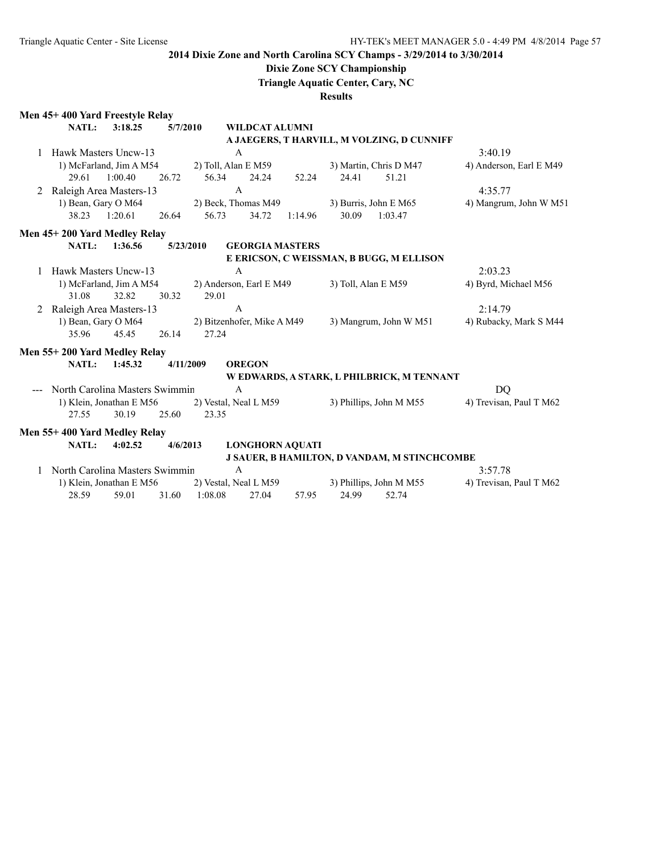## **Dixie Zone SCY Championship**

**Triangle Aquatic Center, Cary, NC**

|                | Men 45+400 Yard Freestyle Relay |                          |           |                       |                            |         |       |                                                     |                         |
|----------------|---------------------------------|--------------------------|-----------|-----------------------|----------------------------|---------|-------|-----------------------------------------------------|-------------------------|
|                | <b>NATL:</b>                    | 3:18.25                  | 5/7/2010  |                       | <b>WILDCAT ALUMNI</b>      |         |       |                                                     |                         |
|                |                                 |                          |           |                       |                            |         |       | A JAEGERS, T HARVILL, M VOLZING, D CUNNIFF          |                         |
|                | Hawk Masters Uncw-13            |                          |           |                       | A                          |         |       |                                                     | 3:40.19                 |
|                |                                 | 1) McFarland, Jim A M54  |           |                       | 2) Toll, Alan E M59        |         |       | 3) Martin, Chris D M47                              | 4) Anderson, Earl E M49 |
|                | 29.61                           | 1:00.40                  | 26.72     | 56.34                 | 24.24                      | 52.24   | 24.41 | 51.21                                               |                         |
| $\overline{2}$ | Raleigh Area Masters-13         |                          |           |                       | $\mathbf{A}$               |         |       |                                                     | 4:35.77                 |
|                |                                 | 1) Bean, Gary O M64      |           | 2) Beck, Thomas M49   |                            |         |       | 3) Burris, John E M65                               | 4) Mangrum, John W M51  |
|                | 38.23                           | 1:20.61                  | 26.64     | 56.73                 | 34.72                      | 1:14.96 | 30.09 | 1:03.47                                             |                         |
|                | Men 45+200 Yard Medley Relay    |                          |           |                       |                            |         |       |                                                     |                         |
|                | <b>NATL:</b>                    | 1:36.56                  |           | 5/23/2010             | <b>GEORGIA MASTERS</b>     |         |       |                                                     |                         |
|                |                                 |                          |           |                       |                            |         |       | E ERICSON, C WEISSMAN, B BUGG, M ELLISON            |                         |
|                | Hawk Masters Uncw-13            |                          |           |                       | A                          |         |       |                                                     | 2:03.23                 |
|                |                                 | 1) McFarland, Jim A M54  |           |                       | 2) Anderson, Earl E M49    |         |       | 3) Toll, Alan E M59                                 | 4) Byrd, Michael M56    |
|                | 31.08                           | 32.82                    | 30.32     | 29.01                 |                            |         |       |                                                     |                         |
| 2              | Raleigh Area Masters-13         |                          |           |                       | $\mathbf{A}$               |         |       |                                                     | 2:14.79                 |
|                | 1) Bean, Gary O M64             |                          |           |                       | 2) Bitzenhofer, Mike A M49 |         |       | 3) Mangrum, John W M51                              | 4) Rubacky, Mark S M44  |
|                | 35.96                           | 45.45                    | 26.14     | 27.24                 |                            |         |       |                                                     |                         |
|                | Men 55+200 Yard Medley Relay    |                          |           |                       |                            |         |       |                                                     |                         |
|                | <b>NATL:</b>                    | 1:45.32                  | 4/11/2009 |                       | <b>OREGON</b>              |         |       |                                                     |                         |
|                |                                 |                          |           |                       |                            |         |       | W EDWARDS, A STARK, L PHILBRICK, M TENNANT          |                         |
|                | North Carolina Masters Swimmin  |                          |           |                       | A                          |         |       |                                                     | <b>DQ</b>               |
|                |                                 | 1) Klein, Jonathan E M56 |           |                       | 2) Vestal, Neal L M59      |         |       | 3) Phillips, John M M55                             | 4) Trevisan, Paul T M62 |
|                | 27.55                           | 30.19                    | 25.60     | 23.35                 |                            |         |       |                                                     |                         |
|                | Men 55+400 Yard Medley Relay    |                          |           |                       |                            |         |       |                                                     |                         |
|                | NATL:                           | 4:02.52                  | 4/6/2013  |                       | <b>LONGHORN AQUATI</b>     |         |       |                                                     |                         |
|                |                                 |                          |           |                       |                            |         |       | <b>J SAUER, B HAMILTON, D VANDAM, M STINCHCOMBE</b> |                         |
|                | North Carolina Masters Swimmin  |                          |           |                       | $\mathbf{A}$               |         |       |                                                     | 3:57.78                 |
|                |                                 | 1) Klein, Jonathan E M56 |           | 2) Vestal, Neal L M59 |                            |         |       | 3) Phillips, John M M55                             | 4) Trevisan, Paul T M62 |
|                | 28.59                           | 59.01                    | 31.60     | 1:08.08               | 27.04                      | 57.95   | 24.99 | 52.74                                               |                         |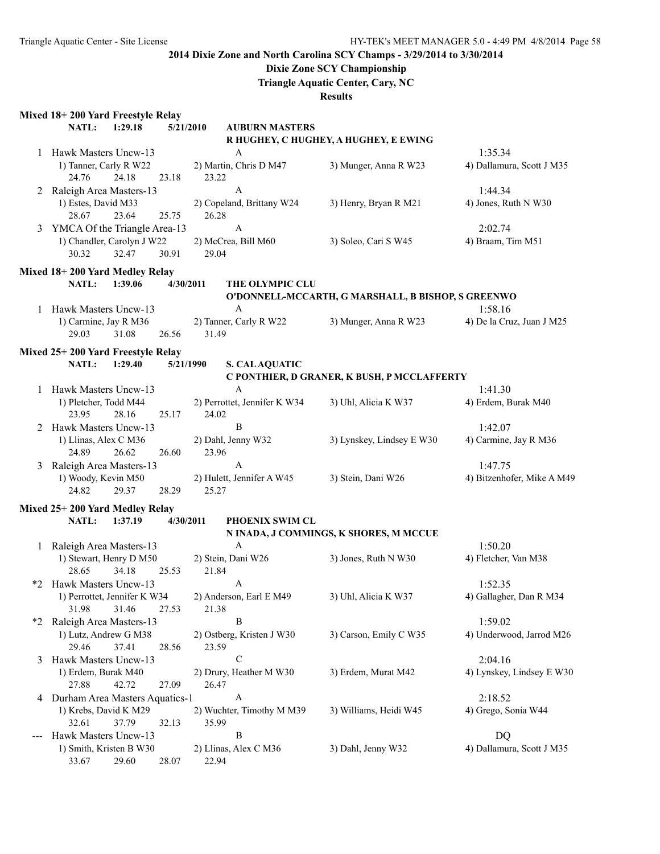## **Dixie Zone SCY Championship**

**Triangle Aquatic Center, Cary, NC**

|                                                  | Mixed 18+200 Yard Freestyle Relay                  |           |                              |                                                    |                                      |
|--------------------------------------------------|----------------------------------------------------|-----------|------------------------------|----------------------------------------------------|--------------------------------------|
|                                                  | NATL:<br>1:29.18                                   | 5/21/2010 | <b>AUBURN MASTERS</b>        |                                                    |                                      |
|                                                  |                                                    |           |                              | R HUGHEY, C HUGHEY, A HUGHEY, E EWING              |                                      |
|                                                  | 1 Hawk Masters Uncw-13<br>1) Tanner, Carly R W22   |           | A<br>2) Martin, Chris D M47  | 3) Munger, Anna R W23                              | 1:35.34<br>4) Dallamura, Scott J M35 |
|                                                  | 24.76<br>24.18                                     | 23.18     | 23.22                        |                                                    |                                      |
|                                                  | 2 Raleigh Area Masters-13                          |           | $\mathbf{A}$                 |                                                    | 1:44.34                              |
|                                                  | 1) Estes, David M33                                |           | 2) Copeland, Brittany W24    | 3) Henry, Bryan R M21                              | 4) Jones, Ruth N W30                 |
|                                                  | 23.64<br>28.67                                     | 25.75     | 26.28                        |                                                    |                                      |
| 3                                                | YMCA Of the Triangle Area-13                       |           | $\mathbf{A}$                 |                                                    | 2:02.74                              |
|                                                  | 1) Chandler, Carolyn J W22                         |           | 2) McCrea, Bill M60          | 3) Soleo, Cari S W45                               | 4) Braam, Tim M51                    |
|                                                  | 30.32<br>32.47                                     | 30.91     | 29.04                        |                                                    |                                      |
|                                                  | Mixed 18+200 Yard Medley Relay                     |           |                              |                                                    |                                      |
|                                                  | NATL:<br>1:39.06                                   | 4/30/2011 | THE OLYMPIC CLU              |                                                    |                                      |
|                                                  |                                                    |           |                              | O'DONNELL-MCCARTH, G MARSHALL, B BISHOP, S GREENWO |                                      |
|                                                  | 1 Hawk Masters Uncw-13                             |           | $\mathbf{A}$                 |                                                    | 1:58.16                              |
|                                                  | 1) Carmine, Jay R M36                              |           | 2) Tanner, Carly R W22       | 3) Munger, Anna R W23                              | 4) De la Cruz, Juan J M25            |
|                                                  | 31.08<br>29.03                                     | 26.56     | 31.49                        |                                                    |                                      |
|                                                  |                                                    |           |                              |                                                    |                                      |
|                                                  | Mixed 25+200 Yard Freestyle Relay                  |           |                              |                                                    |                                      |
|                                                  | <b>NATL:</b><br>1:29.40                            | 5/21/1990 | <b>S. CALAQUATIC</b>         |                                                    |                                      |
|                                                  |                                                    |           | A                            | C PONTHIER, D GRANER, K BUSH, P MCCLAFFERTY        |                                      |
|                                                  | 1 Hawk Masters Uncw-13<br>1) Pletcher, Todd M44    |           | 2) Perrottet, Jennifer K W34 | 3) Uhl, Alicia K W37                               | 1:41.30<br>4) Erdem, Burak M40       |
|                                                  | 23.95<br>28.16                                     | 25.17     | 24.02                        |                                                    |                                      |
|                                                  | Hawk Masters Uncw-13                               |           | B                            |                                                    | 1:42.07                              |
|                                                  | 1) Llinas, Alex C M36                              |           | 2) Dahl, Jenny W32           | 3) Lynskey, Lindsey E W30                          | 4) Carmine, Jay R M36                |
|                                                  | 24.89<br>26.62                                     | 26.60     | 23.96                        |                                                    |                                      |
| 3                                                | Raleigh Area Masters-13                            |           | A                            |                                                    | 1:47.75                              |
|                                                  | 1) Woody, Kevin M50                                |           | 2) Hulett, Jennifer A W45    | 3) Stein, Dani W26                                 | 4) Bitzenhofer, Mike A M49           |
|                                                  | 24.82<br>29.37                                     | 28.29     | 25.27                        |                                                    |                                      |
|                                                  |                                                    |           |                              |                                                    |                                      |
|                                                  | Mixed 25+200 Yard Medley Relay<br>NATL:<br>1:37.19 | 4/30/2011 | PHOENIX SWIM CL              |                                                    |                                      |
|                                                  |                                                    |           |                              | N INADA, J COMMINGS, K SHORES, M MCCUE             |                                      |
|                                                  | 1 Raleigh Area Masters-13                          |           | $\mathbf{A}$                 |                                                    | 1:50.20                              |
|                                                  | 1) Stewart, Henry D M50                            |           | 2) Stein, Dani W26           | 3) Jones, Ruth N W30                               | 4) Fletcher, Van M38                 |
|                                                  | 34.18<br>28.65                                     | 25.53     | 21.84                        |                                                    |                                      |
|                                                  | *2 Hawk Masters Uncw-13                            |           | $\mathsf{A}$                 |                                                    | 1:52.35                              |
|                                                  | 1) Perrottet, Jennifer K W34                       |           | 2) Anderson, Earl E M49      | 3) Uhl, Alicia K W37                               | 4) Gallagher, Dan R M34              |
|                                                  | 31.46<br>31.98                                     | 27.53     | 21.38                        |                                                    |                                      |
| *2                                               | Raleigh Area Masters-13                            |           | B                            |                                                    | 1:59.02                              |
|                                                  | 1) Lutz, Andrew G M38                              |           | 2) Ostberg, Kristen J W30    | 3) Carson, Emily C W35                             | 4) Underwood, Jarrod M26             |
|                                                  | 37.41<br>29.46                                     | 28.56     | 23.59                        |                                                    |                                      |
| 3                                                | Hawk Masters Uncw-13                               |           | $\mathcal{C}$                |                                                    | 2:04.16                              |
|                                                  | 1) Erdem, Burak M40                                |           | 2) Drury, Heather M W30      | 3) Erdem, Murat M42                                | 4) Lynskey, Lindsey E W30            |
|                                                  | 27.88<br>42.72                                     | 27.09     | 26.47                        |                                                    |                                      |
| 4 Durham Area Masters Aquatics-1<br>2:18.52<br>A |                                                    |           |                              |                                                    |                                      |
|                                                  | 1) Krebs, David K M29                              |           | 2) Wuchter, Timothy M M39    | 3) Williams, Heidi W45                             | 4) Grego, Sonia W44                  |
|                                                  | 32.61<br>37.79                                     | 32.13     | 35.99                        |                                                    |                                      |
|                                                  | Hawk Masters Uncw-13                               |           | B                            |                                                    | DQ                                   |
|                                                  | 1) Smith, Kristen B W30                            |           | 2) Llinas, Alex C M36        | 3) Dahl, Jenny W32                                 | 4) Dallamura, Scott J M35            |
|                                                  | 33.67<br>29.60                                     | 28.07     | 22.94                        |                                                    |                                      |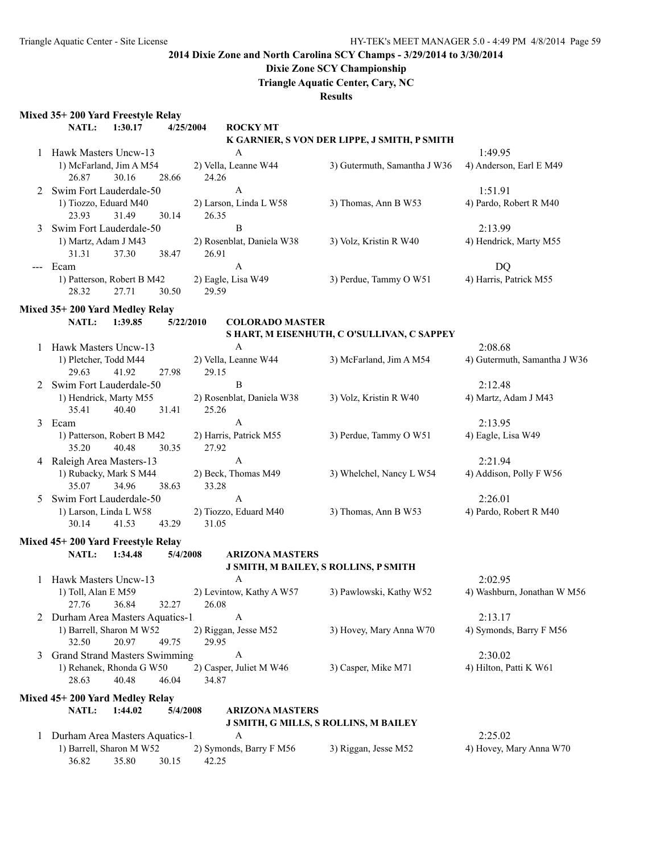# **Dixie Zone SCY Championship**

**Triangle Aquatic Center, Cary, NC**

|  |  | <b>Mixed 35+ 200 Yard Freestyle Relay</b> |  |
|--|--|-------------------------------------------|--|
|  |  |                                           |  |

|       | Mixed 35+ 200 yard Freestyle Relay                         |         |           |                                    |                                              |                                 |
|-------|------------------------------------------------------------|---------|-----------|------------------------------------|----------------------------------------------|---------------------------------|
|       | NATL:                                                      | 1:30.17 | 4/25/2004 | <b>ROCKYMT</b>                     |                                              |                                 |
|       |                                                            |         |           |                                    | K GARNIER, S VON DER LIPPE, J SMITH, P SMITH |                                 |
|       | Hawk Masters Uncw-13                                       |         |           | A                                  |                                              | 1:49.95                         |
|       | 1) McFarland, Jim A M54                                    |         |           | 2) Vella, Leanne W44               | 3) Gutermuth, Samantha J W36                 | 4) Anderson, Earl E M49         |
|       | 26.87                                                      | 30.16   | 28.66     | 24.26                              |                                              |                                 |
| 2     | Swim Fort Lauderdale-50                                    |         |           | A                                  |                                              | 1:51.91                         |
|       | 1) Tiozzo, Eduard M40<br>23.93                             | 31.49   | 30.14     | 2) Larson, Linda L W58<br>26.35    | 3) Thomas, Ann B W53                         | 4) Pardo, Robert R M40          |
| 3     | Swim Fort Lauderdale-50                                    |         |           | $\, {\bf B}$                       |                                              | 2:13.99                         |
|       | 1) Martz, Adam J M43<br>31.31                              | 37.30   | 38.47     | 2) Rosenblat, Daniela W38<br>26.91 | 3) Volz, Kristin R W40                       | 4) Hendrick, Marty M55          |
| $---$ | Ecam                                                       |         |           | A                                  |                                              | DQ                              |
|       | 1) Patterson, Robert B M42<br>28.32                        | 27.71   | 30.50     | 2) Eagle, Lisa W49<br>29.59        | 3) Perdue, Tammy O W51                       | 4) Harris, Patrick M55          |
|       |                                                            |         |           |                                    |                                              |                                 |
|       | Mixed 35+200 Yard Medley Relay                             |         |           |                                    |                                              |                                 |
|       | NATL:                                                      | 1:39.85 | 5/22/2010 | <b>COLORADO MASTER</b>             |                                              |                                 |
|       |                                                            |         |           |                                    | S HART, M EISENHUTH, C O'SULLIVAN, C SAPPEY  |                                 |
|       | Hawk Masters Uncw-13<br>1) Pletcher, Todd M44              |         |           | A                                  | 3) McFarland, Jim A M54                      | 2:08.68                         |
|       | 29.63                                                      | 41.92   |           | 2) Vella, Leanne W44<br>29.15      |                                              | 4) Gutermuth, Samantha J W36    |
|       | Swim Fort Lauderdale-50                                    |         | 27.98     | B                                  |                                              |                                 |
| 2     |                                                            |         |           | 2) Rosenblat, Daniela W38          | 3) Volz, Kristin R W40                       | 2:12.48<br>4) Martz, Adam J M43 |
|       | 1) Hendrick, Marty M55<br>35.41                            | 40.40   | 31.41     | 25.26                              |                                              |                                 |
| 3     | Ecam                                                       |         |           | A                                  |                                              | 2:13.95                         |
|       | 1) Patterson, Robert B M42                                 |         |           | 2) Harris, Patrick M55             | 3) Perdue, Tammy O W51                       | 4) Eagle, Lisa W49              |
|       | 35.20                                                      | 40.48   | 30.35     | 27.92                              |                                              |                                 |
| 4     | Raleigh Area Masters-13                                    |         |           | A                                  |                                              | 2:21.94                         |
|       | 1) Rubacky, Mark S M44                                     |         |           | 2) Beck, Thomas M49                | 3) Whelchel, Nancy L W54                     | 4) Addison, Polly F W56         |
|       | 35.07                                                      | 34.96   | 38.63     | 33.28                              |                                              |                                 |
| 5     | Swim Fort Lauderdale-50                                    |         |           | A                                  |                                              | 2:26.01                         |
|       | 1) Larson, Linda L W58                                     |         |           | 2) Tiozzo, Eduard M40              | 3) Thomas, Ann B W53                         | 4) Pardo, Robert R M40          |
|       | 30.14                                                      | 41.53   | 43.29     | 31.05                              |                                              |                                 |
|       |                                                            |         |           |                                    |                                              |                                 |
|       | Mixed 45+200 Yard Freestyle Relay                          | 1:34.48 |           | <b>ARIZONA MASTERS</b>             |                                              |                                 |
|       | NATL:                                                      |         | 5/4/2008  |                                    | <b>J SMITH, M BAILEY, S ROLLINS, P SMITH</b> |                                 |
|       | Hawk Masters Uncw-13                                       |         |           | A                                  |                                              | 2:02.95                         |
|       | 1) Toll, Alan E M59                                        |         |           | 2) Levintow, Kathy A W57           | 3) Pawlowski, Kathy W52                      | 4) Washburn, Jonathan W M56     |
|       | 27.76                                                      | 36.84   | 32.27     | 26.08                              |                                              |                                 |
| 2     | Durham Area Masters Aquatics-1                             |         |           | A                                  |                                              | 2:13.17                         |
|       | 1) Barrell, Sharon M W52                                   |         |           | 2) Riggan, Jesse M52               | 3) Hovey, Mary Anna W70                      | 4) Symonds, Barry F M56         |
|       | 32.50                                                      | 20.97   | 49.75     | 29.95                              |                                              |                                 |
| 3     | <b>Grand Strand Masters Swimming</b>                       |         |           | A                                  |                                              | 2:30.02                         |
|       | 1) Rehanek, Rhonda G W50                                   |         |           | 2) Casper, Juliet M W46            | 3) Casper, Mike M71                          | 4) Hilton, Patti K W61          |
|       | 28.63                                                      | 40.48   | 46.04     | 34.87                              |                                              |                                 |
|       |                                                            |         |           |                                    |                                              |                                 |
|       | Mixed 45+ 200 Yard Medley Relay                            |         |           |                                    |                                              |                                 |
|       | NATL:                                                      | 1:44.02 | 5/4/2008  | <b>ARIZONA MASTERS</b>             |                                              |                                 |
|       |                                                            |         |           | A                                  | <b>J SMITH, G MILLS, S ROLLINS, M BAILEY</b> |                                 |
| 1     | Durham Area Masters Aquatics-1<br>1) Barrell, Sharon M W52 |         |           |                                    |                                              | 2:25.02                         |
|       | 36.82                                                      | 35.80   |           | 2) Symonds, Barry F M56<br>42.25   | 3) Riggan, Jesse M52                         | 4) Hovey, Mary Anna W70         |
|       |                                                            |         | 30.15     |                                    |                                              |                                 |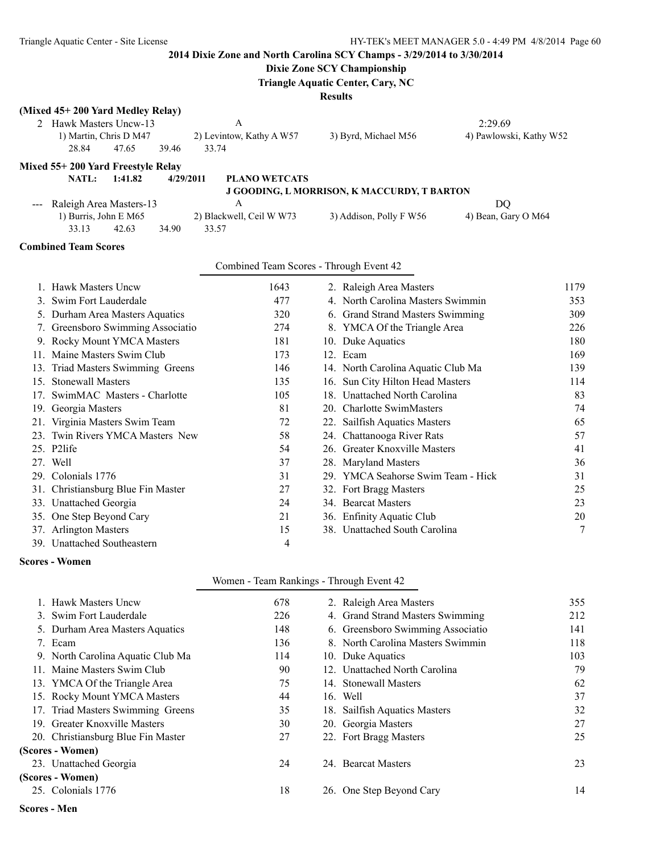## **Dixie Zone SCY Championship**

**Triangle Aquatic Center, Cary, NC**

| (Mixed 45+200 Yard Medley Relay)   |                                          |                                             |                         |
|------------------------------------|------------------------------------------|---------------------------------------------|-------------------------|
| 2 Hawk Masters Uncw-13             | A                                        |                                             | 2:29.69                 |
| 1) Martin, Chris D M47             | 2) Levintow, Kathy A W57                 | 3) Byrd, Michael M56                        | 4) Pawlowski, Kathy W52 |
| 28.84<br>47.65<br>39.46            | 33.74                                    |                                             |                         |
| Mixed 55+200 Yard Freestyle Relay  |                                          |                                             |                         |
| NATL:<br>1:41.82<br>4/29/2011      | <b>PLANO WETCATS</b>                     |                                             |                         |
|                                    |                                          | J GOODING, L MORRISON, K MACCURDY, T BARTON |                         |
| Raleigh Area Masters-13            | A                                        |                                             | <b>DQ</b>               |
| 1) Burris, John E M65              | 2) Blackwell, Ceil W W73                 | 3) Addison, Polly F W56                     | 4) Bean, Gary O M64     |
| 33.13<br>42.63<br>34.90            | 33.57                                    |                                             |                         |
| <b>Combined Team Scores</b>        |                                          |                                             |                         |
|                                    | Combined Team Scores - Through Event 42  |                                             |                         |
| 1. Hawk Masters Uncw               | 1643                                     | 2. Raleigh Area Masters                     | 1179                    |
| 3. Swim Fort Lauderdale            | 477                                      | 4. North Carolina Masters Swimmin           | 353                     |
| 5. Durham Area Masters Aquatics    | 320                                      | 6. Grand Strand Masters Swimming            | 309                     |
| 7. Greensboro Swimming Associatio  | 274                                      | 8. YMCA Of the Triangle Area                | 226                     |
| 9. Rocky Mount YMCA Masters        | 181                                      | 10. Duke Aquatics                           | 180                     |
| 11. Maine Masters Swim Club        | 173                                      | 12. Ecam                                    | 169                     |
| 13. Triad Masters Swimming Greens  | 146                                      | 14. North Carolina Aquatic Club Ma          | 139                     |
| 15. Stonewall Masters              | 135                                      | 16. Sun City Hilton Head Masters            | 114                     |
| 17. SwimMAC Masters - Charlotte    | 105                                      | 18. Unattached North Carolina               | 83                      |
| 19. Georgia Masters                | 81                                       | 20. Charlotte SwimMasters                   | 74                      |
| 21. Virginia Masters Swim Team     | 72                                       | 22. Sailfish Aquatics Masters               | 65                      |
| 23. Twin Rivers YMCA Masters New   | 58                                       | 24. Chattanooga River Rats                  | 57                      |
| 25. P2life                         | 54                                       | 26. Greater Knoxville Masters               | 41                      |
| 27. Well                           | 37                                       | 28. Maryland Masters                        | 36                      |
| 29. Colonials 1776                 | 31                                       | 29. YMCA Seahorse Swim Team - Hick          | 31                      |
| 31. Christiansburg Blue Fin Master | 27                                       | 32. Fort Bragg Masters                      | 25                      |
| 33. Unattached Georgia             | 24                                       | 34. Bearcat Masters                         | 23                      |
| 35. One Step Beyond Cary           | 21                                       | 36. Enfinity Aquatic Club                   | 20                      |
| 37. Arlington Masters              | 15                                       | 38. Unattached South Carolina               | 7                       |
| 39. Unattached Southeastern        | $\overline{4}$                           |                                             |                         |
| <b>Scores - Women</b>              |                                          |                                             |                         |
|                                    | Women - Team Rankings - Through Event 42 |                                             |                         |
| $TT = 1.34$                        | $\sqrt{20}$                              |                                             | 200                     |

| <b>Hawk Masters Uncw</b>           | 678 | 2. Raleigh Area Masters           | 355 |
|------------------------------------|-----|-----------------------------------|-----|
| 3. Swim Fort Lauderdale            | 226 | 4. Grand Strand Masters Swimming  | 212 |
| 5. Durham Area Masters Aquatics    | 148 | 6. Greensboro Swimming Associatio | 141 |
| 7. Ecam                            | 136 | 8. North Carolina Masters Swimmin | 118 |
| 9. North Carolina Aquatic Club Ma  | 114 | 10. Duke Aquatics                 | 103 |
| 11. Maine Masters Swim Club        | 90  | 12. Unattached North Carolina     | 79  |
| 13. YMCA Of the Triangle Area      | 75  | 14. Stonewall Masters             | 62  |
| 15. Rocky Mount YMCA Masters       | 44  | 16. Well                          | 37  |
| 17. Triad Masters Swimming Greens  | 35  | 18. Sailfish Aquatics Masters     | 32  |
| 19. Greater Knoxville Masters      | 30  | 20. Georgia Masters               | 27  |
| 20. Christiansburg Blue Fin Master | 27  | 22. Fort Bragg Masters            | 25  |
| (Scores - Women)                   |     |                                   |     |
| 23. Unattached Georgia             | 24  | 24. Bearcat Masters               | 23  |
| (Scores - Women)                   |     |                                   |     |
| 25. Colonials 1776                 | 18  | 26. One Step Beyond Cary          | 14  |
|                                    |     |                                   |     |